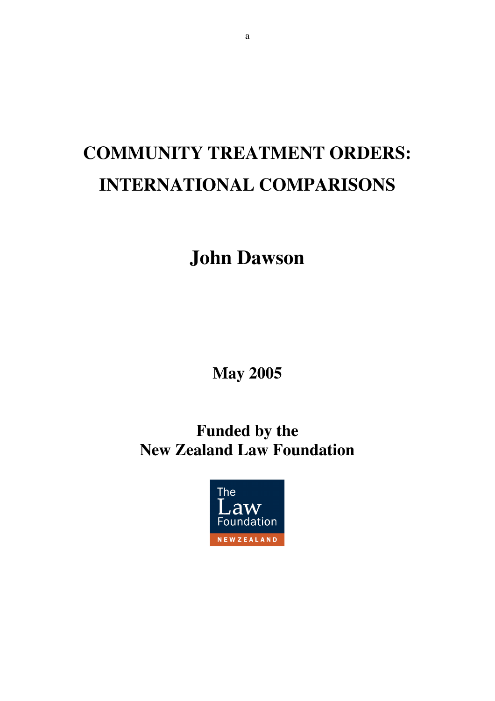# **COMMUNITY TREATMENT ORDERS: INTERNATIONAL COMPARISONS**

# **John Dawson**

**May 2005**

# **Funded by the New Zealand Law Foundation**

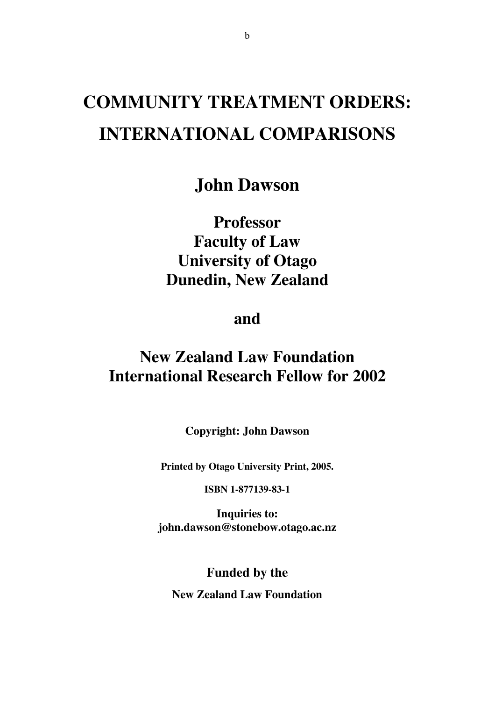# **COMMUNITY TREATMENT ORDERS: INTERNATIONAL COMPARISONS**

**John Dawson**

**Professor Faculty of Law University of Otago Dunedin, New Zealand**

**and**

## **New Zealand Law Foundation International Research Fellow for 2002**

**Copyright: John Dawson**

**Printed by Otago University Print, 2005.**

**ISBN 1-877139-83-1**

**Inquiries to: john.dawson@stonebow.otago.ac.nz**

**Funded by the**

**New Zealand Law Foundation**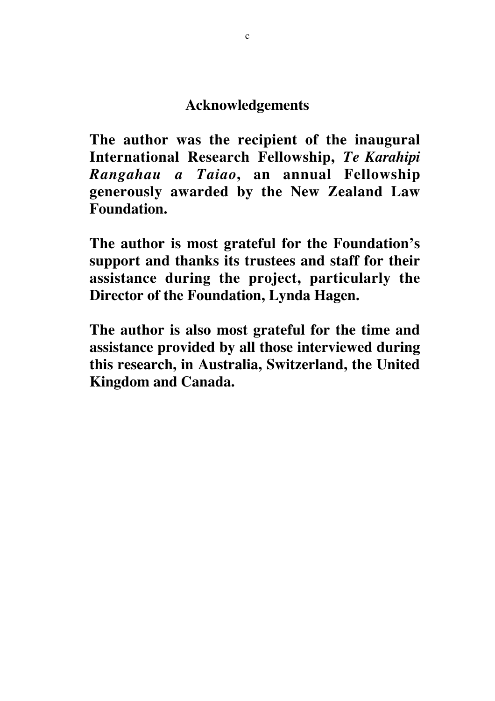## **Acknowledgements**

**The author was the recipient of the inaugural International Research Fellowship,** *Te Karahipi Rangahau a Taiao***, an annual Fellowship generously awarded by the New Zealand Law Foundation.**

**The author is most grateful for the Foundation's support and thanks its trustees and staff for their assistance during the project, particularly the Director of the Foundation, Lynda Hagen.**

**The author is also most grateful for the time and assistance provided by all those interviewed during this research, in Australia, Switzerland, the United Kingdom and Canada.**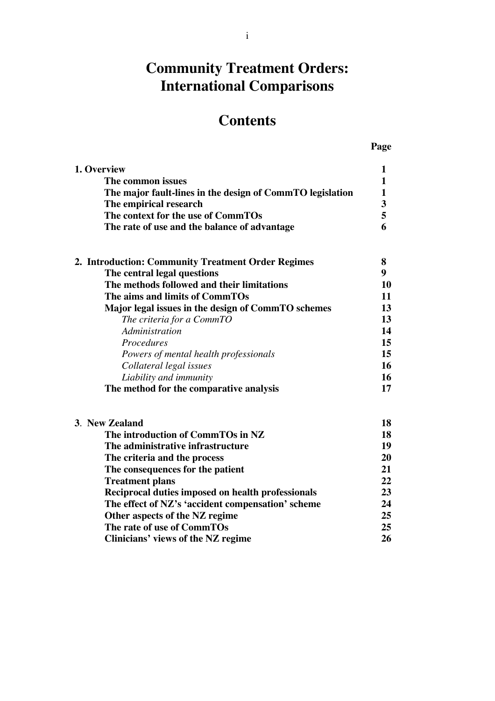## **Community Treatment Orders: International Comparisons**

## **Contents**

|--|

| 1. Overview                                               | 1              |
|-----------------------------------------------------------|----------------|
| The common issues                                         | 1              |
| The major fault-lines in the design of CommTO legislation | 1              |
| The empirical research                                    | 3              |
| The context for the use of CommTOs                        | 5              |
| The rate of use and the balance of advantage              | 6              |
| 2. Introduction: Community Treatment Order Regimes        | 8              |
| The central legal questions                               | 9 <sup>°</sup> |
| The methods followed and their limitations                | 10             |
| The aims and limits of CommTOs                            | 11             |
| Major legal issues in the design of CommTO schemes        | 13             |
| The criteria for a CommTO                                 | 13             |
| Administration                                            | 14             |
| Procedures                                                | 15             |
| Powers of mental health professionals                     | 15             |
| Collateral legal issues                                   | 16             |
| Liability and immunity                                    | 16             |
| The method for the comparative analysis                   | 17             |
| 3. New Zealand                                            | 18             |
| The introduction of CommTOs in NZ                         | 18             |
| The administrative infrastructure                         | 19             |
| The criteria and the process                              | 20             |
| The consequences for the patient                          | 21             |
| <b>Treatment plans</b>                                    | 22             |
| Reciprocal duties imposed on health professionals         | 23             |
| The effect of NZ's 'accident compensation' scheme         | 24             |
| Other aspects of the NZ regime                            | 25             |
| The rate of use of CommTOs                                | 25             |
| Clinicians' views of the NZ regime                        | 26             |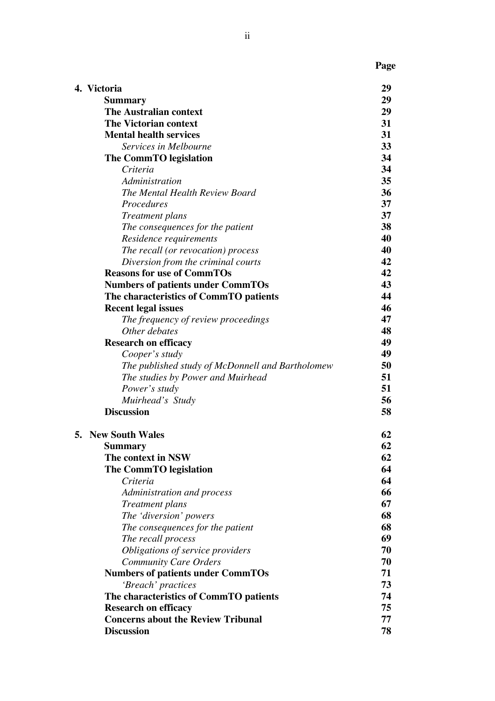| 4. Victoria                                                                        |  |
|------------------------------------------------------------------------------------|--|
| <b>Summary</b><br><b>The Australian context</b>                                    |  |
| The Victorian context                                                              |  |
| <b>Mental health services</b>                                                      |  |
|                                                                                    |  |
| Services in Melbourne                                                              |  |
| The CommTO legislation                                                             |  |
| Criteria                                                                           |  |
| Administration<br>The Mental Health Review Board                                   |  |
|                                                                                    |  |
| Procedures                                                                         |  |
| <b>Treatment</b> plans                                                             |  |
| The consequences for the patient                                                   |  |
| Residence requirements                                                             |  |
| The recall (or revocation) process                                                 |  |
| Diversion from the criminal courts<br><b>Reasons for use of CommTOs</b>            |  |
|                                                                                    |  |
| <b>Numbers of patients under CommTOs</b><br>The characteristics of CommTO patients |  |
| <b>Recent legal issues</b>                                                         |  |
| The frequency of review proceedings                                                |  |
| Other debates                                                                      |  |
| <b>Research on efficacy</b>                                                        |  |
| Cooper's study                                                                     |  |
| The published study of McDonnell and Bartholomew                                   |  |
| The studies by Power and Muirhead                                                  |  |
| Power's study                                                                      |  |
| Muirhead's Study                                                                   |  |
| <b>Discussion</b>                                                                  |  |
| <b>5. New South Wales</b>                                                          |  |
| <b>Summary</b>                                                                     |  |
| The context in NSW                                                                 |  |
| The CommTO legislation                                                             |  |
| Criteria                                                                           |  |
| Administration and process                                                         |  |
| Treatment plans                                                                    |  |
| The 'diversion' powers                                                             |  |
| The consequences for the patient                                                   |  |
| The recall process                                                                 |  |
| Obligations of service providers                                                   |  |
| <b>Community Care Orders</b>                                                       |  |
| <b>Numbers of patients under CommTOs</b>                                           |  |
| 'Breach' practices                                                                 |  |
| The characteristics of CommTO patients                                             |  |
| <b>Research on efficacy</b>                                                        |  |
| <b>Concerns about the Review Tribunal</b>                                          |  |
| <b>Discussion</b>                                                                  |  |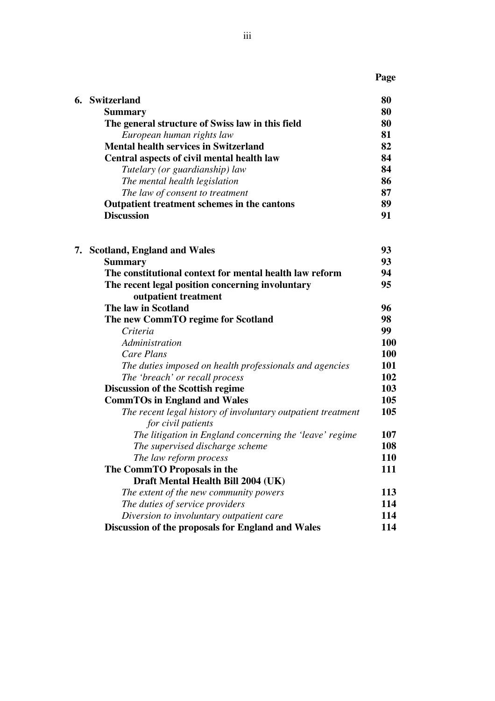**Page**

| 6. Switzerland                                     | 80 |
|----------------------------------------------------|----|
| <b>Summary</b>                                     | 80 |
| The general structure of Swiss law in this field   | 80 |
| European human rights law                          | 81 |
| <b>Mental health services in Switzerland</b>       | 82 |
| Central aspects of civil mental health law         | 84 |
| Tutelary (or guardianship) law                     | 84 |
| The mental health legislation                      | 86 |
| The law of consent to treatment                    | 87 |
| <b>Outpatient treatment schemes in the cantons</b> | 89 |
| <b>Discussion</b>                                  | 91 |

|  | 7. Scotland, England and Wales                               | 93  |
|--|--------------------------------------------------------------|-----|
|  | <b>Summary</b>                                               | 93  |
|  | The constitutional context for mental health law reform      | 94  |
|  | The recent legal position concerning involuntary             | 95  |
|  | outpatient treatment                                         |     |
|  | The law in Scotland                                          | 96  |
|  | The new CommTO regime for Scotland                           | 98  |
|  | Criteria                                                     | 99  |
|  | Administration                                               | 100 |
|  | <b>Care Plans</b>                                            | 100 |
|  | The duties imposed on health professionals and agencies      | 101 |
|  | The 'breach' or recall process                               | 102 |
|  | <b>Discussion of the Scottish regime</b>                     | 103 |
|  | <b>CommTOs in England and Wales</b>                          | 105 |
|  | The recent legal history of involuntary outpatient treatment | 105 |
|  | for civil patients                                           |     |
|  | The litigation in England concerning the 'leave' regime      | 107 |
|  | The supervised discharge scheme                              | 108 |
|  | The law reform process                                       | 110 |
|  | The CommTO Proposals in the                                  | 111 |
|  | Draft Mental Health Bill 2004 (UK)                           |     |
|  | The extent of the new community powers                       | 113 |
|  | The duties of service providers                              | 114 |
|  | Diversion to involuntary outpatient care                     | 114 |
|  | Discussion of the proposals for England and Wales            | 114 |
|  |                                                              |     |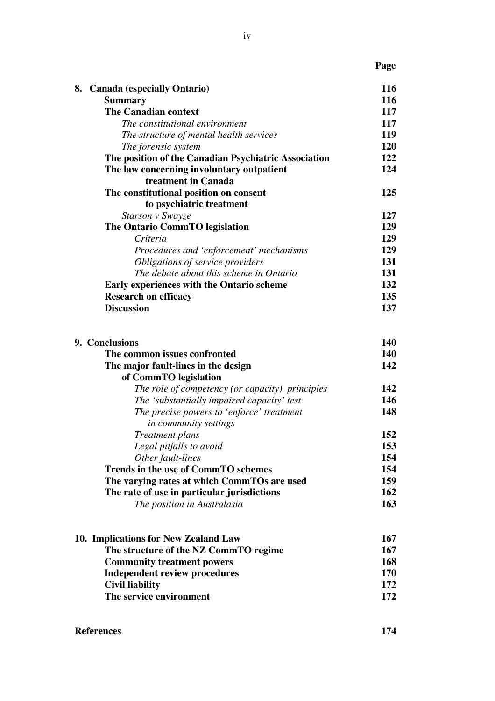| I |
|---|
|---|

| 116 |
|-----|
| 116 |
| 117 |
| 117 |
| 119 |
| 120 |
| 122 |
| 124 |
|     |
| 125 |
|     |
| 127 |
| 129 |
| 129 |
| 129 |
| 131 |
| 131 |
| 132 |
| 135 |
| 137 |
|     |

| 9. Conclusions                              |                                                 | 140        |
|---------------------------------------------|-------------------------------------------------|------------|
| The common issues confronted                |                                                 | 140        |
| The major fault-lines in the design         |                                                 | 142        |
| of CommTO legislation                       |                                                 |            |
|                                             | The role of competency (or capacity) principles | 142        |
|                                             | The 'substantially impaired capacity' test      | 146        |
|                                             | The precise powers to 'enforce' treatment       | 148        |
| in community settings                       |                                                 |            |
| Treatment plans                             |                                                 | 152        |
| Legal pitfalls to avoid                     |                                                 | 153        |
| Other fault-lines                           |                                                 | 154        |
|                                             | <b>Trends in the use of CommTO schemes</b>      | 154<br>159 |
| The varying rates at which CommTOs are used |                                                 |            |
| The rate of use in particular jurisdictions |                                                 | 162        |
| The position in Australasia                 |                                                 | 163        |
| 10. Implications for New Zealand Law        |                                                 | 167        |
| The structure of the NZ CommTO regime       |                                                 | 167        |
| <b>Community treatment powers</b>           |                                                 | 168        |
| <b>Independent review procedures</b>        |                                                 | 170        |
| <b>Civil liability</b>                      |                                                 | 172        |
| The service environment                     |                                                 | 172        |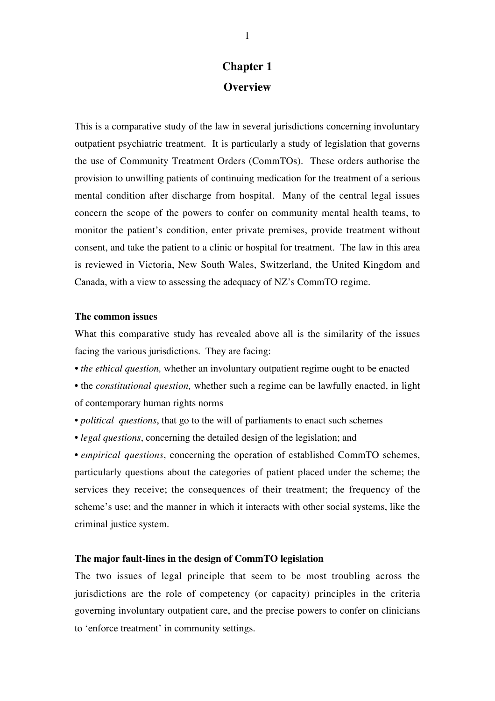### **Chapter 1 Overview**

This is a comparative study of the law in several jurisdictions concerning involuntary outpatient psychiatric treatment. It is particularly a study of legislation that governs the use of Community Treatment Orders (CommTOs). These orders authorise the provision to unwilling patients of continuing medication for the treatment of a serious mental condition after discharge from hospital. Many of the central legal issues concern the scope of the powers to confer on community mental health teams, to monitor the patient's condition, enter private premises, provide treatment without consent, and take the patient to a clinic or hospital for treatment. The law in this area is reviewed in Victoria, New South Wales, Switzerland, the United Kingdom and Canada, with a view to assessing the adequacy of NZ's CommTO regime.

#### **The common issues**

What this comparative study has revealed above all is the similarity of the issues facing the various jurisdictions. They are facing:

- *the ethical question,* whether an involuntary outpatient regime ought to be enacted
- the *constitutional question,* whether such a regime can be lawfully enacted, in light of contemporary human rights norms
- *political questions*, that go to the will of parliaments to enact such schemes
- *legal questions*, concerning the detailed design of the legislation; and

• *empirical questions*, concerning the operation of established CommTO schemes, particularly questions about the categories of patient placed under the scheme; the services they receive; the consequences of their treatment; the frequency of the scheme's use; and the manner in which it interacts with other social systems, like the criminal justice system.

#### **The major fault-lines in the design of CommTO legislation**

The two issues of legal principle that seem to be most troubling across the jurisdictions are the role of competency (or capacity) principles in the criteria governing involuntary outpatient care, and the precise powers to confer on clinicians to 'enforce treatment' in community settings.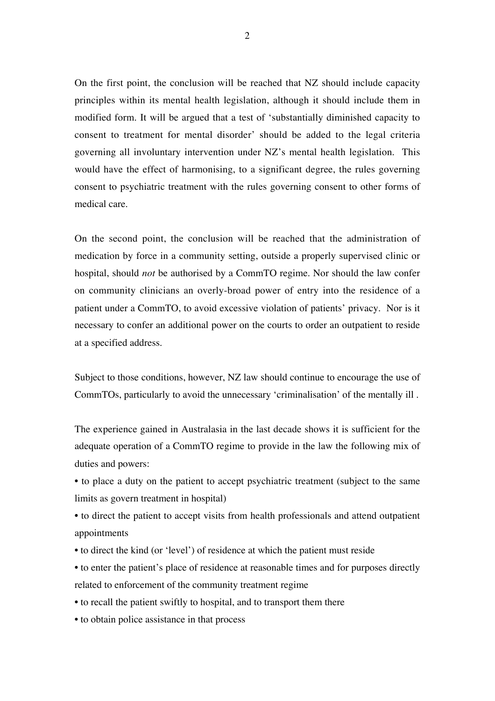On the first point, the conclusion will be reached that NZ should include capacity principles within its mental health legislation, although it should include them in modified form. It will be argued that a test of 'substantially diminished capacity to consent to treatment for mental disorder' should be added to the legal criteria governing all involuntary intervention under NZ's mental health legislation. This would have the effect of harmonising, to a significant degree, the rules governing consent to psychiatric treatment with the rules governing consent to other forms of medical care.

On the second point, the conclusion will be reached that the administration of medication by force in a community setting, outside a properly supervised clinic or hospital, should *not* be authorised by a CommTO regime. Nor should the law confer on community clinicians an overly-broad power of entry into the residence of a patient under a CommTO, to avoid excessive violation of patients' privacy. Nor is it necessary to confer an additional power on the courts to order an outpatient to reside at a specified address.

Subject to those conditions, however, NZ law should continue to encourage the use of CommTOs, particularly to avoid the unnecessary 'criminalisation' of the mentally ill .

The experience gained in Australasia in the last decade shows it is sufficient for the adequate operation of a CommTO regime to provide in the law the following mix of duties and powers:

• to place a duty on the patient to accept psychiatric treatment (subject to the same limits as govern treatment in hospital)

• to direct the patient to accept visits from health professionals and attend outpatient appointments

- to direct the kind (or 'level') of residence at which the patient must reside
- to enter the patient's place of residence at reasonable times and for purposes directly related to enforcement of the community treatment regime
- to recall the patient swiftly to hospital, and to transport them there
- to obtain police assistance in that process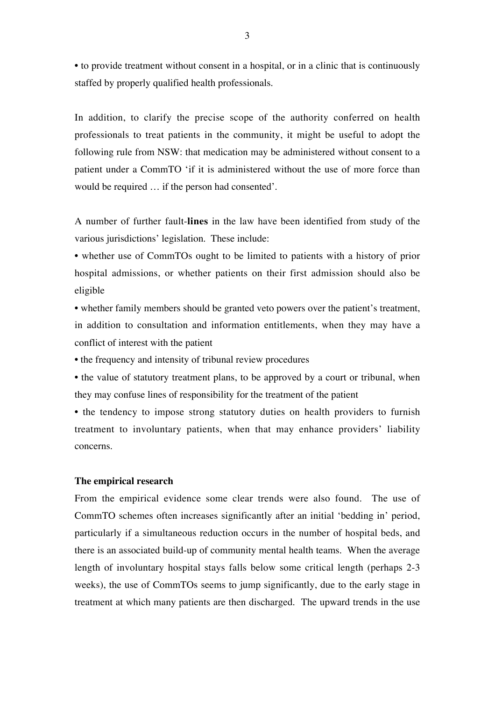• to provide treatment without consent in a hospital, or in a clinic that is continuously staffed by properly qualified health professionals.

In addition, to clarify the precise scope of the authority conferred on health professionals to treat patients in the community, it might be useful to adopt the following rule from NSW: that medication may be administered without consent to a patient under a CommTO 'if it is administered without the use of more force than would be required … if the person had consented'.

A number of further fault-**lines** in the law have been identified from study of the various jurisdictions' legislation. These include:

• whether use of CommTOs ought to be limited to patients with a history of prior hospital admissions, or whether patients on their first admission should also be eligible

• whether family members should be granted veto powers over the patient's treatment, in addition to consultation and information entitlements, when they may have a conflict of interest with the patient

• the frequency and intensity of tribunal review procedures

• the value of statutory treatment plans, to be approved by a court or tribunal, when they may confuse lines of responsibility for the treatment of the patient

• the tendency to impose strong statutory duties on health providers to furnish treatment to involuntary patients, when that may enhance providers' liability concerns.

#### **The empirical research**

From the empirical evidence some clear trends were also found. The use of CommTO schemes often increases significantly after an initial 'bedding in' period, particularly if a simultaneous reduction occurs in the number of hospital beds, and there is an associated build-up of community mental health teams. When the average length of involuntary hospital stays falls below some critical length (perhaps 2-3 weeks), the use of CommTOs seems to jump significantly, due to the early stage in treatment at which many patients are then discharged. The upward trends in the use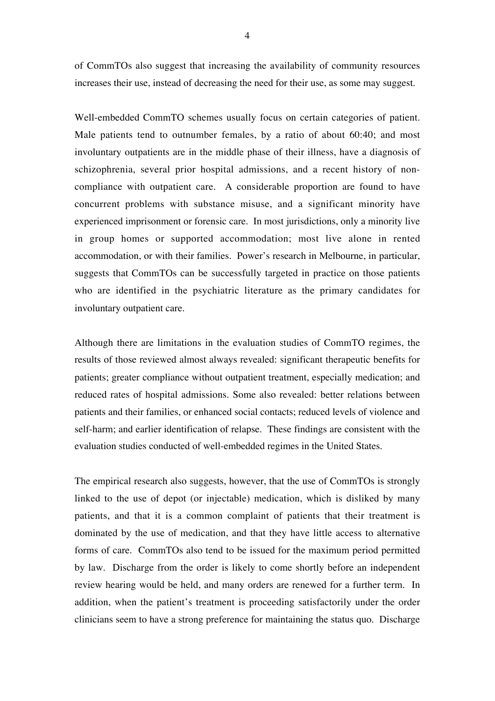of CommTOs also suggest that increasing the availability of community resources increases their use, instead of decreasing the need for their use, as some may suggest.

Well-embedded CommTO schemes usually focus on certain categories of patient. Male patients tend to outnumber females, by a ratio of about 60:40; and most involuntary outpatients are in the middle phase of their illness, have a diagnosis of schizophrenia, several prior hospital admissions, and a recent history of noncompliance with outpatient care. A considerable proportion are found to have concurrent problems with substance misuse, and a significant minority have experienced imprisonment or forensic care. In most jurisdictions, only a minority live in group homes or supported accommodation; most live alone in rented accommodation, or with their families. Power's research in Melbourne, in particular, suggests that CommTOs can be successfully targeted in practice on those patients who are identified in the psychiatric literature as the primary candidates for involuntary outpatient care.

Although there are limitations in the evaluation studies of CommTO regimes, the results of those reviewed almost always revealed: significant therapeutic benefits for patients; greater compliance without outpatient treatment, especially medication; and reduced rates of hospital admissions. Some also revealed: better relations between patients and their families, or enhanced social contacts; reduced levels of violence and self-harm; and earlier identification of relapse. These findings are consistent with the evaluation studies conducted of well-embedded regimes in the United States.

The empirical research also suggests, however, that the use of CommTOs is strongly linked to the use of depot (or injectable) medication, which is disliked by many patients, and that it is a common complaint of patients that their treatment is dominated by the use of medication, and that they have little access to alternative forms of care. CommTOs also tend to be issued for the maximum period permitted by law. Discharge from the order is likely to come shortly before an independent review hearing would be held, and many orders are renewed for a further term. In addition, when the patient's treatment is proceeding satisfactorily under the order clinicians seem to have a strong preference for maintaining the status quo. Discharge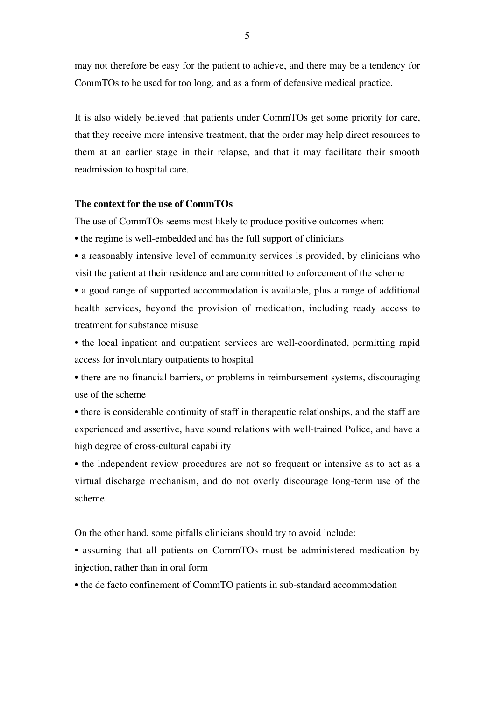may not therefore be easy for the patient to achieve, and there may be a tendency for CommTOs to be used for too long, and as a form of defensive medical practice.

It is also widely believed that patients under CommTOs get some priority for care, that they receive more intensive treatment, that the order may help direct resources to them at an earlier stage in their relapse, and that it may facilitate their smooth readmission to hospital care.

#### **The context for the use of CommTOs**

The use of CommTOs seems most likely to produce positive outcomes when:

• the regime is well-embedded and has the full support of clinicians

• a reasonably intensive level of community services is provided, by clinicians who visit the patient at their residence and are committed to enforcement of the scheme

• a good range of supported accommodation is available, plus a range of additional health services, beyond the provision of medication, including ready access to treatment for substance misuse

• the local inpatient and outpatient services are well-coordinated, permitting rapid access for involuntary outpatients to hospital

• there are no financial barriers, or problems in reimbursement systems, discouraging use of the scheme

• there is considerable continuity of staff in therapeutic relationships, and the staff are experienced and assertive, have sound relations with well-trained Police, and have a high degree of cross-cultural capability

• the independent review procedures are not so frequent or intensive as to act as a virtual discharge mechanism, and do not overly discourage long-term use of the scheme.

On the other hand, some pitfalls clinicians should try to avoid include:

• assuming that all patients on CommTOs must be administered medication by injection, rather than in oral form

• the de facto confinement of CommTO patients in sub-standard accommodation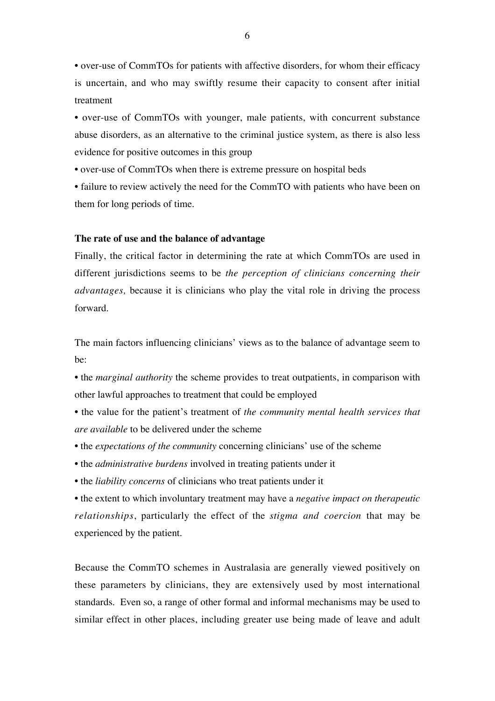• over-use of CommTOs for patients with affective disorders, for whom their efficacy is uncertain, and who may swiftly resume their capacity to consent after initial treatment

• over-use of CommTOs with younger, male patients, with concurrent substance abuse disorders, as an alternative to the criminal justice system, as there is also less evidence for positive outcomes in this group

• over-use of CommTOs when there is extreme pressure on hospital beds

• failure to review actively the need for the CommTO with patients who have been on them for long periods of time.

#### **The rate of use and the balance of advantage**

Finally, the critical factor in determining the rate at which CommTOs are used in different jurisdictions seems to be *the perception of clinicians concerning their advantages,* because it is clinicians who play the vital role in driving the process forward*.*

The main factors influencing clinicians' views as to the balance of advantage seem to be:

• the *marginal authority* the scheme provides to treat outpatients, in comparison with other lawful approaches to treatment that could be employed

- the value for the patient's treatment of *the community mental health services that are available* to be delivered under the scheme
- the *expectations of the community* concerning clinicians' use of the scheme
- the *administrative burdens* involved in treating patients under it
- the *liability concerns* of clinicians who treat patients under it

• the extent to which involuntary treatment may have a *negative impact on therapeutic relationships*, particularly the effect of the *stigma and coercion* that may be experienced by the patient.

Because the CommTO schemes in Australasia are generally viewed positively on these parameters by clinicians, they are extensively used by most international standards. Even so, a range of other formal and informal mechanisms may be used to similar effect in other places, including greater use being made of leave and adult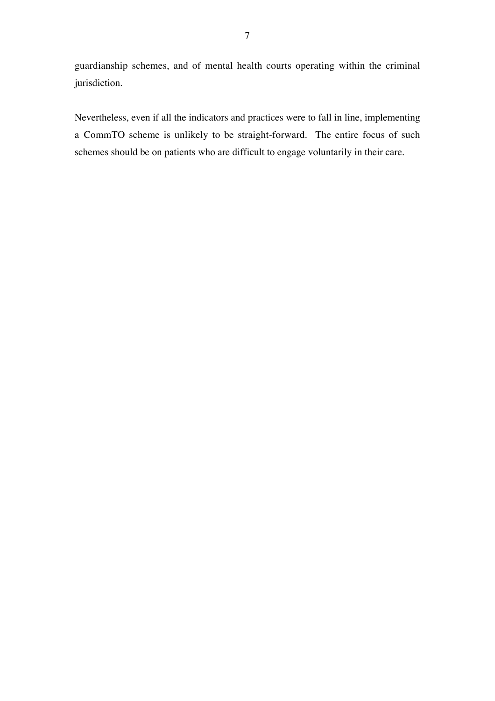guardianship schemes, and of mental health courts operating within the criminal jurisdiction.

Nevertheless, even if all the indicators and practices were to fall in line, implementing a CommTO scheme is unlikely to be straight-forward. The entire focus of such schemes should be on patients who are difficult to engage voluntarily in their care.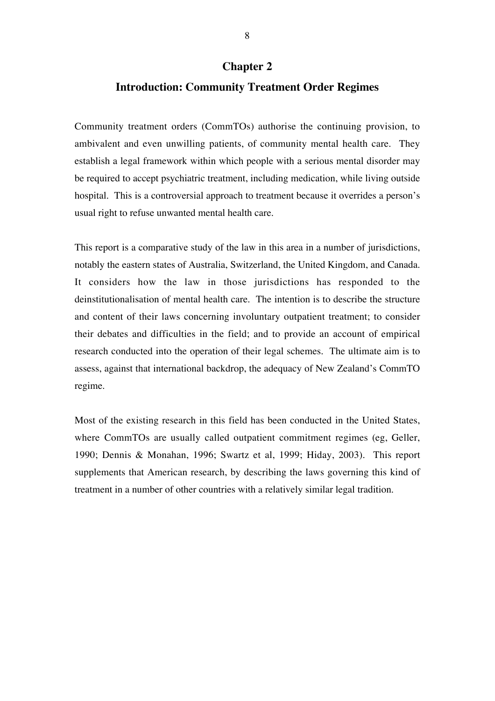#### **Chapter 2**

#### **Introduction: Community Treatment Order Regimes**

Community treatment orders (CommTOs) authorise the continuing provision, to ambivalent and even unwilling patients, of community mental health care. They establish a legal framework within which people with a serious mental disorder may be required to accept psychiatric treatment, including medication, while living outside hospital. This is a controversial approach to treatment because it overrides a person's usual right to refuse unwanted mental health care.

This report is a comparative study of the law in this area in a number of jurisdictions, notably the eastern states of Australia, Switzerland, the United Kingdom, and Canada. It considers how the law in those jurisdictions has responded to the deinstitutionalisation of mental health care. The intention is to describe the structure and content of their laws concerning involuntary outpatient treatment; to consider their debates and difficulties in the field; and to provide an account of empirical research conducted into the operation of their legal schemes. The ultimate aim is to assess, against that international backdrop, the adequacy of New Zealand's CommTO regime.

Most of the existing research in this field has been conducted in the United States, where CommTOs are usually called outpatient commitment regimes (eg, Geller, 1990; Dennis & Monahan, 1996; Swartz et al, 1999; Hiday, 2003). This report supplements that American research, by describing the laws governing this kind of treatment in a number of other countries with a relatively similar legal tradition.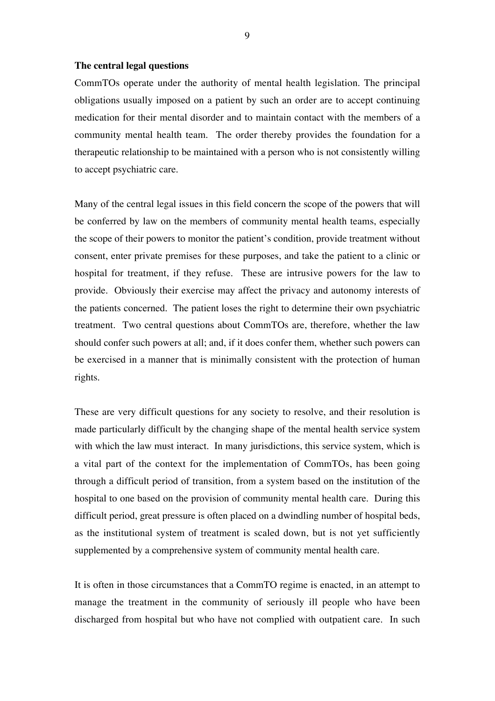#### **The central legal questions**

CommTOs operate under the authority of mental health legislation. The principal obligations usually imposed on a patient by such an order are to accept continuing medication for their mental disorder and to maintain contact with the members of a community mental health team. The order thereby provides the foundation for a therapeutic relationship to be maintained with a person who is not consistently willing to accept psychiatric care.

Many of the central legal issues in this field concern the scope of the powers that will be conferred by law on the members of community mental health teams, especially the scope of their powers to monitor the patient's condition, provide treatment without consent, enter private premises for these purposes, and take the patient to a clinic or hospital for treatment, if they refuse. These are intrusive powers for the law to provide. Obviously their exercise may affect the privacy and autonomy interests of the patients concerned. The patient loses the right to determine their own psychiatric treatment. Two central questions about CommTOs are, therefore, whether the law should confer such powers at all; and, if it does confer them, whether such powers can be exercised in a manner that is minimally consistent with the protection of human rights.

These are very difficult questions for any society to resolve, and their resolution is made particularly difficult by the changing shape of the mental health service system with which the law must interact. In many jurisdictions, this service system, which is a vital part of the context for the implementation of CommTOs, has been going through a difficult period of transition, from a system based on the institution of the hospital to one based on the provision of community mental health care. During this difficult period, great pressure is often placed on a dwindling number of hospital beds, as the institutional system of treatment is scaled down, but is not yet sufficiently supplemented by a comprehensive system of community mental health care.

It is often in those circumstances that a CommTO regime is enacted, in an attempt to manage the treatment in the community of seriously ill people who have been discharged from hospital but who have not complied with outpatient care. In such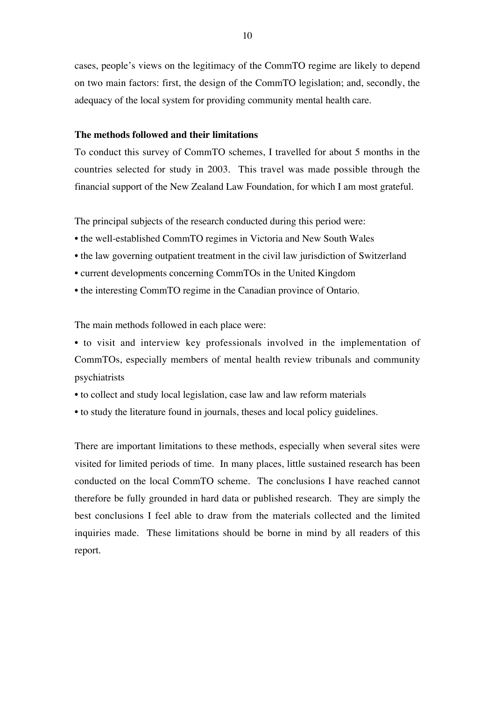cases, people's views on the legitimacy of the CommTO regime are likely to depend on two main factors: first, the design of the CommTO legislation; and, secondly, the adequacy of the local system for providing community mental health care.

#### **The methods followed and their limitations**

To conduct this survey of CommTO schemes, I travelled for about 5 months in the countries selected for study in 2003. This travel was made possible through the financial support of the New Zealand Law Foundation, for which I am most grateful.

The principal subjects of the research conducted during this period were:

- the well-established CommTO regimes in Victoria and New South Wales
- the law governing outpatient treatment in the civil law jurisdiction of Switzerland
- current developments concerning CommTOs in the United Kingdom
- the interesting CommTO regime in the Canadian province of Ontario.

The main methods followed in each place were:

• to visit and interview key professionals involved in the implementation of CommTOs, especially members of mental health review tribunals and community psychiatrists

- to collect and study local legislation, case law and law reform materials
- to study the literature found in journals, theses and local policy guidelines.

There are important limitations to these methods, especially when several sites were visited for limited periods of time. In many places, little sustained research has been conducted on the local CommTO scheme. The conclusions I have reached cannot therefore be fully grounded in hard data or published research. They are simply the best conclusions I feel able to draw from the materials collected and the limited inquiries made. These limitations should be borne in mind by all readers of this report.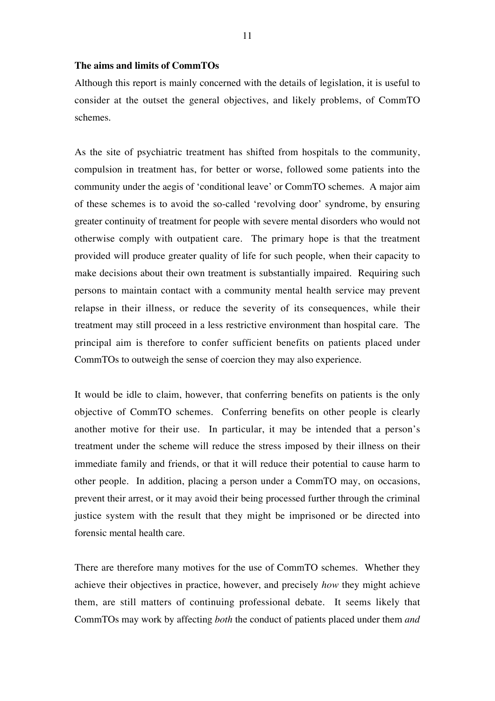#### **The aims and limits of CommTOs**

Although this report is mainly concerned with the details of legislation, it is useful to consider at the outset the general objectives, and likely problems, of CommTO schemes.

As the site of psychiatric treatment has shifted from hospitals to the community, compulsion in treatment has, for better or worse, followed some patients into the community under the aegis of 'conditional leave' or CommTO schemes. A major aim of these schemes is to avoid the so-called 'revolving door' syndrome, by ensuring greater continuity of treatment for people with severe mental disorders who would not otherwise comply with outpatient care. The primary hope is that the treatment provided will produce greater quality of life for such people, when their capacity to make decisions about their own treatment is substantially impaired. Requiring such persons to maintain contact with a community mental health service may prevent relapse in their illness, or reduce the severity of its consequences, while their treatment may still proceed in a less restrictive environment than hospital care. The principal aim is therefore to confer sufficient benefits on patients placed under CommTOs to outweigh the sense of coercion they may also experience.

It would be idle to claim, however, that conferring benefits on patients is the only objective of CommTO schemes. Conferring benefits on other people is clearly another motive for their use. In particular, it may be intended that a person's treatment under the scheme will reduce the stress imposed by their illness on their immediate family and friends, or that it will reduce their potential to cause harm to other people. In addition, placing a person under a CommTO may, on occasions, prevent their arrest, or it may avoid their being processed further through the criminal justice system with the result that they might be imprisoned or be directed into forensic mental health care.

There are therefore many motives for the use of CommTO schemes. Whether they achieve their objectives in practice, however, and precisely *how* they might achieve them, are still matters of continuing professional debate. It seems likely that CommTOs may work by affecting *both* the conduct of patients placed under them *and*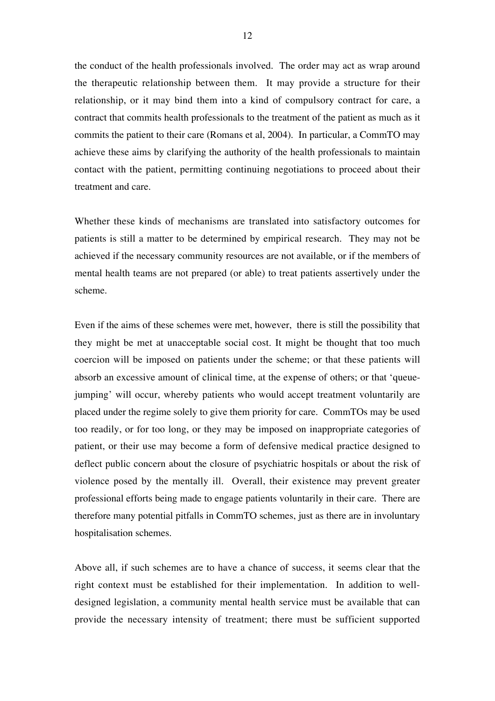the conduct of the health professionals involved. The order may act as wrap around the therapeutic relationship between them. It may provide a structure for their relationship, or it may bind them into a kind of compulsory contract for care, a contract that commits health professionals to the treatment of the patient as much as it commits the patient to their care (Romans et al, 2004). In particular, a CommTO may achieve these aims by clarifying the authority of the health professionals to maintain contact with the patient, permitting continuing negotiations to proceed about their treatment and care.

Whether these kinds of mechanisms are translated into satisfactory outcomes for patients is still a matter to be determined by empirical research. They may not be achieved if the necessary community resources are not available, or if the members of mental health teams are not prepared (or able) to treat patients assertively under the scheme.

Even if the aims of these schemes were met, however, there is still the possibility that they might be met at unacceptable social cost. It might be thought that too much coercion will be imposed on patients under the scheme; or that these patients will absorb an excessive amount of clinical time, at the expense of others; or that 'queuejumping' will occur, whereby patients who would accept treatment voluntarily are placed under the regime solely to give them priority for care. CommTOs may be used too readily, or for too long, or they may be imposed on inappropriate categories of patient, or their use may become a form of defensive medical practice designed to deflect public concern about the closure of psychiatric hospitals or about the risk of violence posed by the mentally ill. Overall, their existence may prevent greater professional efforts being made to engage patients voluntarily in their care. There are therefore many potential pitfalls in CommTO schemes, just as there are in involuntary hospitalisation schemes.

Above all, if such schemes are to have a chance of success, it seems clear that the right context must be established for their implementation. In addition to welldesigned legislation, a community mental health service must be available that can provide the necessary intensity of treatment; there must be sufficient supported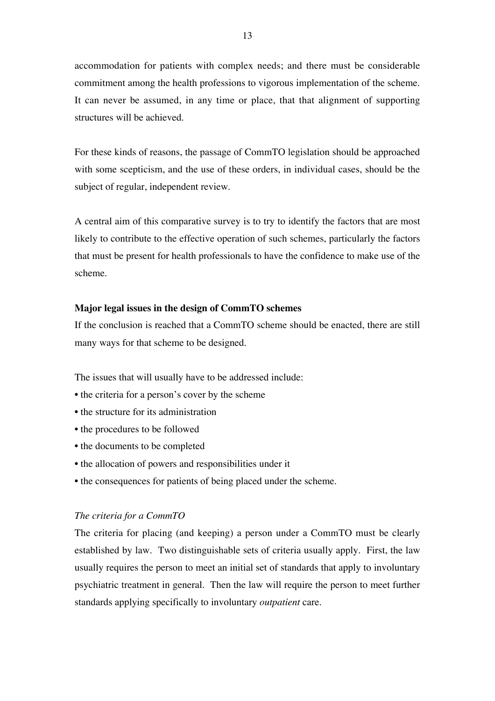accommodation for patients with complex needs; and there must be considerable commitment among the health professions to vigorous implementation of the scheme. It can never be assumed, in any time or place, that that alignment of supporting structures will be achieved.

For these kinds of reasons, the passage of CommTO legislation should be approached with some scepticism, and the use of these orders, in individual cases, should be the subject of regular, independent review.

A central aim of this comparative survey is to try to identify the factors that are most likely to contribute to the effective operation of such schemes, particularly the factors that must be present for health professionals to have the confidence to make use of the scheme.

#### **Major legal issues in the design of CommTO schemes**

If the conclusion is reached that a CommTO scheme should be enacted, there are still many ways for that scheme to be designed.

The issues that will usually have to be addressed include:

- the criteria for a person's cover by the scheme
- the structure for its administration
- the procedures to be followed
- the documents to be completed
- the allocation of powers and responsibilities under it
- the consequences for patients of being placed under the scheme.

#### *The criteria for a CommTO*

The criteria for placing (and keeping) a person under a CommTO must be clearly established by law. Two distinguishable sets of criteria usually apply. First, the law usually requires the person to meet an initial set of standards that apply to involuntary psychiatric treatment in general. Then the law will require the person to meet further standards applying specifically to involuntary *outpatient* care.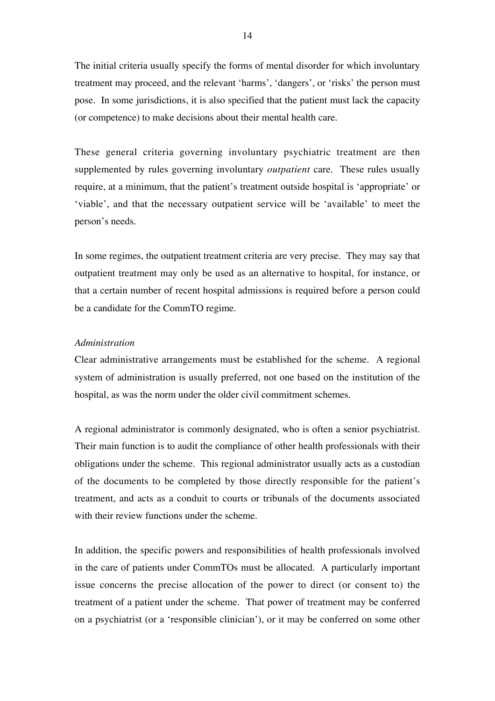The initial criteria usually specify the forms of mental disorder for which involuntary treatment may proceed, and the relevant 'harms', 'dangers', or 'risks' the person must pose. In some jurisdictions, it is also specified that the patient must lack the capacity (or competence) to make decisions about their mental health care.

These general criteria governing involuntary psychiatric treatment are then supplemented by rules governing involuntary *outpatient* care. These rules usually require, at a minimum, that the patient's treatment outside hospital is 'appropriate' or 'viable', and that the necessary outpatient service will be 'available' to meet the person's needs.

In some regimes, the outpatient treatment criteria are very precise. They may say that outpatient treatment may only be used as an alternative to hospital, for instance, or that a certain number of recent hospital admissions is required before a person could be a candidate for the CommTO regime.

#### *Administration*

Clear administrative arrangements must be established for the scheme. A regional system of administration is usually preferred, not one based on the institution of the hospital, as was the norm under the older civil commitment schemes.

A regional administrator is commonly designated, who is often a senior psychiatrist. Their main function is to audit the compliance of other health professionals with their obligations under the scheme. This regional administrator usually acts as a custodian of the documents to be completed by those directly responsible for the patient's treatment, and acts as a conduit to courts or tribunals of the documents associated with their review functions under the scheme.

In addition, the specific powers and responsibilities of health professionals involved in the care of patients under CommTOs must be allocated. A particularly important issue concerns the precise allocation of the power to direct (or consent to) the treatment of a patient under the scheme. That power of treatment may be conferred on a psychiatrist (or a 'responsible clinician'), or it may be conferred on some other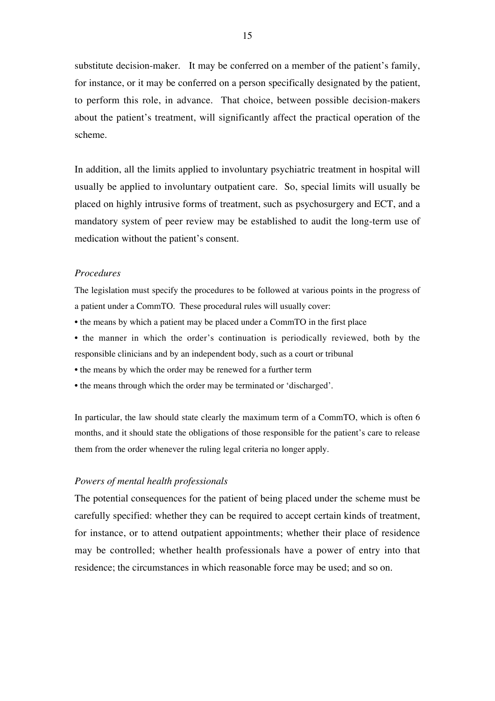substitute decision-maker. It may be conferred on a member of the patient's family, for instance, or it may be conferred on a person specifically designated by the patient, to perform this role, in advance. That choice, between possible decision-makers about the patient's treatment, will significantly affect the practical operation of the scheme.

In addition, all the limits applied to involuntary psychiatric treatment in hospital will usually be applied to involuntary outpatient care. So, special limits will usually be placed on highly intrusive forms of treatment, such as psychosurgery and ECT, and a mandatory system of peer review may be established to audit the long-term use of medication without the patient's consent.

#### *Procedures*

The legislation must specify the procedures to be followed at various points in the progress of a patient under a CommTO. These procedural rules will usually cover:

- the means by which a patient may be placed under a CommTO in the first place
- the manner in which the order's continuation is periodically reviewed, both by the responsible clinicians and by an independent body, such as a court or tribunal
- the means by which the order may be renewed for a further term
- the means through which the order may be terminated or 'discharged'.

In particular, the law should state clearly the maximum term of a CommTO, which is often 6 months, and it should state the obligations of those responsible for the patient's care to release them from the order whenever the ruling legal criteria no longer apply.

#### *Powers of mental health professionals*

The potential consequences for the patient of being placed under the scheme must be carefully specified: whether they can be required to accept certain kinds of treatment, for instance, or to attend outpatient appointments; whether their place of residence may be controlled; whether health professionals have a power of entry into that residence; the circumstances in which reasonable force may be used; and so on.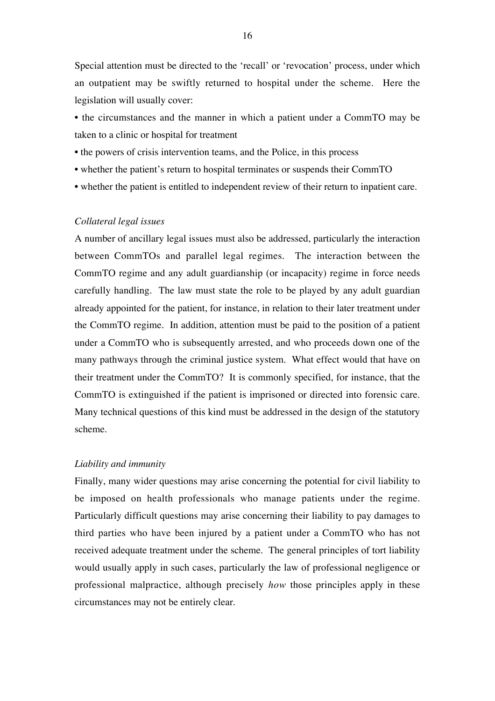Special attention must be directed to the 'recall' or 'revocation' process, under which an outpatient may be swiftly returned to hospital under the scheme. Here the legislation will usually cover:

- the circumstances and the manner in which a patient under a CommTO may be taken to a clinic or hospital for treatment
- the powers of crisis intervention teams, and the Police, in this process
- whether the patient's return to hospital terminates or suspends their CommTO
- whether the patient is entitled to independent review of their return to inpatient care.

#### *Collateral legal issues*

A number of ancillary legal issues must also be addressed, particularly the interaction between CommTOs and parallel legal regimes. The interaction between the CommTO regime and any adult guardianship (or incapacity) regime in force needs carefully handling. The law must state the role to be played by any adult guardian already appointed for the patient, for instance, in relation to their later treatment under the CommTO regime. In addition, attention must be paid to the position of a patient under a CommTO who is subsequently arrested, and who proceeds down one of the many pathways through the criminal justice system. What effect would that have on their treatment under the CommTO? It is commonly specified, for instance, that the CommTO is extinguished if the patient is imprisoned or directed into forensic care. Many technical questions of this kind must be addressed in the design of the statutory scheme.

#### *Liability and immunity*

Finally, many wider questions may arise concerning the potential for civil liability to be imposed on health professionals who manage patients under the regime. Particularly difficult questions may arise concerning their liability to pay damages to third parties who have been injured by a patient under a CommTO who has not received adequate treatment under the scheme. The general principles of tort liability would usually apply in such cases, particularly the law of professional negligence or professional malpractice, although precisely *how* those principles apply in these circumstances may not be entirely clear.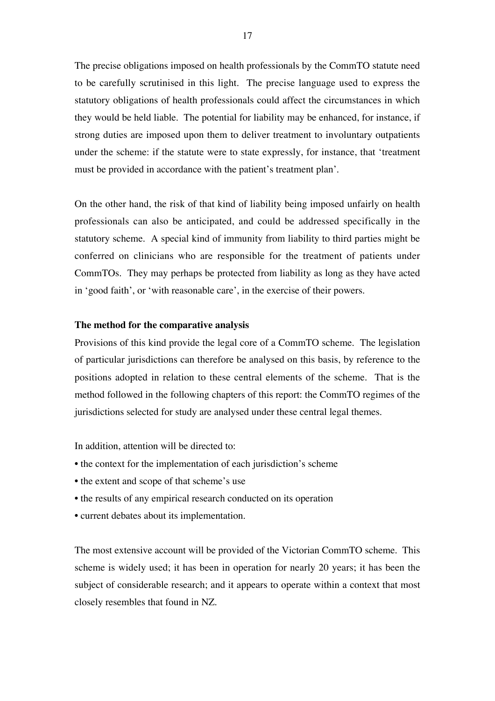The precise obligations imposed on health professionals by the CommTO statute need to be carefully scrutinised in this light. The precise language used to express the statutory obligations of health professionals could affect the circumstances in which they would be held liable. The potential for liability may be enhanced, for instance, if strong duties are imposed upon them to deliver treatment to involuntary outpatients under the scheme: if the statute were to state expressly, for instance, that 'treatment must be provided in accordance with the patient's treatment plan'.

On the other hand, the risk of that kind of liability being imposed unfairly on health professionals can also be anticipated, and could be addressed specifically in the statutory scheme. A special kind of immunity from liability to third parties might be conferred on clinicians who are responsible for the treatment of patients under CommTOs. They may perhaps be protected from liability as long as they have acted in 'good faith', or 'with reasonable care', in the exercise of their powers.

#### **The method for the comparative analysis**

Provisions of this kind provide the legal core of a CommTO scheme. The legislation of particular jurisdictions can therefore be analysed on this basis, by reference to the positions adopted in relation to these central elements of the scheme. That is the method followed in the following chapters of this report: the CommTO regimes of the jurisdictions selected for study are analysed under these central legal themes.

In addition, attention will be directed to:

- the context for the implementation of each jurisdiction's scheme
- the extent and scope of that scheme's use
- the results of any empirical research conducted on its operation
- current debates about its implementation.

The most extensive account will be provided of the Victorian CommTO scheme. This scheme is widely used; it has been in operation for nearly 20 years; it has been the subject of considerable research; and it appears to operate within a context that most closely resembles that found in NZ.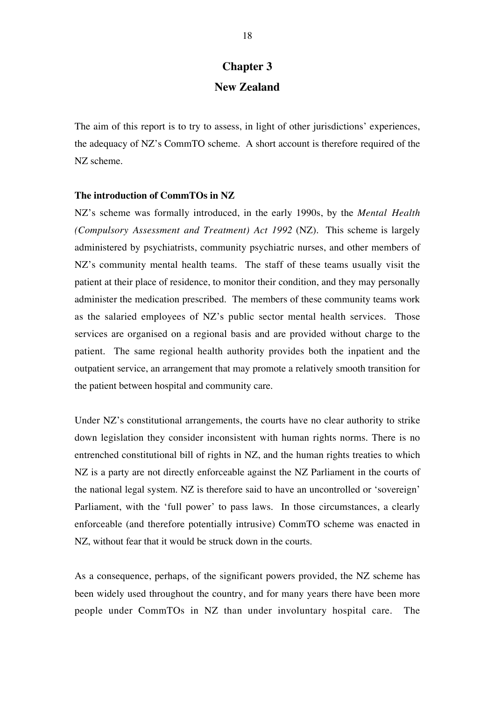### **Chapter 3 New Zealand**

The aim of this report is to try to assess, in light of other jurisdictions' experiences, the adequacy of NZ's CommTO scheme. A short account is therefore required of the NZ scheme.

#### **The introduction of CommTOs in NZ**

NZ's scheme was formally introduced, in the early 1990s, by the *Mental Health (Compulsory Assessment and Treatment) Act 1992* (NZ). This scheme is largely administered by psychiatrists, community psychiatric nurses, and other members of NZ's community mental health teams. The staff of these teams usually visit the patient at their place of residence, to monitor their condition, and they may personally administer the medication prescribed. The members of these community teams work as the salaried employees of NZ's public sector mental health services. Those services are organised on a regional basis and are provided without charge to the patient. The same regional health authority provides both the inpatient and the outpatient service, an arrangement that may promote a relatively smooth transition for the patient between hospital and community care.

Under NZ's constitutional arrangements, the courts have no clear authority to strike down legislation they consider inconsistent with human rights norms. There is no entrenched constitutional bill of rights in NZ, and the human rights treaties to which NZ is a party are not directly enforceable against the NZ Parliament in the courts of the national legal system. NZ is therefore said to have an uncontrolled or 'sovereign' Parliament, with the 'full power' to pass laws. In those circumstances, a clearly enforceable (and therefore potentially intrusive) CommTO scheme was enacted in NZ, without fear that it would be struck down in the courts.

As a consequence, perhaps, of the significant powers provided, the NZ scheme has been widely used throughout the country, and for many years there have been more people under CommTOs in NZ than under involuntary hospital care. The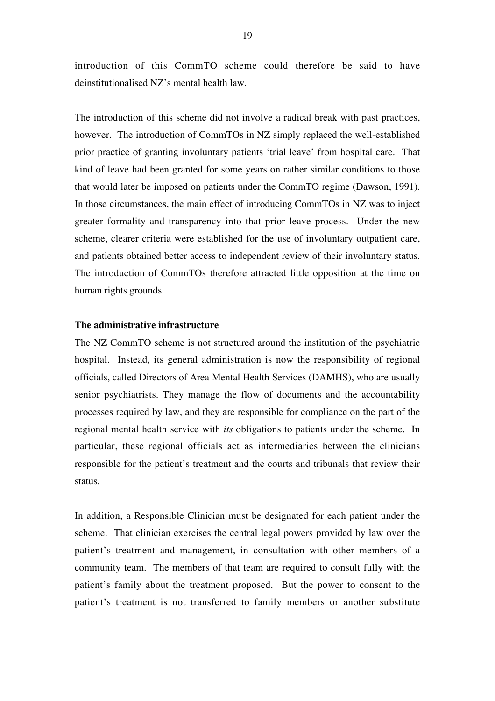introduction of this CommTO scheme could therefore be said to have deinstitutionalised NZ's mental health law.

The introduction of this scheme did not involve a radical break with past practices, however. The introduction of CommTOs in NZ simply replaced the well-established prior practice of granting involuntary patients 'trial leave' from hospital care. That kind of leave had been granted for some years on rather similar conditions to those that would later be imposed on patients under the CommTO regime (Dawson, 1991). In those circumstances, the main effect of introducing CommTOs in NZ was to inject greater formality and transparency into that prior leave process. Under the new scheme, clearer criteria were established for the use of involuntary outpatient care, and patients obtained better access to independent review of their involuntary status. The introduction of CommTOs therefore attracted little opposition at the time on human rights grounds.

#### **The administrative infrastructure**

The NZ CommTO scheme is not structured around the institution of the psychiatric hospital. Instead, its general administration is now the responsibility of regional officials, called Directors of Area Mental Health Services (DAMHS), who are usually senior psychiatrists. They manage the flow of documents and the accountability processes required by law, and they are responsible for compliance on the part of the regional mental health service with *its* obligations to patients under the scheme. In particular, these regional officials act as intermediaries between the clinicians responsible for the patient's treatment and the courts and tribunals that review their status.

In addition, a Responsible Clinician must be designated for each patient under the scheme. That clinician exercises the central legal powers provided by law over the patient's treatment and management, in consultation with other members of a community team. The members of that team are required to consult fully with the patient's family about the treatment proposed. But the power to consent to the patient's treatment is not transferred to family members or another substitute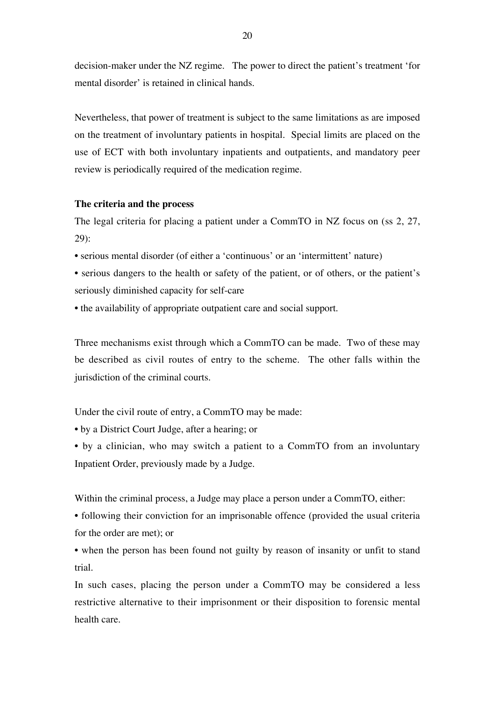decision-maker under the NZ regime. The power to direct the patient's treatment 'for mental disorder' is retained in clinical hands.

Nevertheless, that power of treatment is subject to the same limitations as are imposed on the treatment of involuntary patients in hospital. Special limits are placed on the use of ECT with both involuntary inpatients and outpatients, and mandatory peer review is periodically required of the medication regime.

#### **The criteria and the process**

The legal criteria for placing a patient under a CommTO in NZ focus on (ss 2, 27, 29):

- serious mental disorder (of either a 'continuous' or an 'intermittent' nature)
- serious dangers to the health or safety of the patient, or of others, or the patient's seriously diminished capacity for self-care
- the availability of appropriate outpatient care and social support.

Three mechanisms exist through which a CommTO can be made. Two of these may be described as civil routes of entry to the scheme. The other falls within the jurisdiction of the criminal courts.

Under the civil route of entry, a CommTO may be made:

- by a District Court Judge, after a hearing; or
- by a clinician, who may switch a patient to a CommTO from an involuntary Inpatient Order, previously made by a Judge.

Within the criminal process, a Judge may place a person under a CommTO, either:

• following their conviction for an imprisonable offence (provided the usual criteria for the order are met); or

• when the person has been found not guilty by reason of insanity or unfit to stand trial.

In such cases, placing the person under a CommTO may be considered a less restrictive alternative to their imprisonment or their disposition to forensic mental health care.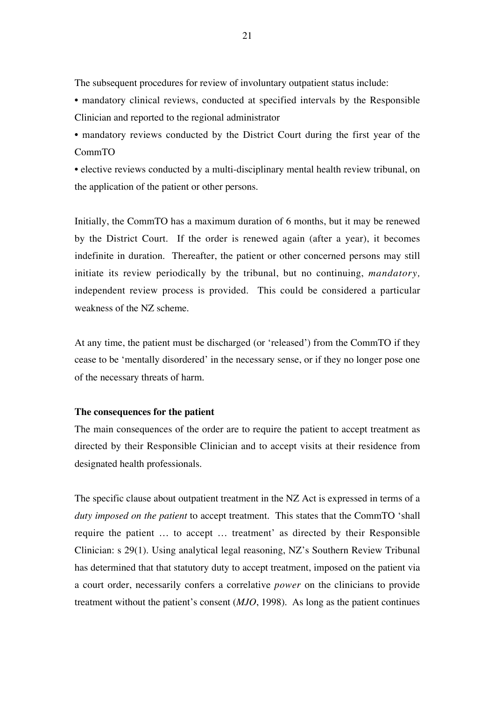The subsequent procedures for review of involuntary outpatient status include:

- mandatory clinical reviews, conducted at specified intervals by the Responsible Clinician and reported to the regional administrator
- mandatory reviews conducted by the District Court during the first year of the CommTO
- elective reviews conducted by a multi-disciplinary mental health review tribunal, on the application of the patient or other persons.

Initially, the CommTO has a maximum duration of 6 months, but it may be renewed by the District Court. If the order is renewed again (after a year), it becomes indefinite in duration. Thereafter, the patient or other concerned persons may still initiate its review periodically by the tribunal, but no continuing, *mandatory,* independent review process is provided. This could be considered a particular weakness of the NZ scheme.

At any time, the patient must be discharged (or 'released') from the CommTO if they cease to be 'mentally disordered' in the necessary sense, or if they no longer pose one of the necessary threats of harm.

#### **The consequences for the patient**

The main consequences of the order are to require the patient to accept treatment as directed by their Responsible Clinician and to accept visits at their residence from designated health professionals.

The specific clause about outpatient treatment in the NZ Act is expressed in terms of a *duty imposed on the patient* to accept treatment. This states that the CommTO 'shall require the patient … to accept … treatment' as directed by their Responsible Clinician: s 29(1). Using analytical legal reasoning, NZ's Southern Review Tribunal has determined that that statutory duty to accept treatment, imposed on the patient via a court order, necessarily confers a correlative *power* on the clinicians to provide treatment without the patient's consent (*MJO*, 1998). As long as the patient continues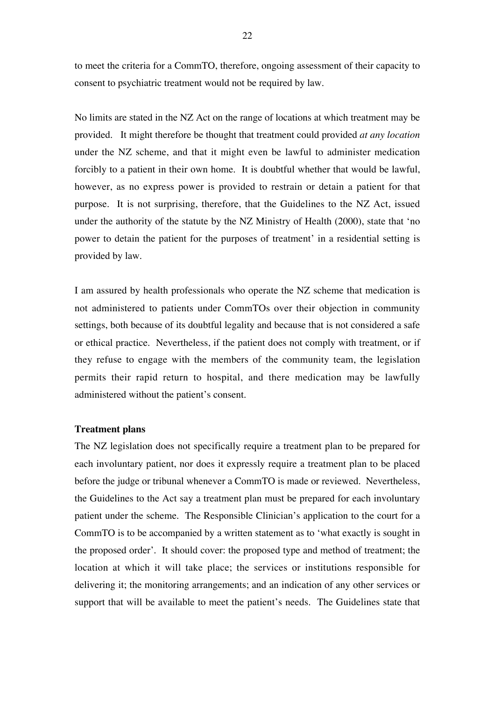to meet the criteria for a CommTO, therefore, ongoing assessment of their capacity to consent to psychiatric treatment would not be required by law.

No limits are stated in the NZ Act on the range of locations at which treatment may be provided. It might therefore be thought that treatment could provided *at any location* under the NZ scheme, and that it might even be lawful to administer medication forcibly to a patient in their own home. It is doubtful whether that would be lawful, however, as no express power is provided to restrain or detain a patient for that purpose. It is not surprising, therefore, that the Guidelines to the NZ Act, issued under the authority of the statute by the NZ Ministry of Health (2000), state that 'no power to detain the patient for the purposes of treatment' in a residential setting is provided by law.

I am assured by health professionals who operate the NZ scheme that medication is not administered to patients under CommTOs over their objection in community settings, both because of its doubtful legality and because that is not considered a safe or ethical practice. Nevertheless, if the patient does not comply with treatment, or if they refuse to engage with the members of the community team, the legislation permits their rapid return to hospital, and there medication may be lawfully administered without the patient's consent.

#### **Treatment plans**

The NZ legislation does not specifically require a treatment plan to be prepared for each involuntary patient, nor does it expressly require a treatment plan to be placed before the judge or tribunal whenever a CommTO is made or reviewed. Nevertheless, the Guidelines to the Act say a treatment plan must be prepared for each involuntary patient under the scheme. The Responsible Clinician's application to the court for a CommTO is to be accompanied by a written statement as to 'what exactly is sought in the proposed order'. It should cover: the proposed type and method of treatment; the location at which it will take place; the services or institutions responsible for delivering it; the monitoring arrangements; and an indication of any other services or support that will be available to meet the patient's needs. The Guidelines state that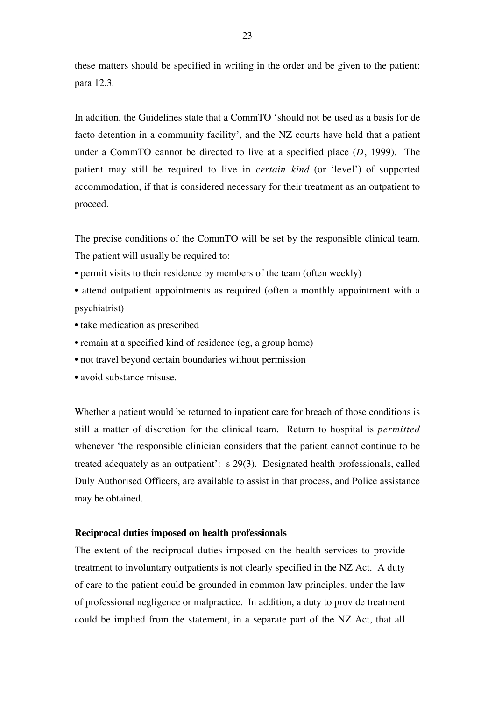these matters should be specified in writing in the order and be given to the patient: para 12.3.

In addition, the Guidelines state that a CommTO 'should not be used as a basis for de facto detention in a community facility', and the NZ courts have held that a patient under a CommTO cannot be directed to live at a specified place (*D*, 1999). The patient may still be required to live in *certain kind* (or 'level') of supported accommodation, if that is considered necessary for their treatment as an outpatient to proceed.

The precise conditions of the CommTO will be set by the responsible clinical team. The patient will usually be required to:

- permit visits to their residence by members of the team (often weekly)
- attend outpatient appointments as required (often a monthly appointment with a psychiatrist)
- take medication as prescribed
- remain at a specified kind of residence (eg, a group home)
- not travel beyond certain boundaries without permission
- avoid substance misuse.

Whether a patient would be returned to inpatient care for breach of those conditions is still a matter of discretion for the clinical team. Return to hospital is *permitted* whenever 'the responsible clinician considers that the patient cannot continue to be treated adequately as an outpatient': s 29(3). Designated health professionals, called Duly Authorised Officers, are available to assist in that process, and Police assistance may be obtained.

#### **Reciprocal duties imposed on health professionals**

The extent of the reciprocal duties imposed on the health services to provide treatment to involuntary outpatients is not clearly specified in the NZ Act. A duty of care to the patient could be grounded in common law principles, under the law of professional negligence or malpractice. In addition, a duty to provide treatment could be implied from the statement, in a separate part of the NZ Act, that all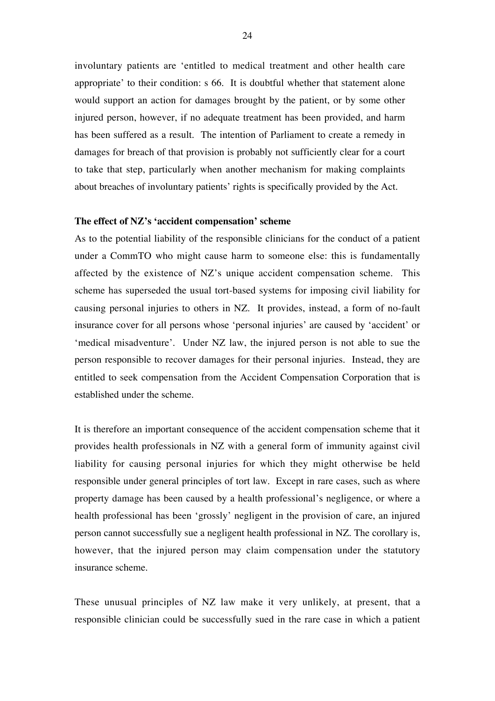involuntary patients are 'entitled to medical treatment and other health care appropriate' to their condition: s 66. It is doubtful whether that statement alone would support an action for damages brought by the patient, or by some other injured person, however, if no adequate treatment has been provided, and harm has been suffered as a result. The intention of Parliament to create a remedy in damages for breach of that provision is probably not sufficiently clear for a court to take that step, particularly when another mechanism for making complaints about breaches of involuntary patients' rights is specifically provided by the Act.

#### **The effect of NZ's 'accident compensation' scheme**

As to the potential liability of the responsible clinicians for the conduct of a patient under a CommTO who might cause harm to someone else: this is fundamentally affected by the existence of NZ's unique accident compensation scheme. This scheme has superseded the usual tort-based systems for imposing civil liability for causing personal injuries to others in NZ. It provides, instead, a form of no-fault insurance cover for all persons whose 'personal injuries' are caused by 'accident' or 'medical misadventure'. Under NZ law, the injured person is not able to sue the person responsible to recover damages for their personal injuries. Instead, they are entitled to seek compensation from the Accident Compensation Corporation that is established under the scheme.

It is therefore an important consequence of the accident compensation scheme that it provides health professionals in NZ with a general form of immunity against civil liability for causing personal injuries for which they might otherwise be held responsible under general principles of tort law. Except in rare cases, such as where property damage has been caused by a health professional's negligence, or where a health professional has been 'grossly' negligent in the provision of care, an injured person cannot successfully sue a negligent health professional in NZ. The corollary is, however, that the injured person may claim compensation under the statutory insurance scheme.

These unusual principles of NZ law make it very unlikely, at present, that a responsible clinician could be successfully sued in the rare case in which a patient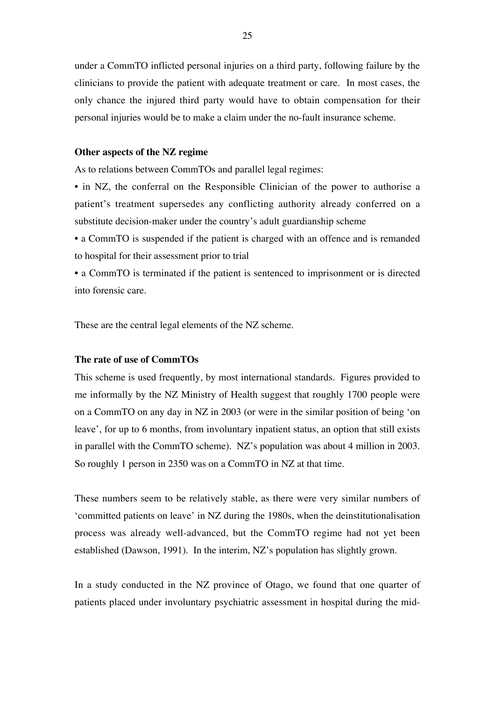under a CommTO inflicted personal injuries on a third party, following failure by the clinicians to provide the patient with adequate treatment or care. In most cases, the only chance the injured third party would have to obtain compensation for their personal injuries would be to make a claim under the no-fault insurance scheme.

#### **Other aspects of the NZ regime**

As to relations between CommTOs and parallel legal regimes:

• in NZ, the conferral on the Responsible Clinician of the power to authorise a patient's treatment supersedes any conflicting authority already conferred on a substitute decision-maker under the country's adult guardianship scheme

• a CommTO is suspended if the patient is charged with an offence and is remanded to hospital for their assessment prior to trial

• a CommTO is terminated if the patient is sentenced to imprisonment or is directed into forensic care.

These are the central legal elements of the NZ scheme.

#### **The rate of use of CommTOs**

This scheme is used frequently, by most international standards. Figures provided to me informally by the NZ Ministry of Health suggest that roughly 1700 people were on a CommTO on any day in NZ in 2003 (or were in the similar position of being 'on leave', for up to 6 months, from involuntary inpatient status, an option that still exists in parallel with the CommTO scheme). NZ's population was about 4 million in 2003. So roughly 1 person in 2350 was on a CommTO in NZ at that time.

These numbers seem to be relatively stable, as there were very similar numbers of 'committed patients on leave' in NZ during the 1980s, when the deinstitutionalisation process was already well-advanced, but the CommTO regime had not yet been established (Dawson, 1991). In the interim, NZ's population has slightly grown.

In a study conducted in the NZ province of Otago, we found that one quarter of patients placed under involuntary psychiatric assessment in hospital during the mid-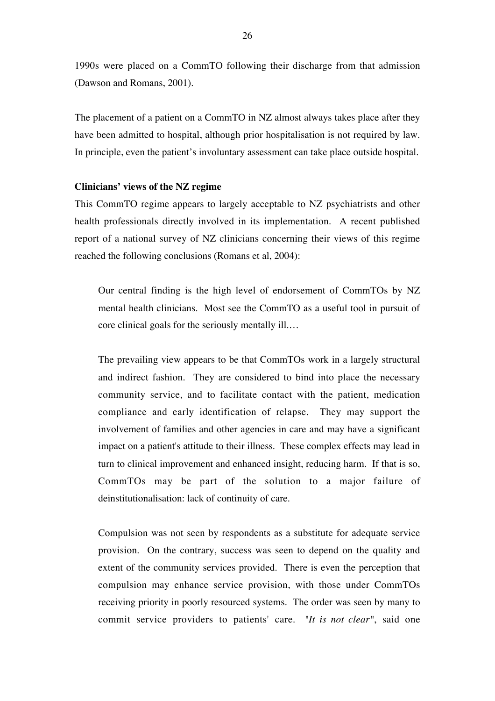1990s were placed on a CommTO following their discharge from that admission (Dawson and Romans, 2001).

The placement of a patient on a CommTO in NZ almost always takes place after they have been admitted to hospital, although prior hospitalisation is not required by law. In principle, even the patient's involuntary assessment can take place outside hospital.

#### **Clinicians' views of the NZ regime**

This CommTO regime appears to largely acceptable to NZ psychiatrists and other health professionals directly involved in its implementation. A recent published report of a national survey of NZ clinicians concerning their views of this regime reached the following conclusions (Romans et al, 2004):

Our central finding is the high level of endorsement of CommTOs by NZ mental health clinicians. Most see the CommTO as a useful tool in pursuit of core clinical goals for the seriously mentally ill.…

The prevailing view appears to be that CommTOs work in a largely structural and indirect fashion. They are considered to bind into place the necessary community service, and to facilitate contact with the patient, medication compliance and early identification of relapse. They may support the involvement of families and other agencies in care and may have a significant impact on a patient's attitude to their illness. These complex effects may lead in turn to clinical improvement and enhanced insight, reducing harm. If that is so, CommTOs may be part of the solution to a major failure of deinstitutionalisation: lack of continuity of care.

Compulsion was not seen by respondents as a substitute for adequate service provision. On the contrary, success was seen to depend on the quality and extent of the community services provided. There is even the perception that compulsion may enhance service provision, with those under CommTOs receiving priority in poorly resourced systems. The order was seen by many to commit service providers to patients' care. *"It is not clear"*, said one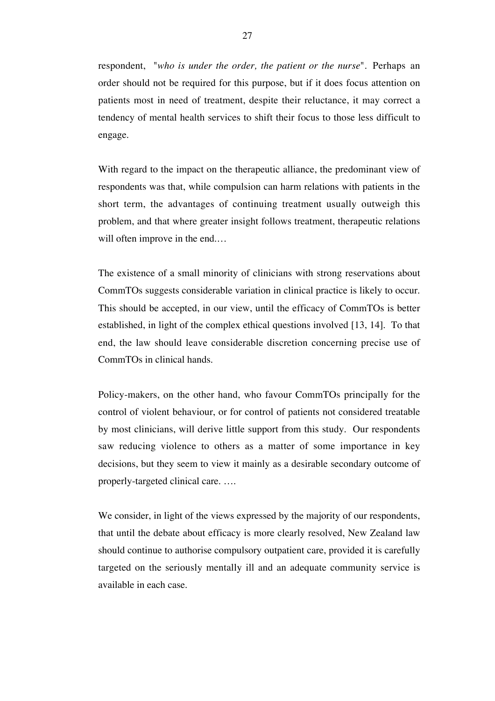respondent, "*who is under the order, the patient or the nurse*"*.* Perhaps an order should not be required for this purpose, but if it does focus attention on patients most in need of treatment, despite their reluctance, it may correct a tendency of mental health services to shift their focus to those less difficult to engage.

With regard to the impact on the therapeutic alliance, the predominant view of respondents was that, while compulsion can harm relations with patients in the short term, the advantages of continuing treatment usually outweigh this problem, and that where greater insight follows treatment, therapeutic relations will often improve in the end....

The existence of a small minority of clinicians with strong reservations about CommTOs suggests considerable variation in clinical practice is likely to occur. This should be accepted, in our view, until the efficacy of CommTOs is better established, in light of the complex ethical questions involved [13, 14]. To that end, the law should leave considerable discretion concerning precise use of CommTOs in clinical hands.

Policy-makers, on the other hand, who favour CommTOs principally for the control of violent behaviour, or for control of patients not considered treatable by most clinicians, will derive little support from this study. Our respondents saw reducing violence to others as a matter of some importance in key decisions, but they seem to view it mainly as a desirable secondary outcome of properly-targeted clinical care. ….

We consider, in light of the views expressed by the majority of our respondents, that until the debate about efficacy is more clearly resolved, New Zealand law should continue to authorise compulsory outpatient care, provided it is carefully targeted on the seriously mentally ill and an adequate community service is available in each case.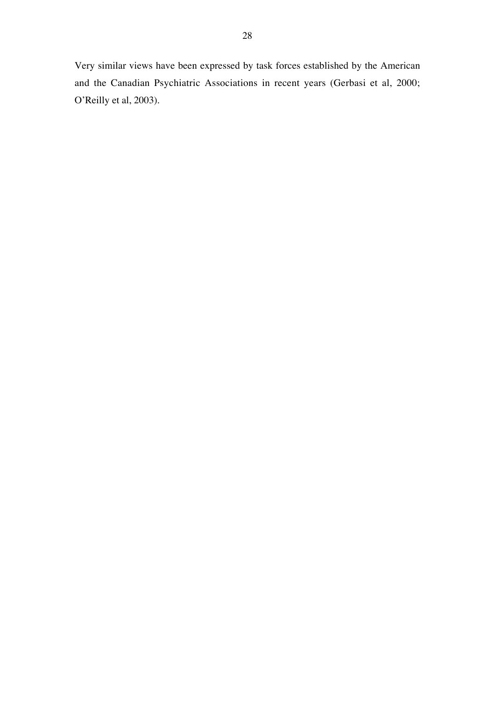Very similar views have been expressed by task forces established by the American and the Canadian Psychiatric Associations in recent years (Gerbasi et al, 2000; O'Reilly et al, 2003).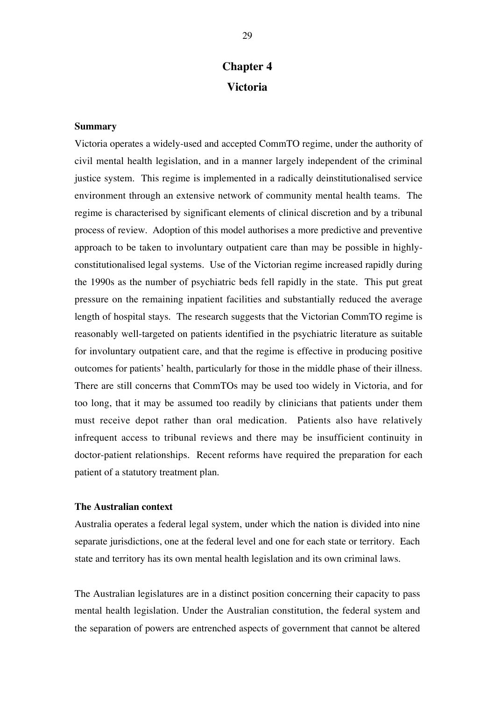## **Chapter 4 Victoria**

#### **Summary**

Victoria operates a widely-used and accepted CommTO regime, under the authority of civil mental health legislation, and in a manner largely independent of the criminal justice system. This regime is implemented in a radically deinstitutionalised service environment through an extensive network of community mental health teams. The regime is characterised by significant elements of clinical discretion and by a tribunal process of review. Adoption of this model authorises a more predictive and preventive approach to be taken to involuntary outpatient care than may be possible in highlyconstitutionalised legal systems. Use of the Victorian regime increased rapidly during the 1990s as the number of psychiatric beds fell rapidly in the state. This put great pressure on the remaining inpatient facilities and substantially reduced the average length of hospital stays. The research suggests that the Victorian CommTO regime is reasonably well-targeted on patients identified in the psychiatric literature as suitable for involuntary outpatient care, and that the regime is effective in producing positive outcomes for patients' health, particularly for those in the middle phase of their illness. There are still concerns that CommTOs may be used too widely in Victoria, and for too long, that it may be assumed too readily by clinicians that patients under them must receive depot rather than oral medication. Patients also have relatively infrequent access to tribunal reviews and there may be insufficient continuity in doctor-patient relationships. Recent reforms have required the preparation for each patient of a statutory treatment plan.

#### **The Australian context**

Australia operates a federal legal system, under which the nation is divided into nine separate jurisdictions, one at the federal level and one for each state or territory. Each state and territory has its own mental health legislation and its own criminal laws.

The Australian legislatures are in a distinct position concerning their capacity to pass mental health legislation. Under the Australian constitution, the federal system and the separation of powers are entrenched aspects of government that cannot be altered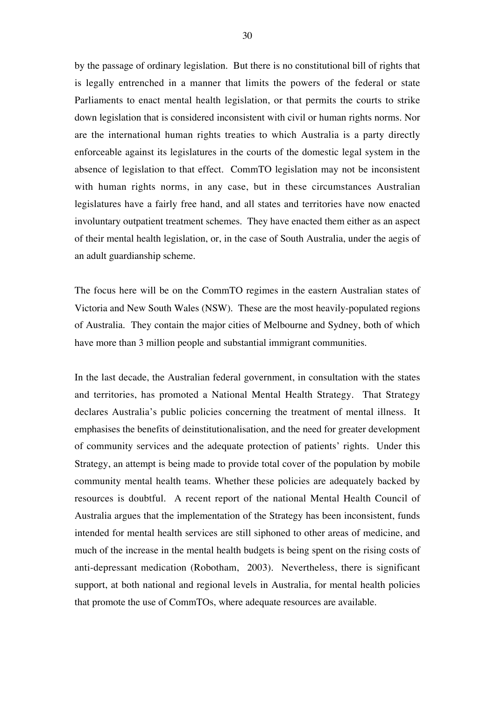by the passage of ordinary legislation. But there is no constitutional bill of rights that is legally entrenched in a manner that limits the powers of the federal or state Parliaments to enact mental health legislation, or that permits the courts to strike down legislation that is considered inconsistent with civil or human rights norms. Nor are the international human rights treaties to which Australia is a party directly enforceable against its legislatures in the courts of the domestic legal system in the absence of legislation to that effect. CommTO legislation may not be inconsistent with human rights norms, in any case, but in these circumstances Australian legislatures have a fairly free hand, and all states and territories have now enacted involuntary outpatient treatment schemes. They have enacted them either as an aspect of their mental health legislation, or, in the case of South Australia, under the aegis of an adult guardianship scheme.

The focus here will be on the CommTO regimes in the eastern Australian states of Victoria and New South Wales (NSW). These are the most heavily-populated regions of Australia. They contain the major cities of Melbourne and Sydney, both of which have more than 3 million people and substantial immigrant communities.

In the last decade, the Australian federal government, in consultation with the states and territories, has promoted a National Mental Health Strategy. That Strategy declares Australia's public policies concerning the treatment of mental illness. It emphasises the benefits of deinstitutionalisation, and the need for greater development of community services and the adequate protection of patients' rights. Under this Strategy, an attempt is being made to provide total cover of the population by mobile community mental health teams. Whether these policies are adequately backed by resources is doubtful. A recent report of the national Mental Health Council of Australia argues that the implementation of the Strategy has been inconsistent, funds intended for mental health services are still siphoned to other areas of medicine, and much of the increase in the mental health budgets is being spent on the rising costs of anti-depressant medication (Robotham, 2003). Nevertheless, there is significant support, at both national and regional levels in Australia, for mental health policies that promote the use of CommTOs, where adequate resources are available.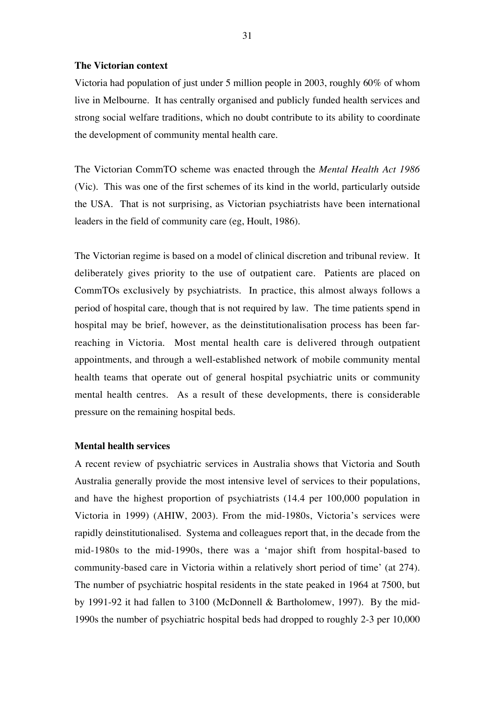#### **The Victorian context**

Victoria had population of just under 5 million people in 2003, roughly 60% of whom live in Melbourne. It has centrally organised and publicly funded health services and strong social welfare traditions, which no doubt contribute to its ability to coordinate the development of community mental health care.

The Victorian CommTO scheme was enacted through the *Mental Health Act 1986* (Vic). This was one of the first schemes of its kind in the world, particularly outside the USA. That is not surprising, as Victorian psychiatrists have been international leaders in the field of community care (eg, Hoult, 1986).

The Victorian regime is based on a model of clinical discretion and tribunal review. It deliberately gives priority to the use of outpatient care. Patients are placed on CommTOs exclusively by psychiatrists. In practice, this almost always follows a period of hospital care, though that is not required by law. The time patients spend in hospital may be brief, however, as the deinstitutionalisation process has been farreaching in Victoria. Most mental health care is delivered through outpatient appointments, and through a well-established network of mobile community mental health teams that operate out of general hospital psychiatric units or community mental health centres. As a result of these developments, there is considerable pressure on the remaining hospital beds.

## **Mental health services**

A recent review of psychiatric services in Australia shows that Victoria and South Australia generally provide the most intensive level of services to their populations, and have the highest proportion of psychiatrists (14.4 per 100,000 population in Victoria in 1999) (AHIW, 2003). From the mid-1980s, Victoria's services were rapidly deinstitutionalised. Systema and colleagues report that, in the decade from the mid-1980s to the mid-1990s, there was a 'major shift from hospital-based to community-based care in Victoria within a relatively short period of time' (at 274). The number of psychiatric hospital residents in the state peaked in 1964 at 7500, but by 1991-92 it had fallen to 3100 (McDonnell & Bartholomew, 1997). By the mid-1990s the number of psychiatric hospital beds had dropped to roughly 2-3 per 10,000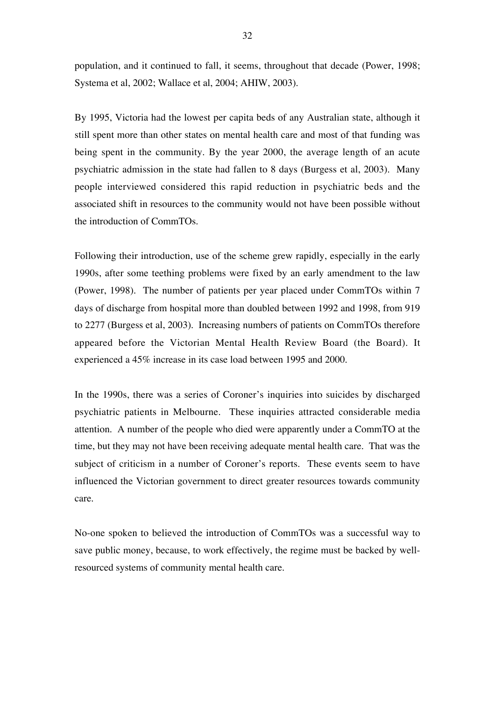population, and it continued to fall, it seems, throughout that decade (Power, 1998; Systema et al, 2002; Wallace et al, 2004; AHIW, 2003).

By 1995, Victoria had the lowest per capita beds of any Australian state, although it still spent more than other states on mental health care and most of that funding was being spent in the community. By the year 2000, the average length of an acute psychiatric admission in the state had fallen to 8 days (Burgess et al, 2003). Many people interviewed considered this rapid reduction in psychiatric beds and the associated shift in resources to the community would not have been possible without the introduction of CommTOs.

Following their introduction, use of the scheme grew rapidly, especially in the early 1990s, after some teething problems were fixed by an early amendment to the law (Power, 1998). The number of patients per year placed under CommTOs within 7 days of discharge from hospital more than doubled between 1992 and 1998, from 919 to 2277 (Burgess et al, 2003). Increasing numbers of patients on CommTOs therefore appeared before the Victorian Mental Health Review Board (the Board). It experienced a 45% increase in its case load between 1995 and 2000.

In the 1990s, there was a series of Coroner's inquiries into suicides by discharged psychiatric patients in Melbourne. These inquiries attracted considerable media attention. A number of the people who died were apparently under a CommTO at the time, but they may not have been receiving adequate mental health care. That was the subject of criticism in a number of Coroner's reports. These events seem to have influenced the Victorian government to direct greater resources towards community care.

No-one spoken to believed the introduction of CommTOs was a successful way to save public money, because, to work effectively, the regime must be backed by wellresourced systems of community mental health care.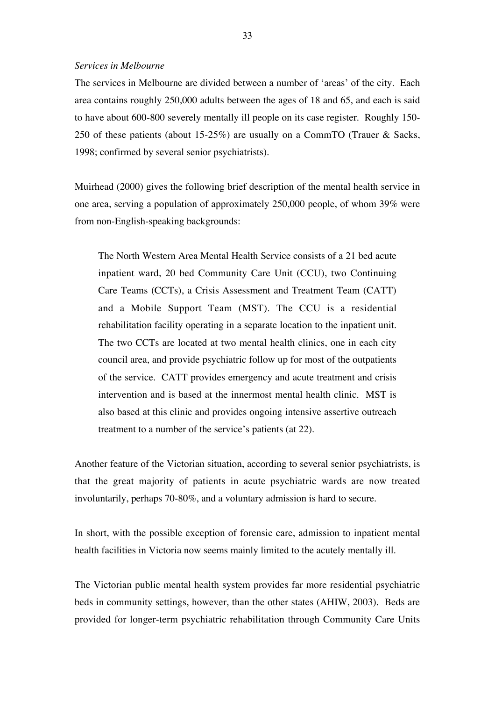## *Services in Melbourne*

The services in Melbourne are divided between a number of 'areas' of the city. Each area contains roughly 250,000 adults between the ages of 18 and 65, and each is said to have about 600-800 severely mentally ill people on its case register. Roughly 150- 250 of these patients (about 15-25%) are usually on a CommTO (Trauer & Sacks, 1998; confirmed by several senior psychiatrists).

Muirhead (2000) gives the following brief description of the mental health service in one area, serving a population of approximately 250,000 people, of whom 39% were from non-English-speaking backgrounds:

The North Western Area Mental Health Service consists of a 21 bed acute inpatient ward, 20 bed Community Care Unit (CCU), two Continuing Care Teams (CCTs), a Crisis Assessment and Treatment Team (CATT) and a Mobile Support Team (MST). The CCU is a residential rehabilitation facility operating in a separate location to the inpatient unit. The two CCTs are located at two mental health clinics, one in each city council area, and provide psychiatric follow up for most of the outpatients of the service. CATT provides emergency and acute treatment and crisis intervention and is based at the innermost mental health clinic. MST is also based at this clinic and provides ongoing intensive assertive outreach treatment to a number of the service's patients (at 22).

Another feature of the Victorian situation, according to several senior psychiatrists, is that the great majority of patients in acute psychiatric wards are now treated involuntarily, perhaps 70-80%, and a voluntary admission is hard to secure.

In short, with the possible exception of forensic care, admission to inpatient mental health facilities in Victoria now seems mainly limited to the acutely mentally ill.

The Victorian public mental health system provides far more residential psychiatric beds in community settings, however, than the other states (AHIW, 2003). Beds are provided for longer-term psychiatric rehabilitation through Community Care Units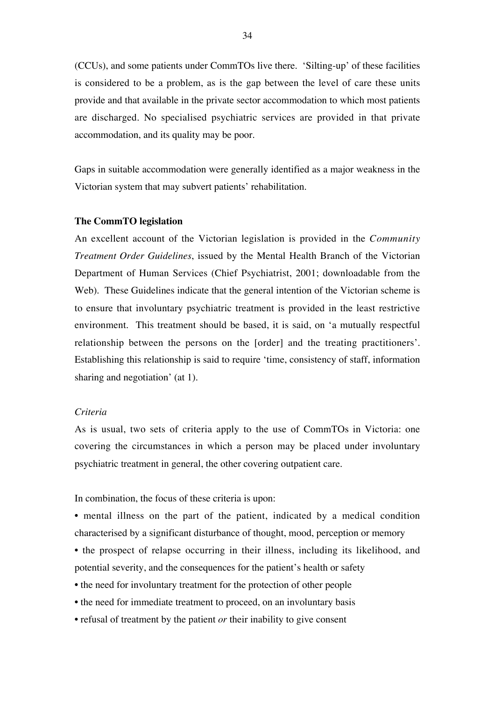(CCUs), and some patients under CommTOs live there. 'Silting-up' of these facilities is considered to be a problem, as is the gap between the level of care these units provide and that available in the private sector accommodation to which most patients are discharged. No specialised psychiatric services are provided in that private accommodation, and its quality may be poor.

Gaps in suitable accommodation were generally identified as a major weakness in the Victorian system that may subvert patients' rehabilitation.

#### **The CommTO legislation**

An excellent account of the Victorian legislation is provided in the *Community Treatment Order Guidelines*, issued by the Mental Health Branch of the Victorian Department of Human Services (Chief Psychiatrist, 2001; downloadable from the Web). These Guidelines indicate that the general intention of the Victorian scheme is to ensure that involuntary psychiatric treatment is provided in the least restrictive environment. This treatment should be based, it is said, on 'a mutually respectful relationship between the persons on the [order] and the treating practitioners'. Establishing this relationship is said to require 'time, consistency of staff, information sharing and negotiation' (at 1).

## *Criteria*

As is usual, two sets of criteria apply to the use of CommTOs in Victoria: one covering the circumstances in which a person may be placed under involuntary psychiatric treatment in general, the other covering outpatient care.

In combination, the focus of these criteria is upon:

• mental illness on the part of the patient, indicated by a medical condition characterised by a significant disturbance of thought, mood, perception or memory

- the prospect of relapse occurring in their illness, including its likelihood, and potential severity, and the consequences for the patient's health or safety
- the need for involuntary treatment for the protection of other people
- the need for immediate treatment to proceed, on an involuntary basis
- refusal of treatment by the patient *or* their inability to give consent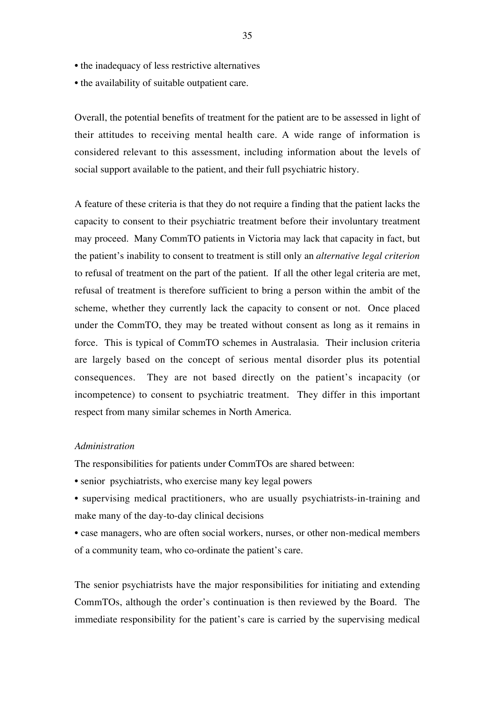- the inadequacy of less restrictive alternatives
- the availability of suitable outpatient care.

Overall, the potential benefits of treatment for the patient are to be assessed in light of their attitudes to receiving mental health care. A wide range of information is considered relevant to this assessment, including information about the levels of social support available to the patient, and their full psychiatric history.

A feature of these criteria is that they do not require a finding that the patient lacks the capacity to consent to their psychiatric treatment before their involuntary treatment may proceed. Many CommTO patients in Victoria may lack that capacity in fact, but the patient's inability to consent to treatment is still only an *alternative legal criterion* to refusal of treatment on the part of the patient. If all the other legal criteria are met, refusal of treatment is therefore sufficient to bring a person within the ambit of the scheme, whether they currently lack the capacity to consent or not. Once placed under the CommTO, they may be treated without consent as long as it remains in force. This is typical of CommTO schemes in Australasia. Their inclusion criteria are largely based on the concept of serious mental disorder plus its potential consequences. They are not based directly on the patient's incapacity (or incompetence) to consent to psychiatric treatment. They differ in this important respect from many similar schemes in North America.

## *Administration*

The responsibilities for patients under CommTOs are shared between:

• senior psychiatrists, who exercise many key legal powers

- supervising medical practitioners, who are usually psychiatrists-in-training and make many of the day-to-day clinical decisions
- case managers, who are often social workers, nurses, or other non-medical members of a community team, who co-ordinate the patient's care.

The senior psychiatrists have the major responsibilities for initiating and extending CommTOs, although the order's continuation is then reviewed by the Board. The immediate responsibility for the patient's care is carried by the supervising medical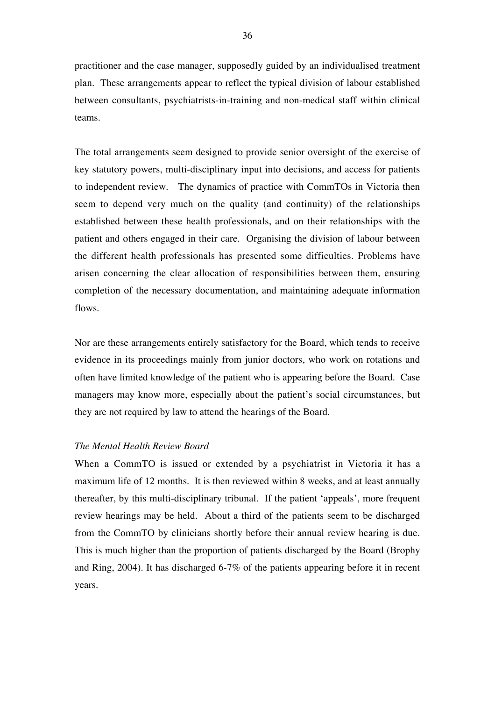practitioner and the case manager, supposedly guided by an individualised treatment plan. These arrangements appear to reflect the typical division of labour established between consultants, psychiatrists-in-training and non-medical staff within clinical teams.

The total arrangements seem designed to provide senior oversight of the exercise of key statutory powers, multi-disciplinary input into decisions, and access for patients to independent review. The dynamics of practice with CommTOs in Victoria then seem to depend very much on the quality (and continuity) of the relationships established between these health professionals, and on their relationships with the patient and others engaged in their care. Organising the division of labour between the different health professionals has presented some difficulties. Problems have arisen concerning the clear allocation of responsibilities between them, ensuring completion of the necessary documentation, and maintaining adequate information flows.

Nor are these arrangements entirely satisfactory for the Board, which tends to receive evidence in its proceedings mainly from junior doctors, who work on rotations and often have limited knowledge of the patient who is appearing before the Board. Case managers may know more, especially about the patient's social circumstances, but they are not required by law to attend the hearings of the Board.

## *The Mental Health Review Board*

When a CommTO is issued or extended by a psychiatrist in Victoria it has a maximum life of 12 months. It is then reviewed within 8 weeks, and at least annually thereafter, by this multi-disciplinary tribunal. If the patient 'appeals', more frequent review hearings may be held. About a third of the patients seem to be discharged from the CommTO by clinicians shortly before their annual review hearing is due. This is much higher than the proportion of patients discharged by the Board (Brophy and Ring, 2004). It has discharged 6-7% of the patients appearing before it in recent years.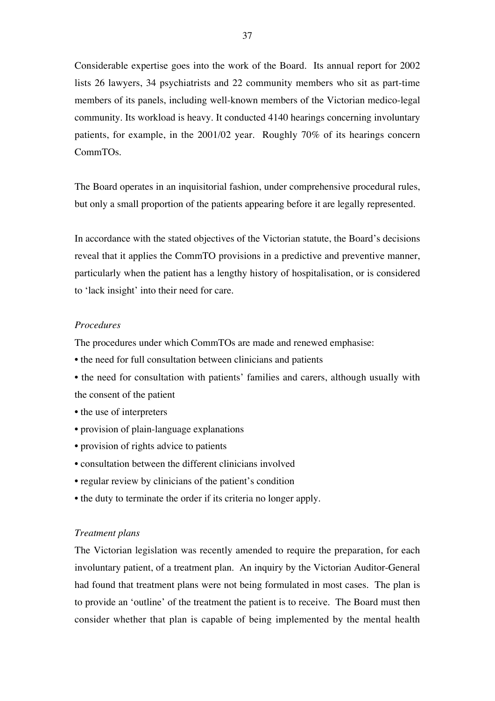Considerable expertise goes into the work of the Board. Its annual report for 2002 lists 26 lawyers, 34 psychiatrists and 22 community members who sit as part-time members of its panels, including well-known members of the Victorian medico-legal community. Its workload is heavy. It conducted 4140 hearings concerning involuntary patients, for example, in the 2001/02 year. Roughly 70% of its hearings concern CommTOs.

The Board operates in an inquisitorial fashion, under comprehensive procedural rules, but only a small proportion of the patients appearing before it are legally represented.

In accordance with the stated objectives of the Victorian statute, the Board's decisions reveal that it applies the CommTO provisions in a predictive and preventive manner, particularly when the patient has a lengthy history of hospitalisation, or is considered to 'lack insight' into their need for care.

## *Procedures*

The procedures under which CommTOs are made and renewed emphasise:

- the need for full consultation between clinicians and patients
- the need for consultation with patients' families and carers, although usually with the consent of the patient
- the use of interpreters
- provision of plain-language explanations
- provision of rights advice to patients
- consultation between the different clinicians involved
- regular review by clinicians of the patient's condition
- the duty to terminate the order if its criteria no longer apply.

# *Treatment plans*

The Victorian legislation was recently amended to require the preparation, for each involuntary patient, of a treatment plan. An inquiry by the Victorian Auditor-General had found that treatment plans were not being formulated in most cases. The plan is to provide an 'outline' of the treatment the patient is to receive. The Board must then consider whether that plan is capable of being implemented by the mental health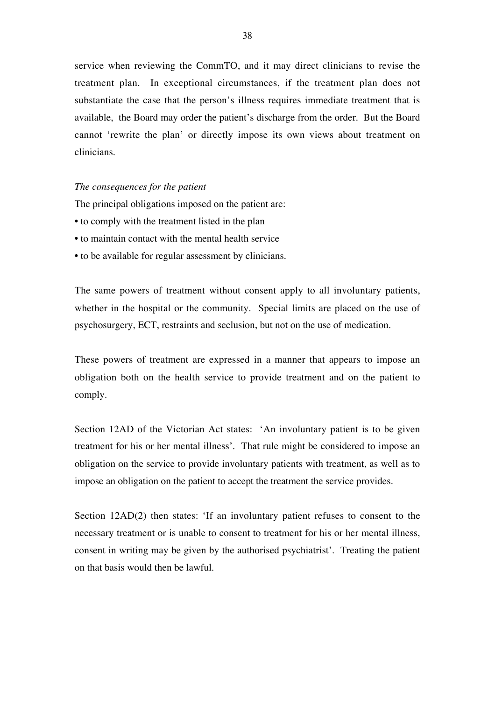service when reviewing the CommTO, and it may direct clinicians to revise the treatment plan. In exceptional circumstances, if the treatment plan does not substantiate the case that the person's illness requires immediate treatment that is available, the Board may order the patient's discharge from the order. But the Board cannot 'rewrite the plan' or directly impose its own views about treatment on clinicians.

# *The consequences for the patient*

The principal obligations imposed on the patient are:

- to comply with the treatment listed in the plan
- to maintain contact with the mental health service
- to be available for regular assessment by clinicians.

The same powers of treatment without consent apply to all involuntary patients, whether in the hospital or the community. Special limits are placed on the use of psychosurgery, ECT, restraints and seclusion, but not on the use of medication.

These powers of treatment are expressed in a manner that appears to impose an obligation both on the health service to provide treatment and on the patient to comply.

Section 12AD of the Victorian Act states: 'An involuntary patient is to be given treatment for his or her mental illness'. That rule might be considered to impose an obligation on the service to provide involuntary patients with treatment, as well as to impose an obligation on the patient to accept the treatment the service provides.

Section 12AD(2) then states: 'If an involuntary patient refuses to consent to the necessary treatment or is unable to consent to treatment for his or her mental illness, consent in writing may be given by the authorised psychiatrist'. Treating the patient on that basis would then be lawful.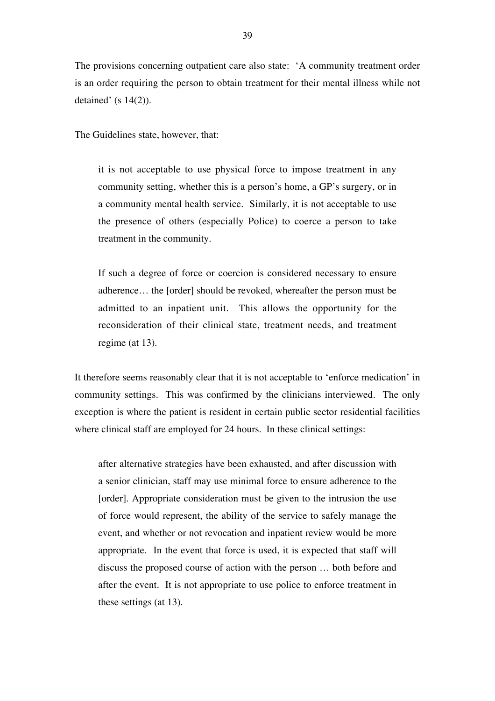The provisions concerning outpatient care also state: 'A community treatment order is an order requiring the person to obtain treatment for their mental illness while not detained' (s  $14(2)$ ).

The Guidelines state, however, that:

it is not acceptable to use physical force to impose treatment in any community setting, whether this is a person's home, a GP's surgery, or in a community mental health service. Similarly, it is not acceptable to use the presence of others (especially Police) to coerce a person to take treatment in the community.

If such a degree of force or coercion is considered necessary to ensure adherence… the [order] should be revoked, whereafter the person must be admitted to an inpatient unit. This allows the opportunity for the reconsideration of their clinical state, treatment needs, and treatment regime (at 13).

It therefore seems reasonably clear that it is not acceptable to 'enforce medication' in community settings. This was confirmed by the clinicians interviewed. The only exception is where the patient is resident in certain public sector residential facilities where clinical staff are employed for 24 hours. In these clinical settings:

after alternative strategies have been exhausted, and after discussion with a senior clinician, staff may use minimal force to ensure adherence to the [order]. Appropriate consideration must be given to the intrusion the use of force would represent, the ability of the service to safely manage the event, and whether or not revocation and inpatient review would be more appropriate. In the event that force is used, it is expected that staff will discuss the proposed course of action with the person … both before and after the event. It is not appropriate to use police to enforce treatment in these settings (at 13).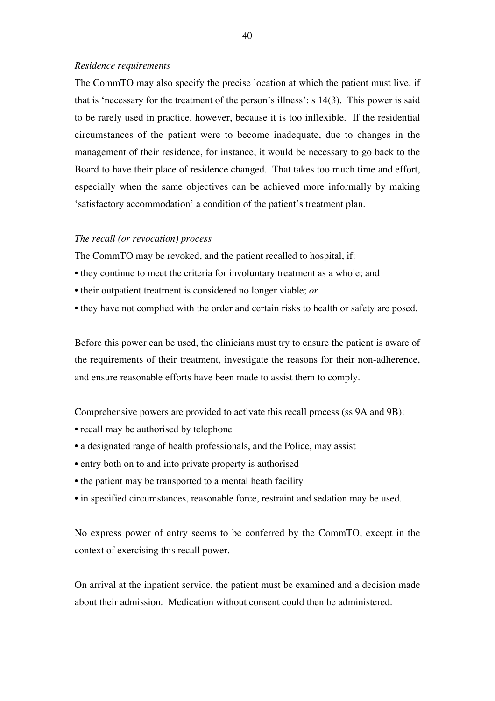#### *Residence requirements*

The CommTO may also specify the precise location at which the patient must live, if that is 'necessary for the treatment of the person's illness': s 14(3). This power is said to be rarely used in practice, however, because it is too inflexible. If the residential circumstances of the patient were to become inadequate, due to changes in the management of their residence, for instance, it would be necessary to go back to the Board to have their place of residence changed. That takes too much time and effort, especially when the same objectives can be achieved more informally by making 'satisfactory accommodation' a condition of the patient's treatment plan.

# *The recall (or revocation) process*

The CommTO may be revoked, and the patient recalled to hospital, if:

- they continue to meet the criteria for involuntary treatment as a whole; and
- their outpatient treatment is considered no longer viable; *or*
- they have not complied with the order and certain risks to health or safety are posed.

Before this power can be used, the clinicians must try to ensure the patient is aware of the requirements of their treatment, investigate the reasons for their non-adherence, and ensure reasonable efforts have been made to assist them to comply.

Comprehensive powers are provided to activate this recall process (ss 9A and 9B):

- recall may be authorised by telephone
- a designated range of health professionals, and the Police, may assist
- entry both on to and into private property is authorised
- the patient may be transported to a mental heath facility
- in specified circumstances, reasonable force, restraint and sedation may be used.

No express power of entry seems to be conferred by the CommTO, except in the context of exercising this recall power.

On arrival at the inpatient service, the patient must be examined and a decision made about their admission. Medication without consent could then be administered.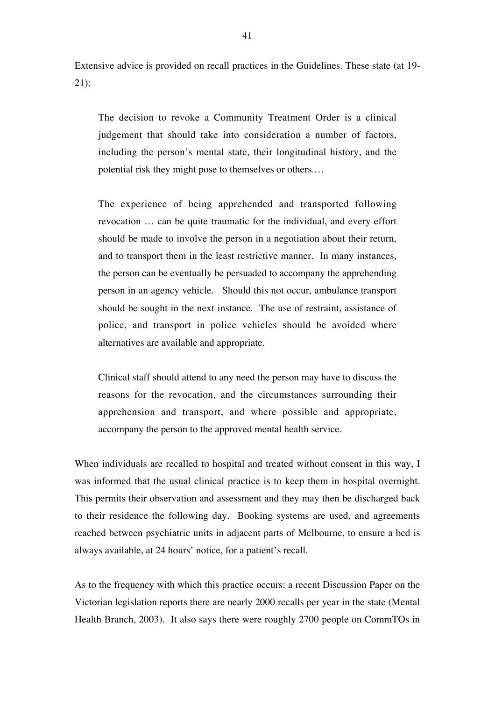Extensive advice is provided on recall practices in the Guidelines. These state (at 19- 21):

The decision to revoke a Community Treatment Order is a clinical judgement that should take into consideration a number of factors, including the person's mental state, their longitudinal history, and the potential risk they might pose to themselves or others.…

The experience of being apprehended and transported following revocation … can be quite traumatic for the individual, and every effort should be made to involve the person in a negotiation about their return, and to transport them in the least restrictive manner. In many instances, the person can be eventually be persuaded to accompany the apprehending person in an agency vehicle. Should this not occur, ambulance transport should be sought in the next instance. The use of restraint, assistance of police, and transport in police vehicles should be avoided where alternatives are available and appropriate.

Clinical staff should attend to any need the person may have to discuss the reasons for the revocation, and the circumstances surrounding their apprehension and transport, and where possible and appropriate, accompany the person to the approved mental health service.

When individuals are recalled to hospital and treated without consent in this way, I was informed that the usual clinical practice is to keep them in hospital overnight. This permits their observation and assessment and they may then be discharged back to their residence the following day. Booking systems are used, and agreements reached between psychiatric units in adjacent parts of Melbourne, to ensure a bed is always available, at 24 hours' notice, for a patient's recall.

As to the frequency with which this practice occurs: a recent Discussion Paper on the Victorian legislation reports there are nearly 2000 recalls per year in the state (Mental Health Branch, 2003). It also says there were roughly 2700 people on CommTOs in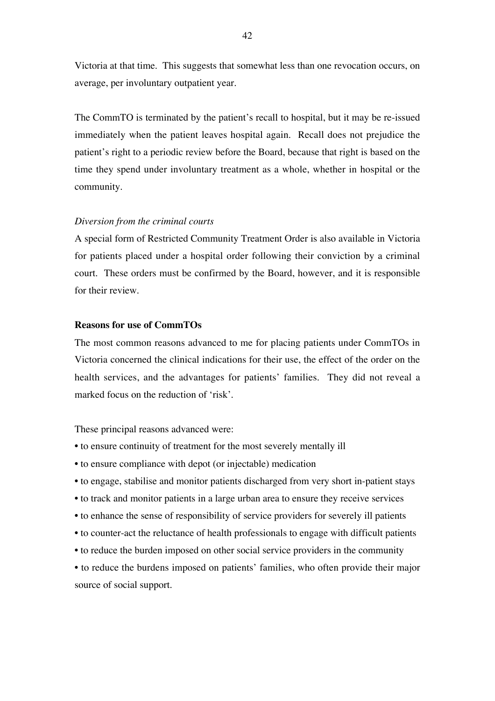Victoria at that time. This suggests that somewhat less than one revocation occurs, on average, per involuntary outpatient year.

The CommTO is terminated by the patient's recall to hospital, but it may be re-issued immediately when the patient leaves hospital again. Recall does not prejudice the patient's right to a periodic review before the Board, because that right is based on the time they spend under involuntary treatment as a whole, whether in hospital or the community.

#### *Diversion from the criminal courts*

A special form of Restricted Community Treatment Order is also available in Victoria for patients placed under a hospital order following their conviction by a criminal court. These orders must be confirmed by the Board, however, and it is responsible for their review.

# **Reasons for use of CommTOs**

The most common reasons advanced to me for placing patients under CommTOs in Victoria concerned the clinical indications for their use, the effect of the order on the health services, and the advantages for patients' families. They did not reveal a marked focus on the reduction of 'risk'.

These principal reasons advanced were:

- to ensure continuity of treatment for the most severely mentally ill
- to ensure compliance with depot (or injectable) medication
- to engage, stabilise and monitor patients discharged from very short in-patient stays
- to track and monitor patients in a large urban area to ensure they receive services
- to enhance the sense of responsibility of service providers for severely ill patients
- to counter-act the reluctance of health professionals to engage with difficult patients
- to reduce the burden imposed on other social service providers in the community

• to reduce the burdens imposed on patients' families, who often provide their major source of social support.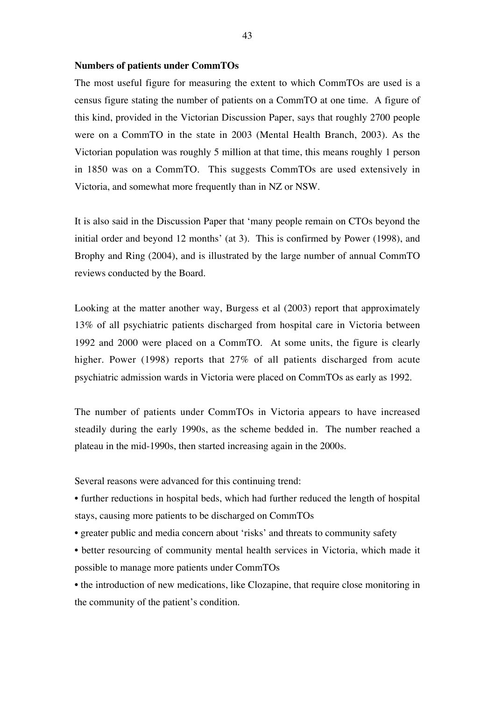#### **Numbers of patients under CommTOs**

The most useful figure for measuring the extent to which CommTOs are used is a census figure stating the number of patients on a CommTO at one time. A figure of this kind, provided in the Victorian Discussion Paper, says that roughly 2700 people were on a CommTO in the state in 2003 (Mental Health Branch, 2003). As the Victorian population was roughly 5 million at that time, this means roughly 1 person in 1850 was on a CommTO. This suggests CommTOs are used extensively in Victoria, and somewhat more frequently than in NZ or NSW.

It is also said in the Discussion Paper that 'many people remain on CTOs beyond the initial order and beyond 12 months' (at 3). This is confirmed by Power (1998), and Brophy and Ring (2004), and is illustrated by the large number of annual CommTO reviews conducted by the Board.

Looking at the matter another way, Burgess et al (2003) report that approximately 13% of all psychiatric patients discharged from hospital care in Victoria between 1992 and 2000 were placed on a CommTO. At some units, the figure is clearly higher. Power (1998) reports that 27% of all patients discharged from acute psychiatric admission wards in Victoria were placed on CommTOs as early as 1992.

The number of patients under CommTOs in Victoria appears to have increased steadily during the early 1990s, as the scheme bedded in. The number reached a plateau in the mid-1990s, then started increasing again in the 2000s.

Several reasons were advanced for this continuing trend:

• further reductions in hospital beds, which had further reduced the length of hospital stays, causing more patients to be discharged on CommTOs

- greater public and media concern about 'risks' and threats to community safety
- better resourcing of community mental health services in Victoria, which made it possible to manage more patients under CommTOs

• the introduction of new medications, like Clozapine, that require close monitoring in the community of the patient's condition.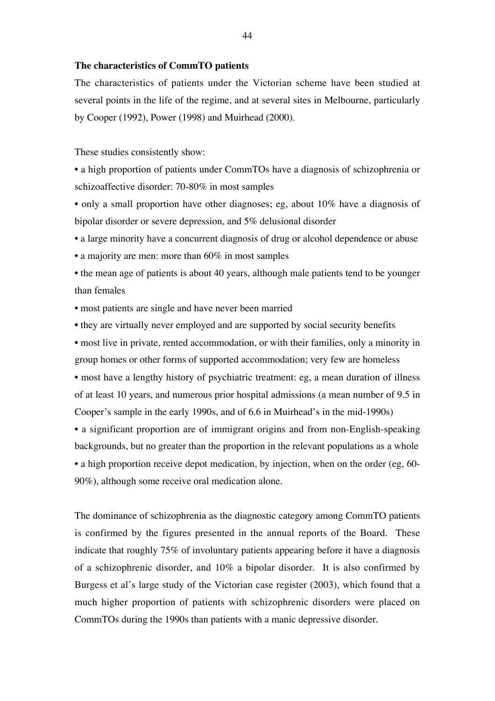#### **The characteristics of CommTO patients**

The characteristics of patients under the Victorian scheme have been studied at several points in the life of the regime, and at several sites in Melbourne, particularly by Cooper (1992), Power (1998) and Muirhead (2000).

These studies consistently show:

• a high proportion of patients under CommTOs have a diagnosis of schizophrenia or schizoaffective disorder: 70-80% in most samples

• only a small proportion have other diagnoses; eg, about 10% have a diagnosis of bipolar disorder or severe depression, and 5% delusional disorder

- a large minority have a concurrent diagnosis of drug or alcohol dependence or abuse
- a majority are men: more than 60% in most samples
- the mean age of patients is about 40 years, although male patients tend to be younger than females
- most patients are single and have never been married
- they are virtually never employed and are supported by social security benefits

• most live in private, rented accommodation, or with their families, only a minority in group homes or other forms of supported accommodation; very few are homeless • most have a lengthy history of psychiatric treatment: eg, a mean duration of illness of at least 10 years, and numerous prior hospital admissions (a mean number of 9.5 in Cooper's sample in the early 1990s, and of 6.6 in Muirhead's in the mid-1990s)

• a significant proportion are of immigrant origins and from non-English-speaking backgrounds, but no greater than the proportion in the relevant populations as a whole • a high proportion receive depot medication, by injection, when on the order (eg, 60- 90%), although some receive oral medication alone.

The dominance of schizophrenia as the diagnostic category among CommTO patients is confirmed by the figures presented in the annual reports of the Board. These indicate that roughly 75% of involuntary patients appearing before it have a diagnosis of a schizophrenic disorder, and 10% a bipolar disorder. It is also confirmed by Burgess et al's large study of the Victorian case register (2003), which found that a much higher proportion of patients with schizophrenic disorders were placed on CommTOs during the 1990s than patients with a manic depressive disorder.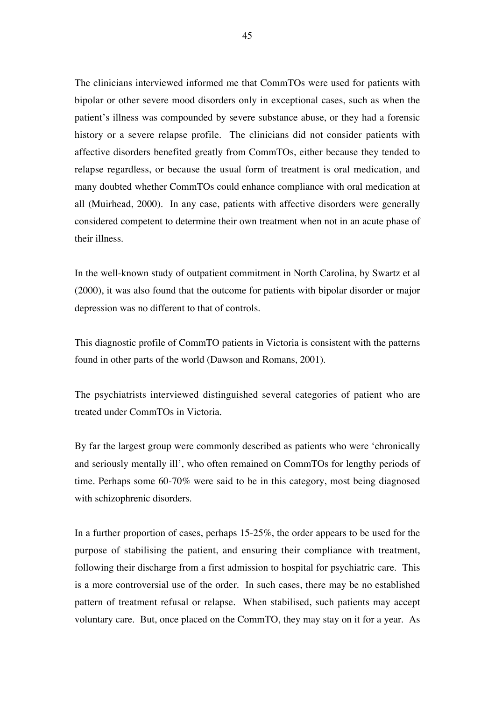The clinicians interviewed informed me that CommTOs were used for patients with bipolar or other severe mood disorders only in exceptional cases, such as when the patient's illness was compounded by severe substance abuse, or they had a forensic history or a severe relapse profile. The clinicians did not consider patients with affective disorders benefited greatly from CommTOs, either because they tended to relapse regardless, or because the usual form of treatment is oral medication, and many doubted whether CommTOs could enhance compliance with oral medication at all (Muirhead, 2000). In any case, patients with affective disorders were generally considered competent to determine their own treatment when not in an acute phase of their illness.

In the well-known study of outpatient commitment in North Carolina, by Swartz et al (2000), it was also found that the outcome for patients with bipolar disorder or major depression was no different to that of controls.

This diagnostic profile of CommTO patients in Victoria is consistent with the patterns found in other parts of the world (Dawson and Romans, 2001).

The psychiatrists interviewed distinguished several categories of patient who are treated under CommTOs in Victoria.

By far the largest group were commonly described as patients who were 'chronically and seriously mentally ill', who often remained on CommTOs for lengthy periods of time. Perhaps some 60-70% were said to be in this category, most being diagnosed with schizophrenic disorders.

In a further proportion of cases, perhaps 15-25%, the order appears to be used for the purpose of stabilising the patient, and ensuring their compliance with treatment, following their discharge from a first admission to hospital for psychiatric care. This is a more controversial use of the order. In such cases, there may be no established pattern of treatment refusal or relapse. When stabilised, such patients may accept voluntary care. But, once placed on the CommTO, they may stay on it for a year. As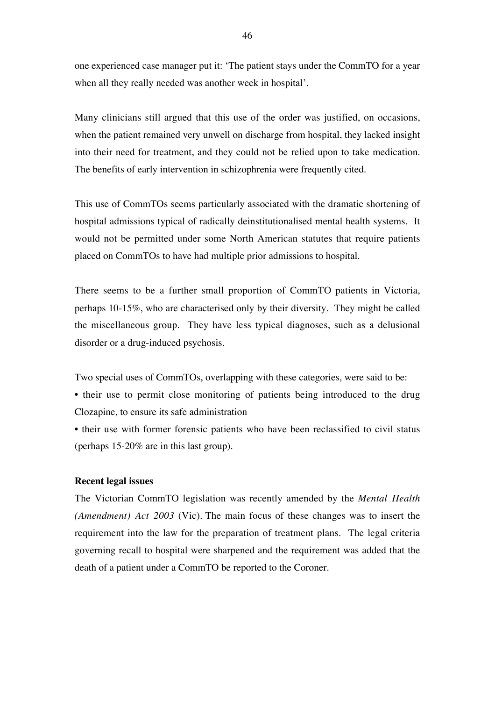one experienced case manager put it: 'The patient stays under the CommTO for a year when all they really needed was another week in hospital'.

Many clinicians still argued that this use of the order was justified, on occasions, when the patient remained very unwell on discharge from hospital, they lacked insight into their need for treatment, and they could not be relied upon to take medication. The benefits of early intervention in schizophrenia were frequently cited.

This use of CommTOs seems particularly associated with the dramatic shortening of hospital admissions typical of radically deinstitutionalised mental health systems. It would not be permitted under some North American statutes that require patients placed on CommTOs to have had multiple prior admissions to hospital.

There seems to be a further small proportion of CommTO patients in Victoria, perhaps 10-15%, who are characterised only by their diversity. They might be called the miscellaneous group. They have less typical diagnoses, such as a delusional disorder or a drug-induced psychosis.

Two special uses of CommTOs, overlapping with these categories, were said to be:

• their use to permit close monitoring of patients being introduced to the drug Clozapine, to ensure its safe administration

• their use with former forensic patients who have been reclassified to civil status (perhaps 15-20% are in this last group).

# **Recent legal issues**

The Victorian CommTO legislation was recently amended by the *Mental Health (Amendment) Act 2003* (Vic). The main focus of these changes was to insert the requirement into the law for the preparation of treatment plans. The legal criteria governing recall to hospital were sharpened and the requirement was added that the death of a patient under a CommTO be reported to the Coroner.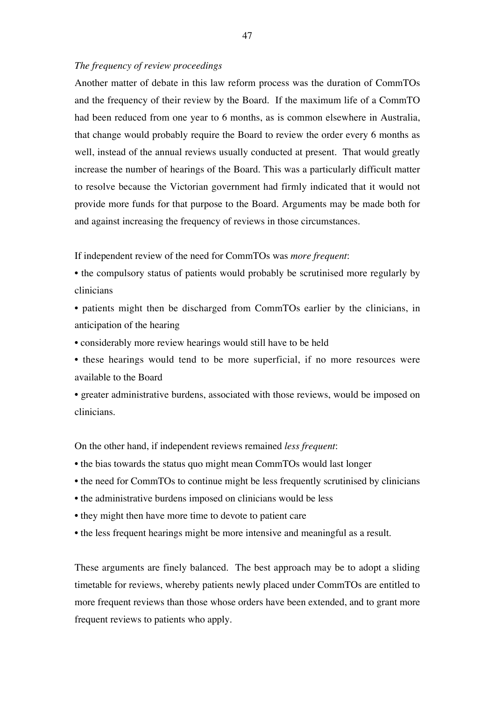#### *The frequency of review proceedings*

Another matter of debate in this law reform process was the duration of CommTOs and the frequency of their review by the Board. If the maximum life of a CommTO had been reduced from one year to 6 months, as is common elsewhere in Australia, that change would probably require the Board to review the order every 6 months as well, instead of the annual reviews usually conducted at present. That would greatly increase the number of hearings of the Board. This was a particularly difficult matter to resolve because the Victorian government had firmly indicated that it would not provide more funds for that purpose to the Board. Arguments may be made both for and against increasing the frequency of reviews in those circumstances.

If independent review of the need for CommTOs was *more frequent*:

• the compulsory status of patients would probably be scrutinised more regularly by clinicians

• patients might then be discharged from CommTOs earlier by the clinicians, in anticipation of the hearing

• considerably more review hearings would still have to be held

• these hearings would tend to be more superficial, if no more resources were available to the Board

• greater administrative burdens, associated with those reviews, would be imposed on clinicians.

On the other hand, if independent reviews remained *less frequent*:

- the bias towards the status quo might mean CommTOs would last longer
- the need for CommTOs to continue might be less frequently scrutinised by clinicians
- the administrative burdens imposed on clinicians would be less
- they might then have more time to devote to patient care
- the less frequent hearings might be more intensive and meaningful as a result.

These arguments are finely balanced. The best approach may be to adopt a sliding timetable for reviews, whereby patients newly placed under CommTOs are entitled to more frequent reviews than those whose orders have been extended, and to grant more frequent reviews to patients who apply.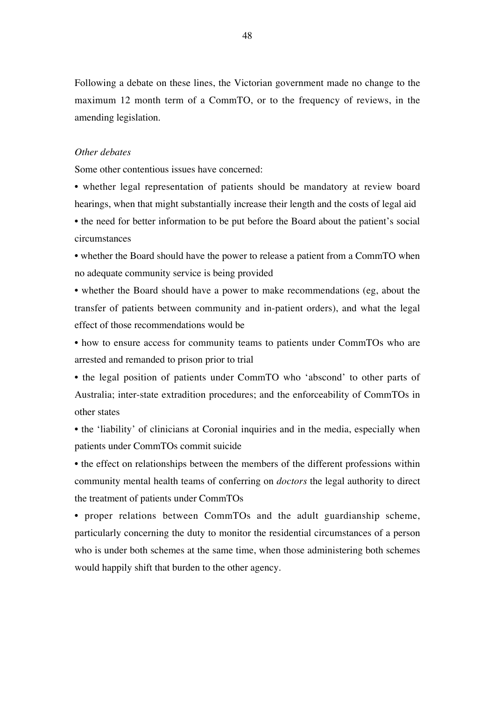Following a debate on these lines, the Victorian government made no change to the maximum 12 month term of a CommTO, or to the frequency of reviews, in the amending legislation.

## *Other debates*

Some other contentious issues have concerned:

• whether legal representation of patients should be mandatory at review board hearings, when that might substantially increase their length and the costs of legal aid

• the need for better information to be put before the Board about the patient's social circumstances

• whether the Board should have the power to release a patient from a CommTO when no adequate community service is being provided

• whether the Board should have a power to make recommendations (eg, about the transfer of patients between community and in-patient orders), and what the legal effect of those recommendations would be

• how to ensure access for community teams to patients under CommTOs who are arrested and remanded to prison prior to trial

• the legal position of patients under CommTO who 'abscond' to other parts of Australia; inter-state extradition procedures; and the enforceability of CommTOs in other states

• the 'liability' of clinicians at Coronial inquiries and in the media, especially when patients under CommTOs commit suicide

• the effect on relationships between the members of the different professions within community mental health teams of conferring on *doctors* the legal authority to direct the treatment of patients under CommTOs

• proper relations between CommTOs and the adult guardianship scheme, particularly concerning the duty to monitor the residential circumstances of a person who is under both schemes at the same time, when those administering both schemes would happily shift that burden to the other agency.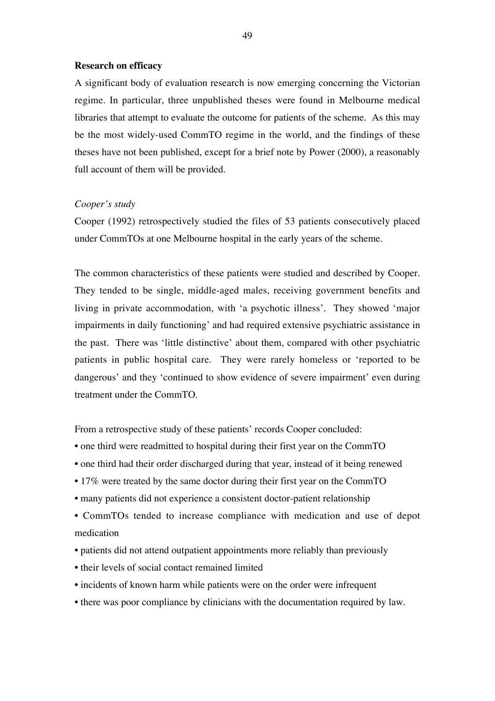#### **Research on efficacy**

A significant body of evaluation research is now emerging concerning the Victorian regime. In particular, three unpublished theses were found in Melbourne medical libraries that attempt to evaluate the outcome for patients of the scheme. As this may be the most widely-used CommTO regime in the world, and the findings of these theses have not been published, except for a brief note by Power (2000), a reasonably full account of them will be provided.

#### *Cooper's study*

Cooper (1992) retrospectively studied the files of 53 patients consecutively placed under CommTOs at one Melbourne hospital in the early years of the scheme.

The common characteristics of these patients were studied and described by Cooper. They tended to be single, middle-aged males, receiving government benefits and living in private accommodation, with 'a psychotic illness'. They showed 'major impairments in daily functioning' and had required extensive psychiatric assistance in the past. There was 'little distinctive' about them, compared with other psychiatric patients in public hospital care. They were rarely homeless or 'reported to be dangerous' and they 'continued to show evidence of severe impairment' even during treatment under the CommTO.

From a retrospective study of these patients' records Cooper concluded:

- one third were readmitted to hospital during their first year on the CommTO
- one third had their order discharged during that year, instead of it being renewed
- 17% were treated by the same doctor during their first year on the CommTO
- many patients did not experience a consistent doctor-patient relationship
- CommTOs tended to increase compliance with medication and use of depot medication
- patients did not attend outpatient appointments more reliably than previously
- their levels of social contact remained limited
- incidents of known harm while patients were on the order were infrequent
- there was poor compliance by clinicians with the documentation required by law.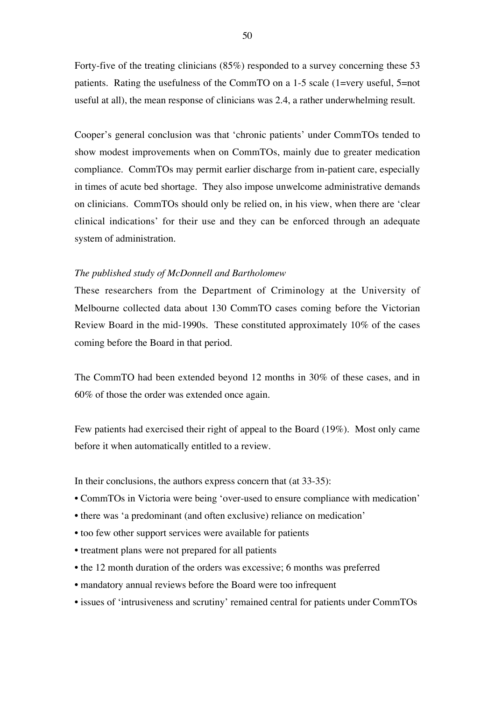Forty-five of the treating clinicians (85%) responded to a survey concerning these 53 patients. Rating the usefulness of the CommTO on a 1-5 scale (1=very useful, 5=not useful at all), the mean response of clinicians was 2.4, a rather underwhelming result.

Cooper's general conclusion was that 'chronic patients' under CommTOs tended to show modest improvements when on CommTOs, mainly due to greater medication compliance. CommTOs may permit earlier discharge from in-patient care, especially in times of acute bed shortage. They also impose unwelcome administrative demands on clinicians. CommTOs should only be relied on, in his view, when there are 'clear clinical indications' for their use and they can be enforced through an adequate system of administration.

#### *The published study of McDonnell and Bartholomew*

These researchers from the Department of Criminology at the University of Melbourne collected data about 130 CommTO cases coming before the Victorian Review Board in the mid-1990s. These constituted approximately 10% of the cases coming before the Board in that period.

The CommTO had been extended beyond 12 months in 30% of these cases, and in 60% of those the order was extended once again.

Few patients had exercised their right of appeal to the Board (19%). Most only came before it when automatically entitled to a review.

In their conclusions, the authors express concern that (at 33-35):

- CommTOs in Victoria were being 'over-used to ensure compliance with medication'
- there was 'a predominant (and often exclusive) reliance on medication'
- too few other support services were available for patients
- treatment plans were not prepared for all patients
- the 12 month duration of the orders was excessive; 6 months was preferred
- mandatory annual reviews before the Board were too infrequent
- issues of 'intrusiveness and scrutiny' remained central for patients under CommTOs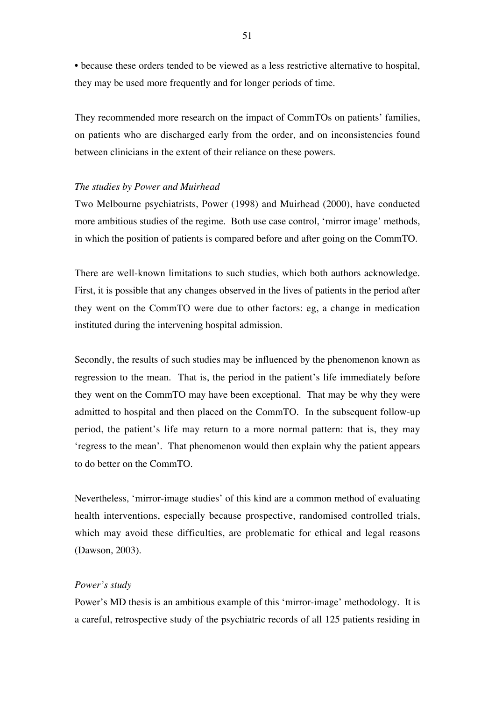• because these orders tended to be viewed as a less restrictive alternative to hospital, they may be used more frequently and for longer periods of time.

They recommended more research on the impact of CommTOs on patients' families, on patients who are discharged early from the order, and on inconsistencies found between clinicians in the extent of their reliance on these powers.

#### *The studies by Power and Muirhead*

Two Melbourne psychiatrists, Power (1998) and Muirhead (2000), have conducted more ambitious studies of the regime. Both use case control, 'mirror image' methods, in which the position of patients is compared before and after going on the CommTO.

There are well-known limitations to such studies, which both authors acknowledge. First, it is possible that any changes observed in the lives of patients in the period after they went on the CommTO were due to other factors: eg, a change in medication instituted during the intervening hospital admission.

Secondly, the results of such studies may be influenced by the phenomenon known as regression to the mean. That is, the period in the patient's life immediately before they went on the CommTO may have been exceptional. That may be why they were admitted to hospital and then placed on the CommTO. In the subsequent follow-up period, the patient's life may return to a more normal pattern: that is, they may 'regress to the mean'. That phenomenon would then explain why the patient appears to do better on the CommTO.

Nevertheless, 'mirror-image studies' of this kind are a common method of evaluating health interventions, especially because prospective, randomised controlled trials, which may avoid these difficulties, are problematic for ethical and legal reasons (Dawson, 2003).

## *Power's study*

Power's MD thesis is an ambitious example of this 'mirror-image' methodology. It is a careful, retrospective study of the psychiatric records of all 125 patients residing in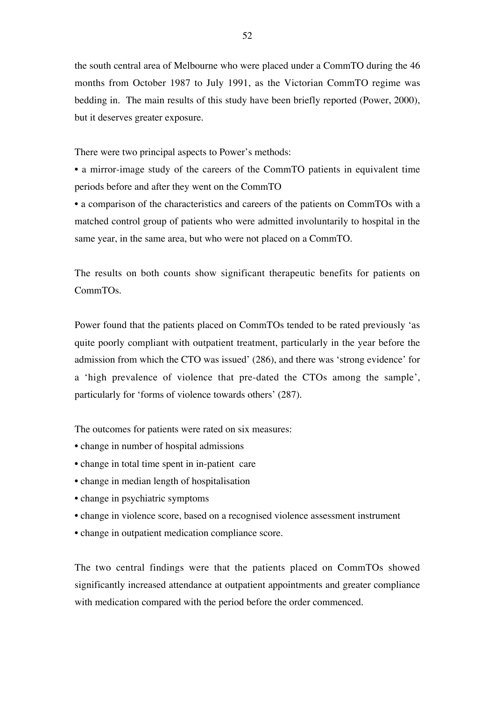the south central area of Melbourne who were placed under a CommTO during the 46 months from October 1987 to July 1991, as the Victorian CommTO regime was bedding in. The main results of this study have been briefly reported (Power, 2000), but it deserves greater exposure.

There were two principal aspects to Power's methods:

• a mirror-image study of the careers of the CommTO patients in equivalent time periods before and after they went on the CommTO

• a comparison of the characteristics and careers of the patients on CommTOs with a matched control group of patients who were admitted involuntarily to hospital in the same year, in the same area, but who were not placed on a CommTO.

The results on both counts show significant therapeutic benefits for patients on CommTOs.

Power found that the patients placed on CommTOs tended to be rated previously 'as quite poorly compliant with outpatient treatment, particularly in the year before the admission from which the CTO was issued' (286), and there was 'strong evidence' for a 'high prevalence of violence that pre-dated the CTOs among the sample', particularly for 'forms of violence towards others' (287).

The outcomes for patients were rated on six measures:

- change in number of hospital admissions
- change in total time spent in in-patient care
- change in median length of hospitalisation
- change in psychiatric symptoms
- change in violence score, based on a recognised violence assessment instrument
- change in outpatient medication compliance score.

The two central findings were that the patients placed on CommTOs showed significantly increased attendance at outpatient appointments and greater compliance with medication compared with the period before the order commenced.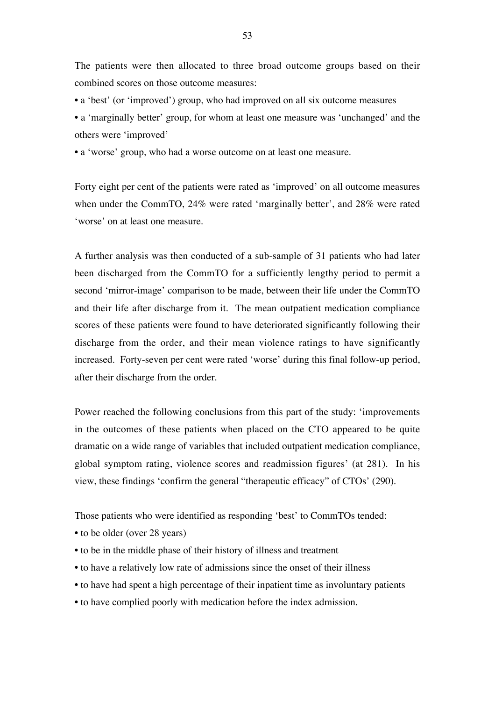The patients were then allocated to three broad outcome groups based on their combined scores on those outcome measures:

• a 'best' (or 'improved') group, who had improved on all six outcome measures

• a 'marginally better' group, for whom at least one measure was 'unchanged' and the others were 'improved'

• a 'worse' group, who had a worse outcome on at least one measure.

Forty eight per cent of the patients were rated as 'improved' on all outcome measures when under the CommTO, 24% were rated 'marginally better', and 28% were rated 'worse' on at least one measure.

A further analysis was then conducted of a sub-sample of 31 patients who had later been discharged from the CommTO for a sufficiently lengthy period to permit a second 'mirror-image' comparison to be made, between their life under the CommTO and their life after discharge from it. The mean outpatient medication compliance scores of these patients were found to have deteriorated significantly following their discharge from the order, and their mean violence ratings to have significantly increased. Forty-seven per cent were rated 'worse' during this final follow-up period, after their discharge from the order.

Power reached the following conclusions from this part of the study: 'improvements in the outcomes of these patients when placed on the CTO appeared to be quite dramatic on a wide range of variables that included outpatient medication compliance, global symptom rating, violence scores and readmission figures' (at 281). In his view, these findings 'confirm the general "therapeutic efficacy" of CTOs' (290).

Those patients who were identified as responding 'best' to CommTOs tended:

- to be older (over 28 years)
- to be in the middle phase of their history of illness and treatment
- to have a relatively low rate of admissions since the onset of their illness
- to have had spent a high percentage of their inpatient time as involuntary patients
- to have complied poorly with medication before the index admission.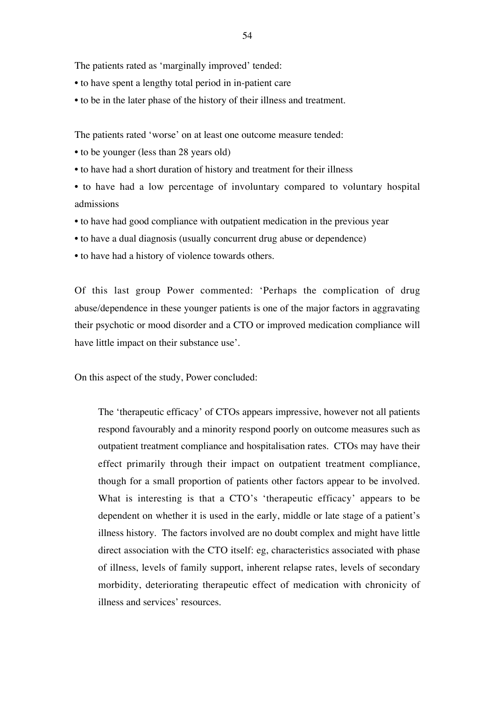The patients rated as 'marginally improved' tended:

- to have spent a lengthy total period in in-patient care
- to be in the later phase of the history of their illness and treatment.

The patients rated 'worse' on at least one outcome measure tended:

- to be younger (less than 28 years old)
- to have had a short duration of history and treatment for their illness
- to have had a low percentage of involuntary compared to voluntary hospital admissions
- to have had good compliance with outpatient medication in the previous year
- to have a dual diagnosis (usually concurrent drug abuse or dependence)
- to have had a history of violence towards others.

Of this last group Power commented: 'Perhaps the complication of drug abuse/dependence in these younger patients is one of the major factors in aggravating their psychotic or mood disorder and a CTO or improved medication compliance will have little impact on their substance use'.

On this aspect of the study, Power concluded:

The 'therapeutic efficacy' of CTOs appears impressive, however not all patients respond favourably and a minority respond poorly on outcome measures such as outpatient treatment compliance and hospitalisation rates. CTOs may have their effect primarily through their impact on outpatient treatment compliance, though for a small proportion of patients other factors appear to be involved. What is interesting is that a CTO's 'therapeutic efficacy' appears to be dependent on whether it is used in the early, middle or late stage of a patient's illness history. The factors involved are no doubt complex and might have little direct association with the CTO itself: eg, characteristics associated with phase of illness, levels of family support, inherent relapse rates, levels of secondary morbidity, deteriorating therapeutic effect of medication with chronicity of illness and services' resources.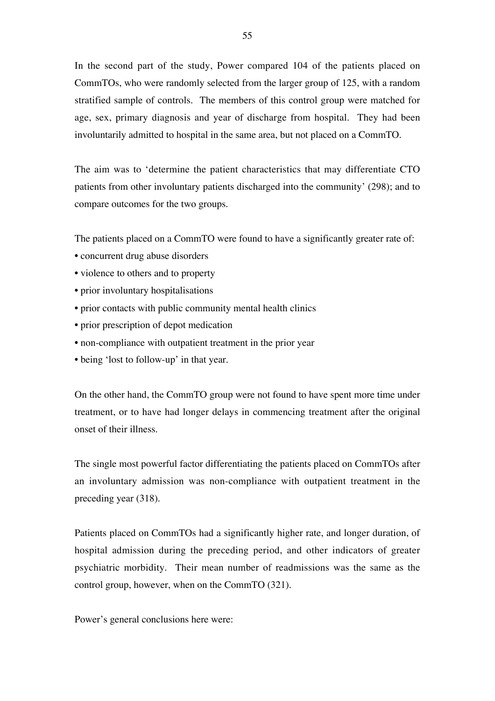In the second part of the study, Power compared 104 of the patients placed on CommTOs, who were randomly selected from the larger group of 125, with a random stratified sample of controls. The members of this control group were matched for age, sex, primary diagnosis and year of discharge from hospital. They had been involuntarily admitted to hospital in the same area, but not placed on a CommTO.

The aim was to 'determine the patient characteristics that may differentiate CTO patients from other involuntary patients discharged into the community' (298); and to compare outcomes for the two groups.

The patients placed on a CommTO were found to have a significantly greater rate of:

- concurrent drug abuse disorders
- violence to others and to property
- prior involuntary hospitalisations
- prior contacts with public community mental health clinics
- prior prescription of depot medication
- non-compliance with outpatient treatment in the prior year
- being 'lost to follow-up' in that year.

On the other hand, the CommTO group were not found to have spent more time under treatment, or to have had longer delays in commencing treatment after the original onset of their illness.

The single most powerful factor differentiating the patients placed on CommTOs after an involuntary admission was non-compliance with outpatient treatment in the preceding year (318).

Patients placed on CommTOs had a significantly higher rate, and longer duration, of hospital admission during the preceding period, and other indicators of greater psychiatric morbidity. Their mean number of readmissions was the same as the control group, however, when on the CommTO (321).

Power's general conclusions here were: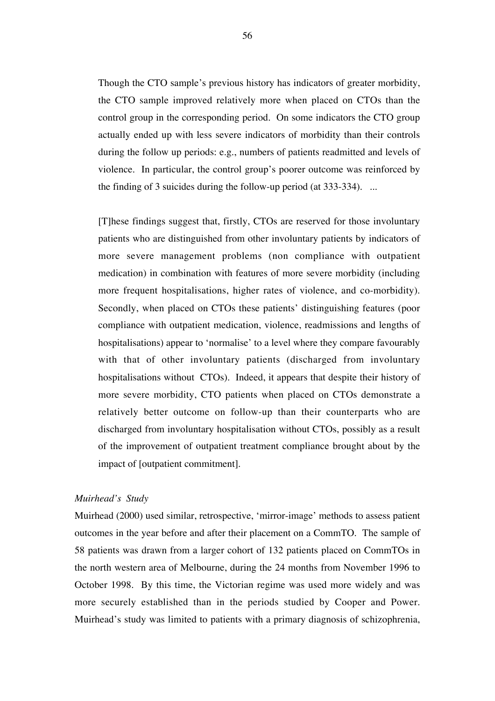Though the CTO sample's previous history has indicators of greater morbidity, the CTO sample improved relatively more when placed on CTOs than the control group in the corresponding period. On some indicators the CTO group actually ended up with less severe indicators of morbidity than their controls during the follow up periods: e.g., numbers of patients readmitted and levels of violence. In particular, the control group's poorer outcome was reinforced by the finding of 3 suicides during the follow-up period (at 333-334). ...

[T]hese findings suggest that, firstly, CTOs are reserved for those involuntary patients who are distinguished from other involuntary patients by indicators of more severe management problems (non compliance with outpatient medication) in combination with features of more severe morbidity (including more frequent hospitalisations, higher rates of violence, and co-morbidity). Secondly, when placed on CTOs these patients' distinguishing features (poor compliance with outpatient medication, violence, readmissions and lengths of hospitalisations) appear to 'normalise' to a level where they compare favourably with that of other involuntary patients (discharged from involuntary hospitalisations without CTOs). Indeed, it appears that despite their history of more severe morbidity, CTO patients when placed on CTOs demonstrate a relatively better outcome on follow-up than their counterparts who are discharged from involuntary hospitalisation without CTOs, possibly as a result of the improvement of outpatient treatment compliance brought about by the impact of [outpatient commitment].

## *Muirhead's Study*

Muirhead (2000) used similar, retrospective, 'mirror-image' methods to assess patient outcomes in the year before and after their placement on a CommTO. The sample of 58 patients was drawn from a larger cohort of 132 patients placed on CommTOs in the north western area of Melbourne, during the 24 months from November 1996 to October 1998. By this time, the Victorian regime was used more widely and was more securely established than in the periods studied by Cooper and Power. Muirhead's study was limited to patients with a primary diagnosis of schizophrenia,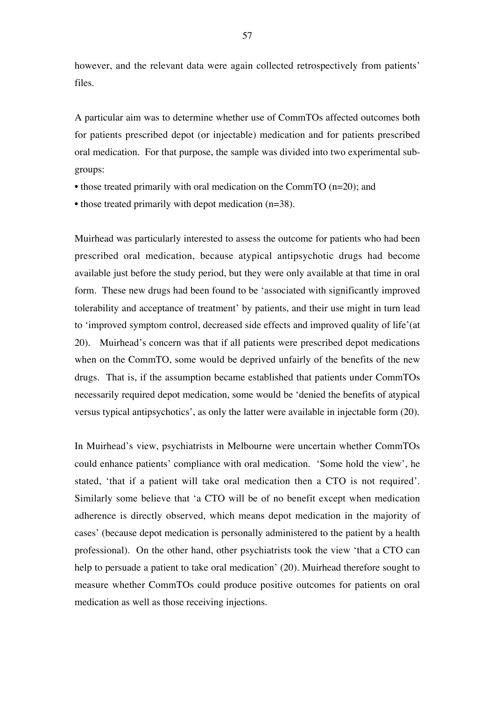however, and the relevant data were again collected retrospectively from patients' files.

A particular aim was to determine whether use of CommTOs affected outcomes both for patients prescribed depot (or injectable) medication and for patients prescribed oral medication. For that purpose, the sample was divided into two experimental subgroups:

- those treated primarily with oral medication on the CommTO (n=20); and
- those treated primarily with depot medication (n=38).

Muirhead was particularly interested to assess the outcome for patients who had been prescribed oral medication, because atypical antipsychotic drugs had become available just before the study period, but they were only available at that time in oral form. These new drugs had been found to be 'associated with significantly improved tolerability and acceptance of treatment' by patients, and their use might in turn lead to 'improved symptom control, decreased side effects and improved quality of life'(at 20). Muirhead's concern was that if all patients were prescribed depot medications when on the CommTO, some would be deprived unfairly of the benefits of the new drugs. That is, if the assumption became established that patients under CommTOs necessarily required depot medication, some would be 'denied the benefits of atypical versus typical antipsychotics', as only the latter were available in injectable form (20).

In Muirhead's view, psychiatrists in Melbourne were uncertain whether CommTOs could enhance patients' compliance with oral medication. 'Some hold the view', he stated, 'that if a patient will take oral medication then a CTO is not required'. Similarly some believe that 'a CTO will be of no benefit except when medication adherence is directly observed, which means depot medication in the majority of cases' (because depot medication is personally administered to the patient by a health professional). On the other hand, other psychiatrists took the view 'that a CTO can help to persuade a patient to take oral medication' (20). Muirhead therefore sought to measure whether CommTOs could produce positive outcomes for patients on oral medication as well as those receiving injections.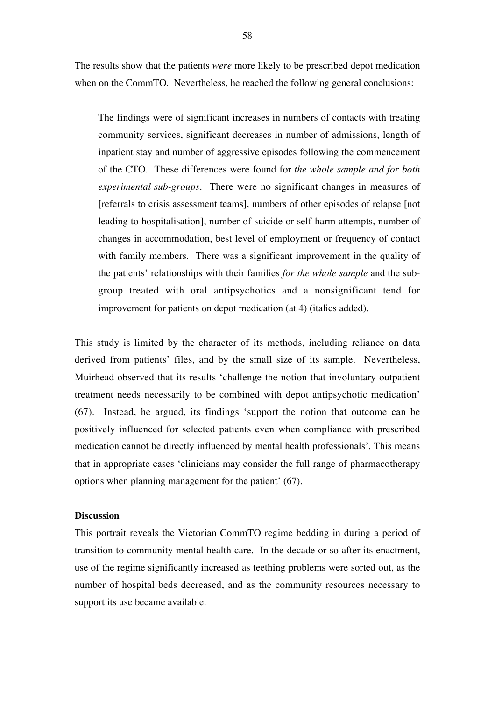The results show that the patients *were* more likely to be prescribed depot medication when on the CommTO. Nevertheless, he reached the following general conclusions:

The findings were of significant increases in numbers of contacts with treating community services, significant decreases in number of admissions, length of inpatient stay and number of aggressive episodes following the commencement of the CTO. These differences were found for *the whole sample and for both experimental sub-groups*. There were no significant changes in measures of [referrals to crisis assessment teams], numbers of other episodes of relapse [not leading to hospitalisation], number of suicide or self-harm attempts, number of changes in accommodation, best level of employment or frequency of contact with family members. There was a significant improvement in the quality of the patients' relationships with their families *for the whole sample* and the subgroup treated with oral antipsychotics and a nonsignificant tend for improvement for patients on depot medication (at 4) (italics added).

This study is limited by the character of its methods, including reliance on data derived from patients' files, and by the small size of its sample. Nevertheless, Muirhead observed that its results 'challenge the notion that involuntary outpatient treatment needs necessarily to be combined with depot antipsychotic medication' (67). Instead, he argued, its findings 'support the notion that outcome can be positively influenced for selected patients even when compliance with prescribed medication cannot be directly influenced by mental health professionals'. This means that in appropriate cases 'clinicians may consider the full range of pharmacotherapy options when planning management for the patient' (67).

# **Discussion**

This portrait reveals the Victorian CommTO regime bedding in during a period of transition to community mental health care. In the decade or so after its enactment, use of the regime significantly increased as teething problems were sorted out, as the number of hospital beds decreased, and as the community resources necessary to support its use became available.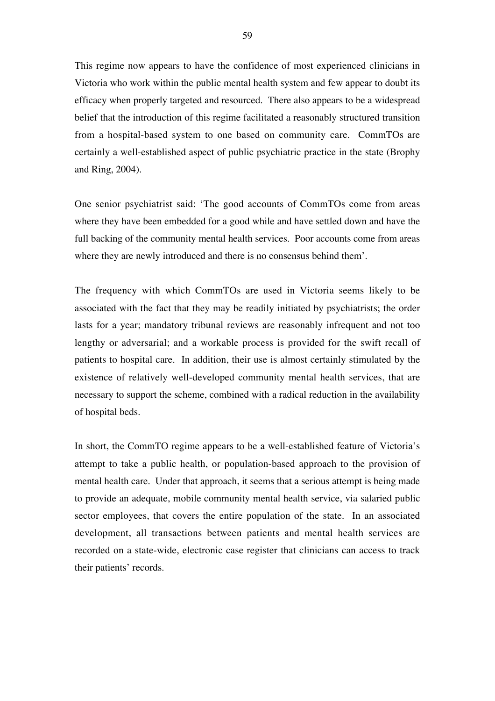This regime now appears to have the confidence of most experienced clinicians in Victoria who work within the public mental health system and few appear to doubt its efficacy when properly targeted and resourced. There also appears to be a widespread belief that the introduction of this regime facilitated a reasonably structured transition from a hospital-based system to one based on community care. CommTOs are certainly a well-established aspect of public psychiatric practice in the state (Brophy and Ring, 2004).

One senior psychiatrist said: 'The good accounts of CommTOs come from areas where they have been embedded for a good while and have settled down and have the full backing of the community mental health services. Poor accounts come from areas where they are newly introduced and there is no consensus behind them'.

The frequency with which CommTOs are used in Victoria seems likely to be associated with the fact that they may be readily initiated by psychiatrists; the order lasts for a year; mandatory tribunal reviews are reasonably infrequent and not too lengthy or adversarial; and a workable process is provided for the swift recall of patients to hospital care. In addition, their use is almost certainly stimulated by the existence of relatively well-developed community mental health services, that are necessary to support the scheme, combined with a radical reduction in the availability of hospital beds.

In short, the CommTO regime appears to be a well-established feature of Victoria's attempt to take a public health, or population-based approach to the provision of mental health care. Under that approach, it seems that a serious attempt is being made to provide an adequate, mobile community mental health service, via salaried public sector employees, that covers the entire population of the state. In an associated development, all transactions between patients and mental health services are recorded on a state-wide, electronic case register that clinicians can access to track their patients' records.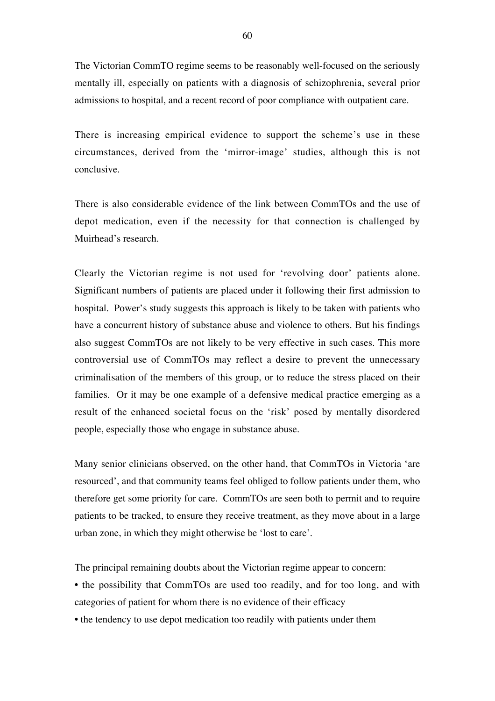The Victorian CommTO regime seems to be reasonably well-focused on the seriously mentally ill, especially on patients with a diagnosis of schizophrenia, several prior admissions to hospital, and a recent record of poor compliance with outpatient care.

There is increasing empirical evidence to support the scheme's use in these circumstances, derived from the 'mirror-image' studies, although this is not conclusive.

There is also considerable evidence of the link between CommTOs and the use of depot medication, even if the necessity for that connection is challenged by Muirhead's research.

Clearly the Victorian regime is not used for 'revolving door' patients alone. Significant numbers of patients are placed under it following their first admission to hospital. Power's study suggests this approach is likely to be taken with patients who have a concurrent history of substance abuse and violence to others. But his findings also suggest CommTOs are not likely to be very effective in such cases. This more controversial use of CommTOs may reflect a desire to prevent the unnecessary criminalisation of the members of this group, or to reduce the stress placed on their families. Or it may be one example of a defensive medical practice emerging as a result of the enhanced societal focus on the 'risk' posed by mentally disordered people, especially those who engage in substance abuse.

Many senior clinicians observed, on the other hand, that CommTOs in Victoria 'are resourced', and that community teams feel obliged to follow patients under them, who therefore get some priority for care. CommTOs are seen both to permit and to require patients to be tracked, to ensure they receive treatment, as they move about in a large urban zone, in which they might otherwise be 'lost to care'.

The principal remaining doubts about the Victorian regime appear to concern:

• the possibility that CommTOs are used too readily, and for too long, and with categories of patient for whom there is no evidence of their efficacy

• the tendency to use depot medication too readily with patients under them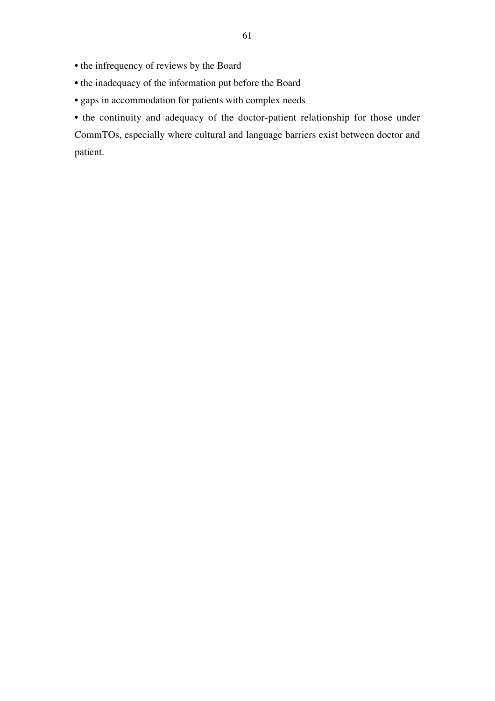- the infrequency of reviews by the Board
- the inadequacy of the information put before the Board
- gaps in accommodation for patients with complex needs

• the continuity and adequacy of the doctor-patient relationship for those under CommTOs, especially where cultural and language barriers exist between doctor and patient.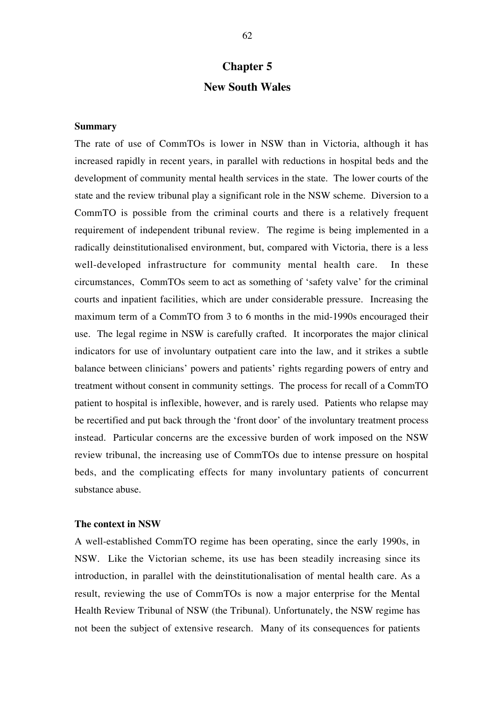# **Chapter 5 New South Wales**

# **Summary**

The rate of use of CommTOs is lower in NSW than in Victoria, although it has increased rapidly in recent years, in parallel with reductions in hospital beds and the development of community mental health services in the state. The lower courts of the state and the review tribunal play a significant role in the NSW scheme. Diversion to a CommTO is possible from the criminal courts and there is a relatively frequent requirement of independent tribunal review. The regime is being implemented in a radically deinstitutionalised environment, but, compared with Victoria, there is a less well-developed infrastructure for community mental health care. In these circumstances, CommTOs seem to act as something of 'safety valve' for the criminal courts and inpatient facilities, which are under considerable pressure. Increasing the maximum term of a CommTO from 3 to 6 months in the mid-1990s encouraged their use. The legal regime in NSW is carefully crafted. It incorporates the major clinical indicators for use of involuntary outpatient care into the law, and it strikes a subtle balance between clinicians' powers and patients' rights regarding powers of entry and treatment without consent in community settings. The process for recall of a CommTO patient to hospital is inflexible, however, and is rarely used. Patients who relapse may be recertified and put back through the 'front door' of the involuntary treatment process instead. Particular concerns are the excessive burden of work imposed on the NSW review tribunal, the increasing use of CommTOs due to intense pressure on hospital beds, and the complicating effects for many involuntary patients of concurrent substance abuse.

# **The context in NSW**

A well-established CommTO regime has been operating, since the early 1990s, in NSW. Like the Victorian scheme, its use has been steadily increasing since its introduction, in parallel with the deinstitutionalisation of mental health care. As a result, reviewing the use of CommTOs is now a major enterprise for the Mental Health Review Tribunal of NSW (the Tribunal). Unfortunately, the NSW regime has not been the subject of extensive research. Many of its consequences for patients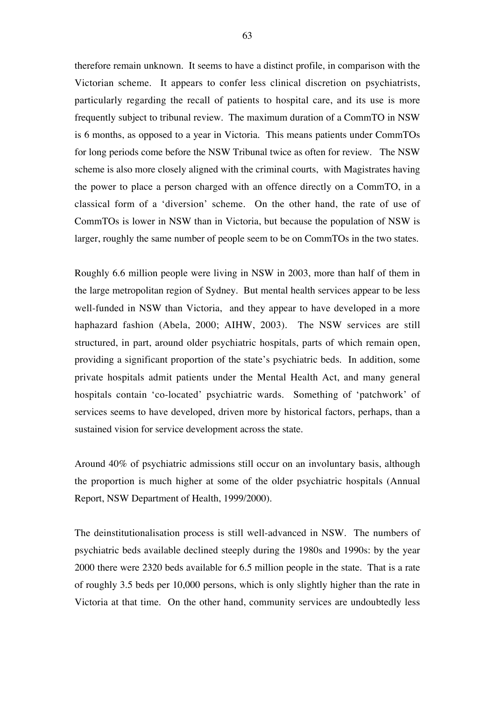therefore remain unknown. It seems to have a distinct profile, in comparison with the Victorian scheme. It appears to confer less clinical discretion on psychiatrists, particularly regarding the recall of patients to hospital care, and its use is more frequently subject to tribunal review. The maximum duration of a CommTO in NSW is 6 months, as opposed to a year in Victoria. This means patients under CommTOs for long periods come before the NSW Tribunal twice as often for review. The NSW scheme is also more closely aligned with the criminal courts, with Magistrates having the power to place a person charged with an offence directly on a CommTO, in a classical form of a 'diversion' scheme. On the other hand, the rate of use of CommTOs is lower in NSW than in Victoria, but because the population of NSW is larger, roughly the same number of people seem to be on CommTOs in the two states.

Roughly 6.6 million people were living in NSW in 2003, more than half of them in the large metropolitan region of Sydney. But mental health services appear to be less well-funded in NSW than Victoria, and they appear to have developed in a more haphazard fashion (Abela, 2000; AIHW, 2003). The NSW services are still structured, in part, around older psychiatric hospitals, parts of which remain open, providing a significant proportion of the state's psychiatric beds. In addition, some private hospitals admit patients under the Mental Health Act, and many general hospitals contain 'co-located' psychiatric wards. Something of 'patchwork' of services seems to have developed, driven more by historical factors, perhaps, than a sustained vision for service development across the state.

Around 40% of psychiatric admissions still occur on an involuntary basis, although the proportion is much higher at some of the older psychiatric hospitals (Annual Report, NSW Department of Health, 1999/2000).

The deinstitutionalisation process is still well-advanced in NSW. The numbers of psychiatric beds available declined steeply during the 1980s and 1990s: by the year 2000 there were 2320 beds available for 6.5 million people in the state. That is a rate of roughly 3.5 beds per 10,000 persons, which is only slightly higher than the rate in Victoria at that time. On the other hand, community services are undoubtedly less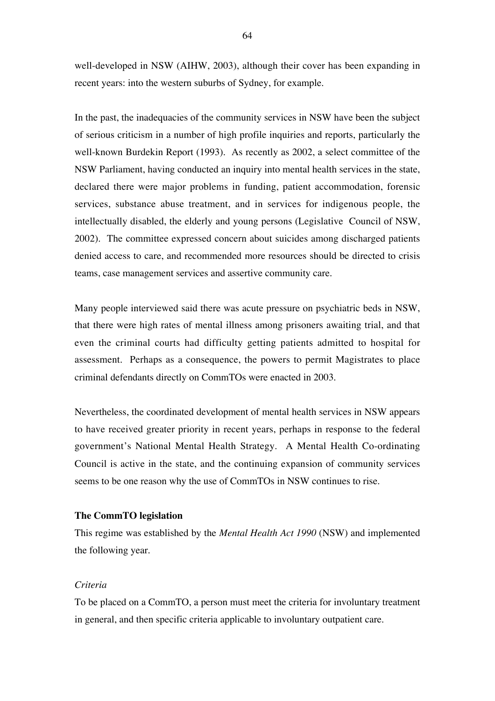well-developed in NSW (AIHW, 2003), although their cover has been expanding in recent years: into the western suburbs of Sydney, for example.

In the past, the inadequacies of the community services in NSW have been the subject of serious criticism in a number of high profile inquiries and reports, particularly the well-known Burdekin Report (1993). As recently as 2002, a select committee of the NSW Parliament, having conducted an inquiry into mental health services in the state, declared there were major problems in funding, patient accommodation, forensic services, substance abuse treatment, and in services for indigenous people, the intellectually disabled, the elderly and young persons (Legislative Council of NSW, 2002). The committee expressed concern about suicides among discharged patients denied access to care, and recommended more resources should be directed to crisis teams, case management services and assertive community care.

Many people interviewed said there was acute pressure on psychiatric beds in NSW, that there were high rates of mental illness among prisoners awaiting trial, and that even the criminal courts had difficulty getting patients admitted to hospital for assessment. Perhaps as a consequence, the powers to permit Magistrates to place criminal defendants directly on CommTOs were enacted in 2003.

Nevertheless, the coordinated development of mental health services in NSW appears to have received greater priority in recent years, perhaps in response to the federal government's National Mental Health Strategy. A Mental Health Co-ordinating Council is active in the state, and the continuing expansion of community services seems to be one reason why the use of CommTOs in NSW continues to rise.

## **The CommTO legislation**

This regime was established by the *Mental Health Act 1990* (NSW) and implemented the following year.

## *Criteria*

To be placed on a CommTO, a person must meet the criteria for involuntary treatment in general, and then specific criteria applicable to involuntary outpatient care.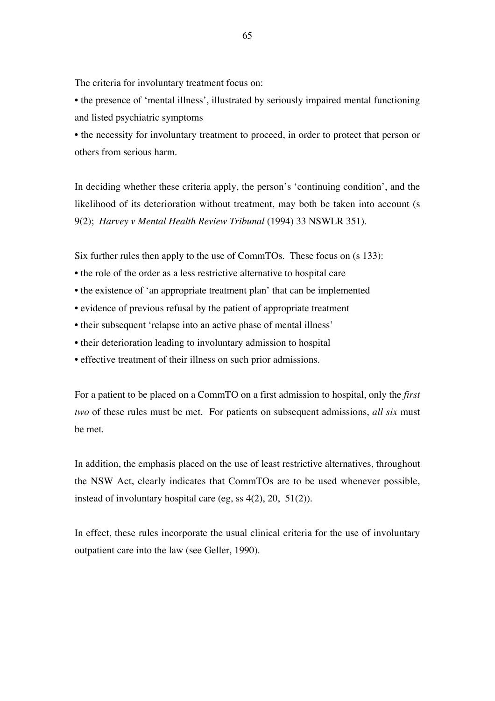The criteria for involuntary treatment focus on:

• the presence of 'mental illness', illustrated by seriously impaired mental functioning and listed psychiatric symptoms

• the necessity for involuntary treatment to proceed, in order to protect that person or others from serious harm.

In deciding whether these criteria apply, the person's 'continuing condition', and the likelihood of its deterioration without treatment, may both be taken into account (s 9(2); *Harvey v Mental Health Review Tribunal* (1994) 33 NSWLR 351).

Six further rules then apply to the use of CommTOs. These focus on (s 133):

- the role of the order as a less restrictive alternative to hospital care
- the existence of 'an appropriate treatment plan' that can be implemented
- evidence of previous refusal by the patient of appropriate treatment
- their subsequent 'relapse into an active phase of mental illness'
- their deterioration leading to involuntary admission to hospital
- effective treatment of their illness on such prior admissions.

For a patient to be placed on a CommTO on a first admission to hospital, only the *first two* of these rules must be met. For patients on subsequent admissions, *all six* must be met.

In addition, the emphasis placed on the use of least restrictive alternatives, throughout the NSW Act, clearly indicates that CommTOs are to be used whenever possible, instead of involuntary hospital care (eg, ss 4(2), 20, 51(2)).

In effect, these rules incorporate the usual clinical criteria for the use of involuntary outpatient care into the law (see Geller, 1990).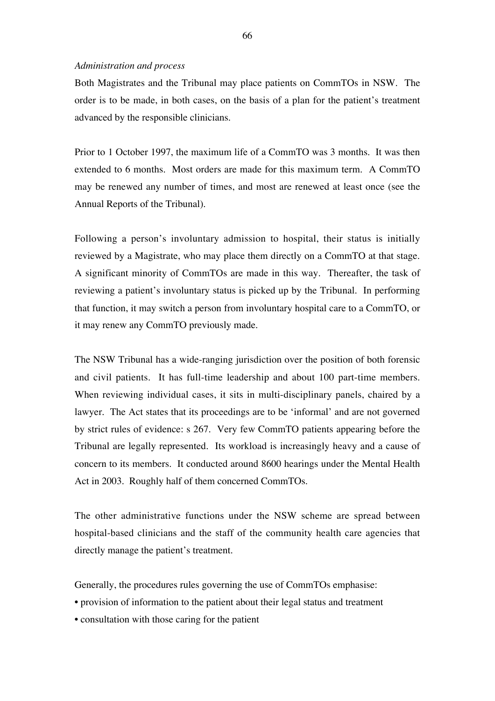#### *Administration and process*

Both Magistrates and the Tribunal may place patients on CommTOs in NSW. The order is to be made, in both cases, on the basis of a plan for the patient's treatment advanced by the responsible clinicians.

Prior to 1 October 1997, the maximum life of a CommTO was 3 months. It was then extended to 6 months. Most orders are made for this maximum term. A CommTO may be renewed any number of times, and most are renewed at least once (see the Annual Reports of the Tribunal).

Following a person's involuntary admission to hospital, their status is initially reviewed by a Magistrate, who may place them directly on a CommTO at that stage. A significant minority of CommTOs are made in this way. Thereafter, the task of reviewing a patient's involuntary status is picked up by the Tribunal. In performing that function, it may switch a person from involuntary hospital care to a CommTO, or it may renew any CommTO previously made.

The NSW Tribunal has a wide-ranging jurisdiction over the position of both forensic and civil patients. It has full-time leadership and about 100 part-time members. When reviewing individual cases, it sits in multi-disciplinary panels, chaired by a lawyer. The Act states that its proceedings are to be 'informal' and are not governed by strict rules of evidence: s 267. Very few CommTO patients appearing before the Tribunal are legally represented. Its workload is increasingly heavy and a cause of concern to its members. It conducted around 8600 hearings under the Mental Health Act in 2003. Roughly half of them concerned CommTOs.

The other administrative functions under the NSW scheme are spread between hospital-based clinicians and the staff of the community health care agencies that directly manage the patient's treatment.

Generally, the procedures rules governing the use of CommTOs emphasise:

- provision of information to the patient about their legal status and treatment
- consultation with those caring for the patient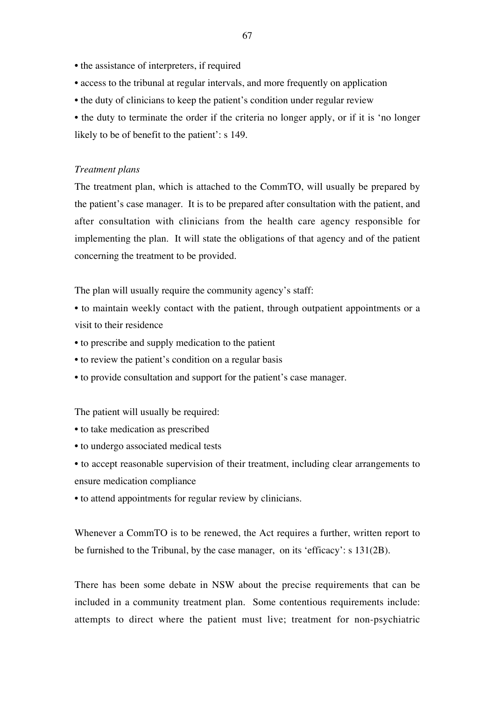- the assistance of interpreters, if required
- access to the tribunal at regular intervals, and more frequently on application
- the duty of clinicians to keep the patient's condition under regular review
- the duty to terminate the order if the criteria no longer apply, or if it is 'no longer likely to be of benefit to the patient': s 149.

## *Treatment plans*

The treatment plan, which is attached to the CommTO, will usually be prepared by the patient's case manager. It is to be prepared after consultation with the patient, and after consultation with clinicians from the health care agency responsible for implementing the plan. It will state the obligations of that agency and of the patient concerning the treatment to be provided.

The plan will usually require the community agency's staff:

- to maintain weekly contact with the patient, through outpatient appointments or a visit to their residence
- to prescribe and supply medication to the patient
- to review the patient's condition on a regular basis
- to provide consultation and support for the patient's case manager.

The patient will usually be required:

- to take medication as prescribed
- to undergo associated medical tests
- to accept reasonable supervision of their treatment, including clear arrangements to ensure medication compliance
- to attend appointments for regular review by clinicians.

Whenever a CommTO is to be renewed, the Act requires a further, written report to be furnished to the Tribunal, by the case manager, on its 'efficacy': s 131(2B).

There has been some debate in NSW about the precise requirements that can be included in a community treatment plan. Some contentious requirements include: attempts to direct where the patient must live; treatment for non-psychiatric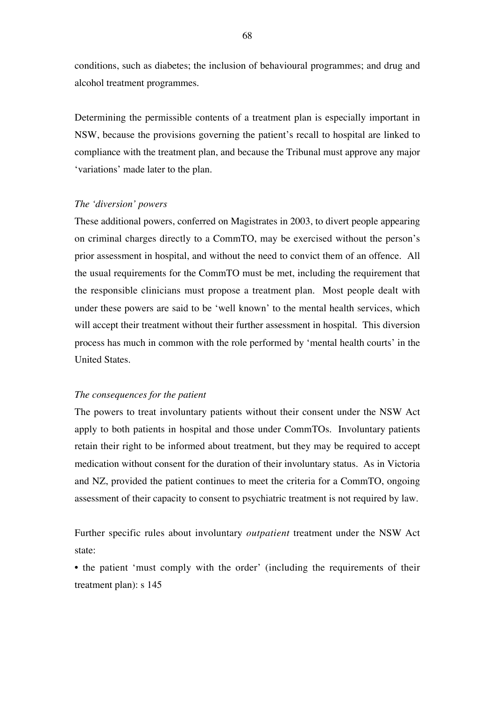conditions, such as diabetes; the inclusion of behavioural programmes; and drug and alcohol treatment programmes.

Determining the permissible contents of a treatment plan is especially important in NSW, because the provisions governing the patient's recall to hospital are linked to compliance with the treatment plan, and because the Tribunal must approve any major 'variations' made later to the plan.

# *The 'diversion' powers*

These additional powers, conferred on Magistrates in 2003, to divert people appearing on criminal charges directly to a CommTO, may be exercised without the person's prior assessment in hospital, and without the need to convict them of an offence. All the usual requirements for the CommTO must be met, including the requirement that the responsible clinicians must propose a treatment plan. Most people dealt with under these powers are said to be 'well known' to the mental health services, which will accept their treatment without their further assessment in hospital. This diversion process has much in common with the role performed by 'mental health courts' in the United States.

### *The consequences for the patient*

The powers to treat involuntary patients without their consent under the NSW Act apply to both patients in hospital and those under CommTOs. Involuntary patients retain their right to be informed about treatment, but they may be required to accept medication without consent for the duration of their involuntary status. As in Victoria and NZ, provided the patient continues to meet the criteria for a CommTO, ongoing assessment of their capacity to consent to psychiatric treatment is not required by law.

Further specific rules about involuntary *outpatient* treatment under the NSW Act state:

• the patient 'must comply with the order' (including the requirements of their treatment plan): s 145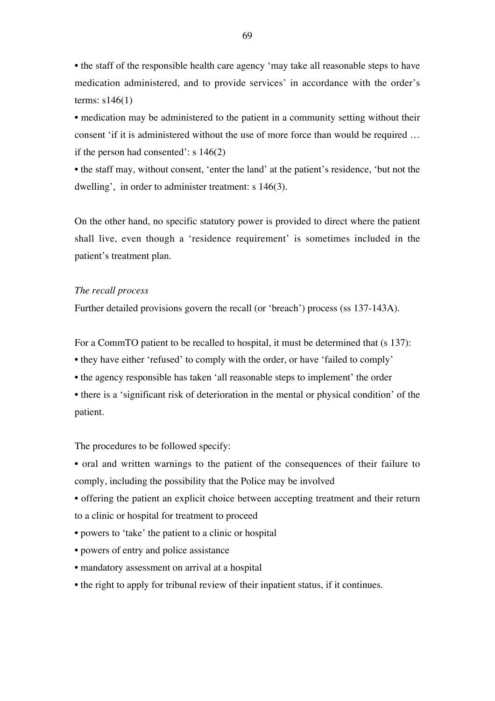• the staff of the responsible health care agency 'may take all reasonable steps to have medication administered, and to provide services' in accordance with the order's terms: s146(1)

• medication may be administered to the patient in a community setting without their consent 'if it is administered without the use of more force than would be required … if the person had consented': s 146(2)

• the staff may, without consent, 'enter the land' at the patient's residence, 'but not the dwelling', in order to administer treatment: s 146(3).

On the other hand, no specific statutory power is provided to direct where the patient shall live, even though a 'residence requirement' is sometimes included in the patient's treatment plan.

## *The recall process*

Further detailed provisions govern the recall (or 'breach') process (ss 137-143A).

For a CommTO patient to be recalled to hospital, it must be determined that (s 137):

- they have either 'refused' to comply with the order, or have 'failed to comply'
- the agency responsible has taken 'all reasonable steps to implement' the order

• there is a 'significant risk of deterioration in the mental or physical condition' of the patient.

The procedures to be followed specify:

• oral and written warnings to the patient of the consequences of their failure to comply, including the possibility that the Police may be involved

- offering the patient an explicit choice between accepting treatment and their return to a clinic or hospital for treatment to proceed
- powers to 'take' the patient to a clinic or hospital
- powers of entry and police assistance
- mandatory assessment on arrival at a hospital
- the right to apply for tribunal review of their inpatient status, if it continues.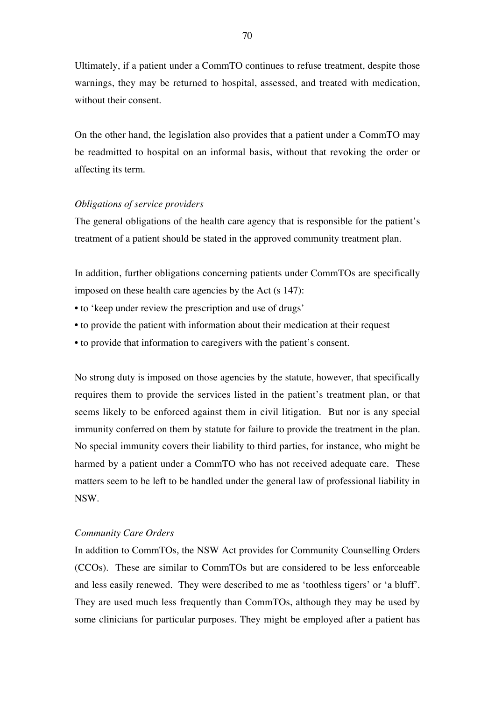Ultimately, if a patient under a CommTO continues to refuse treatment, despite those warnings, they may be returned to hospital, assessed, and treated with medication, without their consent.

On the other hand, the legislation also provides that a patient under a CommTO may be readmitted to hospital on an informal basis, without that revoking the order or affecting its term.

## *Obligations of service providers*

The general obligations of the health care agency that is responsible for the patient's treatment of a patient should be stated in the approved community treatment plan.

In addition, further obligations concerning patients under CommTOs are specifically imposed on these health care agencies by the Act (s 147):

- to 'keep under review the prescription and use of drugs'
- to provide the patient with information about their medication at their request
- to provide that information to caregivers with the patient's consent.

No strong duty is imposed on those agencies by the statute, however, that specifically requires them to provide the services listed in the patient's treatment plan, or that seems likely to be enforced against them in civil litigation. But nor is any special immunity conferred on them by statute for failure to provide the treatment in the plan. No special immunity covers their liability to third parties, for instance, who might be harmed by a patient under a CommTO who has not received adequate care. These matters seem to be left to be handled under the general law of professional liability in NSW.

## *Community Care Orders*

In addition to CommTOs, the NSW Act provides for Community Counselling Orders (CCOs). These are similar to CommTOs but are considered to be less enforceable and less easily renewed. They were described to me as 'toothless tigers' or 'a bluff'. They are used much less frequently than CommTOs, although they may be used by some clinicians for particular purposes. They might be employed after a patient has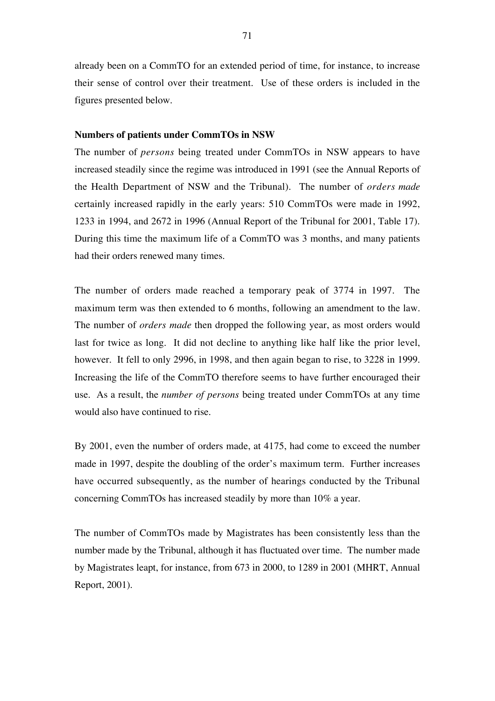already been on a CommTO for an extended period of time, for instance, to increase their sense of control over their treatment. Use of these orders is included in the figures presented below.

## **Numbers of patients under CommTOs in NSW**

The number of *persons* being treated under CommTOs in NSW appears to have increased steadily since the regime was introduced in 1991 (see the Annual Reports of the Health Department of NSW and the Tribunal). The number of *orders made* certainly increased rapidly in the early years: 510 CommTOs were made in 1992, 1233 in 1994, and 2672 in 1996 (Annual Report of the Tribunal for 2001, Table 17). During this time the maximum life of a CommTO was 3 months, and many patients had their orders renewed many times.

The number of orders made reached a temporary peak of 3774 in 1997. The maximum term was then extended to 6 months, following an amendment to the law. The number of *orders made* then dropped the following year, as most orders would last for twice as long. It did not decline to anything like half like the prior level, however. It fell to only 2996, in 1998, and then again began to rise, to 3228 in 1999. Increasing the life of the CommTO therefore seems to have further encouraged their use. As a result, the *number of persons* being treated under CommTOs at any time would also have continued to rise.

By 2001, even the number of orders made, at 4175, had come to exceed the number made in 1997, despite the doubling of the order's maximum term. Further increases have occurred subsequently, as the number of hearings conducted by the Tribunal concerning CommTOs has increased steadily by more than 10% a year.

The number of CommTOs made by Magistrates has been consistently less than the number made by the Tribunal, although it has fluctuated over time. The number made by Magistrates leapt, for instance, from 673 in 2000, to 1289 in 2001 (MHRT, Annual Report, 2001).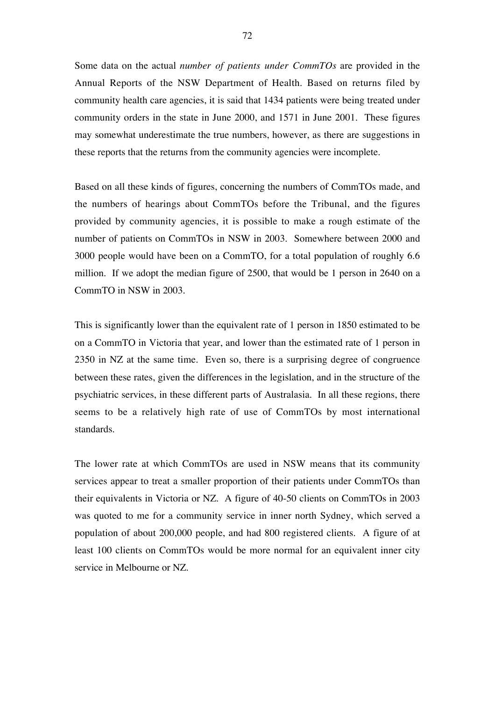Some data on the actual *number of patients under CommTOs* are provided in the Annual Reports of the NSW Department of Health. Based on returns filed by community health care agencies, it is said that 1434 patients were being treated under community orders in the state in June 2000, and 1571 in June 2001. These figures may somewhat underestimate the true numbers, however, as there are suggestions in these reports that the returns from the community agencies were incomplete.

Based on all these kinds of figures, concerning the numbers of CommTOs made, and the numbers of hearings about CommTOs before the Tribunal, and the figures provided by community agencies, it is possible to make a rough estimate of the number of patients on CommTOs in NSW in 2003. Somewhere between 2000 and 3000 people would have been on a CommTO, for a total population of roughly 6.6 million. If we adopt the median figure of 2500, that would be 1 person in 2640 on a CommTO in NSW in 2003.

This is significantly lower than the equivalent rate of 1 person in 1850 estimated to be on a CommTO in Victoria that year, and lower than the estimated rate of 1 person in 2350 in NZ at the same time. Even so, there is a surprising degree of congruence between these rates, given the differences in the legislation, and in the structure of the psychiatric services, in these different parts of Australasia. In all these regions, there seems to be a relatively high rate of use of CommTOs by most international standards.

The lower rate at which CommTOs are used in NSW means that its community services appear to treat a smaller proportion of their patients under CommTOs than their equivalents in Victoria or NZ. A figure of 40-50 clients on CommTOs in 2003 was quoted to me for a community service in inner north Sydney, which served a population of about 200,000 people, and had 800 registered clients. A figure of at least 100 clients on CommTOs would be more normal for an equivalent inner city service in Melbourne or NZ.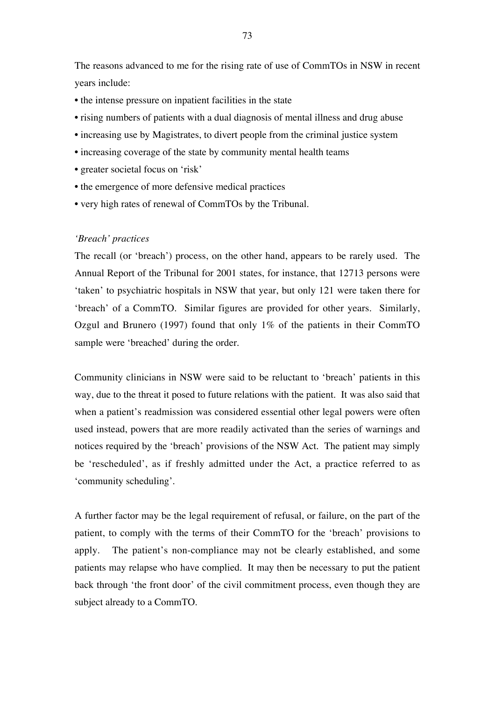The reasons advanced to me for the rising rate of use of CommTOs in NSW in recent years include:

- the intense pressure on inpatient facilities in the state
- rising numbers of patients with a dual diagnosis of mental illness and drug abuse
- increasing use by Magistrates, to divert people from the criminal justice system
- increasing coverage of the state by community mental health teams
- greater societal focus on 'risk'
- the emergence of more defensive medical practices
- very high rates of renewal of CommTOs by the Tribunal.

## *'Breach' practices*

The recall (or 'breach') process, on the other hand, appears to be rarely used. The Annual Report of the Tribunal for 2001 states, for instance, that 12713 persons were 'taken' to psychiatric hospitals in NSW that year, but only 121 were taken there for 'breach' of a CommTO. Similar figures are provided for other years. Similarly, Ozgul and Brunero (1997) found that only 1% of the patients in their CommTO sample were 'breached' during the order.

Community clinicians in NSW were said to be reluctant to 'breach' patients in this way, due to the threat it posed to future relations with the patient. It was also said that when a patient's readmission was considered essential other legal powers were often used instead, powers that are more readily activated than the series of warnings and notices required by the 'breach' provisions of the NSW Act. The patient may simply be 'rescheduled', as if freshly admitted under the Act, a practice referred to as 'community scheduling'.

A further factor may be the legal requirement of refusal, or failure, on the part of the patient, to comply with the terms of their CommTO for the 'breach' provisions to apply. The patient's non-compliance may not be clearly established, and some patients may relapse who have complied. It may then be necessary to put the patient back through 'the front door' of the civil commitment process, even though they are subject already to a CommTO.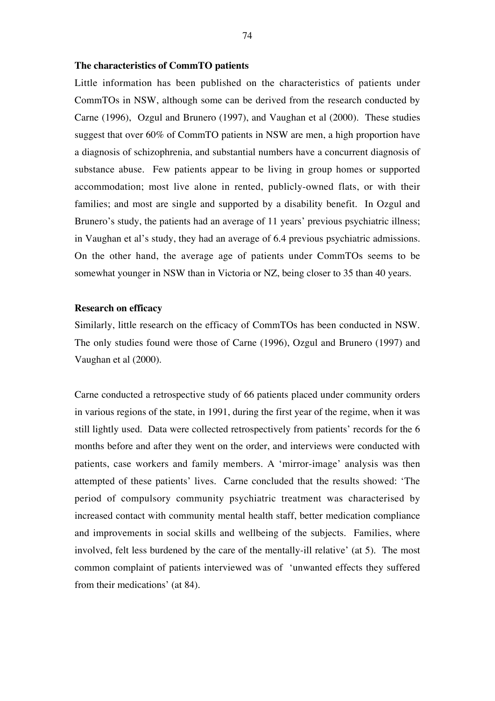## **The characteristics of CommTO patients**

Little information has been published on the characteristics of patients under CommTOs in NSW, although some can be derived from the research conducted by Carne (1996), Ozgul and Brunero (1997), and Vaughan et al (2000). These studies suggest that over 60% of CommTO patients in NSW are men, a high proportion have a diagnosis of schizophrenia, and substantial numbers have a concurrent diagnosis of substance abuse. Few patients appear to be living in group homes or supported accommodation; most live alone in rented, publicly-owned flats, or with their families; and most are single and supported by a disability benefit. In Ozgul and Brunero's study, the patients had an average of 11 years' previous psychiatric illness; in Vaughan et al's study, they had an average of 6.4 previous psychiatric admissions. On the other hand, the average age of patients under CommTOs seems to be somewhat younger in NSW than in Victoria or NZ, being closer to 35 than 40 years.

# **Research on efficacy**

Similarly, little research on the efficacy of CommTOs has been conducted in NSW. The only studies found were those of Carne (1996), Ozgul and Brunero (1997) and Vaughan et al (2000).

Carne conducted a retrospective study of 66 patients placed under community orders in various regions of the state, in 1991, during the first year of the regime, when it was still lightly used. Data were collected retrospectively from patients' records for the 6 months before and after they went on the order, and interviews were conducted with patients, case workers and family members. A 'mirror-image' analysis was then attempted of these patients' lives. Carne concluded that the results showed: 'The period of compulsory community psychiatric treatment was characterised by increased contact with community mental health staff, better medication compliance and improvements in social skills and wellbeing of the subjects. Families, where involved, felt less burdened by the care of the mentally-ill relative' (at 5). The most common complaint of patients interviewed was of 'unwanted effects they suffered from their medications' (at 84).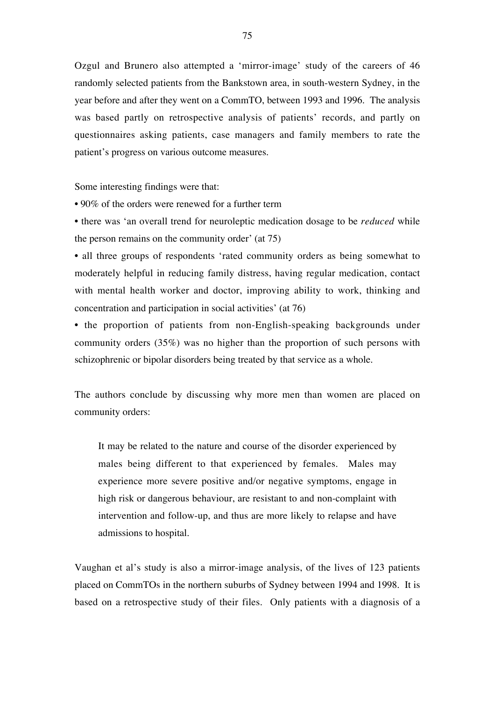Ozgul and Brunero also attempted a 'mirror-image' study of the careers of 46 randomly selected patients from the Bankstown area, in south-western Sydney, in the year before and after they went on a CommTO, between 1993 and 1996. The analysis was based partly on retrospective analysis of patients' records, and partly on questionnaires asking patients, case managers and family members to rate the patient's progress on various outcome measures.

Some interesting findings were that:

• 90% of the orders were renewed for a further term

• there was 'an overall trend for neuroleptic medication dosage to be *reduced* while the person remains on the community order' (at 75)

• all three groups of respondents 'rated community orders as being somewhat to moderately helpful in reducing family distress, having regular medication, contact with mental health worker and doctor, improving ability to work, thinking and concentration and participation in social activities' (at 76)

• the proportion of patients from non-English-speaking backgrounds under community orders (35%) was no higher than the proportion of such persons with schizophrenic or bipolar disorders being treated by that service as a whole.

The authors conclude by discussing why more men than women are placed on community orders:

It may be related to the nature and course of the disorder experienced by males being different to that experienced by females. Males may experience more severe positive and/or negative symptoms, engage in high risk or dangerous behaviour, are resistant to and non-complaint with intervention and follow-up, and thus are more likely to relapse and have admissions to hospital.

Vaughan et al's study is also a mirror-image analysis, of the lives of 123 patients placed on CommTOs in the northern suburbs of Sydney between 1994 and 1998. It is based on a retrospective study of their files. Only patients with a diagnosis of a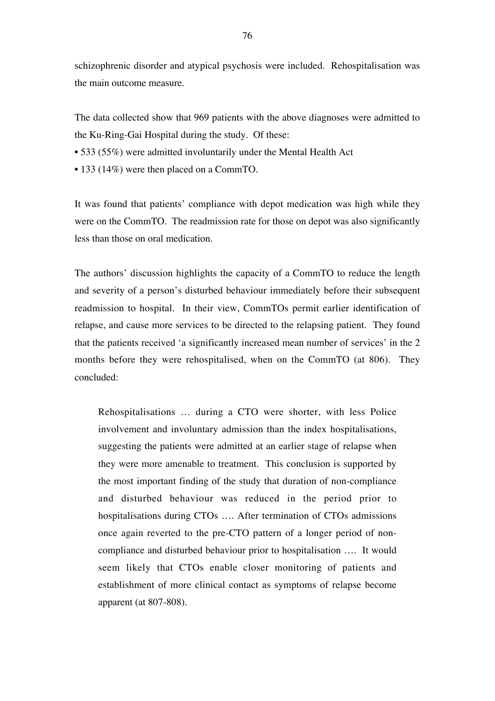schizophrenic disorder and atypical psychosis were included. Rehospitalisation was the main outcome measure.

The data collected show that 969 patients with the above diagnoses were admitted to the Ku-Ring-Gai Hospital during the study. Of these:

- 533 (55%) were admitted involuntarily under the Mental Health Act
- 133 (14%) were then placed on a CommTO.

It was found that patients' compliance with depot medication was high while they were on the CommTO. The readmission rate for those on depot was also significantly less than those on oral medication.

The authors' discussion highlights the capacity of a CommTO to reduce the length and severity of a person's disturbed behaviour immediately before their subsequent readmission to hospital. In their view, CommTOs permit earlier identification of relapse, and cause more services to be directed to the relapsing patient. They found that the patients received 'a significantly increased mean number of services' in the 2 months before they were rehospitalised, when on the CommTO (at 806). They concluded:

Rehospitalisations … during a CTO were shorter, with less Police involvement and involuntary admission than the index hospitalisations, suggesting the patients were admitted at an earlier stage of relapse when they were more amenable to treatment. This conclusion is supported by the most important finding of the study that duration of non-compliance and disturbed behaviour was reduced in the period prior to hospitalisations during CTOs …. After termination of CTOs admissions once again reverted to the pre-CTO pattern of a longer period of noncompliance and disturbed behaviour prior to hospitalisation …. It would seem likely that CTOs enable closer monitoring of patients and establishment of more clinical contact as symptoms of relapse become apparent (at 807-808).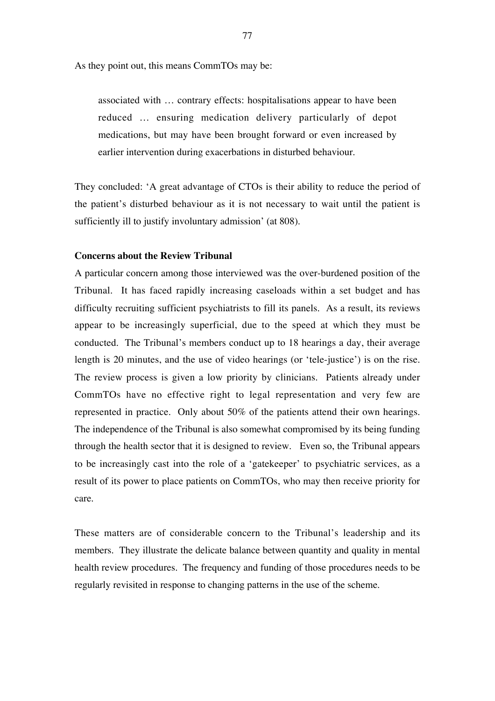As they point out, this means CommTOs may be:

associated with … contrary effects: hospitalisations appear to have been reduced … ensuring medication delivery particularly of depot medications, but may have been brought forward or even increased by earlier intervention during exacerbations in disturbed behaviour.

They concluded: 'A great advantage of CTOs is their ability to reduce the period of the patient's disturbed behaviour as it is not necessary to wait until the patient is sufficiently ill to justify involuntary admission' (at 808).

## **Concerns about the Review Tribunal**

A particular concern among those interviewed was the over-burdened position of the Tribunal. It has faced rapidly increasing caseloads within a set budget and has difficulty recruiting sufficient psychiatrists to fill its panels. As a result, its reviews appear to be increasingly superficial, due to the speed at which they must be conducted. The Tribunal's members conduct up to 18 hearings a day, their average length is 20 minutes, and the use of video hearings (or 'tele-justice') is on the rise. The review process is given a low priority by clinicians. Patients already under CommTOs have no effective right to legal representation and very few are represented in practice. Only about 50% of the patients attend their own hearings. The independence of the Tribunal is also somewhat compromised by its being funding through the health sector that it is designed to review. Even so, the Tribunal appears to be increasingly cast into the role of a 'gatekeeper' to psychiatric services, as a result of its power to place patients on CommTOs, who may then receive priority for care.

These matters are of considerable concern to the Tribunal's leadership and its members. They illustrate the delicate balance between quantity and quality in mental health review procedures. The frequency and funding of those procedures needs to be regularly revisited in response to changing patterns in the use of the scheme.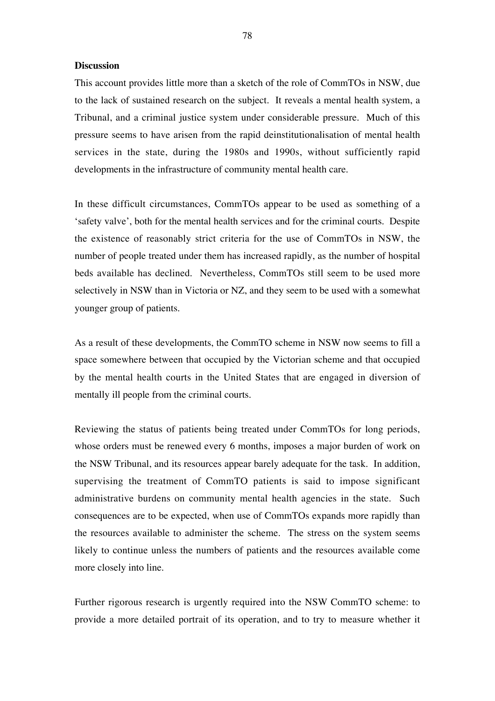## **Discussion**

This account provides little more than a sketch of the role of CommTOs in NSW, due to the lack of sustained research on the subject. It reveals a mental health system, a Tribunal, and a criminal justice system under considerable pressure. Much of this pressure seems to have arisen from the rapid deinstitutionalisation of mental health services in the state, during the 1980s and 1990s, without sufficiently rapid developments in the infrastructure of community mental health care.

In these difficult circumstances, CommTOs appear to be used as something of a 'safety valve', both for the mental health services and for the criminal courts. Despite the existence of reasonably strict criteria for the use of CommTOs in NSW, the number of people treated under them has increased rapidly, as the number of hospital beds available has declined. Nevertheless, CommTOs still seem to be used more selectively in NSW than in Victoria or NZ, and they seem to be used with a somewhat younger group of patients.

As a result of these developments, the CommTO scheme in NSW now seems to fill a space somewhere between that occupied by the Victorian scheme and that occupied by the mental health courts in the United States that are engaged in diversion of mentally ill people from the criminal courts.

Reviewing the status of patients being treated under CommTOs for long periods, whose orders must be renewed every 6 months, imposes a major burden of work on the NSW Tribunal, and its resources appear barely adequate for the task. In addition, supervising the treatment of CommTO patients is said to impose significant administrative burdens on community mental health agencies in the state. Such consequences are to be expected, when use of CommTOs expands more rapidly than the resources available to administer the scheme. The stress on the system seems likely to continue unless the numbers of patients and the resources available come more closely into line.

Further rigorous research is urgently required into the NSW CommTO scheme: to provide a more detailed portrait of its operation, and to try to measure whether it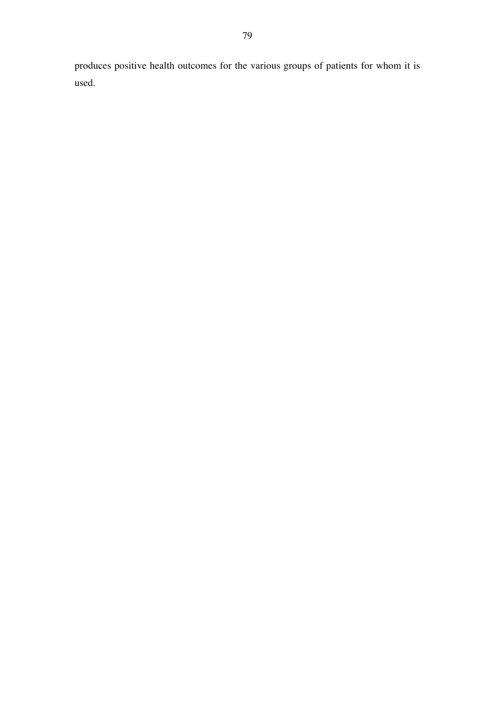produces positive health outcomes for the various groups of patients for whom it is used.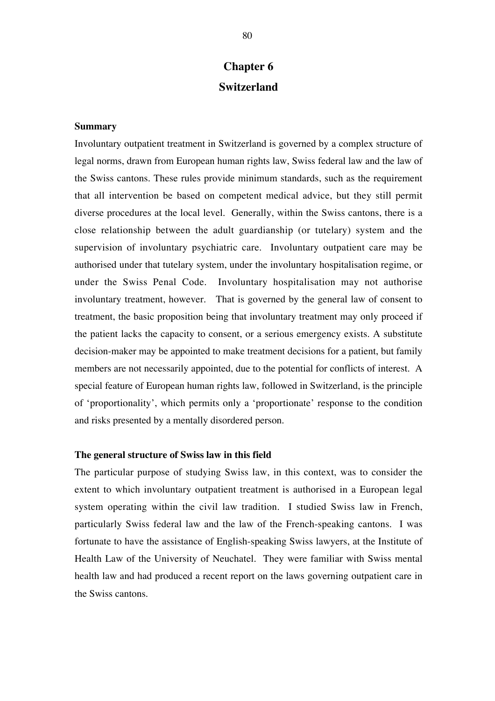# **Chapter 6 Switzerland**

# **Summary**

Involuntary outpatient treatment in Switzerland is governed by a complex structure of legal norms, drawn from European human rights law, Swiss federal law and the law of the Swiss cantons. These rules provide minimum standards, such as the requirement that all intervention be based on competent medical advice, but they still permit diverse procedures at the local level. Generally, within the Swiss cantons, there is a close relationship between the adult guardianship (or tutelary) system and the supervision of involuntary psychiatric care. Involuntary outpatient care may be authorised under that tutelary system, under the involuntary hospitalisation regime, or under the Swiss Penal Code. Involuntary hospitalisation may not authorise involuntary treatment, however. That is governed by the general law of consent to treatment, the basic proposition being that involuntary treatment may only proceed if the patient lacks the capacity to consent, or a serious emergency exists. A substitute decision-maker may be appointed to make treatment decisions for a patient, but family members are not necessarily appointed, due to the potential for conflicts of interest. A special feature of European human rights law, followed in Switzerland, is the principle of 'proportionality', which permits only a 'proportionate' response to the condition and risks presented by a mentally disordered person.

## **The general structure of Swiss law in this field**

The particular purpose of studying Swiss law, in this context, was to consider the extent to which involuntary outpatient treatment is authorised in a European legal system operating within the civil law tradition. I studied Swiss law in French, particularly Swiss federal law and the law of the French-speaking cantons. I was fortunate to have the assistance of English-speaking Swiss lawyers, at the Institute of Health Law of the University of Neuchatel. They were familiar with Swiss mental health law and had produced a recent report on the laws governing outpatient care in the Swiss cantons.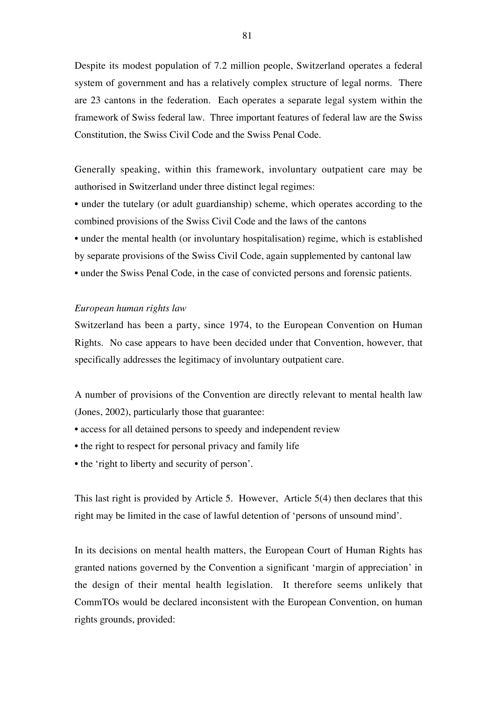Despite its modest population of 7.2 million people, Switzerland operates a federal system of government and has a relatively complex structure of legal norms. There are 23 cantons in the federation. Each operates a separate legal system within the framework of Swiss federal law. Three important features of federal law are the Swiss Constitution, the Swiss Civil Code and the Swiss Penal Code.

Generally speaking, within this framework, involuntary outpatient care may be authorised in Switzerland under three distinct legal regimes:

- under the tutelary (or adult guardianship) scheme, which operates according to the combined provisions of the Swiss Civil Code and the laws of the cantons
- under the mental health (or involuntary hospitalisation) regime, which is established
- by separate provisions of the Swiss Civil Code, again supplemented by cantonal law
- under the Swiss Penal Code, in the case of convicted persons and forensic patients.

## *European human rights law*

Switzerland has been a party, since 1974, to the European Convention on Human Rights. No case appears to have been decided under that Convention, however, that specifically addresses the legitimacy of involuntary outpatient care.

A number of provisions of the Convention are directly relevant to mental health law (Jones, 2002), particularly those that guarantee:

- access for all detained persons to speedy and independent review
- the right to respect for personal privacy and family life
- the 'right to liberty and security of person'.

This last right is provided by Article 5. However, Article 5(4) then declares that this right may be limited in the case of lawful detention of 'persons of unsound mind'.

In its decisions on mental health matters, the European Court of Human Rights has granted nations governed by the Convention a significant 'margin of appreciation' in the design of their mental health legislation. It therefore seems unlikely that CommTOs would be declared inconsistent with the European Convention, on human rights grounds, provided: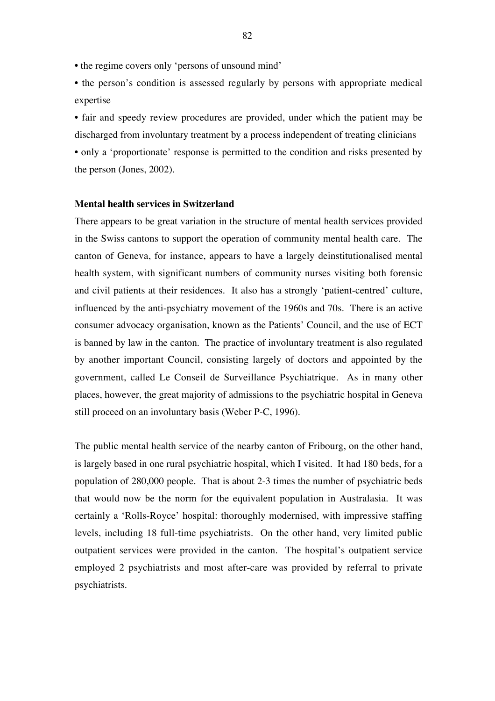• the regime covers only 'persons of unsound mind'

• the person's condition is assessed regularly by persons with appropriate medical expertise

• fair and speedy review procedures are provided, under which the patient may be discharged from involuntary treatment by a process independent of treating clinicians • only a 'proportionate' response is permitted to the condition and risks presented by the person (Jones, 2002).

## **Mental health services in Switzerland**

There appears to be great variation in the structure of mental health services provided in the Swiss cantons to support the operation of community mental health care. The canton of Geneva, for instance, appears to have a largely deinstitutionalised mental health system, with significant numbers of community nurses visiting both forensic and civil patients at their residences. It also has a strongly 'patient-centred' culture, influenced by the anti-psychiatry movement of the 1960s and 70s. There is an active consumer advocacy organisation, known as the Patients' Council, and the use of ECT is banned by law in the canton. The practice of involuntary treatment is also regulated by another important Council, consisting largely of doctors and appointed by the government, called Le Conseil de Surveillance Psychiatrique. As in many other places, however, the great majority of admissions to the psychiatric hospital in Geneva still proceed on an involuntary basis (Weber P-C, 1996).

The public mental health service of the nearby canton of Fribourg, on the other hand, is largely based in one rural psychiatric hospital, which I visited. It had 180 beds, for a population of 280,000 people. That is about 2-3 times the number of psychiatric beds that would now be the norm for the equivalent population in Australasia. It was certainly a 'Rolls-Royce' hospital: thoroughly modernised, with impressive staffing levels, including 18 full-time psychiatrists. On the other hand, very limited public outpatient services were provided in the canton. The hospital's outpatient service employed 2 psychiatrists and most after-care was provided by referral to private psychiatrists.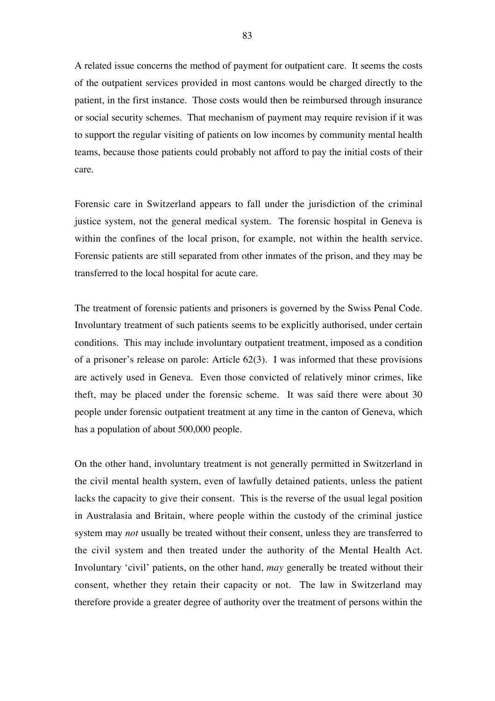A related issue concerns the method of payment for outpatient care. It seems the costs of the outpatient services provided in most cantons would be charged directly to the patient, in the first instance. Those costs would then be reimbursed through insurance or social security schemes. That mechanism of payment may require revision if it was to support the regular visiting of patients on low incomes by community mental health teams, because those patients could probably not afford to pay the initial costs of their care.

Forensic care in Switzerland appears to fall under the jurisdiction of the criminal justice system, not the general medical system. The forensic hospital in Geneva is within the confines of the local prison, for example, not within the health service. Forensic patients are still separated from other inmates of the prison, and they may be transferred to the local hospital for acute care.

The treatment of forensic patients and prisoners is governed by the Swiss Penal Code. Involuntary treatment of such patients seems to be explicitly authorised, under certain conditions. This may include involuntary outpatient treatment, imposed as a condition of a prisoner's release on parole: Article 62(3). I was informed that these provisions are actively used in Geneva. Even those convicted of relatively minor crimes, like theft, may be placed under the forensic scheme. It was said there were about 30 people under forensic outpatient treatment at any time in the canton of Geneva, which has a population of about 500,000 people.

On the other hand, involuntary treatment is not generally permitted in Switzerland in the civil mental health system, even of lawfully detained patients, unless the patient lacks the capacity to give their consent. This is the reverse of the usual legal position in Australasia and Britain, where people within the custody of the criminal justice system may *not* usually be treated without their consent, unless they are transferred to the civil system and then treated under the authority of the Mental Health Act. Involuntary 'civil' patients, on the other hand, *may* generally be treated without their consent, whether they retain their capacity or not. The law in Switzerland may therefore provide a greater degree of authority over the treatment of persons within the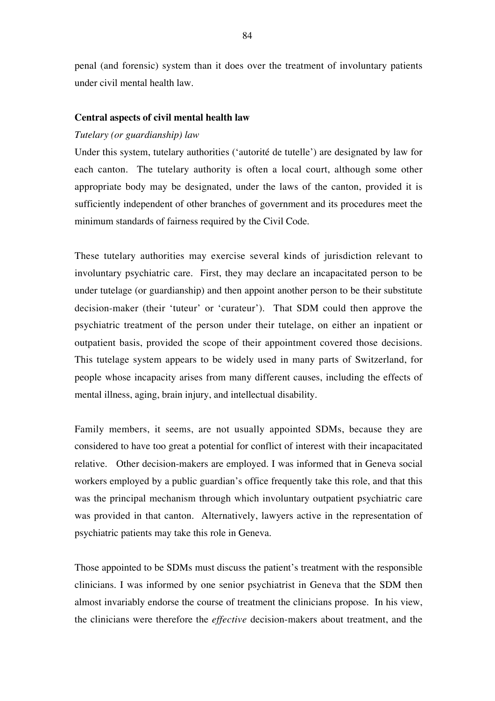penal (and forensic) system than it does over the treatment of involuntary patients under civil mental health law.

# **Central aspects of civil mental health law**

# *Tutelary (or guardianship) law*

Under this system, tutelary authorities ('autorité de tutelle') are designated by law for each canton. The tutelary authority is often a local court, although some other appropriate body may be designated, under the laws of the canton, provided it is sufficiently independent of other branches of government and its procedures meet the minimum standards of fairness required by the Civil Code.

These tutelary authorities may exercise several kinds of jurisdiction relevant to involuntary psychiatric care. First, they may declare an incapacitated person to be under tutelage (or guardianship) and then appoint another person to be their substitute decision-maker (their 'tuteur' or 'curateur'). That SDM could then approve the psychiatric treatment of the person under their tutelage, on either an inpatient or outpatient basis, provided the scope of their appointment covered those decisions. This tutelage system appears to be widely used in many parts of Switzerland, for people whose incapacity arises from many different causes, including the effects of mental illness, aging, brain injury, and intellectual disability.

Family members, it seems, are not usually appointed SDMs, because they are considered to have too great a potential for conflict of interest with their incapacitated relative. Other decision-makers are employed. I was informed that in Geneva social workers employed by a public guardian's office frequently take this role, and that this was the principal mechanism through which involuntary outpatient psychiatric care was provided in that canton. Alternatively, lawyers active in the representation of psychiatric patients may take this role in Geneva.

Those appointed to be SDMs must discuss the patient's treatment with the responsible clinicians. I was informed by one senior psychiatrist in Geneva that the SDM then almost invariably endorse the course of treatment the clinicians propose. In his view, the clinicians were therefore the *effective* decision-makers about treatment, and the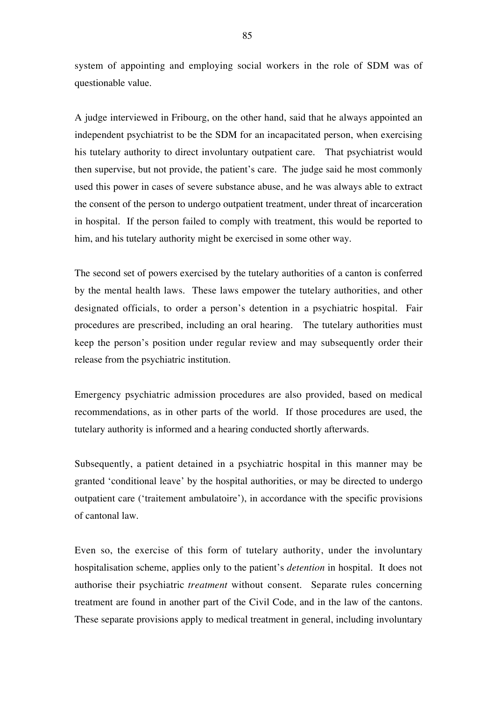system of appointing and employing social workers in the role of SDM was of questionable value.

A judge interviewed in Fribourg, on the other hand, said that he always appointed an independent psychiatrist to be the SDM for an incapacitated person, when exercising his tutelary authority to direct involuntary outpatient care. That psychiatrist would then supervise, but not provide, the patient's care. The judge said he most commonly used this power in cases of severe substance abuse, and he was always able to extract the consent of the person to undergo outpatient treatment, under threat of incarceration in hospital. If the person failed to comply with treatment, this would be reported to him, and his tutelary authority might be exercised in some other way.

The second set of powers exercised by the tutelary authorities of a canton is conferred by the mental health laws. These laws empower the tutelary authorities, and other designated officials, to order a person's detention in a psychiatric hospital. Fair procedures are prescribed, including an oral hearing. The tutelary authorities must keep the person's position under regular review and may subsequently order their release from the psychiatric institution.

Emergency psychiatric admission procedures are also provided, based on medical recommendations, as in other parts of the world. If those procedures are used, the tutelary authority is informed and a hearing conducted shortly afterwards.

Subsequently, a patient detained in a psychiatric hospital in this manner may be granted 'conditional leave' by the hospital authorities, or may be directed to undergo outpatient care ('traitement ambulatoire'), in accordance with the specific provisions of cantonal law.

Even so, the exercise of this form of tutelary authority, under the involuntary hospitalisation scheme, applies only to the patient's *detention* in hospital. It does not authorise their psychiatric *treatment* without consent. Separate rules concerning treatment are found in another part of the Civil Code, and in the law of the cantons. These separate provisions apply to medical treatment in general, including involuntary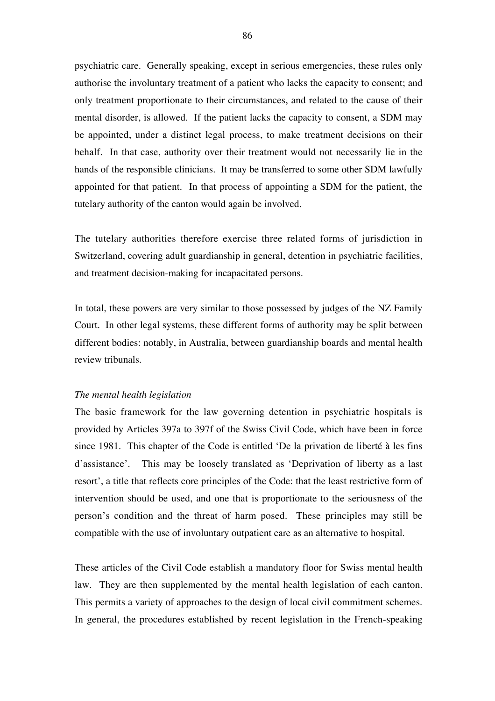psychiatric care. Generally speaking, except in serious emergencies, these rules only authorise the involuntary treatment of a patient who lacks the capacity to consent; and only treatment proportionate to their circumstances, and related to the cause of their mental disorder, is allowed. If the patient lacks the capacity to consent, a SDM may be appointed, under a distinct legal process, to make treatment decisions on their behalf. In that case, authority over their treatment would not necessarily lie in the hands of the responsible clinicians. It may be transferred to some other SDM lawfully appointed for that patient. In that process of appointing a SDM for the patient, the tutelary authority of the canton would again be involved.

The tutelary authorities therefore exercise three related forms of jurisdiction in Switzerland, covering adult guardianship in general, detention in psychiatric facilities, and treatment decision-making for incapacitated persons.

In total, these powers are very similar to those possessed by judges of the NZ Family Court. In other legal systems, these different forms of authority may be split between different bodies: notably, in Australia, between guardianship boards and mental health review tribunals.

#### *The mental health legislation*

The basic framework for the law governing detention in psychiatric hospitals is provided by Articles 397a to 397f of the Swiss Civil Code, which have been in force since 1981. This chapter of the Code is entitled 'De la privation de liberté à les fins d'assistance'. This may be loosely translated as 'Deprivation of liberty as a last resort', a title that reflects core principles of the Code: that the least restrictive form of intervention should be used, and one that is proportionate to the seriousness of the person's condition and the threat of harm posed. These principles may still be compatible with the use of involuntary outpatient care as an alternative to hospital.

These articles of the Civil Code establish a mandatory floor for Swiss mental health law. They are then supplemented by the mental health legislation of each canton. This permits a variety of approaches to the design of local civil commitment schemes. In general, the procedures established by recent legislation in the French-speaking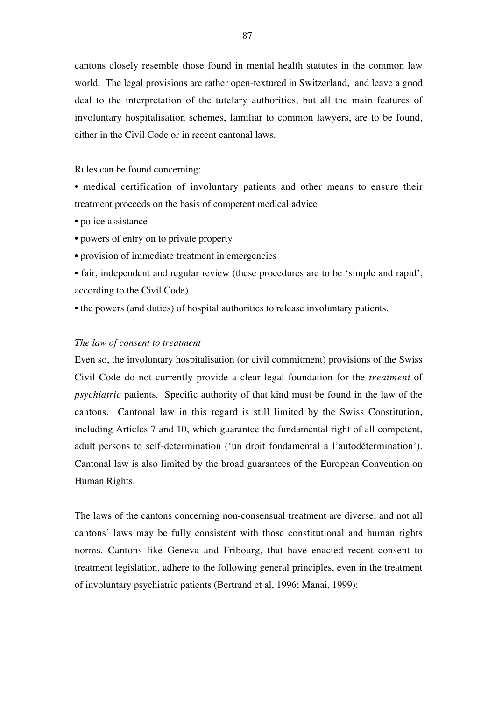cantons closely resemble those found in mental health statutes in the common law world. The legal provisions are rather open-textured in Switzerland, and leave a good deal to the interpretation of the tutelary authorities, but all the main features of involuntary hospitalisation schemes, familiar to common lawyers, are to be found, either in the Civil Code or in recent cantonal laws.

Rules can be found concerning:

• medical certification of involuntary patients and other means to ensure their treatment proceeds on the basis of competent medical advice

- police assistance
- powers of entry on to private property
- provision of immediate treatment in emergencies
- fair, independent and regular review (these procedures are to be 'simple and rapid', according to the Civil Code)
- the powers (and duties) of hospital authorities to release involuntary patients.

# *The law of consent to treatment*

Even so, the involuntary hospitalisation (or civil commitment) provisions of the Swiss Civil Code do not currently provide a clear legal foundation for the *treatment* of *psychiatric* patients. Specific authority of that kind must be found in the law of the cantons. Cantonal law in this regard is still limited by the Swiss Constitution, including Articles 7 and 10, which guarantee the fundamental right of all competent, adult persons to self-determination ('un droit fondamental a l'autodétermination'). Cantonal law is also limited by the broad guarantees of the European Convention on Human Rights.

The laws of the cantons concerning non-consensual treatment are diverse, and not all cantons' laws may be fully consistent with those constitutional and human rights norms. Cantons like Geneva and Fribourg, that have enacted recent consent to treatment legislation, adhere to the following general principles, even in the treatment of involuntary psychiatric patients (Bertrand et al, 1996; Manai, 1999):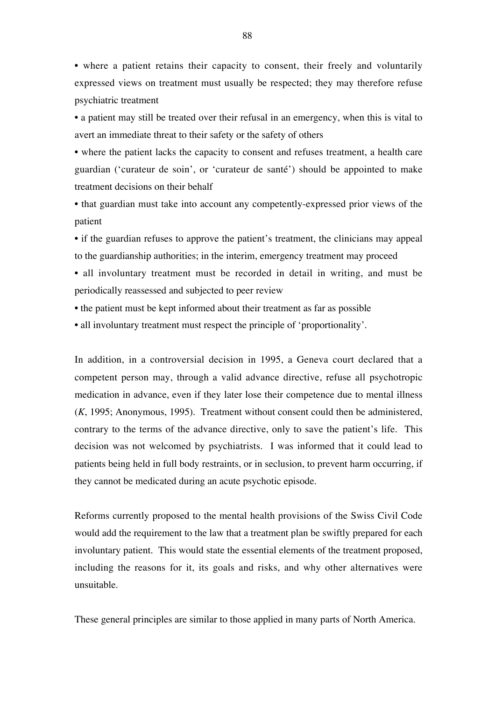• where a patient retains their capacity to consent, their freely and voluntarily expressed views on treatment must usually be respected; they may therefore refuse psychiatric treatment

• a patient may still be treated over their refusal in an emergency, when this is vital to avert an immediate threat to their safety or the safety of others

• where the patient lacks the capacity to consent and refuses treatment, a health care guardian ('curateur de soin', or 'curateur de santé') should be appointed to make treatment decisions on their behalf

• that guardian must take into account any competently-expressed prior views of the patient

• if the guardian refuses to approve the patient's treatment, the clinicians may appeal to the guardianship authorities; in the interim, emergency treatment may proceed

• all involuntary treatment must be recorded in detail in writing, and must be periodically reassessed and subjected to peer review

- the patient must be kept informed about their treatment as far as possible
- all involuntary treatment must respect the principle of 'proportionality'.

In addition, in a controversial decision in 1995, a Geneva court declared that a competent person may, through a valid advance directive, refuse all psychotropic medication in advance, even if they later lose their competence due to mental illness (*K*, 1995; Anonymous, 1995). Treatment without consent could then be administered, contrary to the terms of the advance directive, only to save the patient's life. This decision was not welcomed by psychiatrists. I was informed that it could lead to patients being held in full body restraints, or in seclusion, to prevent harm occurring, if they cannot be medicated during an acute psychotic episode.

Reforms currently proposed to the mental health provisions of the Swiss Civil Code would add the requirement to the law that a treatment plan be swiftly prepared for each involuntary patient. This would state the essential elements of the treatment proposed, including the reasons for it, its goals and risks, and why other alternatives were unsuitable.

These general principles are similar to those applied in many parts of North America.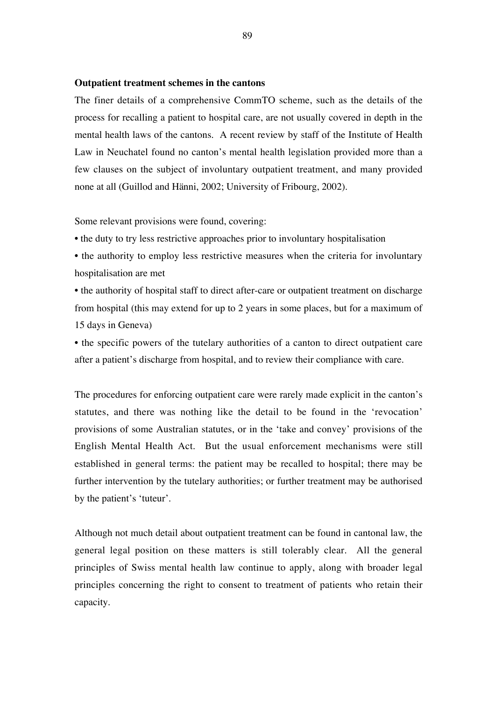#### **Outpatient treatment schemes in the cantons**

The finer details of a comprehensive CommTO scheme, such as the details of the process for recalling a patient to hospital care, are not usually covered in depth in the mental health laws of the cantons. A recent review by staff of the Institute of Health Law in Neuchatel found no canton's mental health legislation provided more than a few clauses on the subject of involuntary outpatient treatment, and many provided none at all (Guillod and Hänni, 2002; University of Fribourg, 2002).

Some relevant provisions were found, covering:

• the duty to try less restrictive approaches prior to involuntary hospitalisation

• the authority to employ less restrictive measures when the criteria for involuntary hospitalisation are met

• the authority of hospital staff to direct after-care or outpatient treatment on discharge from hospital (this may extend for up to 2 years in some places, but for a maximum of 15 days in Geneva)

• the specific powers of the tutelary authorities of a canton to direct outpatient care after a patient's discharge from hospital, and to review their compliance with care.

The procedures for enforcing outpatient care were rarely made explicit in the canton's statutes, and there was nothing like the detail to be found in the 'revocation' provisions of some Australian statutes, or in the 'take and convey' provisions of the English Mental Health Act. But the usual enforcement mechanisms were still established in general terms: the patient may be recalled to hospital; there may be further intervention by the tutelary authorities; or further treatment may be authorised by the patient's 'tuteur'.

Although not much detail about outpatient treatment can be found in cantonal law, the general legal position on these matters is still tolerably clear. All the general principles of Swiss mental health law continue to apply, along with broader legal principles concerning the right to consent to treatment of patients who retain their capacity.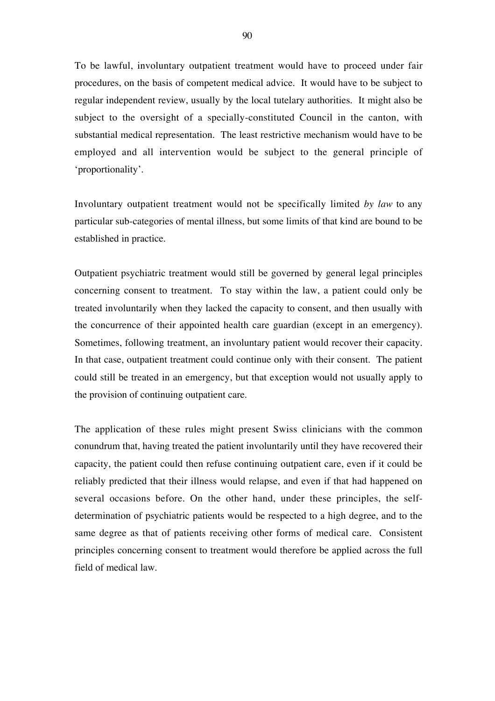To be lawful, involuntary outpatient treatment would have to proceed under fair procedures, on the basis of competent medical advice. It would have to be subject to regular independent review, usually by the local tutelary authorities. It might also be subject to the oversight of a specially-constituted Council in the canton, with substantial medical representation. The least restrictive mechanism would have to be employed and all intervention would be subject to the general principle of 'proportionality'.

Involuntary outpatient treatment would not be specifically limited *by law* to any particular sub-categories of mental illness, but some limits of that kind are bound to be established in practice.

Outpatient psychiatric treatment would still be governed by general legal principles concerning consent to treatment. To stay within the law, a patient could only be treated involuntarily when they lacked the capacity to consent, and then usually with the concurrence of their appointed health care guardian (except in an emergency). Sometimes, following treatment, an involuntary patient would recover their capacity. In that case, outpatient treatment could continue only with their consent. The patient could still be treated in an emergency, but that exception would not usually apply to the provision of continuing outpatient care.

The application of these rules might present Swiss clinicians with the common conundrum that, having treated the patient involuntarily until they have recovered their capacity, the patient could then refuse continuing outpatient care, even if it could be reliably predicted that their illness would relapse, and even if that had happened on several occasions before. On the other hand, under these principles, the selfdetermination of psychiatric patients would be respected to a high degree, and to the same degree as that of patients receiving other forms of medical care. Consistent principles concerning consent to treatment would therefore be applied across the full field of medical law.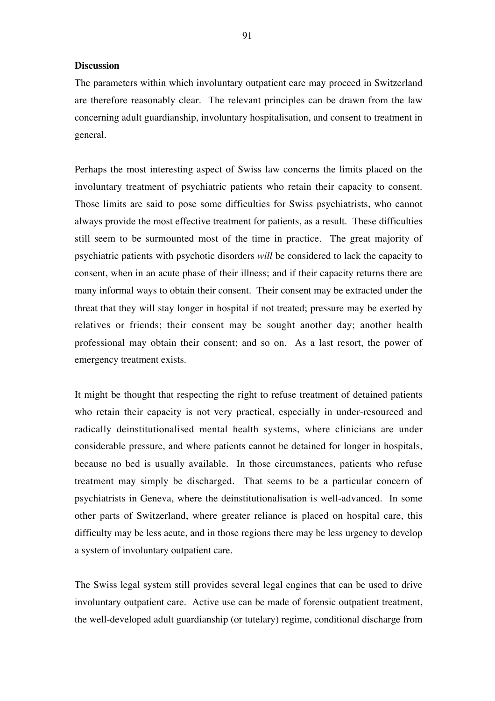## **Discussion**

The parameters within which involuntary outpatient care may proceed in Switzerland are therefore reasonably clear. The relevant principles can be drawn from the law concerning adult guardianship, involuntary hospitalisation, and consent to treatment in general.

Perhaps the most interesting aspect of Swiss law concerns the limits placed on the involuntary treatment of psychiatric patients who retain their capacity to consent. Those limits are said to pose some difficulties for Swiss psychiatrists, who cannot always provide the most effective treatment for patients, as a result. These difficulties still seem to be surmounted most of the time in practice. The great majority of psychiatric patients with psychotic disorders *will* be considered to lack the capacity to consent, when in an acute phase of their illness; and if their capacity returns there are many informal ways to obtain their consent. Their consent may be extracted under the threat that they will stay longer in hospital if not treated; pressure may be exerted by relatives or friends; their consent may be sought another day; another health professional may obtain their consent; and so on. As a last resort, the power of emergency treatment exists.

It might be thought that respecting the right to refuse treatment of detained patients who retain their capacity is not very practical, especially in under-resourced and radically deinstitutionalised mental health systems, where clinicians are under considerable pressure, and where patients cannot be detained for longer in hospitals, because no bed is usually available. In those circumstances, patients who refuse treatment may simply be discharged. That seems to be a particular concern of psychiatrists in Geneva, where the deinstitutionalisation is well-advanced. In some other parts of Switzerland, where greater reliance is placed on hospital care, this difficulty may be less acute, and in those regions there may be less urgency to develop a system of involuntary outpatient care.

The Swiss legal system still provides several legal engines that can be used to drive involuntary outpatient care. Active use can be made of forensic outpatient treatment, the well-developed adult guardianship (or tutelary) regime, conditional discharge from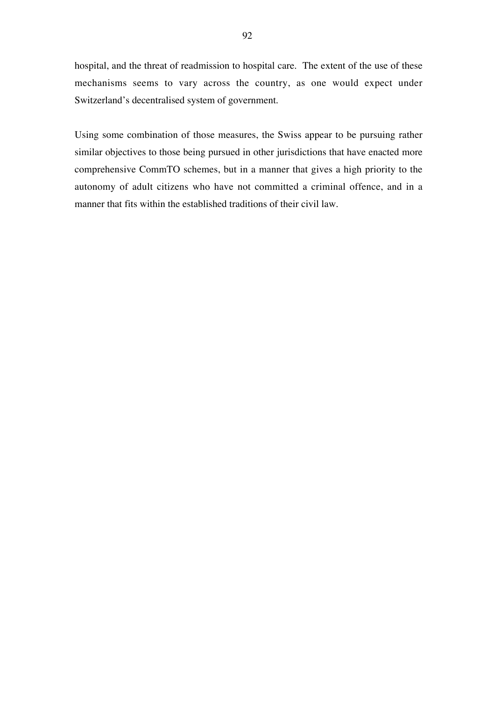hospital, and the threat of readmission to hospital care. The extent of the use of these mechanisms seems to vary across the country, as one would expect under Switzerland's decentralised system of government.

Using some combination of those measures, the Swiss appear to be pursuing rather similar objectives to those being pursued in other jurisdictions that have enacted more comprehensive CommTO schemes, but in a manner that gives a high priority to the autonomy of adult citizens who have not committed a criminal offence, and in a manner that fits within the established traditions of their civil law.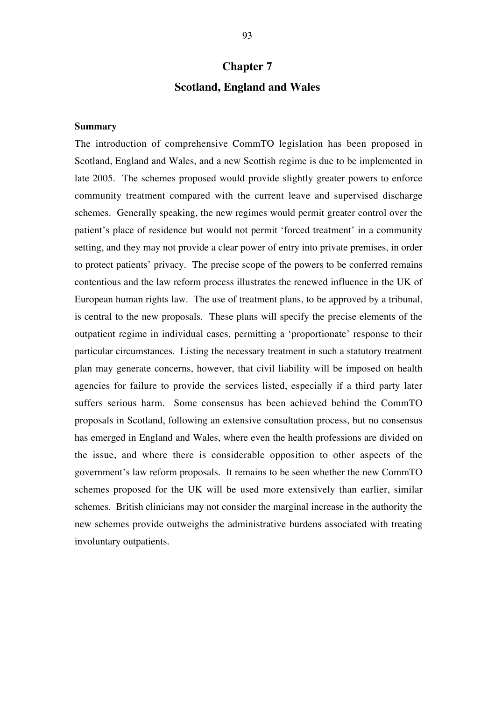# **Chapter 7 Scotland, England and Wales**

# **Summary**

The introduction of comprehensive CommTO legislation has been proposed in Scotland, England and Wales, and a new Scottish regime is due to be implemented in late 2005. The schemes proposed would provide slightly greater powers to enforce community treatment compared with the current leave and supervised discharge schemes. Generally speaking, the new regimes would permit greater control over the patient's place of residence but would not permit 'forced treatment' in a community setting, and they may not provide a clear power of entry into private premises, in order to protect patients' privacy. The precise scope of the powers to be conferred remains contentious and the law reform process illustrates the renewed influence in the UK of European human rights law. The use of treatment plans, to be approved by a tribunal, is central to the new proposals. These plans will specify the precise elements of the outpatient regime in individual cases, permitting a 'proportionate' response to their particular circumstances. Listing the necessary treatment in such a statutory treatment plan may generate concerns, however, that civil liability will be imposed on health agencies for failure to provide the services listed, especially if a third party later suffers serious harm. Some consensus has been achieved behind the CommTO proposals in Scotland, following an extensive consultation process, but no consensus has emerged in England and Wales, where even the health professions are divided on the issue, and where there is considerable opposition to other aspects of the government's law reform proposals. It remains to be seen whether the new CommTO schemes proposed for the UK will be used more extensively than earlier, similar schemes. British clinicians may not consider the marginal increase in the authority the new schemes provide outweighs the administrative burdens associated with treating involuntary outpatients.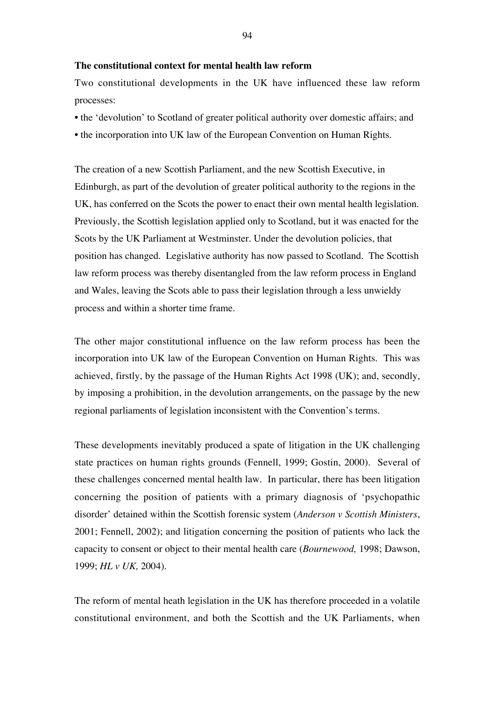## **The constitutional context for mental health law reform**

Two constitutional developments in the UK have influenced these law reform processes:

- the 'devolution' to Scotland of greater political authority over domestic affairs; and
- the incorporation into UK law of the European Convention on Human Rights.

The creation of a new Scottish Parliament, and the new Scottish Executive, in Edinburgh, as part of the devolution of greater political authority to the regions in the UK, has conferred on the Scots the power to enact their own mental health legislation. Previously, the Scottish legislation applied only to Scotland, but it was enacted for the Scots by the UK Parliament at Westminster. Under the devolution policies, that position has changed. Legislative authority has now passed to Scotland. The Scottish law reform process was thereby disentangled from the law reform process in England and Wales, leaving the Scots able to pass their legislation through a less unwieldy process and within a shorter time frame.

The other major constitutional influence on the law reform process has been the incorporation into UK law of the European Convention on Human Rights. This was achieved, firstly, by the passage of the Human Rights Act 1998 (UK); and, secondly, by imposing a prohibition, in the devolution arrangements, on the passage by the new regional parliaments of legislation inconsistent with the Convention's terms.

These developments inevitably produced a spate of litigation in the UK challenging state practices on human rights grounds (Fennell, 1999; Gostin, 2000). Several of these challenges concerned mental health law. In particular, there has been litigation concerning the position of patients with a primary diagnosis of 'psychopathic disorder' detained within the Scottish forensic system (*Anderson v Scottish Ministers*, 2001; Fennell, 2002); and litigation concerning the position of patients who lack the capacity to consent or object to their mental health care (*Bournewood,* 1998; Dawson, 1999; *HL v UK,* 2004).

The reform of mental heath legislation in the UK has therefore proceeded in a volatile constitutional environment, and both the Scottish and the UK Parliaments, when

94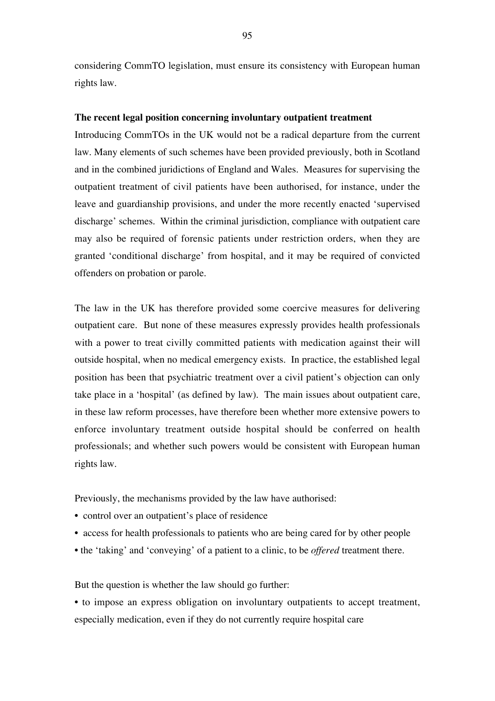considering CommTO legislation, must ensure its consistency with European human rights law.

# **The recent legal position concerning involuntary outpatient treatment**

Introducing CommTOs in the UK would not be a radical departure from the current law. Many elements of such schemes have been provided previously, both in Scotland and in the combined juridictions of England and Wales. Measures for supervising the outpatient treatment of civil patients have been authorised, for instance, under the leave and guardianship provisions, and under the more recently enacted 'supervised discharge' schemes. Within the criminal jurisdiction, compliance with outpatient care may also be required of forensic patients under restriction orders, when they are granted 'conditional discharge' from hospital, and it may be required of convicted offenders on probation or parole.

The law in the UK has therefore provided some coercive measures for delivering outpatient care. But none of these measures expressly provides health professionals with a power to treat civilly committed patients with medication against their will outside hospital, when no medical emergency exists. In practice, the established legal position has been that psychiatric treatment over a civil patient's objection can only take place in a 'hospital' (as defined by law). The main issues about outpatient care, in these law reform processes, have therefore been whether more extensive powers to enforce involuntary treatment outside hospital should be conferred on health professionals; and whether such powers would be consistent with European human rights law.

Previously, the mechanisms provided by the law have authorised:

- control over an outpatient's place of residence
- access for health professionals to patients who are being cared for by other people
- the 'taking' and 'conveying' of a patient to a clinic, to be *offered* treatment there.

But the question is whether the law should go further:

• to impose an express obligation on involuntary outpatients to accept treatment, especially medication, even if they do not currently require hospital care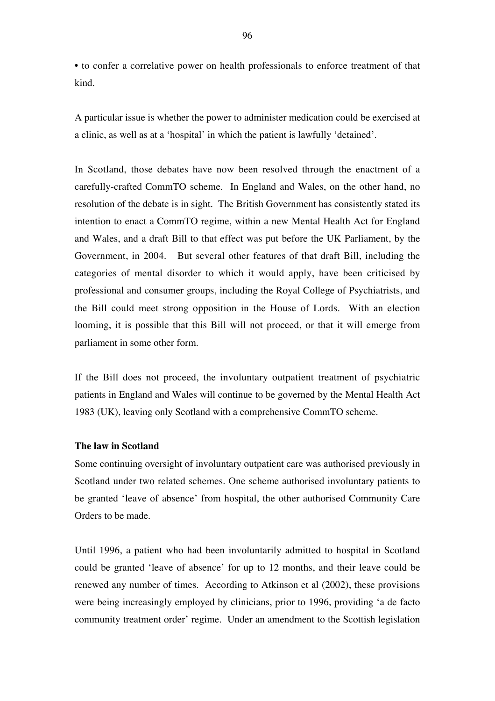• to confer a correlative power on health professionals to enforce treatment of that kind.

A particular issue is whether the power to administer medication could be exercised at a clinic, as well as at a 'hospital' in which the patient is lawfully 'detained'.

In Scotland, those debates have now been resolved through the enactment of a carefully-crafted CommTO scheme. In England and Wales, on the other hand, no resolution of the debate is in sight. The British Government has consistently stated its intention to enact a CommTO regime, within a new Mental Health Act for England and Wales, and a draft Bill to that effect was put before the UK Parliament, by the Government, in 2004. But several other features of that draft Bill, including the categories of mental disorder to which it would apply, have been criticised by professional and consumer groups, including the Royal College of Psychiatrists, and the Bill could meet strong opposition in the House of Lords. With an election looming, it is possible that this Bill will not proceed, or that it will emerge from parliament in some other form.

If the Bill does not proceed, the involuntary outpatient treatment of psychiatric patients in England and Wales will continue to be governed by the Mental Health Act 1983 (UK), leaving only Scotland with a comprehensive CommTO scheme.

# **The law in Scotland**

Some continuing oversight of involuntary outpatient care was authorised previously in Scotland under two related schemes. One scheme authorised involuntary patients to be granted 'leave of absence' from hospital, the other authorised Community Care Orders to be made.

Until 1996, a patient who had been involuntarily admitted to hospital in Scotland could be granted 'leave of absence' for up to 12 months, and their leave could be renewed any number of times. According to Atkinson et al (2002), these provisions were being increasingly employed by clinicians, prior to 1996, providing 'a de facto community treatment order' regime. Under an amendment to the Scottish legislation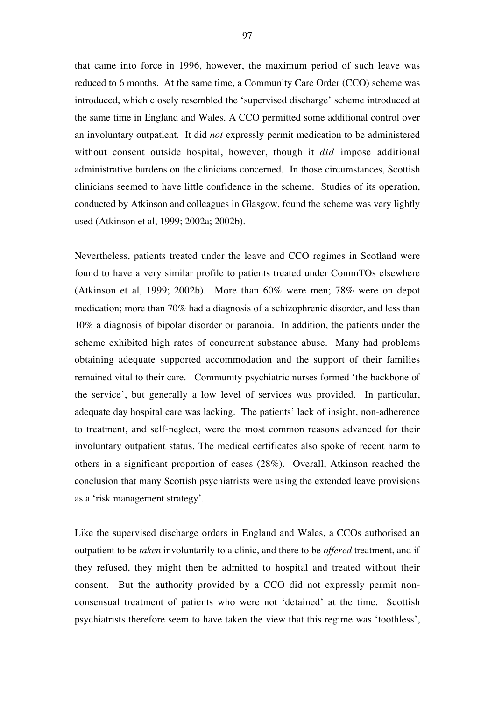that came into force in 1996, however, the maximum period of such leave was reduced to 6 months. At the same time, a Community Care Order (CCO) scheme was introduced, which closely resembled the 'supervised discharge' scheme introduced at the same time in England and Wales. A CCO permitted some additional control over an involuntary outpatient. It did *not* expressly permit medication to be administered without consent outside hospital, however, though it *did* impose additional administrative burdens on the clinicians concerned. In those circumstances, Scottish clinicians seemed to have little confidence in the scheme. Studies of its operation, conducted by Atkinson and colleagues in Glasgow, found the scheme was very lightly used (Atkinson et al, 1999; 2002a; 2002b).

Nevertheless, patients treated under the leave and CCO regimes in Scotland were found to have a very similar profile to patients treated under CommTOs elsewhere (Atkinson et al, 1999; 2002b). More than 60% were men; 78% were on depot medication; more than 70% had a diagnosis of a schizophrenic disorder, and less than 10% a diagnosis of bipolar disorder or paranoia. In addition, the patients under the scheme exhibited high rates of concurrent substance abuse. Many had problems obtaining adequate supported accommodation and the support of their families remained vital to their care. Community psychiatric nurses formed 'the backbone of the service', but generally a low level of services was provided. In particular, adequate day hospital care was lacking. The patients' lack of insight, non-adherence to treatment, and self-neglect, were the most common reasons advanced for their involuntary outpatient status. The medical certificates also spoke of recent harm to others in a significant proportion of cases (28%). Overall, Atkinson reached the conclusion that many Scottish psychiatrists were using the extended leave provisions as a 'risk management strategy'.

Like the supervised discharge orders in England and Wales, a CCOs authorised an outpatient to be *taken* involuntarily to a clinic, and there to be *offered* treatment, and if they refused, they might then be admitted to hospital and treated without their consent. But the authority provided by a CCO did not expressly permit nonconsensual treatment of patients who were not 'detained' at the time. Scottish psychiatrists therefore seem to have taken the view that this regime was 'toothless',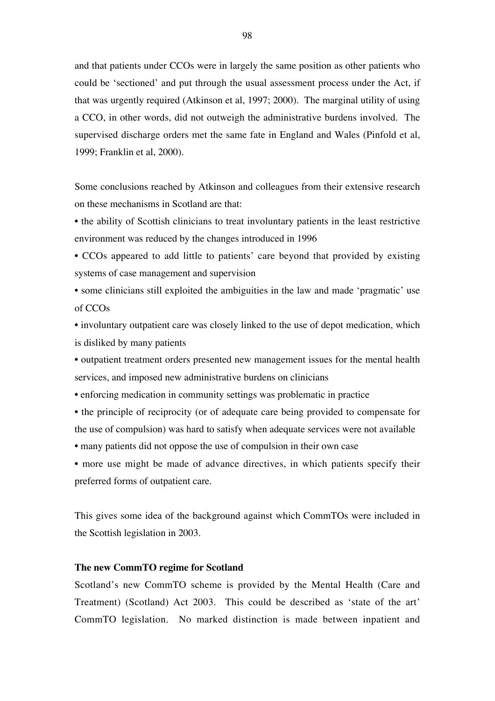and that patients under CCOs were in largely the same position as other patients who could be 'sectioned' and put through the usual assessment process under the Act, if that was urgently required (Atkinson et al, 1997; 2000). The marginal utility of using a CCO, in other words, did not outweigh the administrative burdens involved. The supervised discharge orders met the same fate in England and Wales (Pinfold et al, 1999; Franklin et al, 2000).

Some conclusions reached by Atkinson and colleagues from their extensive research on these mechanisms in Scotland are that:

• the ability of Scottish clinicians to treat involuntary patients in the least restrictive environment was reduced by the changes introduced in 1996

• CCOs appeared to add little to patients' care beyond that provided by existing systems of case management and supervision

• some clinicians still exploited the ambiguities in the law and made 'pragmatic' use of CCOs

• involuntary outpatient care was closely linked to the use of depot medication, which is disliked by many patients

• outpatient treatment orders presented new management issues for the mental health services, and imposed new administrative burdens on clinicians

• enforcing medication in community settings was problematic in practice

• the principle of reciprocity (or of adequate care being provided to compensate for the use of compulsion) was hard to satisfy when adequate services were not available

• many patients did not oppose the use of compulsion in their own case

• more use might be made of advance directives, in which patients specify their preferred forms of outpatient care.

This gives some idea of the background against which CommTOs were included in the Scottish legislation in 2003.

## **The new CommTO regime for Scotland**

Scotland's new CommTO scheme is provided by the Mental Health (Care and Treatment) (Scotland) Act 2003. This could be described as 'state of the art' CommTO legislation. No marked distinction is made between inpatient and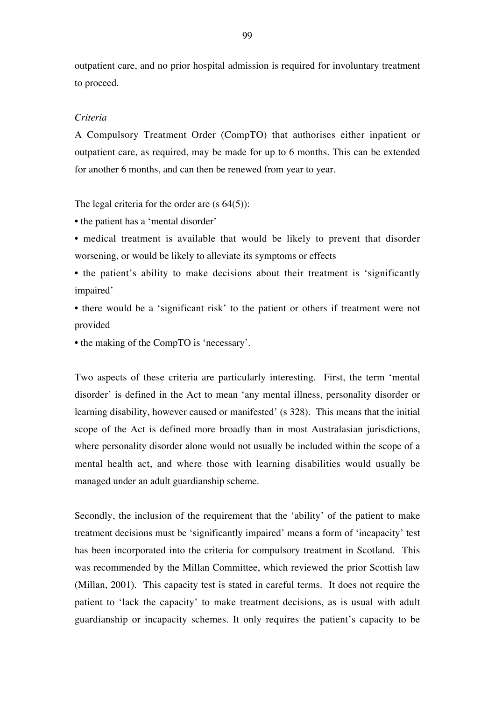outpatient care, and no prior hospital admission is required for involuntary treatment to proceed.

# *Criteria*

A Compulsory Treatment Order (CompTO) that authorises either inpatient or outpatient care, as required, may be made for up to 6 months. This can be extended for another 6 months, and can then be renewed from year to year.

The legal criteria for the order are  $(s 64(5))$ :

• the patient has a 'mental disorder'

• medical treatment is available that would be likely to prevent that disorder worsening, or would be likely to alleviate its symptoms or effects

• the patient's ability to make decisions about their treatment is 'significantly impaired'

• there would be a 'significant risk' to the patient or others if treatment were not provided

• the making of the CompTO is 'necessary'.

Two aspects of these criteria are particularly interesting. First, the term 'mental disorder' is defined in the Act to mean 'any mental illness, personality disorder or learning disability, however caused or manifested' (s 328). This means that the initial scope of the Act is defined more broadly than in most Australasian jurisdictions, where personality disorder alone would not usually be included within the scope of a mental health act, and where those with learning disabilities would usually be managed under an adult guardianship scheme.

Secondly, the inclusion of the requirement that the 'ability' of the patient to make treatment decisions must be 'significantly impaired' means a form of 'incapacity' test has been incorporated into the criteria for compulsory treatment in Scotland. This was recommended by the Millan Committee, which reviewed the prior Scottish law (Millan, 2001). This capacity test is stated in careful terms. It does not require the patient to 'lack the capacity' to make treatment decisions, as is usual with adult guardianship or incapacity schemes. It only requires the patient's capacity to be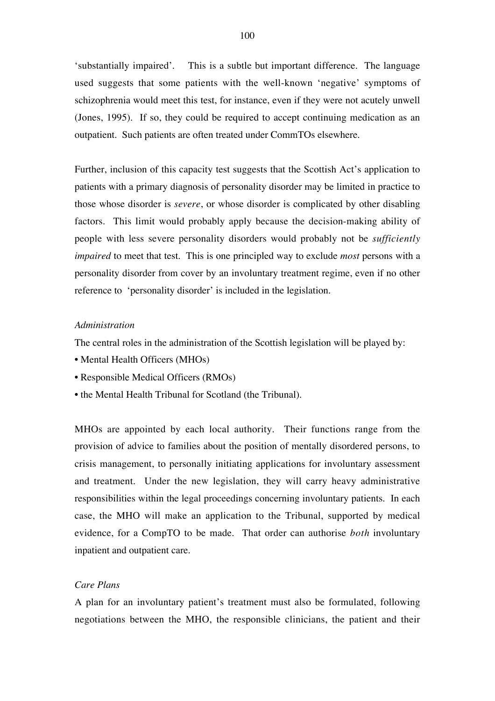'substantially impaired'. This is a subtle but important difference. The language used suggests that some patients with the well-known 'negative' symptoms of schizophrenia would meet this test, for instance, even if they were not acutely unwell (Jones, 1995). If so, they could be required to accept continuing medication as an outpatient. Such patients are often treated under CommTOs elsewhere.

Further, inclusion of this capacity test suggests that the Scottish Act's application to patients with a primary diagnosis of personality disorder may be limited in practice to those whose disorder is *severe*, or whose disorder is complicated by other disabling factors. This limit would probably apply because the decision-making ability of people with less severe personality disorders would probably not be *sufficiently impaired* to meet that test. This is one principled way to exclude *most* persons with a personality disorder from cover by an involuntary treatment regime, even if no other reference to 'personality disorder' is included in the legislation.

## *Administration*

The central roles in the administration of the Scottish legislation will be played by:

- Mental Health Officers (MHOs)
- Responsible Medical Officers (RMOs)
- the Mental Health Tribunal for Scotland (the Tribunal).

MHOs are appointed by each local authority. Their functions range from the provision of advice to families about the position of mentally disordered persons, to crisis management, to personally initiating applications for involuntary assessment and treatment. Under the new legislation, they will carry heavy administrative responsibilities within the legal proceedings concerning involuntary patients. In each case, the MHO will make an application to the Tribunal, supported by medical evidence, for a CompTO to be made. That order can authorise *both* involuntary inpatient and outpatient care.

## *Care Plans*

A plan for an involuntary patient's treatment must also be formulated, following negotiations between the MHO, the responsible clinicians, the patient and their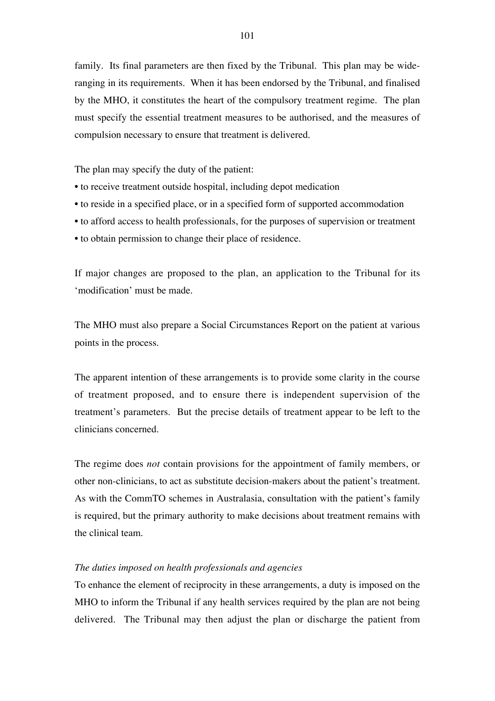family. Its final parameters are then fixed by the Tribunal. This plan may be wideranging in its requirements. When it has been endorsed by the Tribunal, and finalised by the MHO, it constitutes the heart of the compulsory treatment regime. The plan must specify the essential treatment measures to be authorised, and the measures of compulsion necessary to ensure that treatment is delivered.

The plan may specify the duty of the patient:

- to receive treatment outside hospital, including depot medication
- to reside in a specified place, or in a specified form of supported accommodation
- to afford access to health professionals, for the purposes of supervision or treatment
- to obtain permission to change their place of residence.

If major changes are proposed to the plan, an application to the Tribunal for its 'modification' must be made.

The MHO must also prepare a Social Circumstances Report on the patient at various points in the process.

The apparent intention of these arrangements is to provide some clarity in the course of treatment proposed, and to ensure there is independent supervision of the treatment's parameters. But the precise details of treatment appear to be left to the clinicians concerned.

The regime does *not* contain provisions for the appointment of family members, or other non-clinicians, to act as substitute decision-makers about the patient's treatment. As with the CommTO schemes in Australasia, consultation with the patient's family is required, but the primary authority to make decisions about treatment remains with the clinical team.

# *The duties imposed on health professionals and agencies*

To enhance the element of reciprocity in these arrangements, a duty is imposed on the MHO to inform the Tribunal if any health services required by the plan are not being delivered. The Tribunal may then adjust the plan or discharge the patient from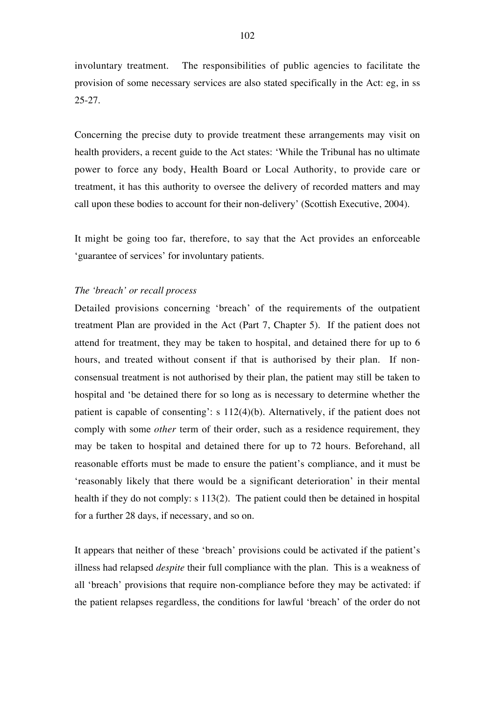involuntary treatment. The responsibilities of public agencies to facilitate the provision of some necessary services are also stated specifically in the Act: eg, in ss 25-27.

Concerning the precise duty to provide treatment these arrangements may visit on health providers, a recent guide to the Act states: 'While the Tribunal has no ultimate power to force any body, Health Board or Local Authority, to provide care or treatment, it has this authority to oversee the delivery of recorded matters and may call upon these bodies to account for their non-delivery' (Scottish Executive, 2004).

It might be going too far, therefore, to say that the Act provides an enforceable 'guarantee of services' for involuntary patients.

## *The 'breach' or recall process*

Detailed provisions concerning 'breach' of the requirements of the outpatient treatment Plan are provided in the Act (Part 7, Chapter 5). If the patient does not attend for treatment, they may be taken to hospital, and detained there for up to 6 hours, and treated without consent if that is authorised by their plan. If nonconsensual treatment is not authorised by their plan, the patient may still be taken to hospital and 'be detained there for so long as is necessary to determine whether the patient is capable of consenting': s 112(4)(b). Alternatively, if the patient does not comply with some *other* term of their order, such as a residence requirement, they may be taken to hospital and detained there for up to 72 hours. Beforehand, all reasonable efforts must be made to ensure the patient's compliance, and it must be 'reasonably likely that there would be a significant deterioration' in their mental health if they do not comply: s 113(2). The patient could then be detained in hospital for a further 28 days, if necessary, and so on.

It appears that neither of these 'breach' provisions could be activated if the patient's illness had relapsed *despite* their full compliance with the plan. This is a weakness of all 'breach' provisions that require non-compliance before they may be activated: if the patient relapses regardless, the conditions for lawful 'breach' of the order do not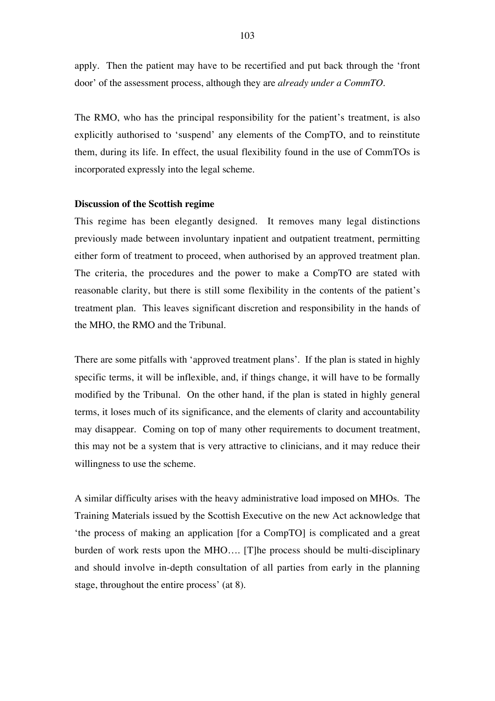apply. Then the patient may have to be recertified and put back through the 'front door' of the assessment process, although they are *already under a CommTO.*

The RMO, who has the principal responsibility for the patient's treatment, is also explicitly authorised to 'suspend' any elements of the CompTO, and to reinstitute them, during its life. In effect, the usual flexibility found in the use of CommTOs is incorporated expressly into the legal scheme.

## **Discussion of the Scottish regime**

This regime has been elegantly designed. It removes many legal distinctions previously made between involuntary inpatient and outpatient treatment, permitting either form of treatment to proceed, when authorised by an approved treatment plan. The criteria, the procedures and the power to make a CompTO are stated with reasonable clarity, but there is still some flexibility in the contents of the patient's treatment plan. This leaves significant discretion and responsibility in the hands of the MHO, the RMO and the Tribunal.

There are some pitfalls with 'approved treatment plans'. If the plan is stated in highly specific terms, it will be inflexible, and, if things change, it will have to be formally modified by the Tribunal. On the other hand, if the plan is stated in highly general terms, it loses much of its significance, and the elements of clarity and accountability may disappear. Coming on top of many other requirements to document treatment, this may not be a system that is very attractive to clinicians, and it may reduce their willingness to use the scheme.

A similar difficulty arises with the heavy administrative load imposed on MHOs. The Training Materials issued by the Scottish Executive on the new Act acknowledge that 'the process of making an application [for a CompTO] is complicated and a great burden of work rests upon the MHO…. [T]he process should be multi-disciplinary and should involve in-depth consultation of all parties from early in the planning stage, throughout the entire process' (at 8).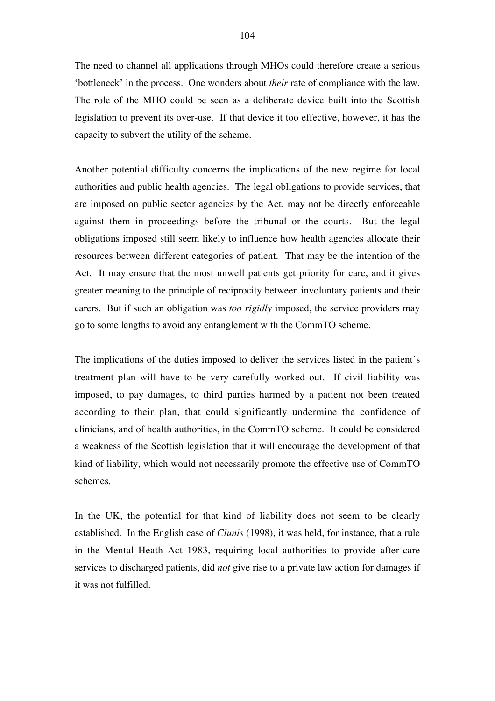The need to channel all applications through MHOs could therefore create a serious 'bottleneck' in the process. One wonders about *their* rate of compliance with the law. The role of the MHO could be seen as a deliberate device built into the Scottish legislation to prevent its over-use. If that device it too effective, however, it has the capacity to subvert the utility of the scheme.

Another potential difficulty concerns the implications of the new regime for local authorities and public health agencies. The legal obligations to provide services, that are imposed on public sector agencies by the Act, may not be directly enforceable against them in proceedings before the tribunal or the courts. But the legal obligations imposed still seem likely to influence how health agencies allocate their resources between different categories of patient. That may be the intention of the Act. It may ensure that the most unwell patients get priority for care, and it gives greater meaning to the principle of reciprocity between involuntary patients and their carers. But if such an obligation was *too rigidly* imposed, the service providers may go to some lengths to avoid any entanglement with the CommTO scheme.

The implications of the duties imposed to deliver the services listed in the patient's treatment plan will have to be very carefully worked out. If civil liability was imposed, to pay damages, to third parties harmed by a patient not been treated according to their plan, that could significantly undermine the confidence of clinicians, and of health authorities, in the CommTO scheme. It could be considered a weakness of the Scottish legislation that it will encourage the development of that kind of liability, which would not necessarily promote the effective use of CommTO schemes.

In the UK, the potential for that kind of liability does not seem to be clearly established. In the English case of *Clunis* (1998), it was held, for instance, that a rule in the Mental Heath Act 1983, requiring local authorities to provide after-care services to discharged patients, did *not* give rise to a private law action for damages if it was not fulfilled.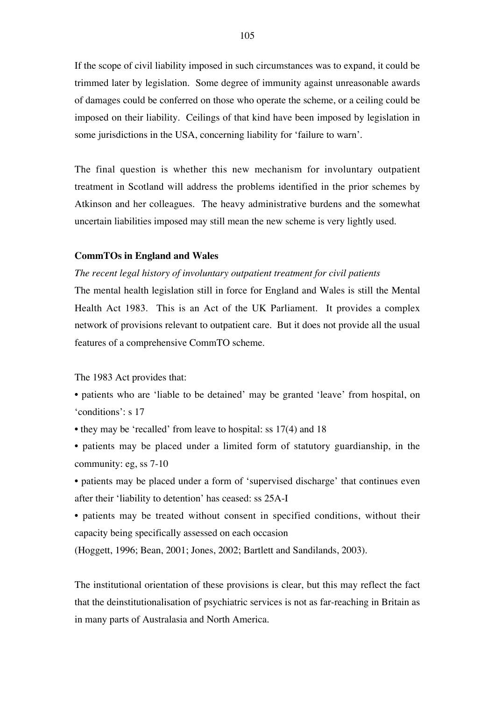If the scope of civil liability imposed in such circumstances was to expand, it could be trimmed later by legislation. Some degree of immunity against unreasonable awards of damages could be conferred on those who operate the scheme, or a ceiling could be imposed on their liability. Ceilings of that kind have been imposed by legislation in some jurisdictions in the USA, concerning liability for 'failure to warn'.

The final question is whether this new mechanism for involuntary outpatient treatment in Scotland will address the problems identified in the prior schemes by Atkinson and her colleagues. The heavy administrative burdens and the somewhat uncertain liabilities imposed may still mean the new scheme is very lightly used.

## **CommTOs in England and Wales**

## *The recent legal history of involuntary outpatient treatment for civil patients*

The mental health legislation still in force for England and Wales is still the Mental Health Act 1983. This is an Act of the UK Parliament. It provides a complex network of provisions relevant to outpatient care. But it does not provide all the usual features of a comprehensive CommTO scheme.

The 1983 Act provides that:

- patients who are 'liable to be detained' may be granted 'leave' from hospital, on 'conditions': s 17
- they may be 'recalled' from leave to hospital: ss 17(4) and 18
- patients may be placed under a limited form of statutory guardianship, in the community: eg, ss 7-10
- patients may be placed under a form of 'supervised discharge' that continues even after their 'liability to detention' has ceased: ss 25A-I
- patients may be treated without consent in specified conditions, without their capacity being specifically assessed on each occasion
- (Hoggett, 1996; Bean, 2001; Jones, 2002; Bartlett and Sandilands, 2003).

The institutional orientation of these provisions is clear, but this may reflect the fact that the deinstitutionalisation of psychiatric services is not as far-reaching in Britain as in many parts of Australasia and North America.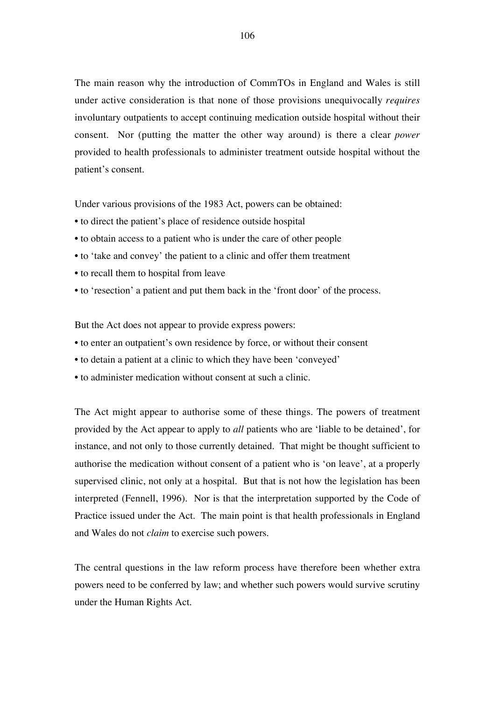The main reason why the introduction of CommTOs in England and Wales is still under active consideration is that none of those provisions unequivocally *requires* involuntary outpatients to accept continuing medication outside hospital without their consent. Nor (putting the matter the other way around) is there a clear *power* provided to health professionals to administer treatment outside hospital without the patient's consent.

Under various provisions of the 1983 Act, powers can be obtained:

- to direct the patient's place of residence outside hospital
- to obtain access to a patient who is under the care of other people
- to 'take and convey' the patient to a clinic and offer them treatment
- to recall them to hospital from leave
- to 'resection' a patient and put them back in the 'front door' of the process.

But the Act does not appear to provide express powers:

- to enter an outpatient's own residence by force, or without their consent
- to detain a patient at a clinic to which they have been 'conveyed'
- to administer medication without consent at such a clinic.

The Act might appear to authorise some of these things. The powers of treatment provided by the Act appear to apply to *all* patients who are 'liable to be detained', for instance, and not only to those currently detained. That might be thought sufficient to authorise the medication without consent of a patient who is 'on leave', at a properly supervised clinic, not only at a hospital. But that is not how the legislation has been interpreted (Fennell, 1996). Nor is that the interpretation supported by the Code of Practice issued under the Act. The main point is that health professionals in England and Wales do not *claim* to exercise such powers.

The central questions in the law reform process have therefore been whether extra powers need to be conferred by law; and whether such powers would survive scrutiny under the Human Rights Act.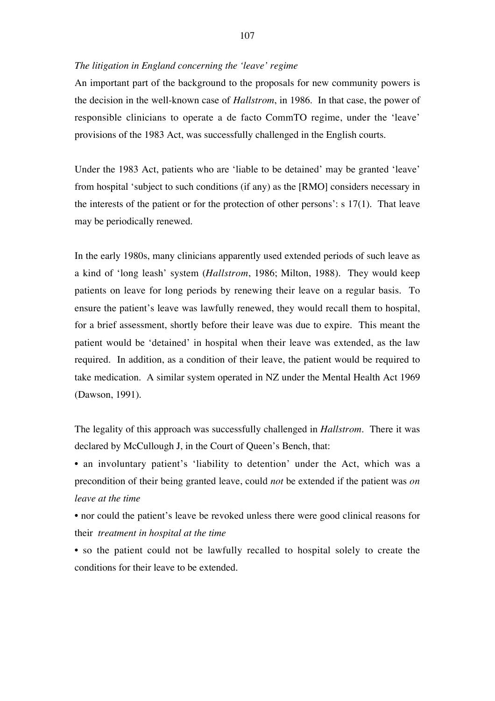## *The litigation in England concerning the 'leave' regime*

An important part of the background to the proposals for new community powers is the decision in the well-known case of *Hallstrom*, in 1986. In that case, the power of responsible clinicians to operate a de facto CommTO regime, under the 'leave' provisions of the 1983 Act, was successfully challenged in the English courts.

Under the 1983 Act, patients who are 'liable to be detained' may be granted 'leave' from hospital 'subject to such conditions (if any) as the [RMO] considers necessary in the interests of the patient or for the protection of other persons': s 17(1). That leave may be periodically renewed.

In the early 1980s, many clinicians apparently used extended periods of such leave as a kind of 'long leash' system (*Hallstrom*, 1986; Milton, 1988). They would keep patients on leave for long periods by renewing their leave on a regular basis. To ensure the patient's leave was lawfully renewed, they would recall them to hospital, for a brief assessment, shortly before their leave was due to expire. This meant the patient would be 'detained' in hospital when their leave was extended, as the law required. In addition, as a condition of their leave, the patient would be required to take medication. A similar system operated in NZ under the Mental Health Act 1969 (Dawson, 1991).

The legality of this approach was successfully challenged in *Hallstrom*. There it was declared by McCullough J, in the Court of Queen's Bench, that:

• an involuntary patient's 'liability to detention' under the Act, which was a precondition of their being granted leave, could *not* be extended if the patient was *on leave at the time*

• nor could the patient's leave be revoked unless there were good clinical reasons for their *treatment in hospital at the time*

• so the patient could not be lawfully recalled to hospital solely to create the conditions for their leave to be extended.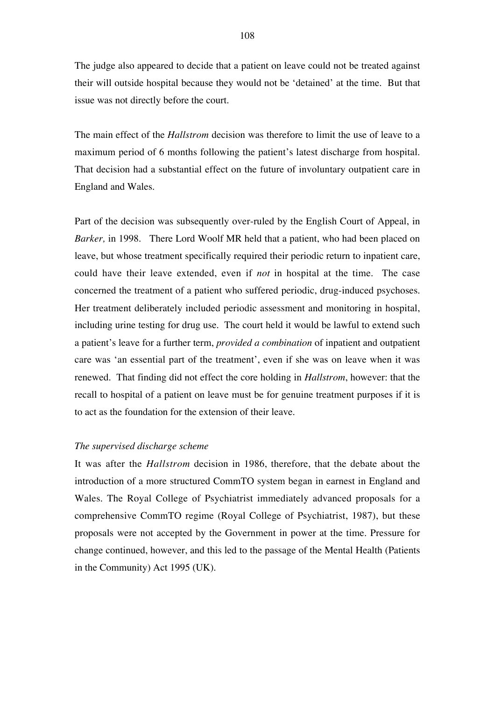The judge also appeared to decide that a patient on leave could not be treated against their will outside hospital because they would not be 'detained' at the time. But that issue was not directly before the court.

The main effect of the *Hallstrom* decision was therefore to limit the use of leave to a maximum period of 6 months following the patient's latest discharge from hospital. That decision had a substantial effect on the future of involuntary outpatient care in England and Wales.

Part of the decision was subsequently over-ruled by the English Court of Appeal, in *Barker,* in 1998. There Lord Woolf MR held that a patient, who had been placed on leave, but whose treatment specifically required their periodic return to inpatient care, could have their leave extended, even if *not* in hospital at the time. The case concerned the treatment of a patient who suffered periodic, drug-induced psychoses. Her treatment deliberately included periodic assessment and monitoring in hospital, including urine testing for drug use. The court held it would be lawful to extend such a patient's leave for a further term, *provided a combination* of inpatient and outpatient care was 'an essential part of the treatment', even if she was on leave when it was renewed. That finding did not effect the core holding in *Hallstrom*, however: that the recall to hospital of a patient on leave must be for genuine treatment purposes if it is to act as the foundation for the extension of their leave.

## *The supervised discharge scheme*

It was after the *Hallstrom* decision in 1986, therefore, that the debate about the introduction of a more structured CommTO system began in earnest in England and Wales. The Royal College of Psychiatrist immediately advanced proposals for a comprehensive CommTO regime (Royal College of Psychiatrist, 1987), but these proposals were not accepted by the Government in power at the time. Pressure for change continued, however, and this led to the passage of the Mental Health (Patients in the Community) Act 1995 (UK).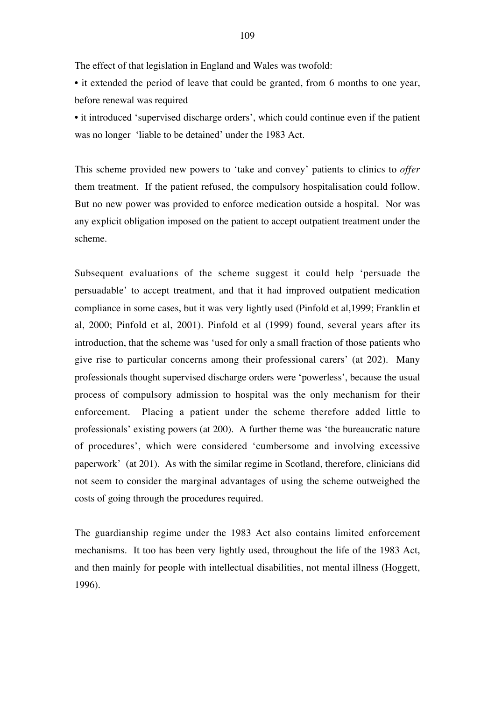The effect of that legislation in England and Wales was twofold:

• it extended the period of leave that could be granted, from 6 months to one year, before renewal was required

• it introduced 'supervised discharge orders', which could continue even if the patient was no longer 'liable to be detained' under the 1983 Act.

This scheme provided new powers to 'take and convey' patients to clinics to *offer* them treatment. If the patient refused, the compulsory hospitalisation could follow. But no new power was provided to enforce medication outside a hospital. Nor was any explicit obligation imposed on the patient to accept outpatient treatment under the scheme.

Subsequent evaluations of the scheme suggest it could help 'persuade the persuadable' to accept treatment, and that it had improved outpatient medication compliance in some cases, but it was very lightly used (Pinfold et al,1999; Franklin et al, 2000; Pinfold et al, 2001). Pinfold et al (1999) found, several years after its introduction, that the scheme was 'used for only a small fraction of those patients who give rise to particular concerns among their professional carers' (at 202). Many professionals thought supervised discharge orders were 'powerless', because the usual process of compulsory admission to hospital was the only mechanism for their enforcement. Placing a patient under the scheme therefore added little to professionals' existing powers (at 200). A further theme was 'the bureaucratic nature of procedures', which were considered 'cumbersome and involving excessive paperwork' (at 201). As with the similar regime in Scotland, therefore, clinicians did not seem to consider the marginal advantages of using the scheme outweighed the costs of going through the procedures required.

The guardianship regime under the 1983 Act also contains limited enforcement mechanisms. It too has been very lightly used, throughout the life of the 1983 Act, and then mainly for people with intellectual disabilities, not mental illness (Hoggett, 1996).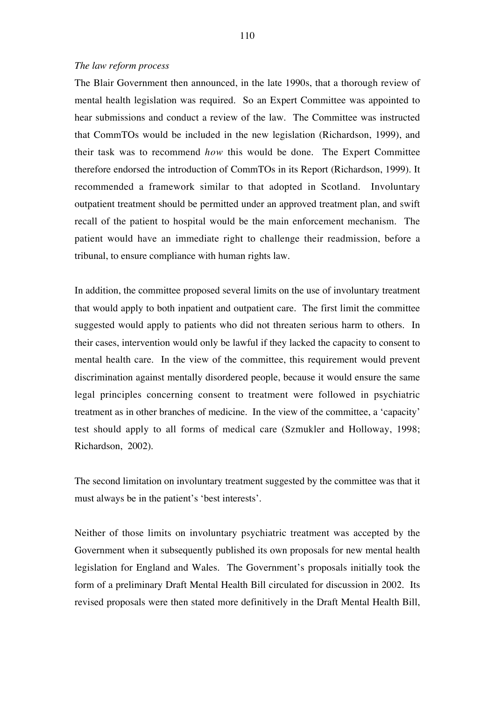## *The law reform process*

The Blair Government then announced, in the late 1990s, that a thorough review of mental health legislation was required. So an Expert Committee was appointed to hear submissions and conduct a review of the law. The Committee was instructed that CommTOs would be included in the new legislation (Richardson, 1999), and their task was to recommend *how* this would be done. The Expert Committee therefore endorsed the introduction of CommTOs in its Report (Richardson, 1999). It recommended a framework similar to that adopted in Scotland. Involuntary outpatient treatment should be permitted under an approved treatment plan, and swift recall of the patient to hospital would be the main enforcement mechanism. The patient would have an immediate right to challenge their readmission, before a tribunal, to ensure compliance with human rights law.

In addition, the committee proposed several limits on the use of involuntary treatment that would apply to both inpatient and outpatient care. The first limit the committee suggested would apply to patients who did not threaten serious harm to others. In their cases, intervention would only be lawful if they lacked the capacity to consent to mental health care. In the view of the committee, this requirement would prevent discrimination against mentally disordered people, because it would ensure the same legal principles concerning consent to treatment were followed in psychiatric treatment as in other branches of medicine. In the view of the committee, a 'capacity' test should apply to all forms of medical care (Szmukler and Holloway, 1998; Richardson, 2002).

The second limitation on involuntary treatment suggested by the committee was that it must always be in the patient's 'best interests'.

Neither of those limits on involuntary psychiatric treatment was accepted by the Government when it subsequently published its own proposals for new mental health legislation for England and Wales. The Government's proposals initially took the form of a preliminary Draft Mental Health Bill circulated for discussion in 2002. Its revised proposals were then stated more definitively in the Draft Mental Health Bill,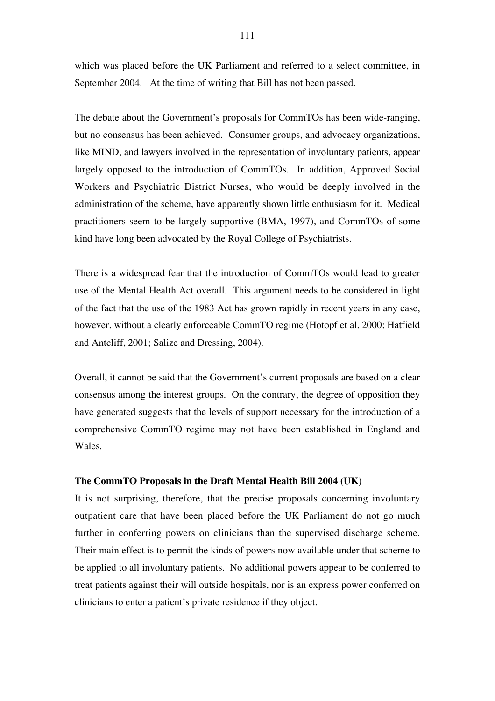which was placed before the UK Parliament and referred to a select committee, in September 2004. At the time of writing that Bill has not been passed.

The debate about the Government's proposals for CommTOs has been wide-ranging, but no consensus has been achieved. Consumer groups, and advocacy organizations, like MIND, and lawyers involved in the representation of involuntary patients, appear largely opposed to the introduction of CommTOs. In addition, Approved Social Workers and Psychiatric District Nurses, who would be deeply involved in the administration of the scheme, have apparently shown little enthusiasm for it. Medical practitioners seem to be largely supportive (BMA, 1997), and CommTOs of some kind have long been advocated by the Royal College of Psychiatrists.

There is a widespread fear that the introduction of CommTOs would lead to greater use of the Mental Health Act overall. This argument needs to be considered in light of the fact that the use of the 1983 Act has grown rapidly in recent years in any case, however, without a clearly enforceable CommTO regime (Hotopf et al, 2000; Hatfield and Antcliff, 2001; Salize and Dressing, 2004).

Overall, it cannot be said that the Government's current proposals are based on a clear consensus among the interest groups. On the contrary, the degree of opposition they have generated suggests that the levels of support necessary for the introduction of a comprehensive CommTO regime may not have been established in England and Wales.

# **The CommTO Proposals in the Draft Mental Health Bill 2004 (UK)**

It is not surprising, therefore, that the precise proposals concerning involuntary outpatient care that have been placed before the UK Parliament do not go much further in conferring powers on clinicians than the supervised discharge scheme. Their main effect is to permit the kinds of powers now available under that scheme to be applied to all involuntary patients. No additional powers appear to be conferred to treat patients against their will outside hospitals, nor is an express power conferred on clinicians to enter a patient's private residence if they object.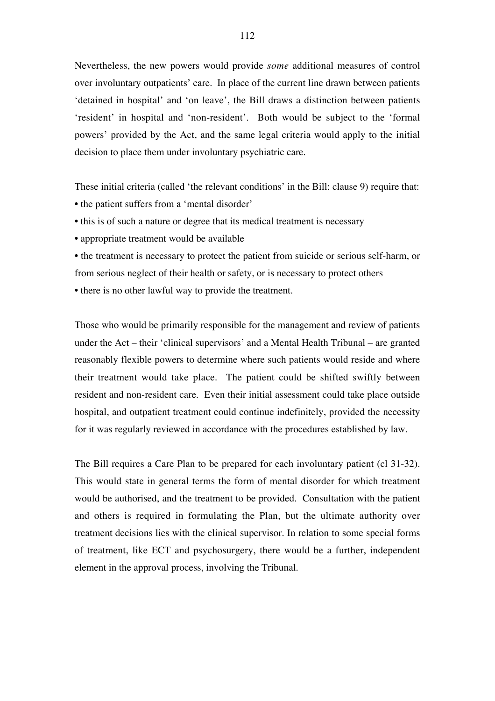Nevertheless, the new powers would provide *some* additional measures of control over involuntary outpatients' care. In place of the current line drawn between patients 'detained in hospital' and 'on leave', the Bill draws a distinction between patients 'resident' in hospital and 'non-resident'. Both would be subject to the 'formal powers' provided by the Act, and the same legal criteria would apply to the initial decision to place them under involuntary psychiatric care.

These initial criteria (called 'the relevant conditions' in the Bill: clause 9) require that:

- the patient suffers from a 'mental disorder'
- this is of such a nature or degree that its medical treatment is necessary
- appropriate treatment would be available

• the treatment is necessary to protect the patient from suicide or serious self-harm, or from serious neglect of their health or safety, or is necessary to protect others

• there is no other lawful way to provide the treatment.

Those who would be primarily responsible for the management and review of patients under the Act – their 'clinical supervisors' and a Mental Health Tribunal – are granted reasonably flexible powers to determine where such patients would reside and where their treatment would take place. The patient could be shifted swiftly between resident and non-resident care. Even their initial assessment could take place outside hospital, and outpatient treatment could continue indefinitely, provided the necessity for it was regularly reviewed in accordance with the procedures established by law.

The Bill requires a Care Plan to be prepared for each involuntary patient (cl 31-32). This would state in general terms the form of mental disorder for which treatment would be authorised, and the treatment to be provided. Consultation with the patient and others is required in formulating the Plan, but the ultimate authority over treatment decisions lies with the clinical supervisor. In relation to some special forms of treatment, like ECT and psychosurgery, there would be a further, independent element in the approval process, involving the Tribunal.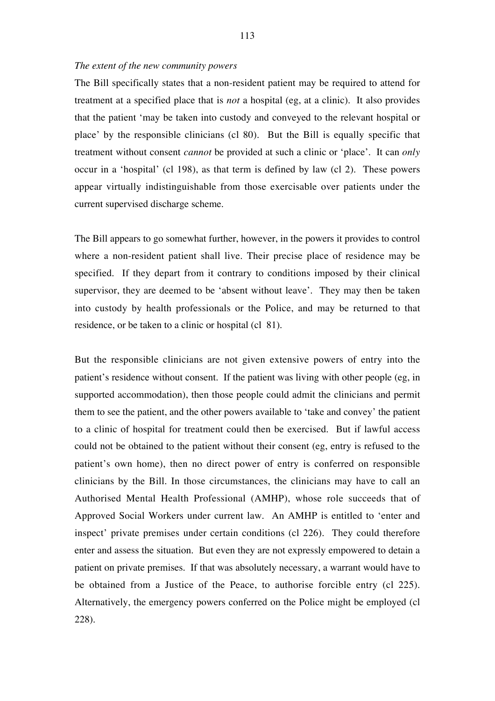#### *The extent of the new community powers*

The Bill specifically states that a non-resident patient may be required to attend for treatment at a specified place that is *not* a hospital (eg, at a clinic). It also provides that the patient 'may be taken into custody and conveyed to the relevant hospital or place' by the responsible clinicians (cl 80). But the Bill is equally specific that treatment without consent *cannot* be provided at such a clinic or 'place'. It can *only* occur in a 'hospital' (cl 198), as that term is defined by law (cl 2). These powers appear virtually indistinguishable from those exercisable over patients under the current supervised discharge scheme.

The Bill appears to go somewhat further, however, in the powers it provides to control where a non-resident patient shall live. Their precise place of residence may be specified. If they depart from it contrary to conditions imposed by their clinical supervisor, they are deemed to be 'absent without leave'. They may then be taken into custody by health professionals or the Police, and may be returned to that residence, or be taken to a clinic or hospital (cl 81).

But the responsible clinicians are not given extensive powers of entry into the patient's residence without consent. If the patient was living with other people (eg, in supported accommodation), then those people could admit the clinicians and permit them to see the patient, and the other powers available to 'take and convey' the patient to a clinic of hospital for treatment could then be exercised. But if lawful access could not be obtained to the patient without their consent (eg, entry is refused to the patient's own home), then no direct power of entry is conferred on responsible clinicians by the Bill. In those circumstances, the clinicians may have to call an Authorised Mental Health Professional (AMHP), whose role succeeds that of Approved Social Workers under current law. An AMHP is entitled to 'enter and inspect' private premises under certain conditions (cl 226). They could therefore enter and assess the situation. But even they are not expressly empowered to detain a patient on private premises. If that was absolutely necessary, a warrant would have to be obtained from a Justice of the Peace, to authorise forcible entry (cl 225). Alternatively, the emergency powers conferred on the Police might be employed (cl 228).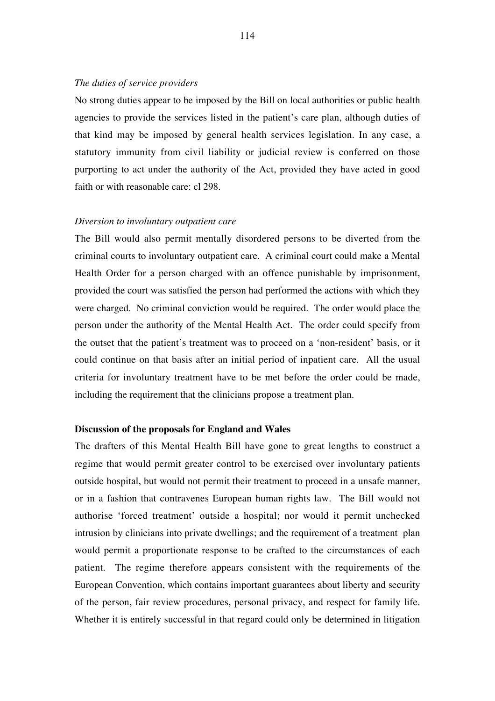# *The duties of service providers*

No strong duties appear to be imposed by the Bill on local authorities or public health agencies to provide the services listed in the patient's care plan, although duties of that kind may be imposed by general health services legislation. In any case, a statutory immunity from civil liability or judicial review is conferred on those purporting to act under the authority of the Act, provided they have acted in good faith or with reasonable care: cl 298.

#### *Diversion to involuntary outpatient care*

The Bill would also permit mentally disordered persons to be diverted from the criminal courts to involuntary outpatient care. A criminal court could make a Mental Health Order for a person charged with an offence punishable by imprisonment, provided the court was satisfied the person had performed the actions with which they were charged. No criminal conviction would be required. The order would place the person under the authority of the Mental Health Act. The order could specify from the outset that the patient's treatment was to proceed on a 'non-resident' basis, or it could continue on that basis after an initial period of inpatient care. All the usual criteria for involuntary treatment have to be met before the order could be made, including the requirement that the clinicians propose a treatment plan.

#### **Discussion of the proposals for England and Wales**

The drafters of this Mental Health Bill have gone to great lengths to construct a regime that would permit greater control to be exercised over involuntary patients outside hospital, but would not permit their treatment to proceed in a unsafe manner, or in a fashion that contravenes European human rights law. The Bill would not authorise 'forced treatment' outside a hospital; nor would it permit unchecked intrusion by clinicians into private dwellings; and the requirement of a treatment plan would permit a proportionate response to be crafted to the circumstances of each patient. The regime therefore appears consistent with the requirements of the European Convention, which contains important guarantees about liberty and security of the person, fair review procedures, personal privacy, and respect for family life. Whether it is entirely successful in that regard could only be determined in litigation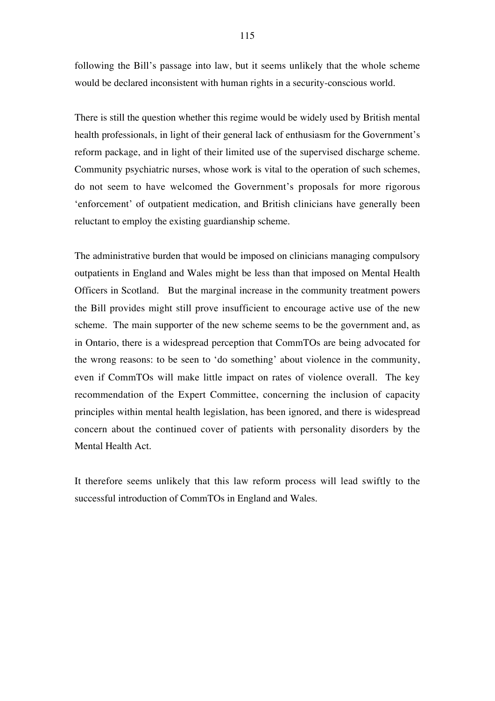following the Bill's passage into law, but it seems unlikely that the whole scheme would be declared inconsistent with human rights in a security-conscious world.

There is still the question whether this regime would be widely used by British mental health professionals, in light of their general lack of enthusiasm for the Government's reform package, and in light of their limited use of the supervised discharge scheme. Community psychiatric nurses, whose work is vital to the operation of such schemes, do not seem to have welcomed the Government's proposals for more rigorous 'enforcement' of outpatient medication, and British clinicians have generally been reluctant to employ the existing guardianship scheme.

The administrative burden that would be imposed on clinicians managing compulsory outpatients in England and Wales might be less than that imposed on Mental Health Officers in Scotland. But the marginal increase in the community treatment powers the Bill provides might still prove insufficient to encourage active use of the new scheme. The main supporter of the new scheme seems to be the government and, as in Ontario, there is a widespread perception that CommTOs are being advocated for the wrong reasons: to be seen to 'do something' about violence in the community, even if CommTOs will make little impact on rates of violence overall. The key recommendation of the Expert Committee, concerning the inclusion of capacity principles within mental health legislation, has been ignored, and there is widespread concern about the continued cover of patients with personality disorders by the Mental Health Act.

It therefore seems unlikely that this law reform process will lead swiftly to the successful introduction of CommTOs in England and Wales.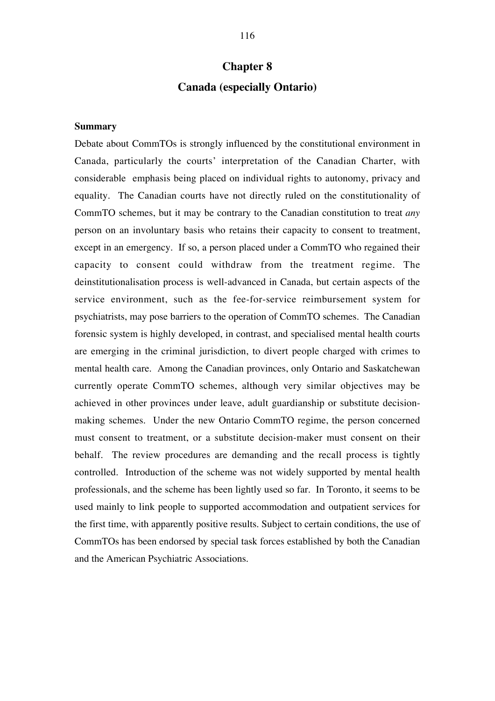# **Chapter 8 Canada (especially Ontario)**

# **Summary**

Debate about CommTOs is strongly influenced by the constitutional environment in Canada, particularly the courts' interpretation of the Canadian Charter, with considerable emphasis being placed on individual rights to autonomy, privacy and equality. The Canadian courts have not directly ruled on the constitutionality of CommTO schemes, but it may be contrary to the Canadian constitution to treat *any* person on an involuntary basis who retains their capacity to consent to treatment, except in an emergency. If so, a person placed under a CommTO who regained their capacity to consent could withdraw from the treatment regime. The deinstitutionalisation process is well-advanced in Canada, but certain aspects of the service environment, such as the fee-for-service reimbursement system for psychiatrists, may pose barriers to the operation of CommTO schemes. The Canadian forensic system is highly developed, in contrast, and specialised mental health courts are emerging in the criminal jurisdiction, to divert people charged with crimes to mental health care. Among the Canadian provinces, only Ontario and Saskatchewan currently operate CommTO schemes, although very similar objectives may be achieved in other provinces under leave, adult guardianship or substitute decisionmaking schemes. Under the new Ontario CommTO regime, the person concerned must consent to treatment, or a substitute decision-maker must consent on their behalf. The review procedures are demanding and the recall process is tightly controlled. Introduction of the scheme was not widely supported by mental health professionals, and the scheme has been lightly used so far. In Toronto, it seems to be used mainly to link people to supported accommodation and outpatient services for the first time, with apparently positive results. Subject to certain conditions, the use of CommTOs has been endorsed by special task forces established by both the Canadian and the American Psychiatric Associations.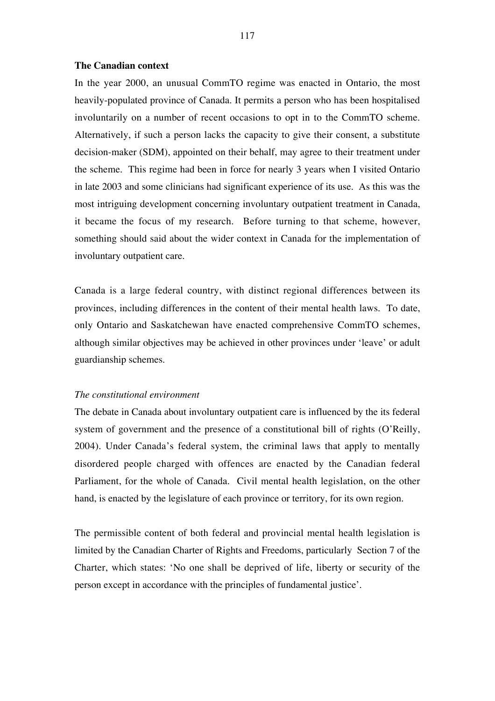#### **The Canadian context**

In the year 2000, an unusual CommTO regime was enacted in Ontario, the most heavily-populated province of Canada. It permits a person who has been hospitalised involuntarily on a number of recent occasions to opt in to the CommTO scheme. Alternatively, if such a person lacks the capacity to give their consent, a substitute decision-maker (SDM), appointed on their behalf, may agree to their treatment under the scheme. This regime had been in force for nearly 3 years when I visited Ontario in late 2003 and some clinicians had significant experience of its use. As this was the most intriguing development concerning involuntary outpatient treatment in Canada, it became the focus of my research. Before turning to that scheme, however, something should said about the wider context in Canada for the implementation of involuntary outpatient care.

Canada is a large federal country, with distinct regional differences between its provinces, including differences in the content of their mental health laws. To date, only Ontario and Saskatchewan have enacted comprehensive CommTO schemes, although similar objectives may be achieved in other provinces under 'leave' or adult guardianship schemes.

#### *The constitutional environment*

The debate in Canada about involuntary outpatient care is influenced by the its federal system of government and the presence of a constitutional bill of rights (O'Reilly, 2004). Under Canada's federal system, the criminal laws that apply to mentally disordered people charged with offences are enacted by the Canadian federal Parliament, for the whole of Canada. Civil mental health legislation, on the other hand, is enacted by the legislature of each province or territory, for its own region.

The permissible content of both federal and provincial mental health legislation is limited by the Canadian Charter of Rights and Freedoms, particularly Section 7 of the Charter, which states: 'No one shall be deprived of life, liberty or security of the person except in accordance with the principles of fundamental justice'.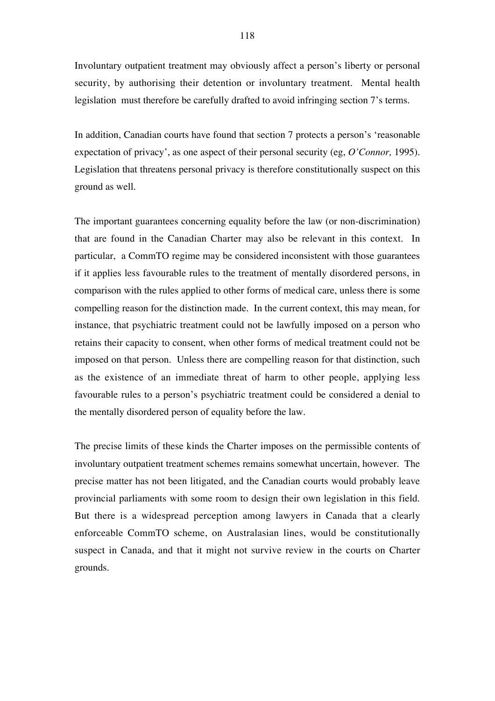Involuntary outpatient treatment may obviously affect a person's liberty or personal security, by authorising their detention or involuntary treatment. Mental health legislation must therefore be carefully drafted to avoid infringing section 7's terms.

In addition, Canadian courts have found that section 7 protects a person's 'reasonable expectation of privacy', as one aspect of their personal security (eg, *O'Connor,* 1995). Legislation that threatens personal privacy is therefore constitutionally suspect on this ground as well.

The important guarantees concerning equality before the law (or non-discrimination) that are found in the Canadian Charter may also be relevant in this context. In particular, a CommTO regime may be considered inconsistent with those guarantees if it applies less favourable rules to the treatment of mentally disordered persons, in comparison with the rules applied to other forms of medical care, unless there is some compelling reason for the distinction made. In the current context, this may mean, for instance, that psychiatric treatment could not be lawfully imposed on a person who retains their capacity to consent, when other forms of medical treatment could not be imposed on that person. Unless there are compelling reason for that distinction, such as the existence of an immediate threat of harm to other people, applying less favourable rules to a person's psychiatric treatment could be considered a denial to the mentally disordered person of equality before the law.

The precise limits of these kinds the Charter imposes on the permissible contents of involuntary outpatient treatment schemes remains somewhat uncertain, however. The precise matter has not been litigated, and the Canadian courts would probably leave provincial parliaments with some room to design their own legislation in this field. But there is a widespread perception among lawyers in Canada that a clearly enforceable CommTO scheme, on Australasian lines, would be constitutionally suspect in Canada, and that it might not survive review in the courts on Charter grounds.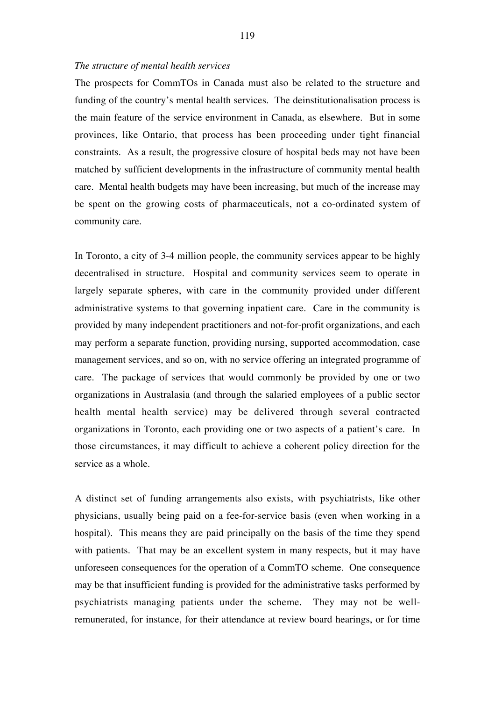#### *The structure of mental health services*

The prospects for CommTOs in Canada must also be related to the structure and funding of the country's mental health services. The deinstitutionalisation process is the main feature of the service environment in Canada, as elsewhere. But in some provinces, like Ontario, that process has been proceeding under tight financial constraints. As a result, the progressive closure of hospital beds may not have been matched by sufficient developments in the infrastructure of community mental health care. Mental health budgets may have been increasing, but much of the increase may be spent on the growing costs of pharmaceuticals, not a co-ordinated system of community care.

In Toronto, a city of 3-4 million people, the community services appear to be highly decentralised in structure. Hospital and community services seem to operate in largely separate spheres, with care in the community provided under different administrative systems to that governing inpatient care. Care in the community is provided by many independent practitioners and not-for-profit organizations, and each may perform a separate function, providing nursing, supported accommodation, case management services, and so on, with no service offering an integrated programme of care. The package of services that would commonly be provided by one or two organizations in Australasia (and through the salaried employees of a public sector health mental health service) may be delivered through several contracted organizations in Toronto, each providing one or two aspects of a patient's care. In those circumstances, it may difficult to achieve a coherent policy direction for the service as a whole.

A distinct set of funding arrangements also exists, with psychiatrists, like other physicians, usually being paid on a fee-for-service basis (even when working in a hospital). This means they are paid principally on the basis of the time they spend with patients. That may be an excellent system in many respects, but it may have unforeseen consequences for the operation of a CommTO scheme. One consequence may be that insufficient funding is provided for the administrative tasks performed by psychiatrists managing patients under the scheme. They may not be wellremunerated, for instance, for their attendance at review board hearings, or for time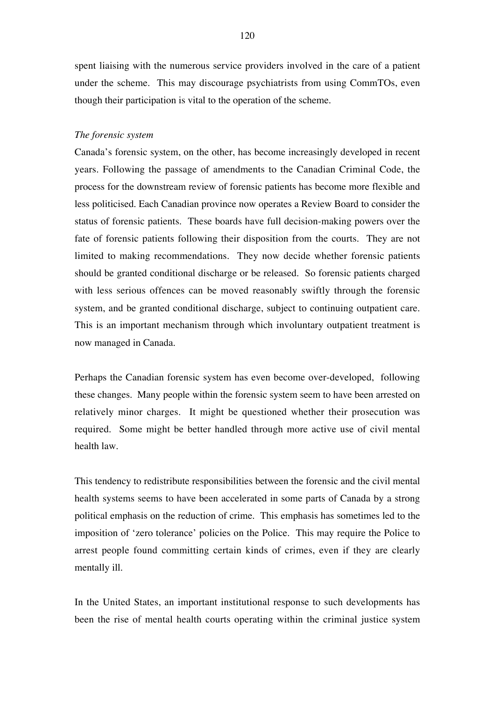spent liaising with the numerous service providers involved in the care of a patient under the scheme. This may discourage psychiatrists from using CommTOs, even though their participation is vital to the operation of the scheme.

## *The forensic system*

Canada's forensic system, on the other, has become increasingly developed in recent years. Following the passage of amendments to the Canadian Criminal Code, the process for the downstream review of forensic patients has become more flexible and less politicised. Each Canadian province now operates a Review Board to consider the status of forensic patients. These boards have full decision-making powers over the fate of forensic patients following their disposition from the courts. They are not limited to making recommendations. They now decide whether forensic patients should be granted conditional discharge or be released. So forensic patients charged with less serious offences can be moved reasonably swiftly through the forensic system, and be granted conditional discharge, subject to continuing outpatient care. This is an important mechanism through which involuntary outpatient treatment is now managed in Canada.

Perhaps the Canadian forensic system has even become over-developed, following these changes. Many people within the forensic system seem to have been arrested on relatively minor charges. It might be questioned whether their prosecution was required. Some might be better handled through more active use of civil mental health law.

This tendency to redistribute responsibilities between the forensic and the civil mental health systems seems to have been accelerated in some parts of Canada by a strong political emphasis on the reduction of crime. This emphasis has sometimes led to the imposition of 'zero tolerance' policies on the Police. This may require the Police to arrest people found committing certain kinds of crimes, even if they are clearly mentally ill.

In the United States, an important institutional response to such developments has been the rise of mental health courts operating within the criminal justice system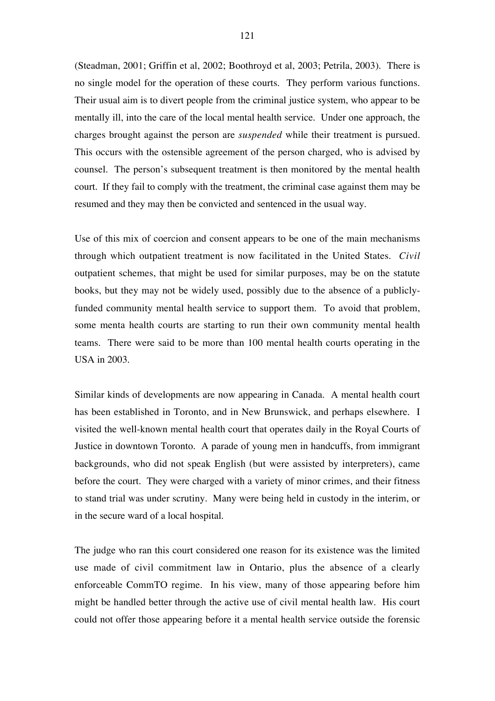(Steadman, 2001; Griffin et al, 2002; Boothroyd et al, 2003; Petrila, 2003). There is no single model for the operation of these courts. They perform various functions. Their usual aim is to divert people from the criminal justice system, who appear to be mentally ill, into the care of the local mental health service. Under one approach, the charges brought against the person are *suspended* while their treatment is pursued. This occurs with the ostensible agreement of the person charged, who is advised by counsel. The person's subsequent treatment is then monitored by the mental health court. If they fail to comply with the treatment, the criminal case against them may be resumed and they may then be convicted and sentenced in the usual way.

Use of this mix of coercion and consent appears to be one of the main mechanisms through which outpatient treatment is now facilitated in the United States. *Civil* outpatient schemes, that might be used for similar purposes, may be on the statute books, but they may not be widely used, possibly due to the absence of a publiclyfunded community mental health service to support them. To avoid that problem, some menta health courts are starting to run their own community mental health teams. There were said to be more than 100 mental health courts operating in the USA in 2003.

Similar kinds of developments are now appearing in Canada. A mental health court has been established in Toronto, and in New Brunswick, and perhaps elsewhere. I visited the well-known mental health court that operates daily in the Royal Courts of Justice in downtown Toronto. A parade of young men in handcuffs, from immigrant backgrounds, who did not speak English (but were assisted by interpreters), came before the court. They were charged with a variety of minor crimes, and their fitness to stand trial was under scrutiny. Many were being held in custody in the interim, or in the secure ward of a local hospital.

The judge who ran this court considered one reason for its existence was the limited use made of civil commitment law in Ontario, plus the absence of a clearly enforceable CommTO regime. In his view, many of those appearing before him might be handled better through the active use of civil mental health law. His court could not offer those appearing before it a mental health service outside the forensic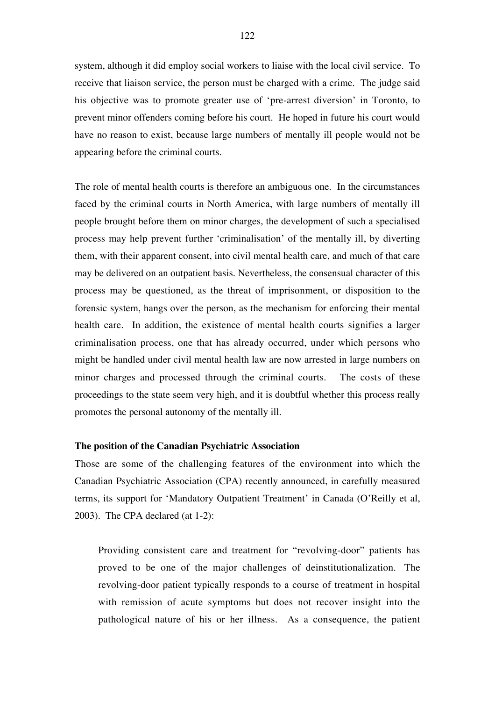system, although it did employ social workers to liaise with the local civil service. To receive that liaison service, the person must be charged with a crime. The judge said his objective was to promote greater use of 'pre-arrest diversion' in Toronto, to prevent minor offenders coming before his court. He hoped in future his court would have no reason to exist, because large numbers of mentally ill people would not be appearing before the criminal courts.

The role of mental health courts is therefore an ambiguous one. In the circumstances faced by the criminal courts in North America, with large numbers of mentally ill people brought before them on minor charges, the development of such a specialised process may help prevent further 'criminalisation' of the mentally ill, by diverting them, with their apparent consent, into civil mental health care, and much of that care may be delivered on an outpatient basis. Nevertheless, the consensual character of this process may be questioned, as the threat of imprisonment, or disposition to the forensic system, hangs over the person, as the mechanism for enforcing their mental health care. In addition, the existence of mental health courts signifies a larger criminalisation process, one that has already occurred, under which persons who might be handled under civil mental health law are now arrested in large numbers on minor charges and processed through the criminal courts. The costs of these proceedings to the state seem very high, and it is doubtful whether this process really promotes the personal autonomy of the mentally ill.

#### **The position of the Canadian Psychiatric Association**

Those are some of the challenging features of the environment into which the Canadian Psychiatric Association (CPA) recently announced, in carefully measured terms, its support for 'Mandatory Outpatient Treatment' in Canada (O'Reilly et al, 2003). The CPA declared (at 1-2):

Providing consistent care and treatment for "revolving-door" patients has proved to be one of the major challenges of deinstitutionalization. The revolving-door patient typically responds to a course of treatment in hospital with remission of acute symptoms but does not recover insight into the pathological nature of his or her illness. As a consequence, the patient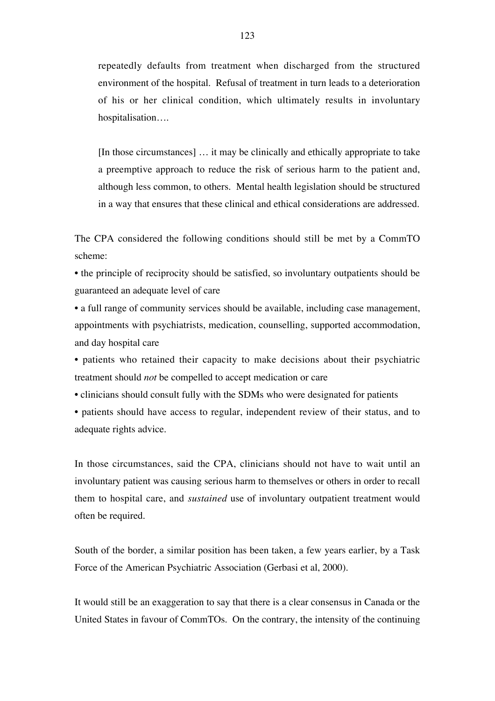repeatedly defaults from treatment when discharged from the structured environment of the hospital. Refusal of treatment in turn leads to a deterioration of his or her clinical condition, which ultimately results in involuntary hospitalisation….

[In those circumstances] … it may be clinically and ethically appropriate to take a preemptive approach to reduce the risk of serious harm to the patient and, although less common, to others. Mental health legislation should be structured in a way that ensures that these clinical and ethical considerations are addressed.

The CPA considered the following conditions should still be met by a CommTO scheme:

• the principle of reciprocity should be satisfied, so involuntary outpatients should be guaranteed an adequate level of care

• a full range of community services should be available, including case management, appointments with psychiatrists, medication, counselling, supported accommodation, and day hospital care

• patients who retained their capacity to make decisions about their psychiatric treatment should *not* be compelled to accept medication or care

• clinicians should consult fully with the SDMs who were designated for patients

• patients should have access to regular, independent review of their status, and to adequate rights advice.

In those circumstances, said the CPA, clinicians should not have to wait until an involuntary patient was causing serious harm to themselves or others in order to recall them to hospital care, and *sustained* use of involuntary outpatient treatment would often be required.

South of the border, a similar position has been taken, a few years earlier, by a Task Force of the American Psychiatric Association (Gerbasi et al, 2000).

It would still be an exaggeration to say that there is a clear consensus in Canada or the United States in favour of CommTOs. On the contrary, the intensity of the continuing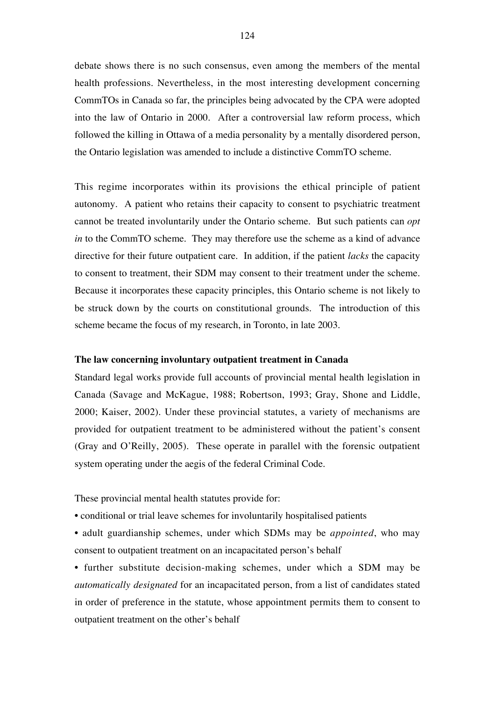debate shows there is no such consensus, even among the members of the mental health professions. Nevertheless, in the most interesting development concerning CommTOs in Canada so far, the principles being advocated by the CPA were adopted into the law of Ontario in 2000. After a controversial law reform process, which followed the killing in Ottawa of a media personality by a mentally disordered person, the Ontario legislation was amended to include a distinctive CommTO scheme.

This regime incorporates within its provisions the ethical principle of patient autonomy. A patient who retains their capacity to consent to psychiatric treatment cannot be treated involuntarily under the Ontario scheme. But such patients can *opt in* to the CommTO scheme. They may therefore use the scheme as a kind of advance directive for their future outpatient care. In addition, if the patient *lacks* the capacity to consent to treatment, their SDM may consent to their treatment under the scheme. Because it incorporates these capacity principles, this Ontario scheme is not likely to be struck down by the courts on constitutional grounds. The introduction of this scheme became the focus of my research, in Toronto, in late 2003.

# **The law concerning involuntary outpatient treatment in Canada**

Standard legal works provide full accounts of provincial mental health legislation in Canada (Savage and McKague, 1988; Robertson, 1993; Gray, Shone and Liddle, 2000; Kaiser, 2002). Under these provincial statutes, a variety of mechanisms are provided for outpatient treatment to be administered without the patient's consent (Gray and O'Reilly, 2005). These operate in parallel with the forensic outpatient system operating under the aegis of the federal Criminal Code.

These provincial mental health statutes provide for:

- conditional or trial leave schemes for involuntarily hospitalised patients
- adult guardianship schemes, under which SDMs may be *appointed*, who may consent to outpatient treatment on an incapacitated person's behalf

• further substitute decision-making schemes, under which a SDM may be *automatically designated* for an incapacitated person, from a list of candidates stated in order of preference in the statute, whose appointment permits them to consent to outpatient treatment on the other's behalf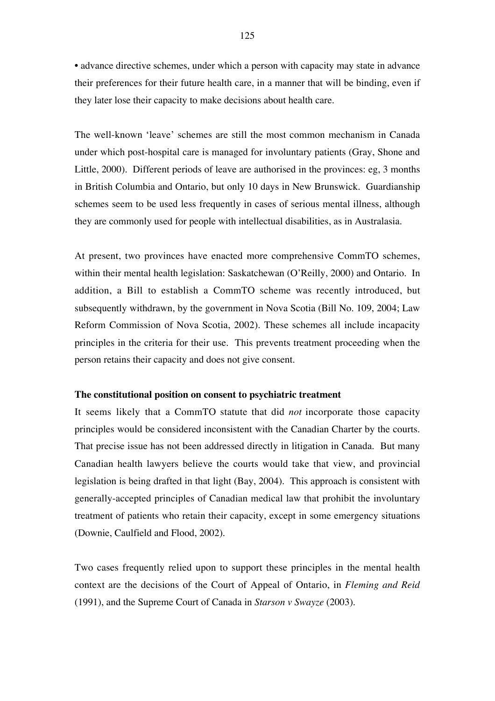• advance directive schemes, under which a person with capacity may state in advance their preferences for their future health care, in a manner that will be binding, even if they later lose their capacity to make decisions about health care.

The well-known 'leave' schemes are still the most common mechanism in Canada under which post-hospital care is managed for involuntary patients (Gray, Shone and Little, 2000). Different periods of leave are authorised in the provinces: eg, 3 months in British Columbia and Ontario, but only 10 days in New Brunswick. Guardianship schemes seem to be used less frequently in cases of serious mental illness, although they are commonly used for people with intellectual disabilities, as in Australasia.

At present, two provinces have enacted more comprehensive CommTO schemes, within their mental health legislation: Saskatchewan (O'Reilly, 2000) and Ontario. In addition, a Bill to establish a CommTO scheme was recently introduced, but subsequently withdrawn, by the government in Nova Scotia (Bill No. 109, 2004; Law Reform Commission of Nova Scotia, 2002). These schemes all include incapacity principles in the criteria for their use. This prevents treatment proceeding when the person retains their capacity and does not give consent.

#### **The constitutional position on consent to psychiatric treatment**

It seems likely that a CommTO statute that did *not* incorporate those capacity principles would be considered inconsistent with the Canadian Charter by the courts. That precise issue has not been addressed directly in litigation in Canada. But many Canadian health lawyers believe the courts would take that view, and provincial legislation is being drafted in that light (Bay, 2004). This approach is consistent with generally-accepted principles of Canadian medical law that prohibit the involuntary treatment of patients who retain their capacity, except in some emergency situations (Downie, Caulfield and Flood, 2002).

Two cases frequently relied upon to support these principles in the mental health context are the decisions of the Court of Appeal of Ontario, in *Fleming and Reid* (1991), and the Supreme Court of Canada in *Starson v Swayze* (2003).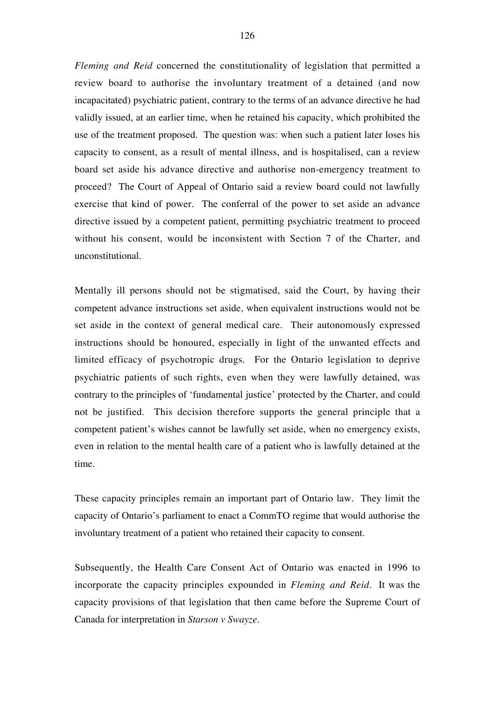*Fleming and Reid* concerned the constitutionality of legislation that permitted a review board to authorise the involuntary treatment of a detained (and now incapacitated) psychiatric patient, contrary to the terms of an advance directive he had validly issued, at an earlier time, when he retained his capacity, which prohibited the use of the treatment proposed. The question was: when such a patient later loses his capacity to consent, as a result of mental illness, and is hospitalised, can a review board set aside his advance directive and authorise non-emergency treatment to proceed? The Court of Appeal of Ontario said a review board could not lawfully exercise that kind of power. The conferral of the power to set aside an advance directive issued by a competent patient, permitting psychiatric treatment to proceed without his consent, would be inconsistent with Section 7 of the Charter, and unconstitutional.

Mentally ill persons should not be stigmatised, said the Court, by having their competent advance instructions set aside, when equivalent instructions would not be set aside in the context of general medical care. Their autonomously expressed instructions should be honoured, especially in light of the unwanted effects and limited efficacy of psychotropic drugs. For the Ontario legislation to deprive psychiatric patients of such rights, even when they were lawfully detained, was contrary to the principles of 'fundamental justice' protected by the Charter, and could not be justified. This decision therefore supports the general principle that a competent patient's wishes cannot be lawfully set aside, when no emergency exists, even in relation to the mental health care of a patient who is lawfully detained at the time.

These capacity principles remain an important part of Ontario law. They limit the capacity of Ontario's parliament to enact a CommTO regime that would authorise the involuntary treatment of a patient who retained their capacity to consent.

Subsequently, the Health Care Consent Act of Ontario was enacted in 1996 to incorporate the capacity principles expounded in *Fleming and Reid*. It was the capacity provisions of that legislation that then came before the Supreme Court of Canada for interpretation in *Starson v Swayze.*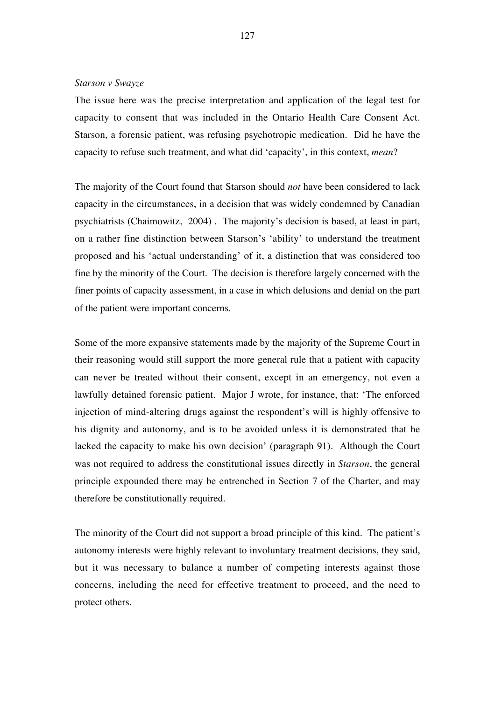# *Starson v Swayze*

The issue here was the precise interpretation and application of the legal test for capacity to consent that was included in the Ontario Health Care Consent Act. Starson, a forensic patient, was refusing psychotropic medication. Did he have the capacity to refuse such treatment, and what did 'capacity', in this context, *mean*?

The majority of the Court found that Starson should *not* have been considered to lack capacity in the circumstances, in a decision that was widely condemned by Canadian psychiatrists (Chaimowitz, 2004) . The majority's decision is based, at least in part, on a rather fine distinction between Starson's 'ability' to understand the treatment proposed and his 'actual understanding' of it, a distinction that was considered too fine by the minority of the Court. The decision is therefore largely concerned with the finer points of capacity assessment, in a case in which delusions and denial on the part of the patient were important concerns.

Some of the more expansive statements made by the majority of the Supreme Court in their reasoning would still support the more general rule that a patient with capacity can never be treated without their consent, except in an emergency, not even a lawfully detained forensic patient. Major J wrote, for instance, that: 'The enforced injection of mind-altering drugs against the respondent's will is highly offensive to his dignity and autonomy, and is to be avoided unless it is demonstrated that he lacked the capacity to make his own decision' (paragraph 91). Although the Court was not required to address the constitutional issues directly in *Starson*, the general principle expounded there may be entrenched in Section 7 of the Charter, and may therefore be constitutionally required.

The minority of the Court did not support a broad principle of this kind. The patient's autonomy interests were highly relevant to involuntary treatment decisions, they said, but it was necessary to balance a number of competing interests against those concerns, including the need for effective treatment to proceed, and the need to protect others.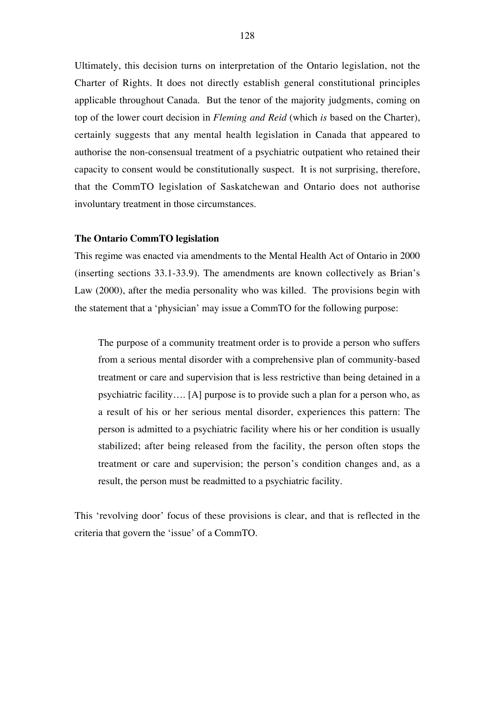Ultimately, this decision turns on interpretation of the Ontario legislation, not the Charter of Rights. It does not directly establish general constitutional principles applicable throughout Canada. But the tenor of the majority judgments, coming on top of the lower court decision in *Fleming and Reid* (which *is* based on the Charter), certainly suggests that any mental health legislation in Canada that appeared to authorise the non-consensual treatment of a psychiatric outpatient who retained their capacity to consent would be constitutionally suspect. It is not surprising, therefore, that the CommTO legislation of Saskatchewan and Ontario does not authorise involuntary treatment in those circumstances.

## **The Ontario CommTO legislation**

This regime was enacted via amendments to the Mental Health Act of Ontario in 2000 (inserting sections 33.1-33.9). The amendments are known collectively as Brian's Law (2000), after the media personality who was killed. The provisions begin with the statement that a 'physician' may issue a CommTO for the following purpose:

The purpose of a community treatment order is to provide a person who suffers from a serious mental disorder with a comprehensive plan of community-based treatment or care and supervision that is less restrictive than being detained in a psychiatric facility…. [A] purpose is to provide such a plan for a person who, as a result of his or her serious mental disorder, experiences this pattern: The person is admitted to a psychiatric facility where his or her condition is usually stabilized; after being released from the facility, the person often stops the treatment or care and supervision; the person's condition changes and, as a result, the person must be readmitted to a psychiatric facility.

This 'revolving door' focus of these provisions is clear, and that is reflected in the criteria that govern the 'issue' of a CommTO.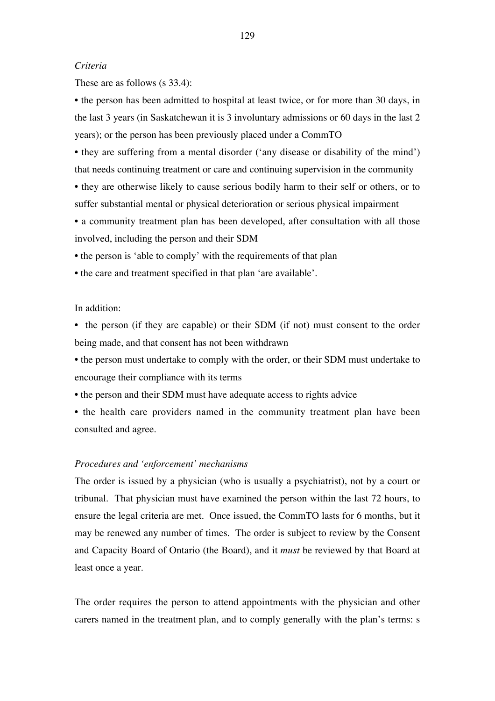## *Criteria*

These are as follows (s 33.4):

• the person has been admitted to hospital at least twice, or for more than 30 days, in the last 3 years (in Saskatchewan it is 3 involuntary admissions or 60 days in the last 2 years); or the person has been previously placed under a CommTO

• they are suffering from a mental disorder ('any disease or disability of the mind') that needs continuing treatment or care and continuing supervision in the community

• they are otherwise likely to cause serious bodily harm to their self or others, or to suffer substantial mental or physical deterioration or serious physical impairment

• a community treatment plan has been developed, after consultation with all those involved, including the person and their SDM

• the person is 'able to comply' with the requirements of that plan

• the care and treatment specified in that plan 'are available'.

# In addition:

• the person (if they are capable) or their SDM (if not) must consent to the order being made, and that consent has not been withdrawn

- the person must undertake to comply with the order, or their SDM must undertake to encourage their compliance with its terms
- the person and their SDM must have adequate access to rights advice
- the health care providers named in the community treatment plan have been consulted and agree.

## *Procedures and 'enforcement' mechanisms*

The order is issued by a physician (who is usually a psychiatrist), not by a court or tribunal. That physician must have examined the person within the last 72 hours, to ensure the legal criteria are met. Once issued, the CommTO lasts for 6 months, but it may be renewed any number of times. The order is subject to review by the Consent and Capacity Board of Ontario (the Board), and it *must* be reviewed by that Board at least once a year.

The order requires the person to attend appointments with the physician and other carers named in the treatment plan, and to comply generally with the plan's terms: s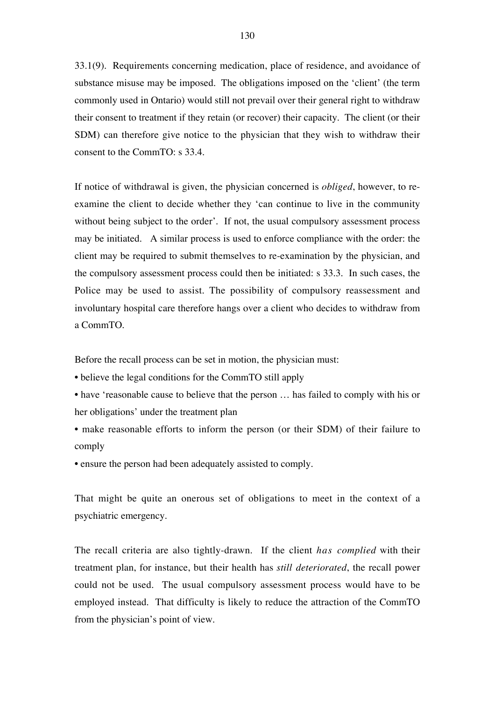33.1(9). Requirements concerning medication, place of residence, and avoidance of substance misuse may be imposed. The obligations imposed on the 'client' (the term commonly used in Ontario) would still not prevail over their general right to withdraw their consent to treatment if they retain (or recover) their capacity. The client (or their SDM) can therefore give notice to the physician that they wish to withdraw their consent to the CommTO: s 33.4.

If notice of withdrawal is given, the physician concerned is *obliged*, however, to reexamine the client to decide whether they 'can continue to live in the community without being subject to the order'. If not, the usual compulsory assessment process may be initiated. A similar process is used to enforce compliance with the order: the client may be required to submit themselves to re-examination by the physician, and the compulsory assessment process could then be initiated: s 33.3. In such cases, the Police may be used to assist. The possibility of compulsory reassessment and involuntary hospital care therefore hangs over a client who decides to withdraw from a CommTO.

Before the recall process can be set in motion, the physician must:

• believe the legal conditions for the CommTO still apply

- have 'reasonable cause to believe that the person  $\dots$  has failed to comply with his or her obligations' under the treatment plan
- make reasonable efforts to inform the person (or their SDM) of their failure to comply
- ensure the person had been adequately assisted to comply.

That might be quite an onerous set of obligations to meet in the context of a psychiatric emergency.

The recall criteria are also tightly-drawn. If the client *has complied* with their treatment plan, for instance, but their health has *still deteriorated*, the recall power could not be used. The usual compulsory assessment process would have to be employed instead. That difficulty is likely to reduce the attraction of the CommTO from the physician's point of view.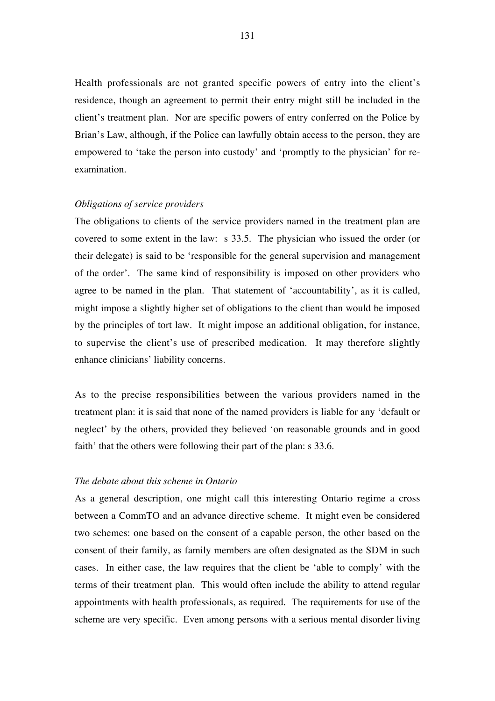Health professionals are not granted specific powers of entry into the client's residence, though an agreement to permit their entry might still be included in the client's treatment plan. Nor are specific powers of entry conferred on the Police by Brian's Law, although, if the Police can lawfully obtain access to the person, they are empowered to 'take the person into custody' and 'promptly to the physician' for reexamination.

## *Obligations of service providers*

The obligations to clients of the service providers named in the treatment plan are covered to some extent in the law: s 33.5. The physician who issued the order (or their delegate) is said to be 'responsible for the general supervision and management of the order'. The same kind of responsibility is imposed on other providers who agree to be named in the plan. That statement of 'accountability', as it is called, might impose a slightly higher set of obligations to the client than would be imposed by the principles of tort law. It might impose an additional obligation, for instance, to supervise the client's use of prescribed medication. It may therefore slightly enhance clinicians' liability concerns.

As to the precise responsibilities between the various providers named in the treatment plan: it is said that none of the named providers is liable for any 'default or neglect' by the others, provided they believed 'on reasonable grounds and in good faith' that the others were following their part of the plan: s 33.6.

## *The debate about this scheme in Ontario*

As a general description, one might call this interesting Ontario regime a cross between a CommTO and an advance directive scheme. It might even be considered two schemes: one based on the consent of a capable person, the other based on the consent of their family, as family members are often designated as the SDM in such cases. In either case, the law requires that the client be 'able to comply' with the terms of their treatment plan. This would often include the ability to attend regular appointments with health professionals, as required. The requirements for use of the scheme are very specific. Even among persons with a serious mental disorder living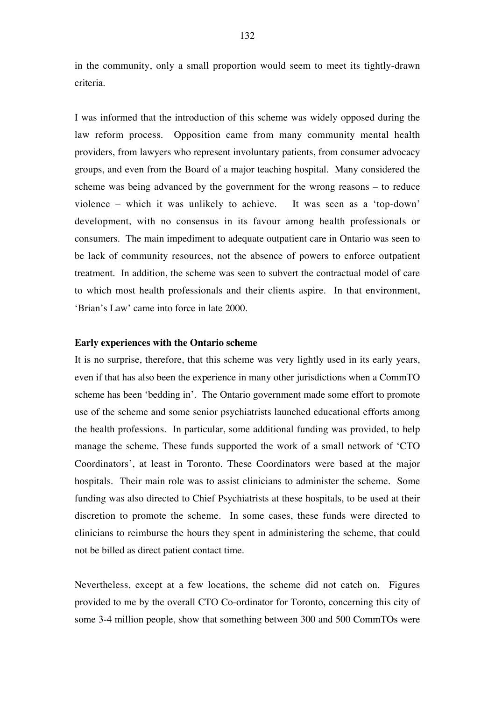in the community, only a small proportion would seem to meet its tightly-drawn criteria.

I was informed that the introduction of this scheme was widely opposed during the law reform process. Opposition came from many community mental health providers, from lawyers who represent involuntary patients, from consumer advocacy groups, and even from the Board of a major teaching hospital. Many considered the scheme was being advanced by the government for the wrong reasons – to reduce violence – which it was unlikely to achieve. It was seen as a 'top-down' development, with no consensus in its favour among health professionals or consumers. The main impediment to adequate outpatient care in Ontario was seen to be lack of community resources, not the absence of powers to enforce outpatient treatment. In addition, the scheme was seen to subvert the contractual model of care to which most health professionals and their clients aspire. In that environment, 'Brian's Law' came into force in late 2000.

# **Early experiences with the Ontario scheme**

It is no surprise, therefore, that this scheme was very lightly used in its early years, even if that has also been the experience in many other jurisdictions when a CommTO scheme has been 'bedding in'. The Ontario government made some effort to promote use of the scheme and some senior psychiatrists launched educational efforts among the health professions. In particular, some additional funding was provided, to help manage the scheme. These funds supported the work of a small network of 'CTO Coordinators', at least in Toronto. These Coordinators were based at the major hospitals. Their main role was to assist clinicians to administer the scheme. Some funding was also directed to Chief Psychiatrists at these hospitals, to be used at their discretion to promote the scheme. In some cases, these funds were directed to clinicians to reimburse the hours they spent in administering the scheme, that could not be billed as direct patient contact time.

Nevertheless, except at a few locations, the scheme did not catch on. Figures provided to me by the overall CTO Co-ordinator for Toronto, concerning this city of some 3-4 million people, show that something between 300 and 500 CommTOs were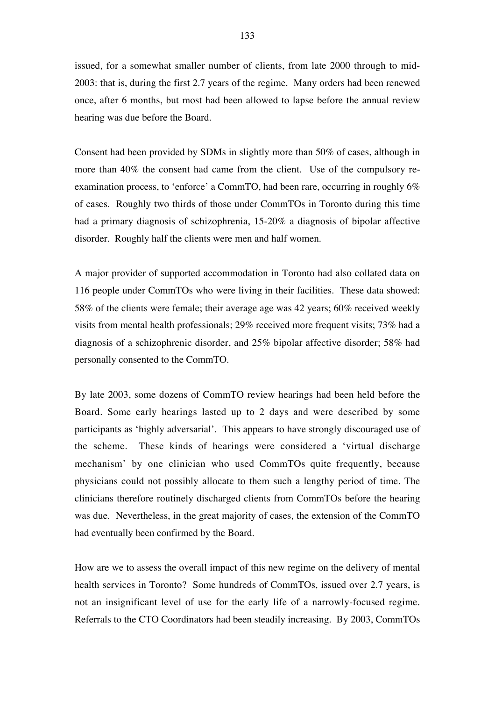issued, for a somewhat smaller number of clients, from late 2000 through to mid-2003: that is, during the first 2.7 years of the regime. Many orders had been renewed once, after 6 months, but most had been allowed to lapse before the annual review hearing was due before the Board.

Consent had been provided by SDMs in slightly more than 50% of cases, although in more than 40% the consent had came from the client. Use of the compulsory reexamination process, to 'enforce' a CommTO, had been rare, occurring in roughly 6% of cases. Roughly two thirds of those under CommTOs in Toronto during this time had a primary diagnosis of schizophrenia, 15-20% a diagnosis of bipolar affective disorder. Roughly half the clients were men and half women.

A major provider of supported accommodation in Toronto had also collated data on 116 people under CommTOs who were living in their facilities. These data showed: 58% of the clients were female; their average age was 42 years; 60% received weekly visits from mental health professionals; 29% received more frequent visits; 73% had a diagnosis of a schizophrenic disorder, and 25% bipolar affective disorder; 58% had personally consented to the CommTO.

By late 2003, some dozens of CommTO review hearings had been held before the Board. Some early hearings lasted up to 2 days and were described by some participants as 'highly adversarial'. This appears to have strongly discouraged use of the scheme. These kinds of hearings were considered a 'virtual discharge mechanism' by one clinician who used CommTOs quite frequently, because physicians could not possibly allocate to them such a lengthy period of time. The clinicians therefore routinely discharged clients from CommTOs before the hearing was due. Nevertheless, in the great majority of cases, the extension of the CommTO had eventually been confirmed by the Board.

How are we to assess the overall impact of this new regime on the delivery of mental health services in Toronto? Some hundreds of CommTOs, issued over 2.7 years, is not an insignificant level of use for the early life of a narrowly-focused regime. Referrals to the CTO Coordinators had been steadily increasing. By 2003, CommTOs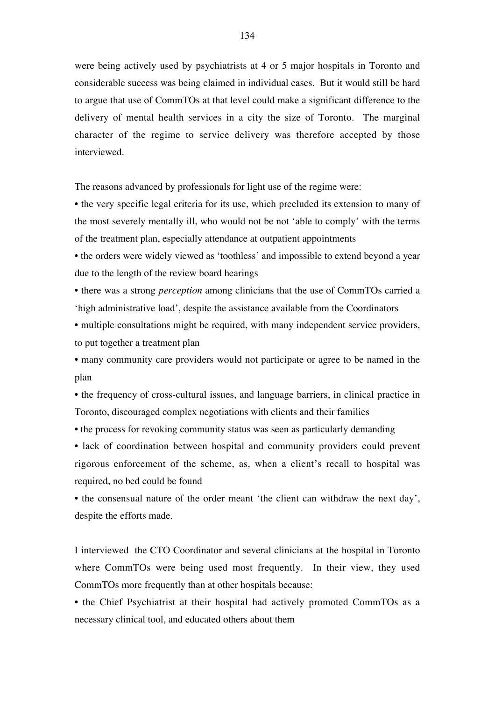were being actively used by psychiatrists at 4 or 5 major hospitals in Toronto and considerable success was being claimed in individual cases. But it would still be hard to argue that use of CommTOs at that level could make a significant difference to the delivery of mental health services in a city the size of Toronto. The marginal character of the regime to service delivery was therefore accepted by those interviewed.

The reasons advanced by professionals for light use of the regime were:

• the very specific legal criteria for its use, which precluded its extension to many of the most severely mentally ill, who would not be not 'able to comply' with the terms of the treatment plan, especially attendance at outpatient appointments

• the orders were widely viewed as 'toothless' and impossible to extend beyond a year due to the length of the review board hearings

• there was a strong *perception* among clinicians that the use of CommTOs carried a 'high administrative load', despite the assistance available from the Coordinators

• multiple consultations might be required, with many independent service providers, to put together a treatment plan

• many community care providers would not participate or agree to be named in the plan

• the frequency of cross-cultural issues, and language barriers, in clinical practice in Toronto, discouraged complex negotiations with clients and their families

• the process for revoking community status was seen as particularly demanding

• lack of coordination between hospital and community providers could prevent rigorous enforcement of the scheme, as, when a client's recall to hospital was required, no bed could be found

• the consensual nature of the order meant 'the client can withdraw the next day', despite the efforts made.

I interviewed the CTO Coordinator and several clinicians at the hospital in Toronto where CommTOs were being used most frequently. In their view, they used CommTOs more frequently than at other hospitals because:

• the Chief Psychiatrist at their hospital had actively promoted CommTOs as a necessary clinical tool, and educated others about them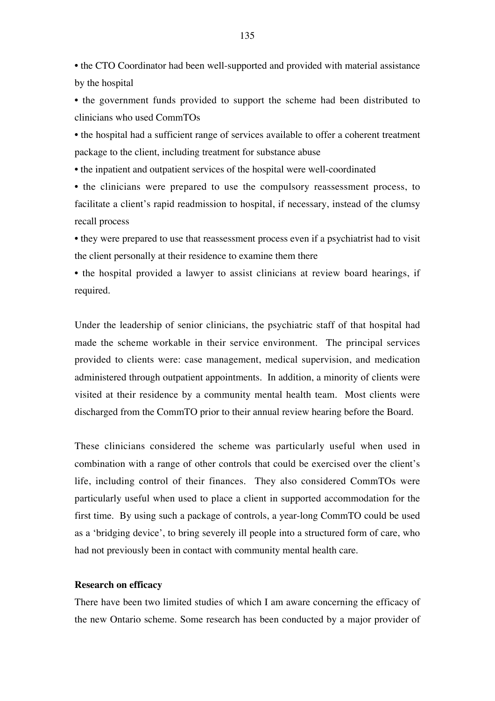• the CTO Coordinator had been well-supported and provided with material assistance by the hospital

• the government funds provided to support the scheme had been distributed to clinicians who used CommTOs

• the hospital had a sufficient range of services available to offer a coherent treatment package to the client, including treatment for substance abuse

• the inpatient and outpatient services of the hospital were well-coordinated

• the clinicians were prepared to use the compulsory reassessment process, to facilitate a client's rapid readmission to hospital, if necessary, instead of the clumsy recall process

• they were prepared to use that reassessment process even if a psychiatrist had to visit the client personally at their residence to examine them there

• the hospital provided a lawyer to assist clinicians at review board hearings, if required.

Under the leadership of senior clinicians, the psychiatric staff of that hospital had made the scheme workable in their service environment. The principal services provided to clients were: case management, medical supervision, and medication administered through outpatient appointments. In addition, a minority of clients were visited at their residence by a community mental health team. Most clients were discharged from the CommTO prior to their annual review hearing before the Board.

These clinicians considered the scheme was particularly useful when used in combination with a range of other controls that could be exercised over the client's life, including control of their finances. They also considered CommTOs were particularly useful when used to place a client in supported accommodation for the first time. By using such a package of controls, a year-long CommTO could be used as a 'bridging device', to bring severely ill people into a structured form of care, who had not previously been in contact with community mental health care.

## **Research on efficacy**

There have been two limited studies of which I am aware concerning the efficacy of the new Ontario scheme. Some research has been conducted by a major provider of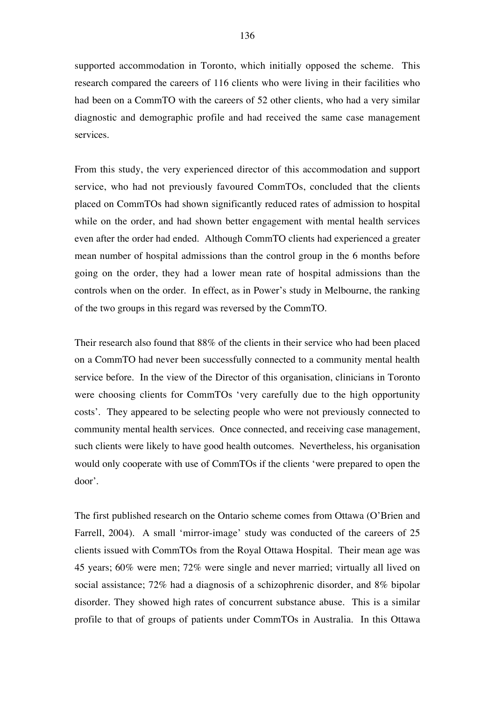supported accommodation in Toronto, which initially opposed the scheme. This research compared the careers of 116 clients who were living in their facilities who had been on a CommTO with the careers of 52 other clients, who had a very similar diagnostic and demographic profile and had received the same case management services.

From this study, the very experienced director of this accommodation and support service, who had not previously favoured CommTOs, concluded that the clients placed on CommTOs had shown significantly reduced rates of admission to hospital while on the order, and had shown better engagement with mental health services even after the order had ended. Although CommTO clients had experienced a greater mean number of hospital admissions than the control group in the 6 months before going on the order, they had a lower mean rate of hospital admissions than the controls when on the order. In effect, as in Power's study in Melbourne, the ranking of the two groups in this regard was reversed by the CommTO.

Their research also found that 88% of the clients in their service who had been placed on a CommTO had never been successfully connected to a community mental health service before. In the view of the Director of this organisation, clinicians in Toronto were choosing clients for CommTOs 'very carefully due to the high opportunity costs'. They appeared to be selecting people who were not previously connected to community mental health services. Once connected, and receiving case management, such clients were likely to have good health outcomes. Nevertheless, his organisation would only cooperate with use of CommTOs if the clients 'were prepared to open the door'.

The first published research on the Ontario scheme comes from Ottawa (O'Brien and Farrell, 2004). A small 'mirror-image' study was conducted of the careers of 25 clients issued with CommTOs from the Royal Ottawa Hospital. Their mean age was 45 years; 60% were men; 72% were single and never married; virtually all lived on social assistance; 72% had a diagnosis of a schizophrenic disorder, and 8% bipolar disorder. They showed high rates of concurrent substance abuse. This is a similar profile to that of groups of patients under CommTOs in Australia. In this Ottawa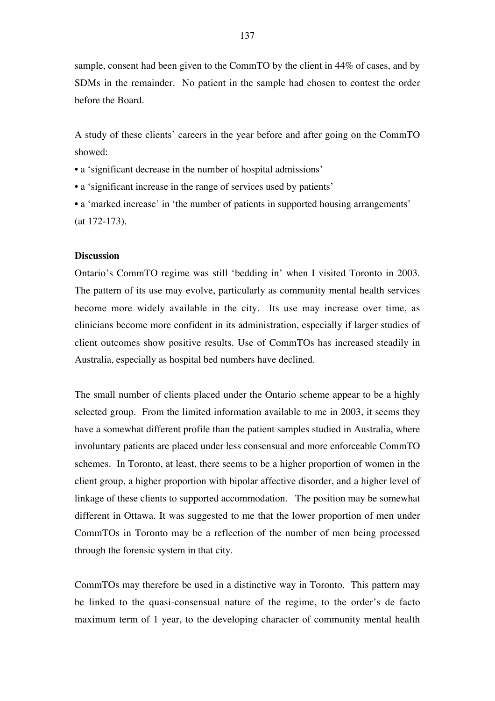sample, consent had been given to the CommTO by the client in 44% of cases, and by SDMs in the remainder. No patient in the sample had chosen to contest the order before the Board.

A study of these clients' careers in the year before and after going on the CommTO showed:

• a 'significant decrease in the number of hospital admissions'

• a 'significant increase in the range of services used by patients'

• a 'marked increase' in 'the number of patients in supported housing arrangements' (at 172-173).

## **Discussion**

Ontario's CommTO regime was still 'bedding in' when I visited Toronto in 2003. The pattern of its use may evolve, particularly as community mental health services become more widely available in the city. Its use may increase over time, as clinicians become more confident in its administration, especially if larger studies of client outcomes show positive results. Use of CommTOs has increased steadily in Australia, especially as hospital bed numbers have declined.

The small number of clients placed under the Ontario scheme appear to be a highly selected group. From the limited information available to me in 2003, it seems they have a somewhat different profile than the patient samples studied in Australia, where involuntary patients are placed under less consensual and more enforceable CommTO schemes. In Toronto, at least, there seems to be a higher proportion of women in the client group, a higher proportion with bipolar affective disorder, and a higher level of linkage of these clients to supported accommodation. The position may be somewhat different in Ottawa. It was suggested to me that the lower proportion of men under CommTOs in Toronto may be a reflection of the number of men being processed through the forensic system in that city.

CommTOs may therefore be used in a distinctive way in Toronto. This pattern may be linked to the quasi-consensual nature of the regime, to the order's de facto maximum term of 1 year, to the developing character of community mental health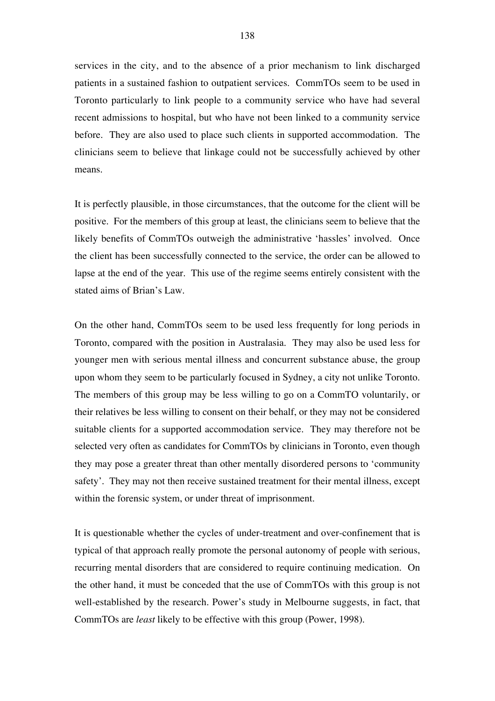services in the city, and to the absence of a prior mechanism to link discharged patients in a sustained fashion to outpatient services. CommTOs seem to be used in Toronto particularly to link people to a community service who have had several recent admissions to hospital, but who have not been linked to a community service before. They are also used to place such clients in supported accommodation. The clinicians seem to believe that linkage could not be successfully achieved by other means.

It is perfectly plausible, in those circumstances, that the outcome for the client will be positive. For the members of this group at least, the clinicians seem to believe that the likely benefits of CommTOs outweigh the administrative 'hassles' involved. Once the client has been successfully connected to the service, the order can be allowed to lapse at the end of the year. This use of the regime seems entirely consistent with the stated aims of Brian's Law.

On the other hand, CommTOs seem to be used less frequently for long periods in Toronto, compared with the position in Australasia. They may also be used less for younger men with serious mental illness and concurrent substance abuse, the group upon whom they seem to be particularly focused in Sydney, a city not unlike Toronto. The members of this group may be less willing to go on a CommTO voluntarily, or their relatives be less willing to consent on their behalf, or they may not be considered suitable clients for a supported accommodation service. They may therefore not be selected very often as candidates for CommTOs by clinicians in Toronto, even though they may pose a greater threat than other mentally disordered persons to 'community safety'. They may not then receive sustained treatment for their mental illness, except within the forensic system, or under threat of imprisonment.

It is questionable whether the cycles of under-treatment and over-confinement that is typical of that approach really promote the personal autonomy of people with serious, recurring mental disorders that are considered to require continuing medication. On the other hand, it must be conceded that the use of CommTOs with this group is not well-established by the research. Power's study in Melbourne suggests, in fact, that CommTOs are *least* likely to be effective with this group (Power, 1998).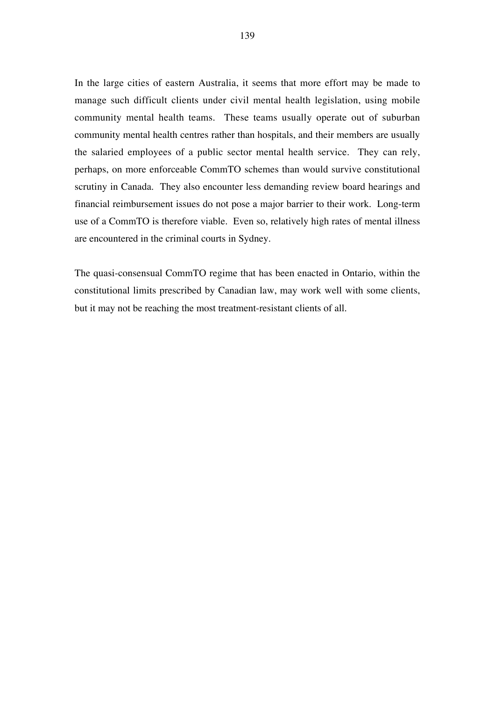In the large cities of eastern Australia, it seems that more effort may be made to manage such difficult clients under civil mental health legislation, using mobile community mental health teams. These teams usually operate out of suburban community mental health centres rather than hospitals, and their members are usually the salaried employees of a public sector mental health service. They can rely, perhaps, on more enforceable CommTO schemes than would survive constitutional scrutiny in Canada. They also encounter less demanding review board hearings and financial reimbursement issues do not pose a major barrier to their work. Long-term use of a CommTO is therefore viable. Even so, relatively high rates of mental illness are encountered in the criminal courts in Sydney.

The quasi-consensual CommTO regime that has been enacted in Ontario, within the constitutional limits prescribed by Canadian law, may work well with some clients, but it may not be reaching the most treatment-resistant clients of all.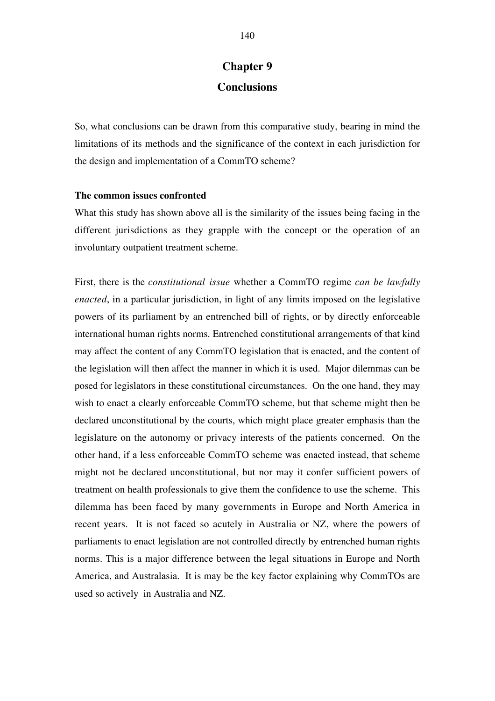# **Chapter 9 Conclusions**

So, what conclusions can be drawn from this comparative study, bearing in mind the limitations of its methods and the significance of the context in each jurisdiction for the design and implementation of a CommTO scheme?

# **The common issues confronted**

What this study has shown above all is the similarity of the issues being facing in the different jurisdictions as they grapple with the concept or the operation of an involuntary outpatient treatment scheme.

First, there is the *constitutional issue* whether a CommTO regime *can be lawfully enacted*, in a particular jurisdiction, in light of any limits imposed on the legislative powers of its parliament by an entrenched bill of rights, or by directly enforceable international human rights norms. Entrenched constitutional arrangements of that kind may affect the content of any CommTO legislation that is enacted, and the content of the legislation will then affect the manner in which it is used. Major dilemmas can be posed for legislators in these constitutional circumstances. On the one hand, they may wish to enact a clearly enforceable CommTO scheme, but that scheme might then be declared unconstitutional by the courts, which might place greater emphasis than the legislature on the autonomy or privacy interests of the patients concerned. On the other hand, if a less enforceable CommTO scheme was enacted instead, that scheme might not be declared unconstitutional, but nor may it confer sufficient powers of treatment on health professionals to give them the confidence to use the scheme. This dilemma has been faced by many governments in Europe and North America in recent years. It is not faced so acutely in Australia or NZ, where the powers of parliaments to enact legislation are not controlled directly by entrenched human rights norms. This is a major difference between the legal situations in Europe and North America, and Australasia. It is may be the key factor explaining why CommTOs are used so actively in Australia and NZ.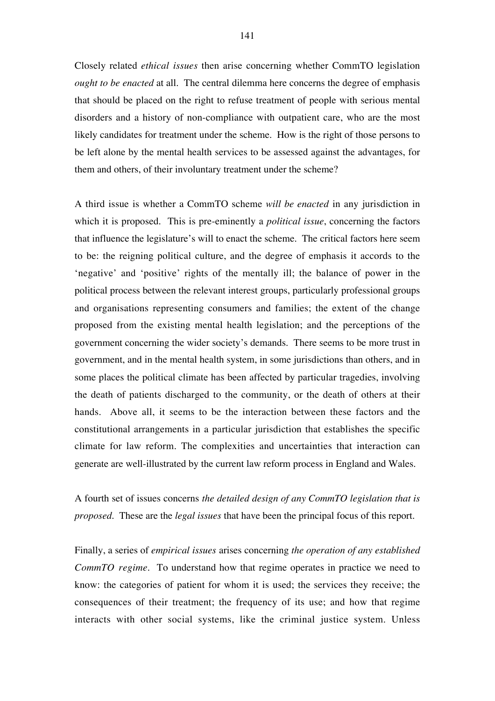Closely related *ethical issues* then arise concerning whether CommTO legislation *ought to be enacted* at all. The central dilemma here concerns the degree of emphasis that should be placed on the right to refuse treatment of people with serious mental disorders and a history of non-compliance with outpatient care, who are the most likely candidates for treatment under the scheme. How is the right of those persons to be left alone by the mental health services to be assessed against the advantages, for them and others, of their involuntary treatment under the scheme?

A third issue is whether a CommTO scheme *will be enacted* in any jurisdiction in which it is proposed. This is pre-eminently a *political issue*, concerning the factors that influence the legislature's will to enact the scheme. The critical factors here seem to be: the reigning political culture, and the degree of emphasis it accords to the 'negative' and 'positive' rights of the mentally ill; the balance of power in the political process between the relevant interest groups, particularly professional groups and organisations representing consumers and families; the extent of the change proposed from the existing mental health legislation; and the perceptions of the government concerning the wider society's demands. There seems to be more trust in government, and in the mental health system, in some jurisdictions than others, and in some places the political climate has been affected by particular tragedies, involving the death of patients discharged to the community, or the death of others at their hands. Above all, it seems to be the interaction between these factors and the constitutional arrangements in a particular jurisdiction that establishes the specific climate for law reform. The complexities and uncertainties that interaction can generate are well-illustrated by the current law reform process in England and Wales.

A fourth set of issues concerns *the detailed design of any CommTO legislation that is proposed*. These are the *legal issues* that have been the principal focus of this report.

Finally, a series of *empirical issues* arises concerning *the operation of any established CommTO regime*. To understand how that regime operates in practice we need to know: the categories of patient for whom it is used; the services they receive; the consequences of their treatment; the frequency of its use; and how that regime interacts with other social systems, like the criminal justice system. Unless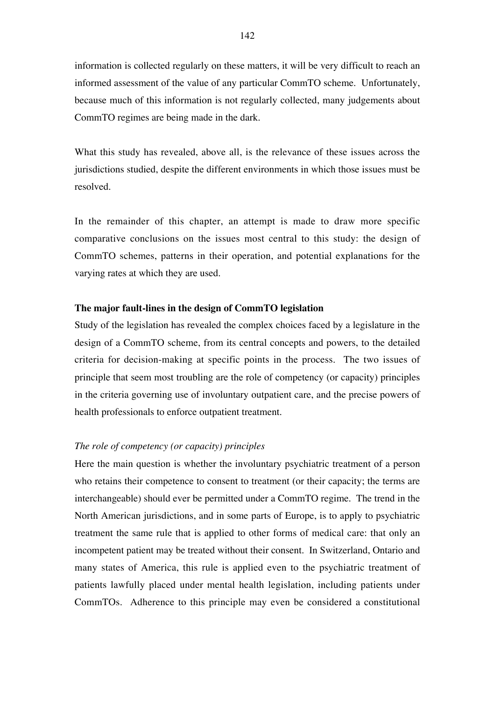information is collected regularly on these matters, it will be very difficult to reach an informed assessment of the value of any particular CommTO scheme. Unfortunately, because much of this information is not regularly collected, many judgements about CommTO regimes are being made in the dark.

What this study has revealed, above all, is the relevance of these issues across the jurisdictions studied, despite the different environments in which those issues must be resolved.

In the remainder of this chapter, an attempt is made to draw more specific comparative conclusions on the issues most central to this study: the design of CommTO schemes, patterns in their operation, and potential explanations for the varying rates at which they are used.

# **The major fault-lines in the design of CommTO legislation**

Study of the legislation has revealed the complex choices faced by a legislature in the design of a CommTO scheme, from its central concepts and powers, to the detailed criteria for decision-making at specific points in the process. The two issues of principle that seem most troubling are the role of competency (or capacity) principles in the criteria governing use of involuntary outpatient care, and the precise powers of health professionals to enforce outpatient treatment.

#### *The role of competency (or capacity) principles*

Here the main question is whether the involuntary psychiatric treatment of a person who retains their competence to consent to treatment (or their capacity; the terms are interchangeable) should ever be permitted under a CommTO regime. The trend in the North American jurisdictions, and in some parts of Europe, is to apply to psychiatric treatment the same rule that is applied to other forms of medical care: that only an incompetent patient may be treated without their consent. In Switzerland, Ontario and many states of America, this rule is applied even to the psychiatric treatment of patients lawfully placed under mental health legislation, including patients under CommTOs. Adherence to this principle may even be considered a constitutional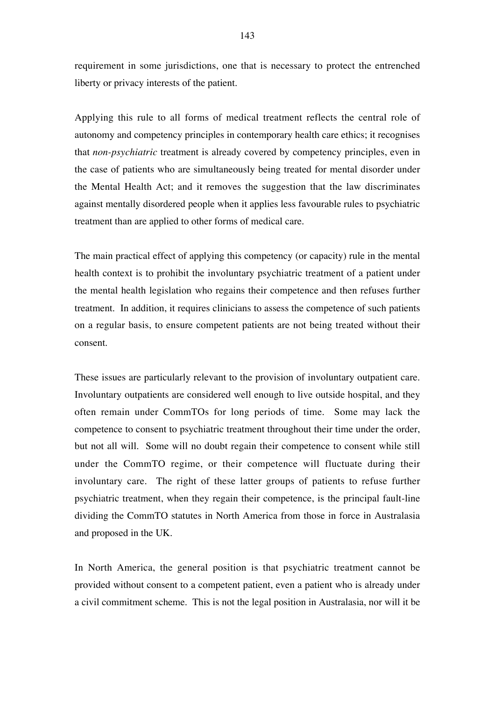requirement in some jurisdictions, one that is necessary to protect the entrenched liberty or privacy interests of the patient.

Applying this rule to all forms of medical treatment reflects the central role of autonomy and competency principles in contemporary health care ethics; it recognises that *non-psychiatric* treatment is already covered by competency principles, even in the case of patients who are simultaneously being treated for mental disorder under the Mental Health Act; and it removes the suggestion that the law discriminates against mentally disordered people when it applies less favourable rules to psychiatric treatment than are applied to other forms of medical care.

The main practical effect of applying this competency (or capacity) rule in the mental health context is to prohibit the involuntary psychiatric treatment of a patient under the mental health legislation who regains their competence and then refuses further treatment. In addition, it requires clinicians to assess the competence of such patients on a regular basis, to ensure competent patients are not being treated without their consent.

These issues are particularly relevant to the provision of involuntary outpatient care. Involuntary outpatients are considered well enough to live outside hospital, and they often remain under CommTOs for long periods of time. Some may lack the competence to consent to psychiatric treatment throughout their time under the order, but not all will. Some will no doubt regain their competence to consent while still under the CommTO regime, or their competence will fluctuate during their involuntary care. The right of these latter groups of patients to refuse further psychiatric treatment, when they regain their competence, is the principal fault-line dividing the CommTO statutes in North America from those in force in Australasia and proposed in the UK.

In North America, the general position is that psychiatric treatment cannot be provided without consent to a competent patient, even a patient who is already under a civil commitment scheme. This is not the legal position in Australasia, nor will it be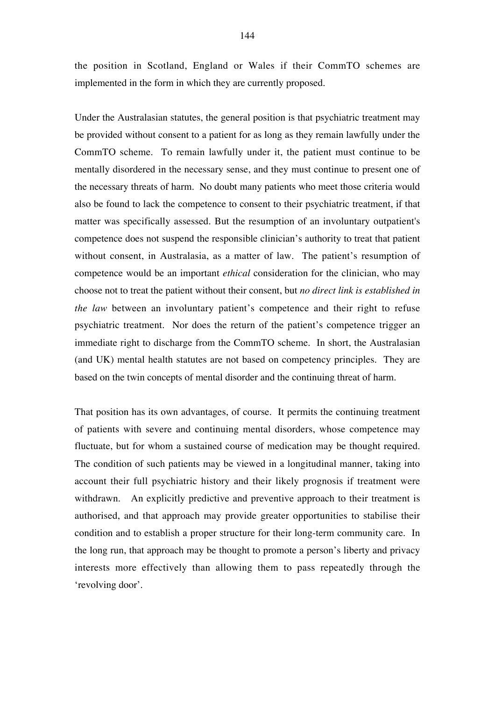the position in Scotland, England or Wales if their CommTO schemes are implemented in the form in which they are currently proposed.

Under the Australasian statutes, the general position is that psychiatric treatment may be provided without consent to a patient for as long as they remain lawfully under the CommTO scheme. To remain lawfully under it, the patient must continue to be mentally disordered in the necessary sense, and they must continue to present one of the necessary threats of harm. No doubt many patients who meet those criteria would also be found to lack the competence to consent to their psychiatric treatment, if that matter was specifically assessed. But the resumption of an involuntary outpatient's competence does not suspend the responsible clinician's authority to treat that patient without consent, in Australasia, as a matter of law. The patient's resumption of competence would be an important *ethical* consideration for the clinician, who may choose not to treat the patient without their consent, but *no direct link is established in the law* between an involuntary patient's competence and their right to refuse psychiatric treatment. Nor does the return of the patient's competence trigger an immediate right to discharge from the CommTO scheme. In short, the Australasian (and UK) mental health statutes are not based on competency principles. They are based on the twin concepts of mental disorder and the continuing threat of harm.

That position has its own advantages, of course. It permits the continuing treatment of patients with severe and continuing mental disorders, whose competence may fluctuate, but for whom a sustained course of medication may be thought required. The condition of such patients may be viewed in a longitudinal manner, taking into account their full psychiatric history and their likely prognosis if treatment were withdrawn. An explicitly predictive and preventive approach to their treatment is authorised, and that approach may provide greater opportunities to stabilise their condition and to establish a proper structure for their long-term community care. In the long run, that approach may be thought to promote a person's liberty and privacy interests more effectively than allowing them to pass repeatedly through the 'revolving door'.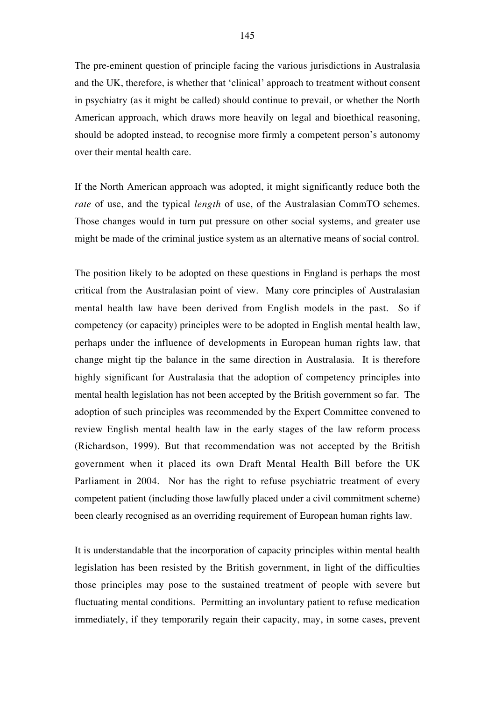The pre-eminent question of principle facing the various jurisdictions in Australasia and the UK, therefore, is whether that 'clinical' approach to treatment without consent in psychiatry (as it might be called) should continue to prevail, or whether the North American approach, which draws more heavily on legal and bioethical reasoning, should be adopted instead, to recognise more firmly a competent person's autonomy over their mental health care.

If the North American approach was adopted, it might significantly reduce both the *rate* of use, and the typical *length* of use, of the Australasian CommTO schemes. Those changes would in turn put pressure on other social systems, and greater use might be made of the criminal justice system as an alternative means of social control.

The position likely to be adopted on these questions in England is perhaps the most critical from the Australasian point of view. Many core principles of Australasian mental health law have been derived from English models in the past. So if competency (or capacity) principles were to be adopted in English mental health law, perhaps under the influence of developments in European human rights law, that change might tip the balance in the same direction in Australasia. It is therefore highly significant for Australasia that the adoption of competency principles into mental health legislation has not been accepted by the British government so far. The adoption of such principles was recommended by the Expert Committee convened to review English mental health law in the early stages of the law reform process (Richardson, 1999). But that recommendation was not accepted by the British government when it placed its own Draft Mental Health Bill before the UK Parliament in 2004. Nor has the right to refuse psychiatric treatment of every competent patient (including those lawfully placed under a civil commitment scheme) been clearly recognised as an overriding requirement of European human rights law.

It is understandable that the incorporation of capacity principles within mental health legislation has been resisted by the British government, in light of the difficulties those principles may pose to the sustained treatment of people with severe but fluctuating mental conditions. Permitting an involuntary patient to refuse medication immediately, if they temporarily regain their capacity, may, in some cases, prevent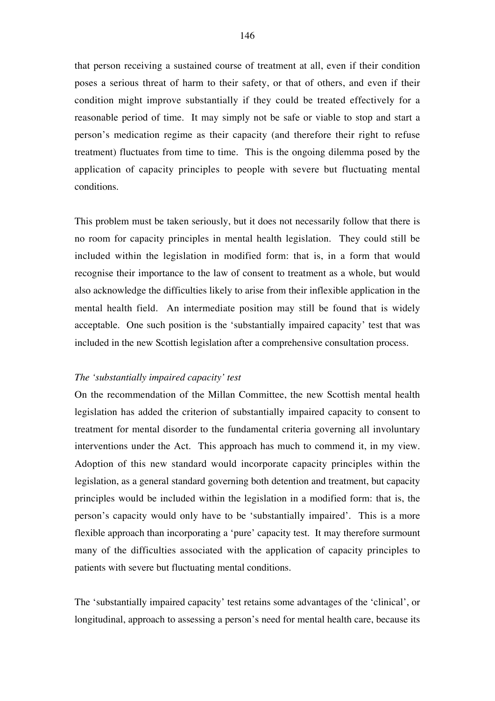that person receiving a sustained course of treatment at all, even if their condition poses a serious threat of harm to their safety, or that of others, and even if their condition might improve substantially if they could be treated effectively for a reasonable period of time. It may simply not be safe or viable to stop and start a person's medication regime as their capacity (and therefore their right to refuse treatment) fluctuates from time to time. This is the ongoing dilemma posed by the application of capacity principles to people with severe but fluctuating mental conditions.

This problem must be taken seriously, but it does not necessarily follow that there is no room for capacity principles in mental health legislation. They could still be included within the legislation in modified form: that is, in a form that would recognise their importance to the law of consent to treatment as a whole, but would also acknowledge the difficulties likely to arise from their inflexible application in the mental health field. An intermediate position may still be found that is widely acceptable. One such position is the 'substantially impaired capacity' test that was included in the new Scottish legislation after a comprehensive consultation process.

# *The 'substantially impaired capacity' test*

On the recommendation of the Millan Committee, the new Scottish mental health legislation has added the criterion of substantially impaired capacity to consent to treatment for mental disorder to the fundamental criteria governing all involuntary interventions under the Act. This approach has much to commend it, in my view. Adoption of this new standard would incorporate capacity principles within the legislation, as a general standard governing both detention and treatment, but capacity principles would be included within the legislation in a modified form: that is, the person's capacity would only have to be 'substantially impaired'. This is a more flexible approach than incorporating a 'pure' capacity test. It may therefore surmount many of the difficulties associated with the application of capacity principles to patients with severe but fluctuating mental conditions.

The 'substantially impaired capacity' test retains some advantages of the 'clinical', or longitudinal, approach to assessing a person's need for mental health care, because its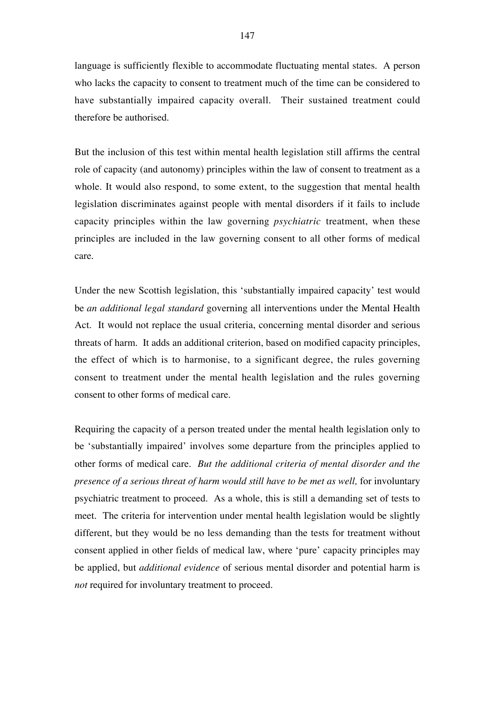language is sufficiently flexible to accommodate fluctuating mental states. A person who lacks the capacity to consent to treatment much of the time can be considered to have substantially impaired capacity overall. Their sustained treatment could therefore be authorised.

But the inclusion of this test within mental health legislation still affirms the central role of capacity (and autonomy) principles within the law of consent to treatment as a whole. It would also respond, to some extent, to the suggestion that mental health legislation discriminates against people with mental disorders if it fails to include capacity principles within the law governing *psychiatric* treatment, when these principles are included in the law governing consent to all other forms of medical care.

Under the new Scottish legislation, this 'substantially impaired capacity' test would be *an additional legal standard* governing all interventions under the Mental Health Act. It would not replace the usual criteria, concerning mental disorder and serious threats of harm. It adds an additional criterion, based on modified capacity principles, the effect of which is to harmonise, to a significant degree, the rules governing consent to treatment under the mental health legislation and the rules governing consent to other forms of medical care.

Requiring the capacity of a person treated under the mental health legislation only to be 'substantially impaired' involves some departure from the principles applied to other forms of medical care. *But the additional criteria of mental disorder and the presence of a serious threat of harm would still have to be met as well,* for involuntary psychiatric treatment to proceed. As a whole, this is still a demanding set of tests to meet. The criteria for intervention under mental health legislation would be slightly different, but they would be no less demanding than the tests for treatment without consent applied in other fields of medical law, where 'pure' capacity principles may be applied, but *additional evidence* of serious mental disorder and potential harm is *not* required for involuntary treatment to proceed.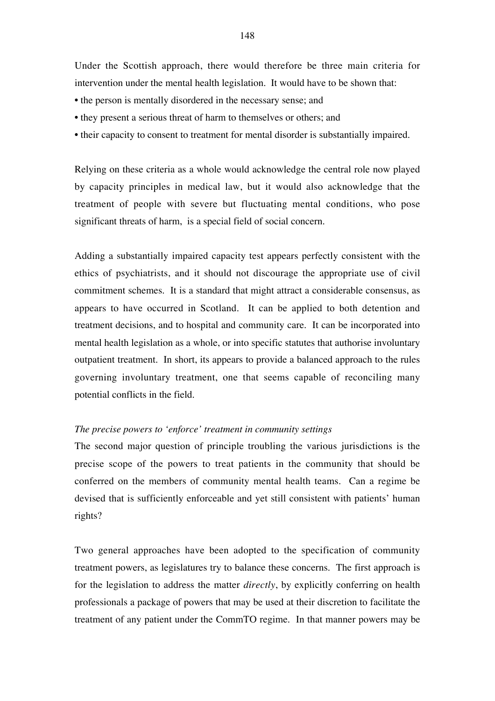Under the Scottish approach, there would therefore be three main criteria for intervention under the mental health legislation. It would have to be shown that:

- the person is mentally disordered in the necessary sense; and
- they present a serious threat of harm to themselves or others; and
- their capacity to consent to treatment for mental disorder is substantially impaired.

Relying on these criteria as a whole would acknowledge the central role now played by capacity principles in medical law, but it would also acknowledge that the treatment of people with severe but fluctuating mental conditions, who pose significant threats of harm, is a special field of social concern.

Adding a substantially impaired capacity test appears perfectly consistent with the ethics of psychiatrists, and it should not discourage the appropriate use of civil commitment schemes. It is a standard that might attract a considerable consensus, as appears to have occurred in Scotland. It can be applied to both detention and treatment decisions, and to hospital and community care. It can be incorporated into mental health legislation as a whole, or into specific statutes that authorise involuntary outpatient treatment. In short, its appears to provide a balanced approach to the rules governing involuntary treatment, one that seems capable of reconciling many potential conflicts in the field.

# *The precise powers to 'enforce' treatment in community settings*

The second major question of principle troubling the various jurisdictions is the precise scope of the powers to treat patients in the community that should be conferred on the members of community mental health teams. Can a regime be devised that is sufficiently enforceable and yet still consistent with patients' human rights?

Two general approaches have been adopted to the specification of community treatment powers, as legislatures try to balance these concerns. The first approach is for the legislation to address the matter *directly*, by explicitly conferring on health professionals a package of powers that may be used at their discretion to facilitate the treatment of any patient under the CommTO regime. In that manner powers may be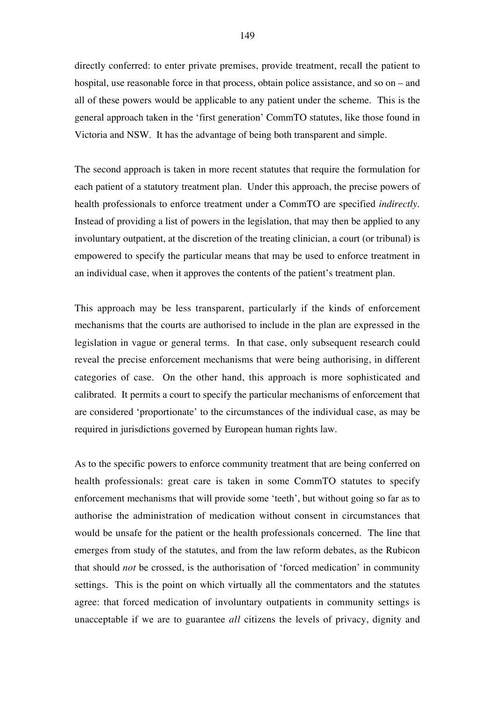directly conferred: to enter private premises, provide treatment, recall the patient to hospital, use reasonable force in that process, obtain police assistance, and so on – and all of these powers would be applicable to any patient under the scheme. This is the general approach taken in the 'first generation' CommTO statutes, like those found in Victoria and NSW. It has the advantage of being both transparent and simple.

The second approach is taken in more recent statutes that require the formulation for each patient of a statutory treatment plan. Under this approach, the precise powers of health professionals to enforce treatment under a CommTO are specified *indirectly*. Instead of providing a list of powers in the legislation, that may then be applied to any involuntary outpatient, at the discretion of the treating clinician, a court (or tribunal) is empowered to specify the particular means that may be used to enforce treatment in an individual case, when it approves the contents of the patient's treatment plan.

This approach may be less transparent, particularly if the kinds of enforcement mechanisms that the courts are authorised to include in the plan are expressed in the legislation in vague or general terms. In that case, only subsequent research could reveal the precise enforcement mechanisms that were being authorising, in different categories of case. On the other hand, this approach is more sophisticated and calibrated. It permits a court to specify the particular mechanisms of enforcement that are considered 'proportionate' to the circumstances of the individual case, as may be required in jurisdictions governed by European human rights law.

As to the specific powers to enforce community treatment that are being conferred on health professionals: great care is taken in some CommTO statutes to specify enforcement mechanisms that will provide some 'teeth', but without going so far as to authorise the administration of medication without consent in circumstances that would be unsafe for the patient or the health professionals concerned. The line that emerges from study of the statutes, and from the law reform debates, as the Rubicon that should *not* be crossed, is the authorisation of 'forced medication' in community settings. This is the point on which virtually all the commentators and the statutes agree: that forced medication of involuntary outpatients in community settings is unacceptable if we are to guarantee *all* citizens the levels of privacy, dignity and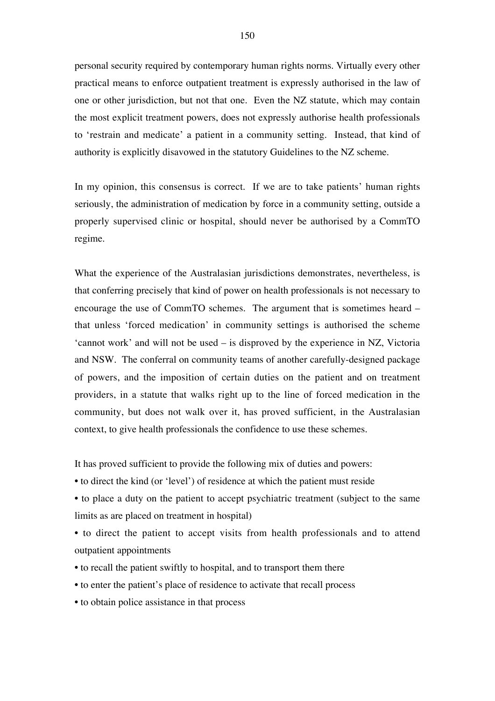personal security required by contemporary human rights norms. Virtually every other practical means to enforce outpatient treatment is expressly authorised in the law of one or other jurisdiction, but not that one. Even the NZ statute, which may contain the most explicit treatment powers, does not expressly authorise health professionals to 'restrain and medicate' a patient in a community setting. Instead, that kind of authority is explicitly disavowed in the statutory Guidelines to the NZ scheme.

In my opinion, this consensus is correct. If we are to take patients' human rights seriously, the administration of medication by force in a community setting, outside a properly supervised clinic or hospital, should never be authorised by a CommTO regime.

What the experience of the Australasian jurisdictions demonstrates, nevertheless, is that conferring precisely that kind of power on health professionals is not necessary to encourage the use of CommTO schemes. The argument that is sometimes heard – that unless 'forced medication' in community settings is authorised the scheme 'cannot work' and will not be used – is disproved by the experience in NZ, Victoria and NSW. The conferral on community teams of another carefully-designed package of powers, and the imposition of certain duties on the patient and on treatment providers, in a statute that walks right up to the line of forced medication in the community, but does not walk over it, has proved sufficient, in the Australasian context, to give health professionals the confidence to use these schemes.

It has proved sufficient to provide the following mix of duties and powers:

- to direct the kind (or 'level') of residence at which the patient must reside
- to place a duty on the patient to accept psychiatric treatment (subject to the same limits as are placed on treatment in hospital)
- to direct the patient to accept visits from health professionals and to attend outpatient appointments
- to recall the patient swiftly to hospital, and to transport them there
- to enter the patient's place of residence to activate that recall process
- to obtain police assistance in that process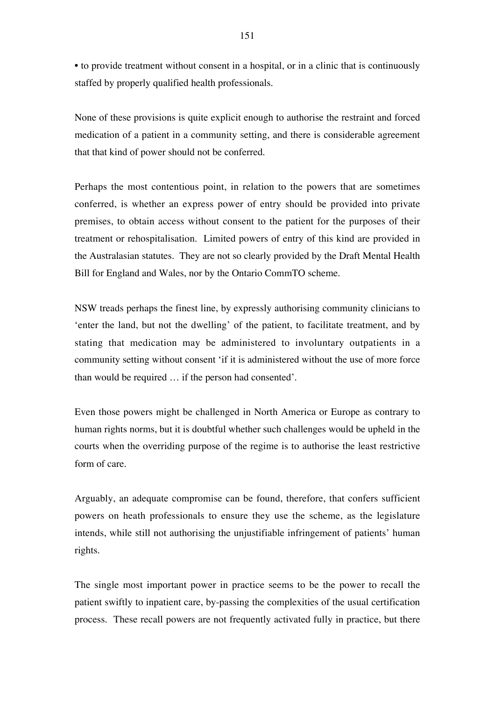• to provide treatment without consent in a hospital, or in a clinic that is continuously staffed by properly qualified health professionals.

None of these provisions is quite explicit enough to authorise the restraint and forced medication of a patient in a community setting, and there is considerable agreement that that kind of power should not be conferred.

Perhaps the most contentious point, in relation to the powers that are sometimes conferred, is whether an express power of entry should be provided into private premises, to obtain access without consent to the patient for the purposes of their treatment or rehospitalisation. Limited powers of entry of this kind are provided in the Australasian statutes. They are not so clearly provided by the Draft Mental Health Bill for England and Wales, nor by the Ontario CommTO scheme.

NSW treads perhaps the finest line, by expressly authorising community clinicians to 'enter the land, but not the dwelling' of the patient, to facilitate treatment, and by stating that medication may be administered to involuntary outpatients in a community setting without consent 'if it is administered without the use of more force than would be required … if the person had consented'.

Even those powers might be challenged in North America or Europe as contrary to human rights norms, but it is doubtful whether such challenges would be upheld in the courts when the overriding purpose of the regime is to authorise the least restrictive form of care.

Arguably, an adequate compromise can be found, therefore, that confers sufficient powers on heath professionals to ensure they use the scheme, as the legislature intends, while still not authorising the unjustifiable infringement of patients' human rights.

The single most important power in practice seems to be the power to recall the patient swiftly to inpatient care, by-passing the complexities of the usual certification process. These recall powers are not frequently activated fully in practice, but there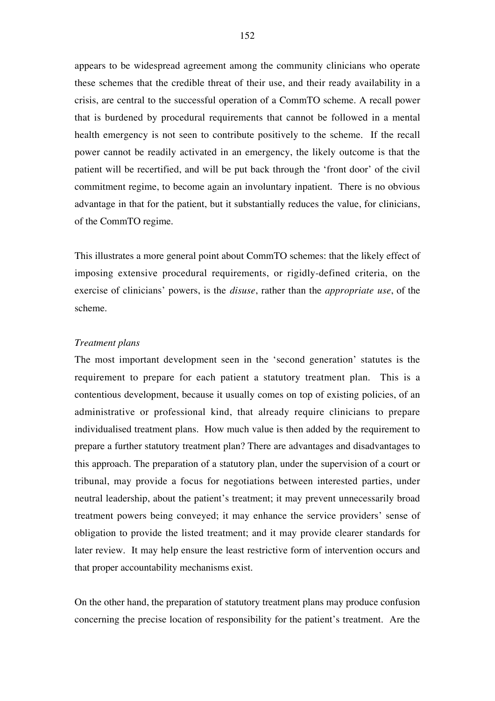appears to be widespread agreement among the community clinicians who operate these schemes that the credible threat of their use, and their ready availability in a crisis, are central to the successful operation of a CommTO scheme. A recall power that is burdened by procedural requirements that cannot be followed in a mental health emergency is not seen to contribute positively to the scheme. If the recall power cannot be readily activated in an emergency, the likely outcome is that the patient will be recertified, and will be put back through the 'front door' of the civil commitment regime, to become again an involuntary inpatient. There is no obvious advantage in that for the patient, but it substantially reduces the value, for clinicians, of the CommTO regime.

This illustrates a more general point about CommTO schemes: that the likely effect of imposing extensive procedural requirements, or rigidly-defined criteria, on the exercise of clinicians' powers, is the *disuse*, rather than the *appropriate use*, of the scheme.

# *Treatment plans*

The most important development seen in the 'second generation' statutes is the requirement to prepare for each patient a statutory treatment plan. This is a contentious development, because it usually comes on top of existing policies, of an administrative or professional kind, that already require clinicians to prepare individualised treatment plans. How much value is then added by the requirement to prepare a further statutory treatment plan? There are advantages and disadvantages to this approach. The preparation of a statutory plan, under the supervision of a court or tribunal, may provide a focus for negotiations between interested parties, under neutral leadership, about the patient's treatment; it may prevent unnecessarily broad treatment powers being conveyed; it may enhance the service providers' sense of obligation to provide the listed treatment; and it may provide clearer standards for later review. It may help ensure the least restrictive form of intervention occurs and that proper accountability mechanisms exist.

On the other hand, the preparation of statutory treatment plans may produce confusion concerning the precise location of responsibility for the patient's treatment. Are the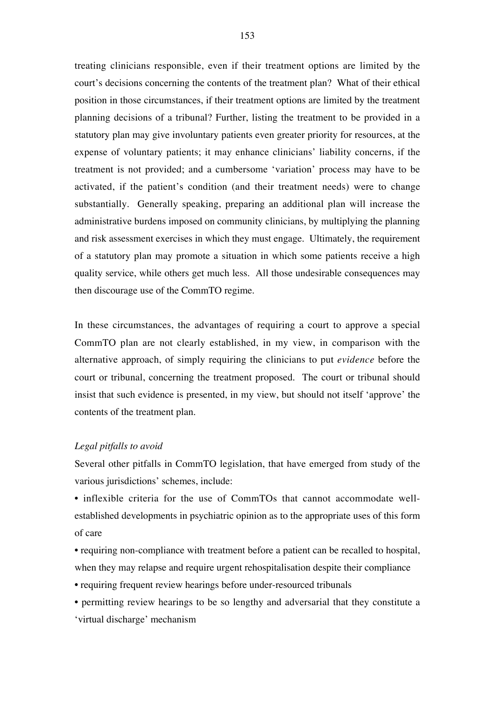treating clinicians responsible, even if their treatment options are limited by the court's decisions concerning the contents of the treatment plan? What of their ethical position in those circumstances, if their treatment options are limited by the treatment planning decisions of a tribunal? Further, listing the treatment to be provided in a statutory plan may give involuntary patients even greater priority for resources, at the expense of voluntary patients; it may enhance clinicians' liability concerns, if the treatment is not provided; and a cumbersome 'variation' process may have to be activated, if the patient's condition (and their treatment needs) were to change substantially. Generally speaking, preparing an additional plan will increase the administrative burdens imposed on community clinicians, by multiplying the planning and risk assessment exercises in which they must engage. Ultimately, the requirement of a statutory plan may promote a situation in which some patients receive a high quality service, while others get much less. All those undesirable consequences may then discourage use of the CommTO regime.

In these circumstances, the advantages of requiring a court to approve a special CommTO plan are not clearly established, in my view, in comparison with the alternative approach, of simply requiring the clinicians to put *evidence* before the court or tribunal, concerning the treatment proposed. The court or tribunal should insist that such evidence is presented, in my view, but should not itself 'approve' the contents of the treatment plan.

# *Legal pitfalls to avoid*

Several other pitfalls in CommTO legislation, that have emerged from study of the various jurisdictions' schemes, include:

• inflexible criteria for the use of CommTOs that cannot accommodate wellestablished developments in psychiatric opinion as to the appropriate uses of this form of care

- requiring non-compliance with treatment before a patient can be recalled to hospital, when they may relapse and require urgent rehospitalisation despite their compliance
- requiring frequent review hearings before under-resourced tribunals
- permitting review hearings to be so lengthy and adversarial that they constitute a 'virtual discharge' mechanism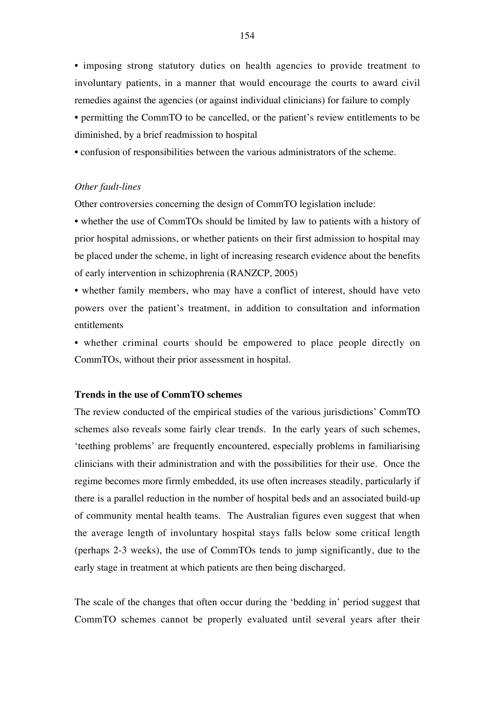• imposing strong statutory duties on health agencies to provide treatment to involuntary patients, in a manner that would encourage the courts to award civil remedies against the agencies (or against individual clinicians) for failure to comply

• permitting the CommTO to be cancelled, or the patient's review entitlements to be diminished, by a brief readmission to hospital

• confusion of responsibilities between the various administrators of the scheme.

# *Other fault-lines*

Other controversies concerning the design of CommTO legislation include:

• whether the use of CommTOs should be limited by law to patients with a history of prior hospital admissions, or whether patients on their first admission to hospital may be placed under the scheme, in light of increasing research evidence about the benefits of early intervention in schizophrenia (RANZCP, 2005)

• whether family members, who may have a conflict of interest, should have veto powers over the patient's treatment, in addition to consultation and information entitlements

• whether criminal courts should be empowered to place people directly on CommTOs, without their prior assessment in hospital.

# **Trends in the use of CommTO schemes**

The review conducted of the empirical studies of the various jurisdictions' CommTO schemes also reveals some fairly clear trends. In the early years of such schemes, 'teething problems' are frequently encountered, especially problems in familiarising clinicians with their administration and with the possibilities for their use. Once the regime becomes more firmly embedded, its use often increases steadily, particularly if there is a parallel reduction in the number of hospital beds and an associated build-up of community mental health teams. The Australian figures even suggest that when the average length of involuntary hospital stays falls below some critical length (perhaps 2-3 weeks), the use of CommTOs tends to jump significantly, due to the early stage in treatment at which patients are then being discharged.

The scale of the changes that often occur during the 'bedding in' period suggest that CommTO schemes cannot be properly evaluated until several years after their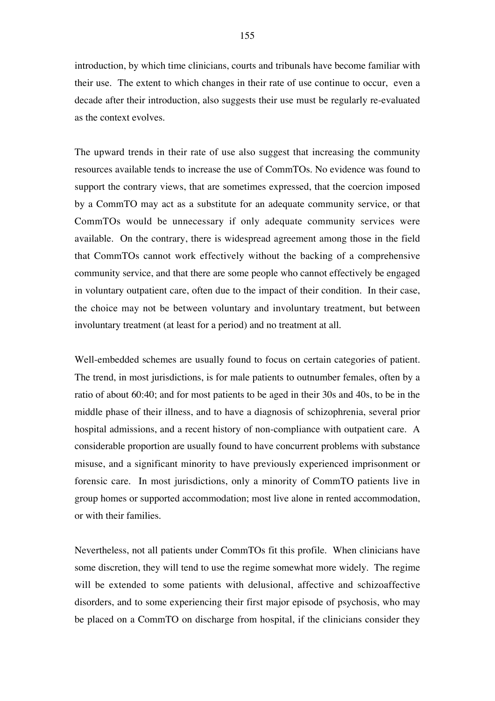introduction, by which time clinicians, courts and tribunals have become familiar with their use. The extent to which changes in their rate of use continue to occur, even a decade after their introduction, also suggests their use must be regularly re-evaluated as the context evolves.

The upward trends in their rate of use also suggest that increasing the community resources available tends to increase the use of CommTOs. No evidence was found to support the contrary views, that are sometimes expressed, that the coercion imposed by a CommTO may act as a substitute for an adequate community service, or that CommTOs would be unnecessary if only adequate community services were available. On the contrary, there is widespread agreement among those in the field that CommTOs cannot work effectively without the backing of a comprehensive community service, and that there are some people who cannot effectively be engaged in voluntary outpatient care, often due to the impact of their condition. In their case, the choice may not be between voluntary and involuntary treatment, but between involuntary treatment (at least for a period) and no treatment at all.

Well-embedded schemes are usually found to focus on certain categories of patient. The trend, in most jurisdictions, is for male patients to outnumber females, often by a ratio of about 60:40; and for most patients to be aged in their 30s and 40s, to be in the middle phase of their illness, and to have a diagnosis of schizophrenia, several prior hospital admissions, and a recent history of non-compliance with outpatient care. A considerable proportion are usually found to have concurrent problems with substance misuse, and a significant minority to have previously experienced imprisonment or forensic care. In most jurisdictions, only a minority of CommTO patients live in group homes or supported accommodation; most live alone in rented accommodation, or with their families.

Nevertheless, not all patients under CommTOs fit this profile. When clinicians have some discretion, they will tend to use the regime somewhat more widely. The regime will be extended to some patients with delusional, affective and schizoaffective disorders, and to some experiencing their first major episode of psychosis, who may be placed on a CommTO on discharge from hospital, if the clinicians consider they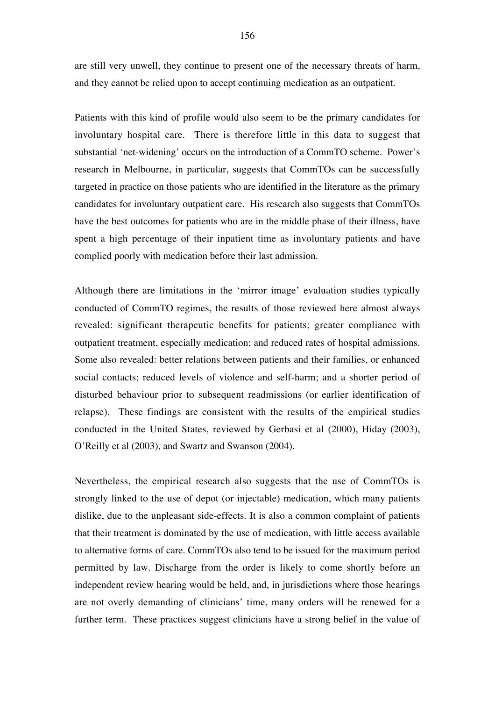are still very unwell, they continue to present one of the necessary threats of harm, and they cannot be relied upon to accept continuing medication as an outpatient.

Patients with this kind of profile would also seem to be the primary candidates for involuntary hospital care. There is therefore little in this data to suggest that substantial 'net-widening' occurs on the introduction of a CommTO scheme. Power's research in Melbourne, in particular, suggests that CommTOs can be successfully targeted in practice on those patients who are identified in the literature as the primary candidates for involuntary outpatient care. His research also suggests that CommTOs have the best outcomes for patients who are in the middle phase of their illness, have spent a high percentage of their inpatient time as involuntary patients and have complied poorly with medication before their last admission.

Although there are limitations in the 'mirror image' evaluation studies typically conducted of CommTO regimes, the results of those reviewed here almost always revealed: significant therapeutic benefits for patients; greater compliance with outpatient treatment, especially medication; and reduced rates of hospital admissions. Some also revealed: better relations between patients and their families, or enhanced social contacts; reduced levels of violence and self-harm; and a shorter period of disturbed behaviour prior to subsequent readmissions (or earlier identification of relapse). These findings are consistent with the results of the empirical studies conducted in the United States, reviewed by Gerbasi et al (2000), Hiday (2003), O'Reilly et al (2003), and Swartz and Swanson (2004).

Nevertheless, the empirical research also suggests that the use of CommTOs is strongly linked to the use of depot (or injectable) medication, which many patients dislike, due to the unpleasant side-effects. It is also a common complaint of patients that their treatment is dominated by the use of medication, with little access available to alternative forms of care. CommTOs also tend to be issued for the maximum period permitted by law. Discharge from the order is likely to come shortly before an independent review hearing would be held, and, in jurisdictions where those hearings are not overly demanding of clinicians' time, many orders will be renewed for a further term. These practices suggest clinicians have a strong belief in the value of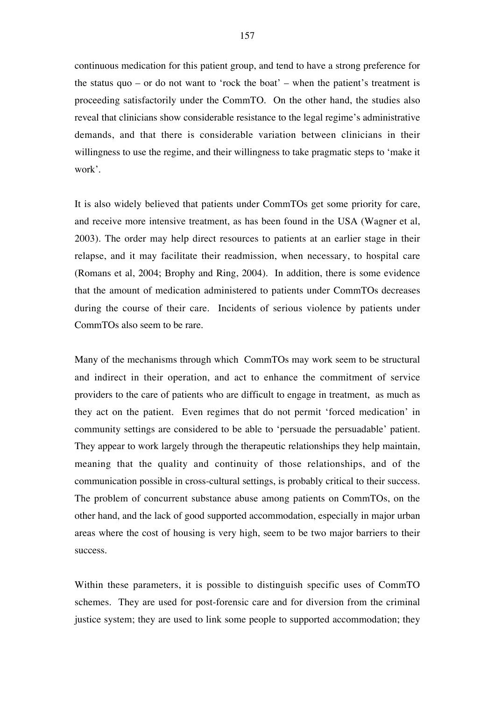continuous medication for this patient group, and tend to have a strong preference for the status quo – or do not want to 'rock the boat' – when the patient's treatment is proceeding satisfactorily under the CommTO. On the other hand, the studies also reveal that clinicians show considerable resistance to the legal regime's administrative demands, and that there is considerable variation between clinicians in their willingness to use the regime, and their willingness to take pragmatic steps to 'make it work'.

It is also widely believed that patients under CommTOs get some priority for care, and receive more intensive treatment, as has been found in the USA (Wagner et al, 2003). The order may help direct resources to patients at an earlier stage in their relapse, and it may facilitate their readmission, when necessary, to hospital care (Romans et al, 2004; Brophy and Ring, 2004). In addition, there is some evidence that the amount of medication administered to patients under CommTOs decreases during the course of their care. Incidents of serious violence by patients under CommTOs also seem to be rare.

Many of the mechanisms through which CommTOs may work seem to be structural and indirect in their operation, and act to enhance the commitment of service providers to the care of patients who are difficult to engage in treatment, as much as they act on the patient. Even regimes that do not permit 'forced medication' in community settings are considered to be able to 'persuade the persuadable' patient. They appear to work largely through the therapeutic relationships they help maintain, meaning that the quality and continuity of those relationships, and of the communication possible in cross-cultural settings, is probably critical to their success. The problem of concurrent substance abuse among patients on CommTOs, on the other hand, and the lack of good supported accommodation, especially in major urban areas where the cost of housing is very high, seem to be two major barriers to their success.

Within these parameters, it is possible to distinguish specific uses of CommTO schemes. They are used for post-forensic care and for diversion from the criminal justice system; they are used to link some people to supported accommodation; they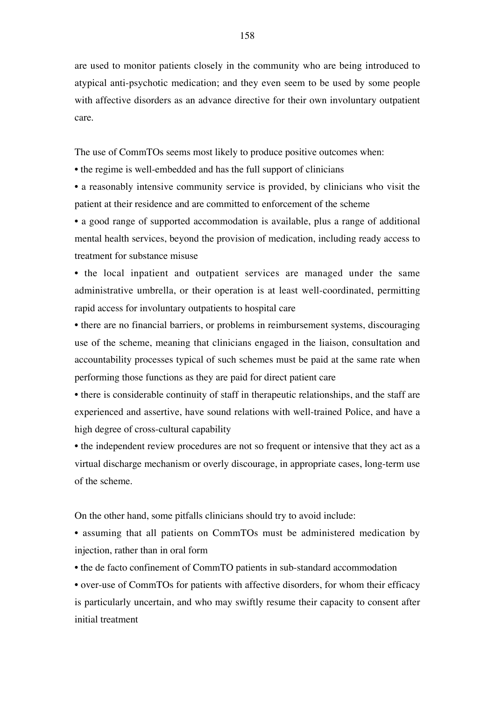are used to monitor patients closely in the community who are being introduced to atypical anti-psychotic medication; and they even seem to be used by some people with affective disorders as an advance directive for their own involuntary outpatient care.

The use of CommTOs seems most likely to produce positive outcomes when:

• the regime is well-embedded and has the full support of clinicians

• a reasonably intensive community service is provided, by clinicians who visit the patient at their residence and are committed to enforcement of the scheme

• a good range of supported accommodation is available, plus a range of additional mental health services, beyond the provision of medication, including ready access to treatment for substance misuse

• the local inpatient and outpatient services are managed under the same administrative umbrella, or their operation is at least well-coordinated, permitting rapid access for involuntary outpatients to hospital care

• there are no financial barriers, or problems in reimbursement systems, discouraging use of the scheme, meaning that clinicians engaged in the liaison, consultation and accountability processes typical of such schemes must be paid at the same rate when performing those functions as they are paid for direct patient care

• there is considerable continuity of staff in therapeutic relationships, and the staff are experienced and assertive, have sound relations with well-trained Police, and have a high degree of cross-cultural capability

• the independent review procedures are not so frequent or intensive that they act as a virtual discharge mechanism or overly discourage, in appropriate cases, long-term use of the scheme.

On the other hand, some pitfalls clinicians should try to avoid include:

• assuming that all patients on CommTOs must be administered medication by injection, rather than in oral form

• the de facto confinement of CommTO patients in sub-standard accommodation

• over-use of CommTOs for patients with affective disorders, for whom their efficacy is particularly uncertain, and who may swiftly resume their capacity to consent after initial treatment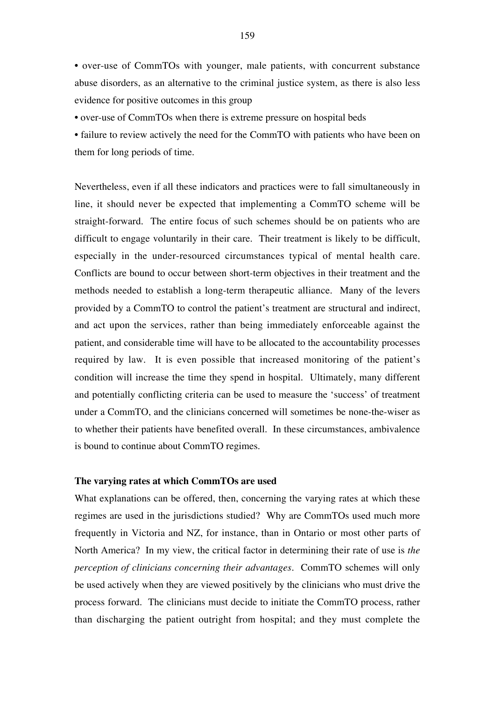• over-use of CommTOs with younger, male patients, with concurrent substance abuse disorders, as an alternative to the criminal justice system, as there is also less evidence for positive outcomes in this group

• over-use of CommTOs when there is extreme pressure on hospital beds

• failure to review actively the need for the CommTO with patients who have been on them for long periods of time.

Nevertheless, even if all these indicators and practices were to fall simultaneously in line, it should never be expected that implementing a CommTO scheme will be straight-forward. The entire focus of such schemes should be on patients who are difficult to engage voluntarily in their care. Their treatment is likely to be difficult, especially in the under-resourced circumstances typical of mental health care. Conflicts are bound to occur between short-term objectives in their treatment and the methods needed to establish a long-term therapeutic alliance. Many of the levers provided by a CommTO to control the patient's treatment are structural and indirect, and act upon the services, rather than being immediately enforceable against the patient, and considerable time will have to be allocated to the accountability processes required by law. It is even possible that increased monitoring of the patient's condition will increase the time they spend in hospital. Ultimately, many different and potentially conflicting criteria can be used to measure the 'success' of treatment under a CommTO, and the clinicians concerned will sometimes be none-the-wiser as to whether their patients have benefited overall. In these circumstances, ambivalence is bound to continue about CommTO regimes.

# **The varying rates at which CommTOs are used**

What explanations can be offered, then, concerning the varying rates at which these regimes are used in the jurisdictions studied? Why are CommTOs used much more frequently in Victoria and NZ, for instance, than in Ontario or most other parts of North America? In my view, the critical factor in determining their rate of use is *the perception of clinicians concerning their advantages*. CommTO schemes will only be used actively when they are viewed positively by the clinicians who must drive the process forward. The clinicians must decide to initiate the CommTO process, rather than discharging the patient outright from hospital; and they must complete the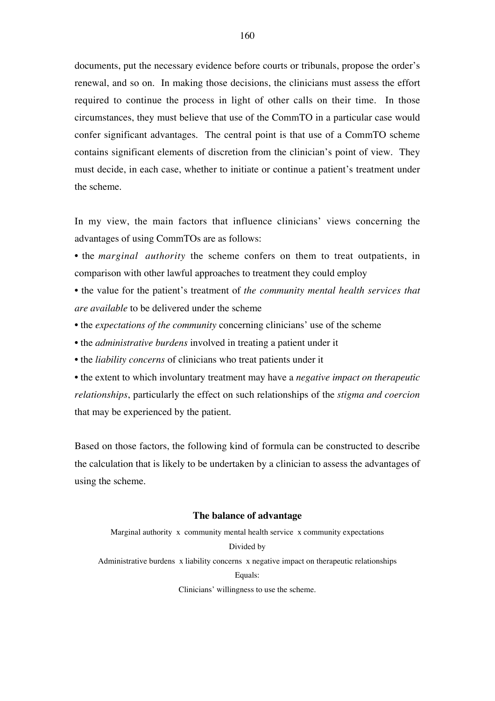documents, put the necessary evidence before courts or tribunals, propose the order's renewal, and so on. In making those decisions, the clinicians must assess the effort required to continue the process in light of other calls on their time. In those circumstances, they must believe that use of the CommTO in a particular case would confer significant advantages. The central point is that use of a CommTO scheme contains significant elements of discretion from the clinician's point of view. They must decide, in each case, whether to initiate or continue a patient's treatment under the scheme.

In my view, the main factors that influence clinicians' views concerning the advantages of using CommTOs are as follows:

- the *marginal authority* the scheme confers on them to treat outpatients, in comparison with other lawful approaches to treatment they could employ
- the value for the patient's treatment of *the community mental health services that are available* to be delivered under the scheme
- the *expectations of the community* concerning clinicians' use of the scheme
- the *administrative burdens* involved in treating a patient under it
- the *liability concerns* of clinicians who treat patients under it
- the extent to which involuntary treatment may have a *negative impact on therapeutic relationships*, particularly the effect on such relationships of the *stigma and coercion* that may be experienced by the patient.

Based on those factors, the following kind of formula can be constructed to describe the calculation that is likely to be undertaken by a clinician to assess the advantages of using the scheme.

#### **The balance of advantage**

Marginal authority x community mental health service x community expectations Divided by Administrative burdens x liability concerns x negative impact on therapeutic relationships Equals: Clinicians' willingness to use the scheme.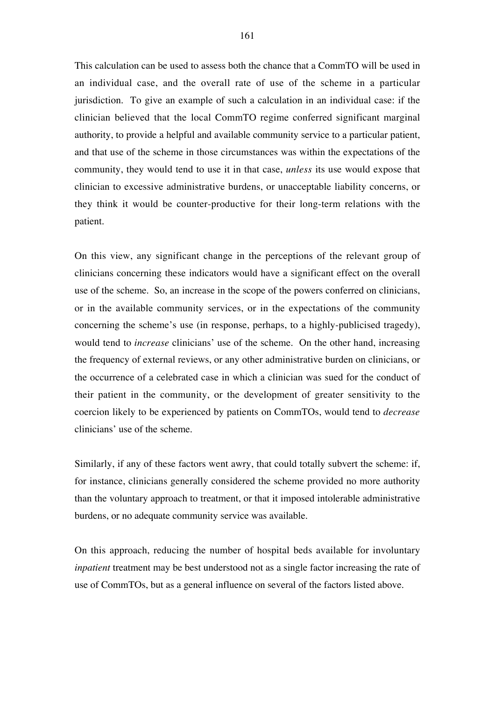This calculation can be used to assess both the chance that a CommTO will be used in an individual case, and the overall rate of use of the scheme in a particular jurisdiction. To give an example of such a calculation in an individual case: if the clinician believed that the local CommTO regime conferred significant marginal authority, to provide a helpful and available community service to a particular patient, and that use of the scheme in those circumstances was within the expectations of the community, they would tend to use it in that case, *unless* its use would expose that clinician to excessive administrative burdens, or unacceptable liability concerns, or they think it would be counter-productive for their long-term relations with the patient.

On this view, any significant change in the perceptions of the relevant group of clinicians concerning these indicators would have a significant effect on the overall use of the scheme. So, an increase in the scope of the powers conferred on clinicians, or in the available community services, or in the expectations of the community concerning the scheme's use (in response, perhaps, to a highly-publicised tragedy), would tend to *increase* clinicians' use of the scheme. On the other hand, increasing the frequency of external reviews, or any other administrative burden on clinicians, or the occurrence of a celebrated case in which a clinician was sued for the conduct of their patient in the community, or the development of greater sensitivity to the coercion likely to be experienced by patients on CommTOs, would tend to *decrease* clinicians' use of the scheme.

Similarly, if any of these factors went awry, that could totally subvert the scheme: if, for instance, clinicians generally considered the scheme provided no more authority than the voluntary approach to treatment, or that it imposed intolerable administrative burdens, or no adequate community service was available.

On this approach, reducing the number of hospital beds available for involuntary *inpatient* treatment may be best understood not as a single factor increasing the rate of use of CommTOs, but as a general influence on several of the factors listed above.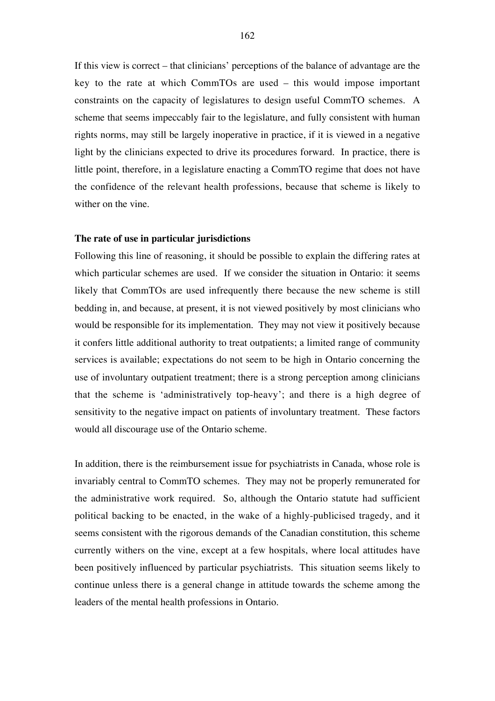If this view is correct – that clinicians' perceptions of the balance of advantage are the key to the rate at which CommTOs are used – this would impose important constraints on the capacity of legislatures to design useful CommTO schemes. A scheme that seems impeccably fair to the legislature, and fully consistent with human rights norms, may still be largely inoperative in practice, if it is viewed in a negative light by the clinicians expected to drive its procedures forward. In practice, there is little point, therefore, in a legislature enacting a CommTO regime that does not have the confidence of the relevant health professions, because that scheme is likely to wither on the vine.

# **The rate of use in particular jurisdictions**

Following this line of reasoning, it should be possible to explain the differing rates at which particular schemes are used. If we consider the situation in Ontario: it seems likely that CommTOs are used infrequently there because the new scheme is still bedding in, and because, at present, it is not viewed positively by most clinicians who would be responsible for its implementation. They may not view it positively because it confers little additional authority to treat outpatients; a limited range of community services is available; expectations do not seem to be high in Ontario concerning the use of involuntary outpatient treatment; there is a strong perception among clinicians that the scheme is 'administratively top-heavy'; and there is a high degree of sensitivity to the negative impact on patients of involuntary treatment. These factors would all discourage use of the Ontario scheme.

In addition, there is the reimbursement issue for psychiatrists in Canada, whose role is invariably central to CommTO schemes. They may not be properly remunerated for the administrative work required. So, although the Ontario statute had sufficient political backing to be enacted, in the wake of a highly-publicised tragedy, and it seems consistent with the rigorous demands of the Canadian constitution, this scheme currently withers on the vine, except at a few hospitals, where local attitudes have been positively influenced by particular psychiatrists. This situation seems likely to continue unless there is a general change in attitude towards the scheme among the leaders of the mental health professions in Ontario.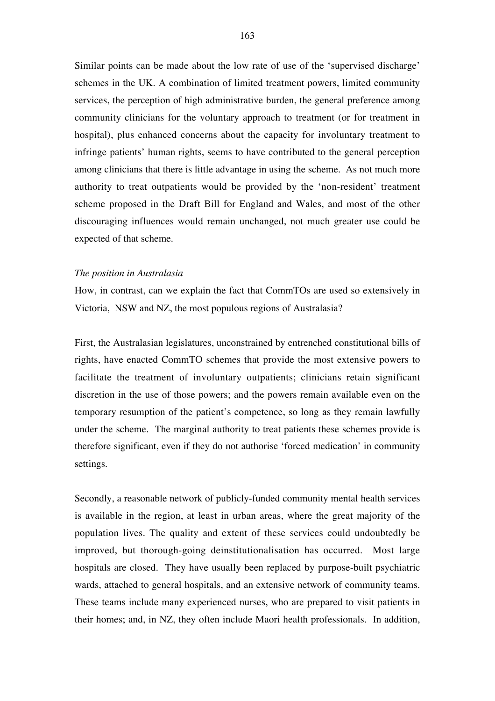Similar points can be made about the low rate of use of the 'supervised discharge' schemes in the UK. A combination of limited treatment powers, limited community services, the perception of high administrative burden, the general preference among community clinicians for the voluntary approach to treatment (or for treatment in hospital), plus enhanced concerns about the capacity for involuntary treatment to infringe patients' human rights, seems to have contributed to the general perception among clinicians that there is little advantage in using the scheme. As not much more authority to treat outpatients would be provided by the 'non-resident' treatment scheme proposed in the Draft Bill for England and Wales, and most of the other discouraging influences would remain unchanged, not much greater use could be expected of that scheme.

#### *The position in Australasia*

How, in contrast, can we explain the fact that CommTOs are used so extensively in Victoria, NSW and NZ, the most populous regions of Australasia?

First, the Australasian legislatures, unconstrained by entrenched constitutional bills of rights, have enacted CommTO schemes that provide the most extensive powers to facilitate the treatment of involuntary outpatients; clinicians retain significant discretion in the use of those powers; and the powers remain available even on the temporary resumption of the patient's competence, so long as they remain lawfully under the scheme. The marginal authority to treat patients these schemes provide is therefore significant, even if they do not authorise 'forced medication' in community settings.

Secondly, a reasonable network of publicly-funded community mental health services is available in the region, at least in urban areas, where the great majority of the population lives. The quality and extent of these services could undoubtedly be improved, but thorough-going deinstitutionalisation has occurred. Most large hospitals are closed. They have usually been replaced by purpose-built psychiatric wards, attached to general hospitals, and an extensive network of community teams. These teams include many experienced nurses, who are prepared to visit patients in their homes; and, in NZ, they often include Maori health professionals. In addition,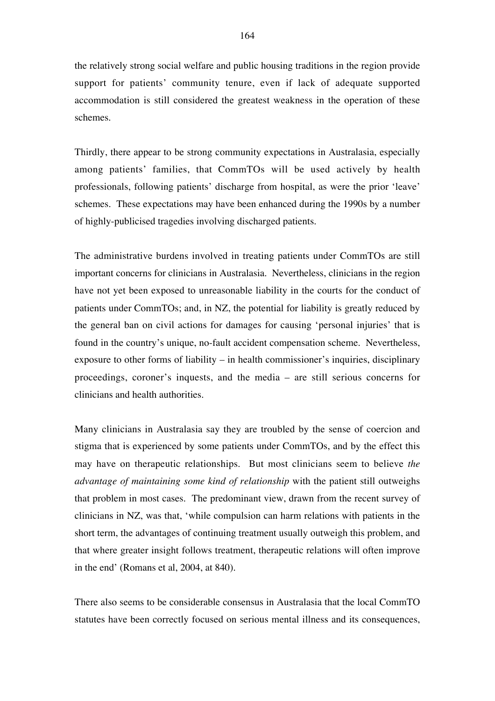the relatively strong social welfare and public housing traditions in the region provide support for patients' community tenure, even if lack of adequate supported accommodation is still considered the greatest weakness in the operation of these schemes.

Thirdly, there appear to be strong community expectations in Australasia, especially among patients' families, that CommTOs will be used actively by health professionals, following patients' discharge from hospital, as were the prior 'leave' schemes. These expectations may have been enhanced during the 1990s by a number of highly-publicised tragedies involving discharged patients.

The administrative burdens involved in treating patients under CommTOs are still important concerns for clinicians in Australasia. Nevertheless, clinicians in the region have not yet been exposed to unreasonable liability in the courts for the conduct of patients under CommTOs; and, in NZ, the potential for liability is greatly reduced by the general ban on civil actions for damages for causing 'personal injuries' that is found in the country's unique, no-fault accident compensation scheme. Nevertheless, exposure to other forms of liability – in health commissioner's inquiries, disciplinary proceedings, coroner's inquests, and the media – are still serious concerns for clinicians and health authorities.

Many clinicians in Australasia say they are troubled by the sense of coercion and stigma that is experienced by some patients under CommTOs, and by the effect this may have on therapeutic relationships. But most clinicians seem to believe *the advantage of maintaining some kind of relationship* with the patient still outweighs that problem in most cases. The predominant view, drawn from the recent survey of clinicians in NZ, was that, 'while compulsion can harm relations with patients in the short term, the advantages of continuing treatment usually outweigh this problem, and that where greater insight follows treatment, therapeutic relations will often improve in the end' (Romans et al, 2004, at 840).

There also seems to be considerable consensus in Australasia that the local CommTO statutes have been correctly focused on serious mental illness and its consequences,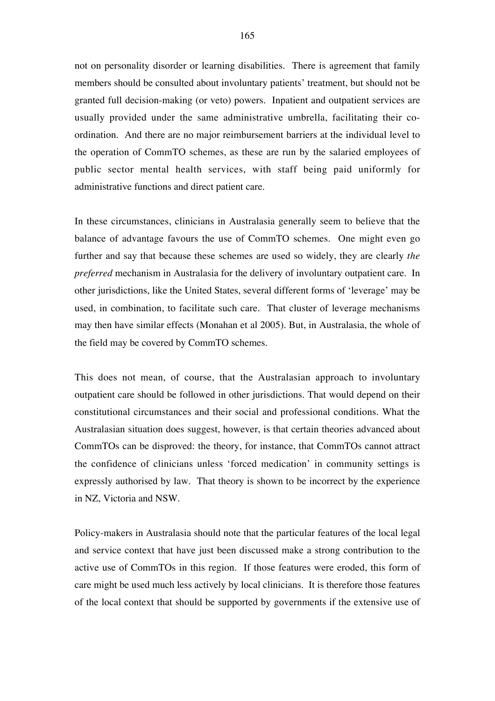not on personality disorder or learning disabilities. There is agreement that family members should be consulted about involuntary patients' treatment, but should not be granted full decision-making (or veto) powers. Inpatient and outpatient services are usually provided under the same administrative umbrella, facilitating their coordination. And there are no major reimbursement barriers at the individual level to the operation of CommTO schemes, as these are run by the salaried employees of public sector mental health services, with staff being paid uniformly for administrative functions and direct patient care.

In these circumstances, clinicians in Australasia generally seem to believe that the balance of advantage favours the use of CommTO schemes. One might even go further and say that because these schemes are used so widely, they are clearly *the preferred* mechanism in Australasia for the delivery of involuntary outpatient care. In other jurisdictions, like the United States, several different forms of 'leverage' may be used, in combination, to facilitate such care. That cluster of leverage mechanisms may then have similar effects (Monahan et al 2005). But, in Australasia, the whole of the field may be covered by CommTO schemes.

This does not mean, of course, that the Australasian approach to involuntary outpatient care should be followed in other jurisdictions. That would depend on their constitutional circumstances and their social and professional conditions. What the Australasian situation does suggest, however, is that certain theories advanced about CommTOs can be disproved: the theory, for instance, that CommTOs cannot attract the confidence of clinicians unless 'forced medication' in community settings is expressly authorised by law. That theory is shown to be incorrect by the experience in NZ, Victoria and NSW.

Policy-makers in Australasia should note that the particular features of the local legal and service context that have just been discussed make a strong contribution to the active use of CommTOs in this region. If those features were eroded, this form of care might be used much less actively by local clinicians. It is therefore those features of the local context that should be supported by governments if the extensive use of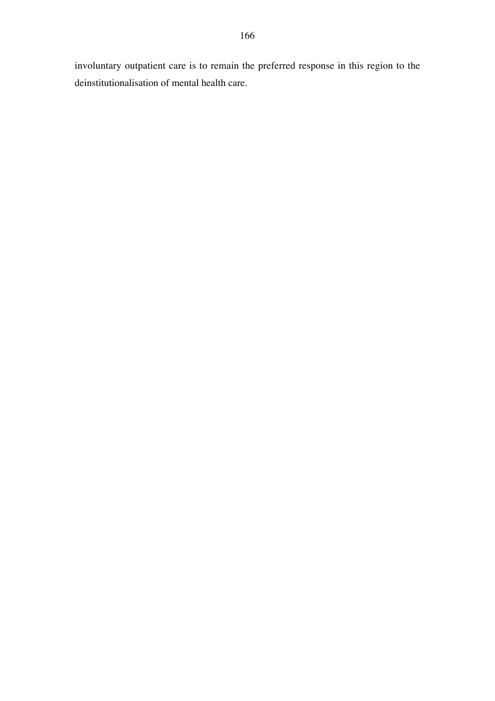involuntary outpatient care is to remain the preferred response in this region to the deinstitutionalisation of mental health care.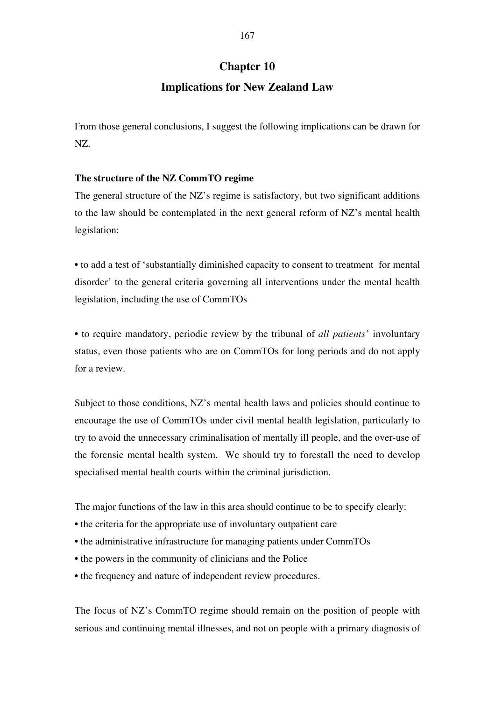# **Chapter 10**

# **Implications for New Zealand Law**

From those general conclusions, I suggest the following implications can be drawn for NZ.

# **The structure of the NZ CommTO regime**

The general structure of the NZ's regime is satisfactory, but two significant additions to the law should be contemplated in the next general reform of NZ's mental health legislation:

• to add a test of 'substantially diminished capacity to consent to treatment for mental disorder' to the general criteria governing all interventions under the mental health legislation, including the use of CommTOs

• to require mandatory, periodic review by the tribunal of *all patients'* involuntary status, even those patients who are on CommTOs for long periods and do not apply for a review.

Subject to those conditions, NZ's mental health laws and policies should continue to encourage the use of CommTOs under civil mental health legislation, particularly to try to avoid the unnecessary criminalisation of mentally ill people, and the over-use of the forensic mental health system. We should try to forestall the need to develop specialised mental health courts within the criminal jurisdiction.

The major functions of the law in this area should continue to be to specify clearly:

- the criteria for the appropriate use of involuntary outpatient care
- the administrative infrastructure for managing patients under CommTOs
- the powers in the community of clinicians and the Police
- the frequency and nature of independent review procedures.

The focus of NZ's CommTO regime should remain on the position of people with serious and continuing mental illnesses, and not on people with a primary diagnosis of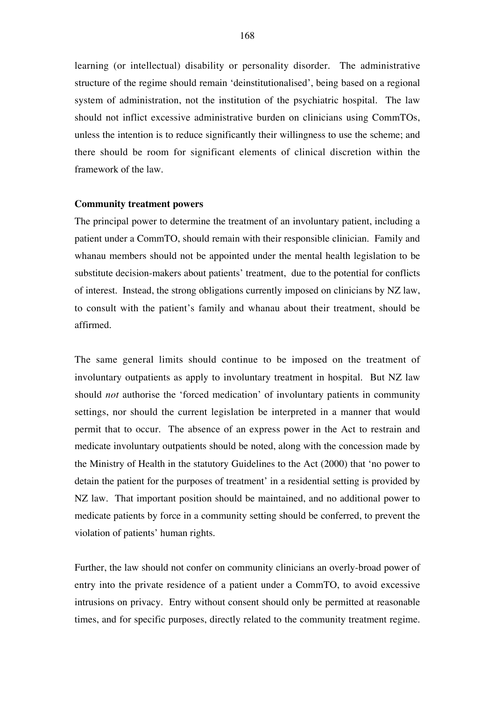learning (or intellectual) disability or personality disorder. The administrative structure of the regime should remain 'deinstitutionalised', being based on a regional system of administration, not the institution of the psychiatric hospital. The law should not inflict excessive administrative burden on clinicians using CommTOs, unless the intention is to reduce significantly their willingness to use the scheme; and there should be room for significant elements of clinical discretion within the framework of the law.

# **Community treatment powers**

The principal power to determine the treatment of an involuntary patient, including a patient under a CommTO, should remain with their responsible clinician. Family and whanau members should not be appointed under the mental health legislation to be substitute decision-makers about patients' treatment, due to the potential for conflicts of interest. Instead, the strong obligations currently imposed on clinicians by NZ law, to consult with the patient's family and whanau about their treatment, should be affirmed.

The same general limits should continue to be imposed on the treatment of involuntary outpatients as apply to involuntary treatment in hospital. But NZ law should *not* authorise the 'forced medication' of involuntary patients in community settings, nor should the current legislation be interpreted in a manner that would permit that to occur. The absence of an express power in the Act to restrain and medicate involuntary outpatients should be noted, along with the concession made by the Ministry of Health in the statutory Guidelines to the Act (2000) that 'no power to detain the patient for the purposes of treatment' in a residential setting is provided by NZ law. That important position should be maintained, and no additional power to medicate patients by force in a community setting should be conferred, to prevent the violation of patients' human rights.

Further, the law should not confer on community clinicians an overly-broad power of entry into the private residence of a patient under a CommTO, to avoid excessive intrusions on privacy. Entry without consent should only be permitted at reasonable times, and for specific purposes, directly related to the community treatment regime.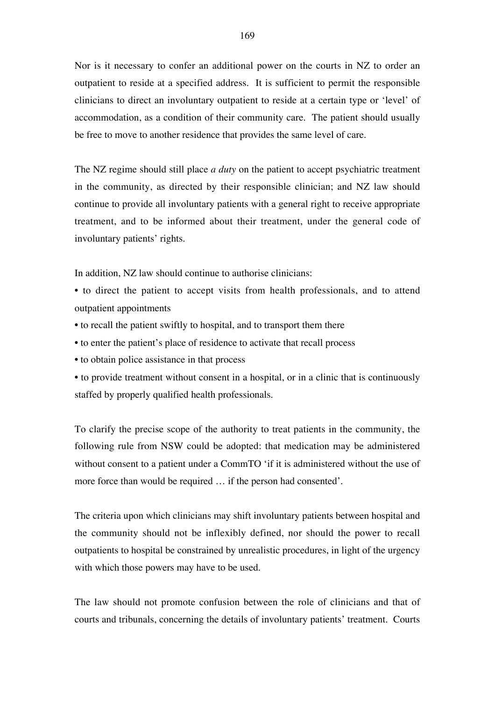Nor is it necessary to confer an additional power on the courts in NZ to order an outpatient to reside at a specified address. It is sufficient to permit the responsible clinicians to direct an involuntary outpatient to reside at a certain type or 'level' of accommodation, as a condition of their community care. The patient should usually be free to move to another residence that provides the same level of care.

The NZ regime should still place *a duty* on the patient to accept psychiatric treatment in the community, as directed by their responsible clinician; and NZ law should continue to provide all involuntary patients with a general right to receive appropriate treatment, and to be informed about their treatment, under the general code of involuntary patients' rights.

In addition, NZ law should continue to authorise clinicians:

• to direct the patient to accept visits from health professionals, and to attend outpatient appointments

- to recall the patient swiftly to hospital, and to transport them there
- to enter the patient's place of residence to activate that recall process
- to obtain police assistance in that process
- to provide treatment without consent in a hospital, or in a clinic that is continuously staffed by properly qualified health professionals.

To clarify the precise scope of the authority to treat patients in the community, the following rule from NSW could be adopted: that medication may be administered without consent to a patient under a CommTO 'if it is administered without the use of more force than would be required … if the person had consented'.

The criteria upon which clinicians may shift involuntary patients between hospital and the community should not be inflexibly defined, nor should the power to recall outpatients to hospital be constrained by unrealistic procedures, in light of the urgency with which those powers may have to be used.

The law should not promote confusion between the role of clinicians and that of courts and tribunals, concerning the details of involuntary patients' treatment. Courts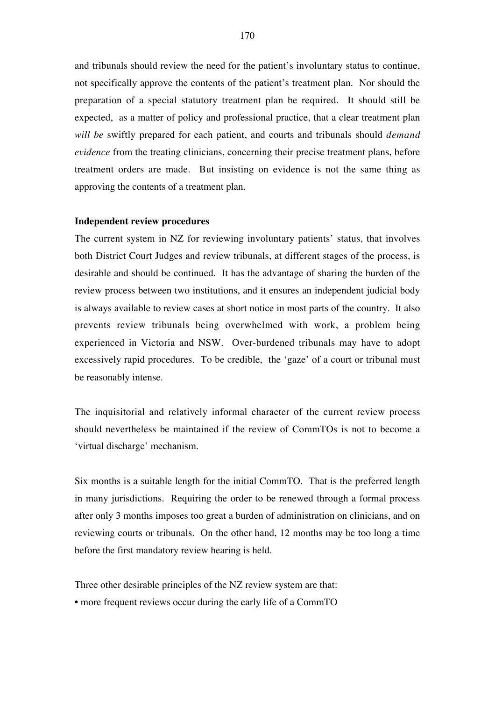and tribunals should review the need for the patient's involuntary status to continue, not specifically approve the contents of the patient's treatment plan. Nor should the preparation of a special statutory treatment plan be required. It should still be expected, as a matter of policy and professional practice, that a clear treatment plan *will be* swiftly prepared for each patient, and courts and tribunals should *demand evidence* from the treating clinicians, concerning their precise treatment plans, before treatment orders are made. But insisting on evidence is not the same thing as approving the contents of a treatment plan.

#### **Independent review procedures**

The current system in NZ for reviewing involuntary patients' status, that involves both District Court Judges and review tribunals, at different stages of the process, is desirable and should be continued. It has the advantage of sharing the burden of the review process between two institutions, and it ensures an independent judicial body is always available to review cases at short notice in most parts of the country. It also prevents review tribunals being overwhelmed with work, a problem being experienced in Victoria and NSW. Over-burdened tribunals may have to adopt excessively rapid procedures. To be credible, the 'gaze' of a court or tribunal must be reasonably intense.

The inquisitorial and relatively informal character of the current review process should nevertheless be maintained if the review of CommTOs is not to become a 'virtual discharge' mechanism.

Six months is a suitable length for the initial CommTO. That is the preferred length in many jurisdictions. Requiring the order to be renewed through a formal process after only 3 months imposes too great a burden of administration on clinicians, and on reviewing courts or tribunals. On the other hand, 12 months may be too long a time before the first mandatory review hearing is held.

Three other desirable principles of the NZ review system are that:

• more frequent reviews occur during the early life of a CommTO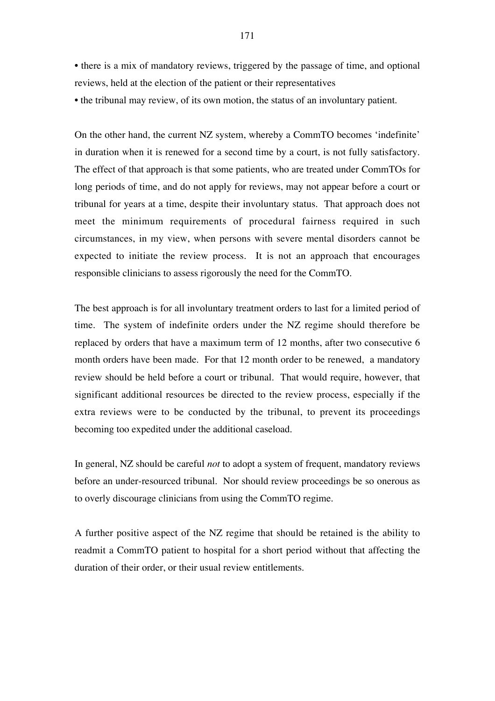• there is a mix of mandatory reviews, triggered by the passage of time, and optional reviews, held at the election of the patient or their representatives

• the tribunal may review, of its own motion, the status of an involuntary patient.

On the other hand, the current NZ system, whereby a CommTO becomes 'indefinite' in duration when it is renewed for a second time by a court, is not fully satisfactory. The effect of that approach is that some patients, who are treated under CommTOs for long periods of time, and do not apply for reviews, may not appear before a court or tribunal for years at a time, despite their involuntary status. That approach does not meet the minimum requirements of procedural fairness required in such circumstances, in my view, when persons with severe mental disorders cannot be expected to initiate the review process. It is not an approach that encourages responsible clinicians to assess rigorously the need for the CommTO.

The best approach is for all involuntary treatment orders to last for a limited period of time. The system of indefinite orders under the NZ regime should therefore be replaced by orders that have a maximum term of 12 months, after two consecutive 6 month orders have been made. For that 12 month order to be renewed, a mandatory review should be held before a court or tribunal. That would require, however, that significant additional resources be directed to the review process, especially if the extra reviews were to be conducted by the tribunal, to prevent its proceedings becoming too expedited under the additional caseload.

In general, NZ should be careful *not* to adopt a system of frequent, mandatory reviews before an under-resourced tribunal. Nor should review proceedings be so onerous as to overly discourage clinicians from using the CommTO regime.

A further positive aspect of the NZ regime that should be retained is the ability to readmit a CommTO patient to hospital for a short period without that affecting the duration of their order, or their usual review entitlements.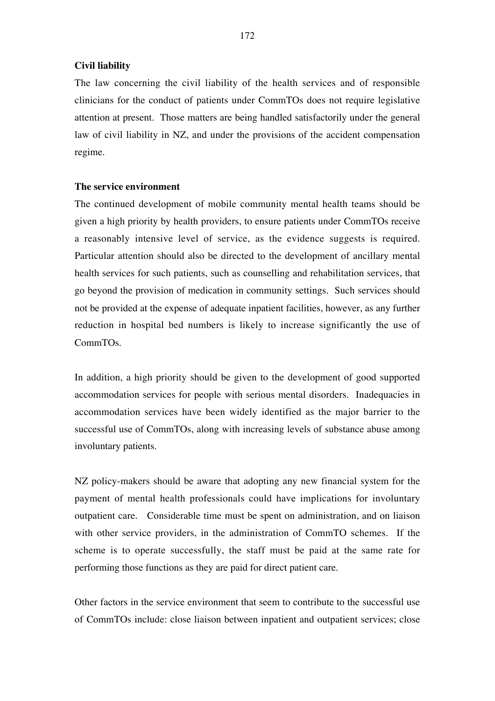# **Civil liability**

The law concerning the civil liability of the health services and of responsible clinicians for the conduct of patients under CommTOs does not require legislative attention at present. Those matters are being handled satisfactorily under the general law of civil liability in NZ, and under the provisions of the accident compensation regime.

# **The service environment**

The continued development of mobile community mental health teams should be given a high priority by health providers, to ensure patients under CommTOs receive a reasonably intensive level of service, as the evidence suggests is required. Particular attention should also be directed to the development of ancillary mental health services for such patients, such as counselling and rehabilitation services, that go beyond the provision of medication in community settings. Such services should not be provided at the expense of adequate inpatient facilities, however, as any further reduction in hospital bed numbers is likely to increase significantly the use of CommTOs.

In addition, a high priority should be given to the development of good supported accommodation services for people with serious mental disorders. Inadequacies in accommodation services have been widely identified as the major barrier to the successful use of CommTOs, along with increasing levels of substance abuse among involuntary patients.

NZ policy-makers should be aware that adopting any new financial system for the payment of mental health professionals could have implications for involuntary outpatient care. Considerable time must be spent on administration, and on liaison with other service providers, in the administration of CommTO schemes. If the scheme is to operate successfully, the staff must be paid at the same rate for performing those functions as they are paid for direct patient care.

Other factors in the service environment that seem to contribute to the successful use of CommTOs include: close liaison between inpatient and outpatient services; close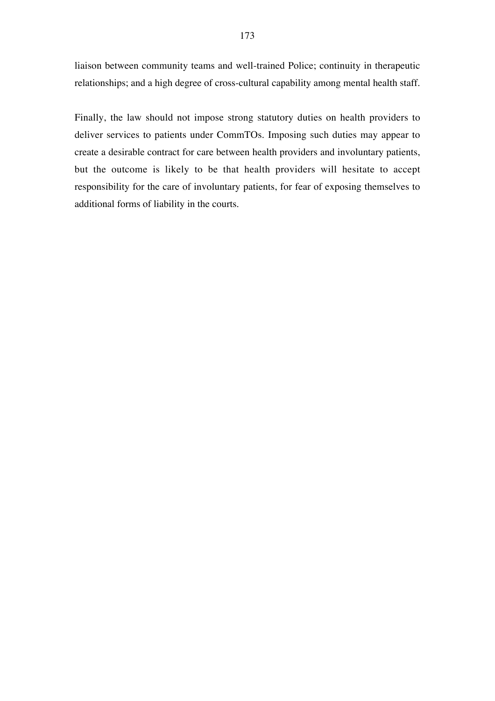liaison between community teams and well-trained Police; continuity in therapeutic relationships; and a high degree of cross-cultural capability among mental health staff.

Finally, the law should not impose strong statutory duties on health providers to deliver services to patients under CommTOs. Imposing such duties may appear to create a desirable contract for care between health providers and involuntary patients, but the outcome is likely to be that health providers will hesitate to accept responsibility for the care of involuntary patients, for fear of exposing themselves to additional forms of liability in the courts.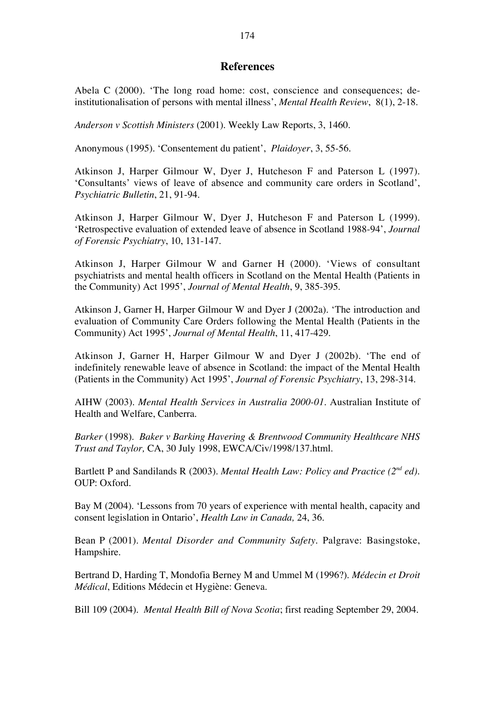## **References**

Abela C (2000). 'The long road home: cost, conscience and consequences; deinstitutionalisation of persons with mental illness', *Mental Health Review*, 8(1), 2-18.

*Anderson v Scottish Ministers* (2001). Weekly Law Reports, 3, 1460.

Anonymous (1995). 'Consentement du patient', *Plaidoyer*, 3, 55-56.

Atkinson J, Harper Gilmour W, Dyer J, Hutcheson F and Paterson L (1997). 'Consultants' views of leave of absence and community care orders in Scotland', *Psychiatric Bulletin*, 21, 91-94.

Atkinson J, Harper Gilmour W, Dyer J, Hutcheson F and Paterson L (1999). 'Retrospective evaluation of extended leave of absence in Scotland 1988-94', *Journal of Forensic Psychiatry*, 10, 131-147.

Atkinson J, Harper Gilmour W and Garner H (2000). 'Views of consultant psychiatrists and mental health officers in Scotland on the Mental Health (Patients in the Community) Act 1995', *Journal of Mental Health*, 9, 385-395.

Atkinson J, Garner H, Harper Gilmour W and Dyer J (2002a). 'The introduction and evaluation of Community Care Orders following the Mental Health (Patients in the Community) Act 1995', *Journal of Mental Health*, 11, 417-429.

Atkinson J, Garner H, Harper Gilmour W and Dyer J (2002b). 'The end of indefinitely renewable leave of absence in Scotland: the impact of the Mental Health (Patients in the Community) Act 1995', *Journal of Forensic Psychiatry*, 13, 298-314.

AIHW (2003). *Mental Health Services in Australia 2000-01*. Australian Institute of Health and Welfare, Canberra.

*Barker* (1998). *Baker v Barking Havering & Brentwood Community Healthcare NHS Trust and Taylor,* CA, 30 July 1998, EWCA/Civ/1998/137.html.

Bartlett P and Sandilands R (2003). *Mental Health Law: Policy and Practice (2nd ed)*. OUP: Oxford.

Bay M (2004). 'Lessons from 70 years of experience with mental health, capacity and consent legislation in Ontario', *Health Law in Canada,* 24, 36.

Bean P (2001). *Mental Disorder and Community Safety*. Palgrave: Basingstoke, Hampshire.

Bertrand D, Harding T, Mondofia Berney M and Ummel M (1996?). *Médecin et Droit Médical*, Editions Médecin et Hygiène: Geneva.

Bill 109 (2004). *Mental Health Bill of Nova Scotia*; first reading September 29, 2004.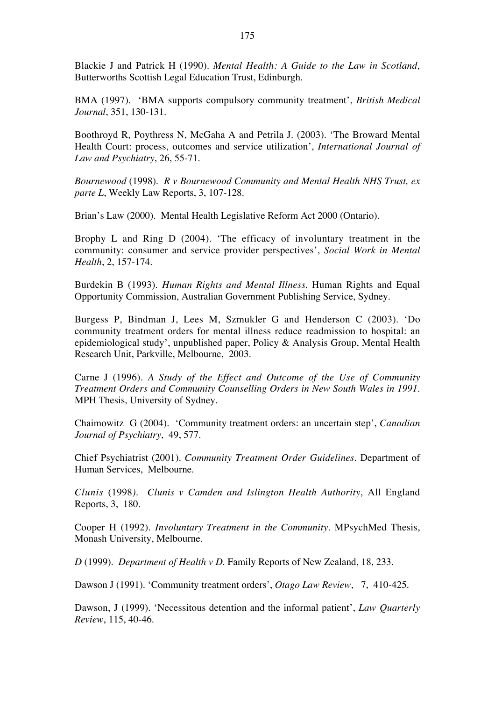Blackie J and Patrick H (1990). *Mental Health: A Guide to the Law in Scotland*, Butterworths Scottish Legal Education Trust, Edinburgh.

BMA (1997). 'BMA supports compulsory community treatment', *British Medical Journal*, 351, 130-131.

Boothroyd R, Poythress N, McGaha A and Petrila J. (2003). 'The Broward Mental Health Court: process, outcomes and service utilization', *International Journal of Law and Psychiatry*, 26, 55-71.

*Bournewood* (1998). *R v Bournewood Community and Mental Health NHS Trust, ex parte L*, Weekly Law Reports, 3, 107-128.

Brian's Law (2000). Mental Health Legislative Reform Act 2000 (Ontario).

Brophy L and Ring D (2004). 'The efficacy of involuntary treatment in the community: consumer and service provider perspectives', *Social Work in Mental Health*, 2, 157-174.

Burdekin B (1993). *Human Rights and Mental Illness*. Human Rights and Equal Opportunity Commission, Australian Government Publishing Service, Sydney.

Burgess P, Bindman J, Lees M, Szmukler G and Henderson C (2003). 'Do community treatment orders for mental illness reduce readmission to hospital: an epidemiological study', unpublished paper, Policy & Analysis Group, Mental Health Research Unit, Parkville, Melbourne, 2003.

Carne J (1996). *A Study of the Effect and Outcome of the Use of Community Treatment Orders and Community Counselling Orders in New South Wales in 1991*. MPH Thesis, University of Sydney.

Chaimowitz G (2004). 'Community treatment orders: an uncertain step', *Canadian Journal of Psychiatry*, 49, 577.

Chief Psychiatrist (2001). *Community Treatment Order Guidelines*. Department of Human Services, Melbourne.

*Clunis* (1998*). Clunis v Camden and Islington Health Authority*, All England Reports, 3, 180.

Cooper H (1992). *Involuntary Treatment in the Community*. MPsychMed Thesis, Monash University, Melbourne.

*D* (1999). *Department of Health v D*. Family Reports of New Zealand, 18, 233.

Dawson J (1991). 'Community treatment orders', *Otago Law Review*, 7, 410-425.

Dawson, J (1999). 'Necessitous detention and the informal patient', *Law Quarterly Review*, 115, 40-46.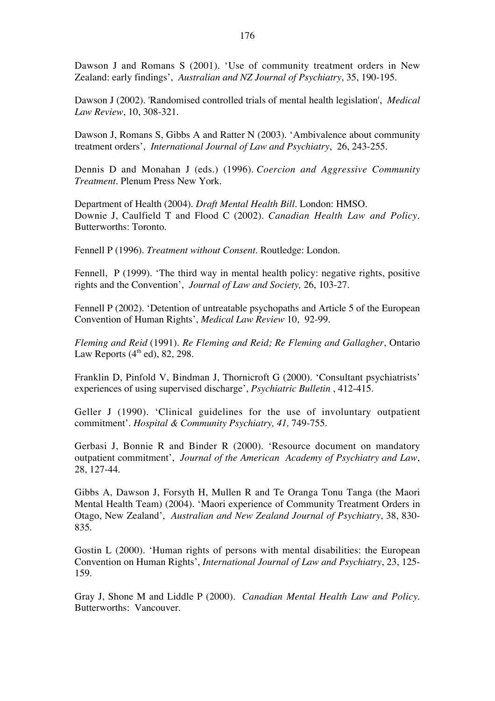Dawson J and Romans S (2001). 'Use of community treatment orders in New Zealand: early findings', *Australian and NZ Journal of Psychiatry*, 35, 190-195.

Dawson J (2002). 'Randomised controlled trials of mental health legislation', *Medical Law Review*, 10, 308-321.

Dawson J, Romans S, Gibbs A and Ratter N (2003). 'Ambivalence about community treatment orders', *International Journal of Law and Psychiatry*, 26, 243-255.

Dennis D and Monahan J (eds.) (1996). *Coercion and Aggressive Community Treatment*. Plenum Press New York.

Department of Health (2004). *Draft Mental Health Bill*. London: HMSO. Downie J, Caulfield T and Flood C (2002). *Canadian Health Law and Policy*. Butterworths: Toronto.

Fennell P (1996). *Treatment without Consent*. Routledge: London.

Fennell, P (1999). 'The third way in mental health policy: negative rights, positive rights and the Convention', *Journal of Law and Society,* 26, 103-27.

Fennell P (2002). 'Detention of untreatable psychopaths and Article 5 of the European Convention of Human Rights', *Medical Law Review* 10, 92-99.

*Fleming and Reid* (1991). *Re Fleming and Reid; Re Fleming and Gallagher*, Ontario Law Reports  $(4<sup>th</sup>$  ed), 82, 298.

Franklin D, Pinfold V, Bindman J, Thornicroft G (2000). 'Consultant psychiatrists' experiences of using supervised discharge', *Psychiatric Bulletin* , 412-415.

Geller J (1990). 'Clinical guidelines for the use of involuntary outpatient commitment'. *Hospital & Community Psychiatry, 41,* 749-755.

Gerbasi J, Bonnie R and Binder R (2000). 'Resource document on mandatory outpatient commitment', *Journal of the American Academy of Psychiatry and Law*, 28, 127-44.

Gibbs A, Dawson J, Forsyth H, Mullen R and Te Oranga Tonu Tanga (the Maori Mental Health Team) (2004). 'Maori experience of Community Treatment Orders in Otago, New Zealand', *Australian and New Zealand Journal of Psychiatry*, 38, 830- 835.

Gostin L (2000). 'Human rights of persons with mental disabilities: the European Convention on Human Rights', *International Journal of Law and Psychiatry*, 23, 125- 159.

Gray J, Shone M and Liddle P (2000). *Canadian Mental Health Law and Policy*. Butterworths: Vancouver.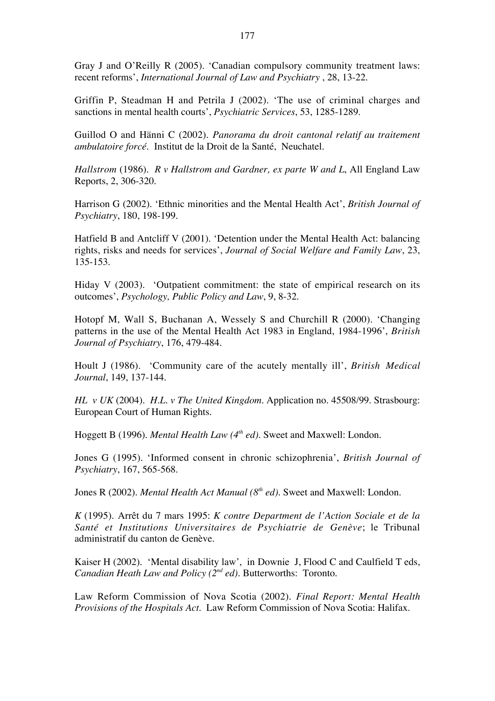Gray J and O'Reilly R (2005). 'Canadian compulsory community treatment laws: recent reforms', *International Journal of Law and Psychiatry* , 28, 13-22.

Griffin P, Steadman H and Petrila J (2002). 'The use of criminal charges and sanctions in mental health courts', *Psychiatric Services*, 53, 1285-1289.

Guillod O and Hänni C (2002). *Panorama du droit cantonal relatif au traitement ambulatoire forcé*. Institut de la Droit de la Santé, Neuchatel.

*Hallstrom* (1986). *R v Hallstrom and Gardner, ex parte W and L*, All England Law Reports, 2, 306-320.

Harrison G (2002). 'Ethnic minorities and the Mental Health Act', *British Journal of Psychiatry*, 180, 198-199.

Hatfield B and Antcliff V (2001). 'Detention under the Mental Health Act: balancing rights, risks and needs for services', *Journal of Social Welfare and Family Law*, 23, 135-153.

Hiday V (2003). 'Outpatient commitment: the state of empirical research on its outcomes', *Psychology, Public Policy and Law*, 9, 8-32.

Hotopf M, Wall S, Buchanan A, Wessely S and Churchill R (2000). 'Changing patterns in the use of the Mental Health Act 1983 in England, 1984-1996', *British Journal of Psychiatry*, 176, 479-484.

Hoult J (1986). 'Community care of the acutely mentally ill', *British Medical Journal*, 149, 137-144.

*HL v UK* (2004). *H.L. v The United Kingdom.* Application no. 45508/99. Strasbourg: European Court of Human Rights.

Hoggett B (1996). *Mental Health Law (4th ed)*. Sweet and Maxwell: London.

Jones G (1995). 'Informed consent in chronic schizophrenia', *British Journal of Psychiatry*, 167, 565-568.

Jones R (2002). *Mental Health Act Manual (8th ed)*. Sweet and Maxwell: London.

*K* (1995). Arrêt du 7 mars 1995: *K contre Department de l'Action Sociale et de la Santé et Institutions Universitaires de Psychiatrie de Genève*; le Tribunal administratif du canton de Genève.

Kaiser H (2002). 'Mental disability law', in Downie J, Flood C and Caulfield T eds, *Canadian Heath Law and Policy (2nd ed)*. Butterworths: Toronto.

Law Reform Commission of Nova Scotia (2002). *Final Report: Mental Health Provisions of the Hospitals Act*. Law Reform Commission of Nova Scotia: Halifax.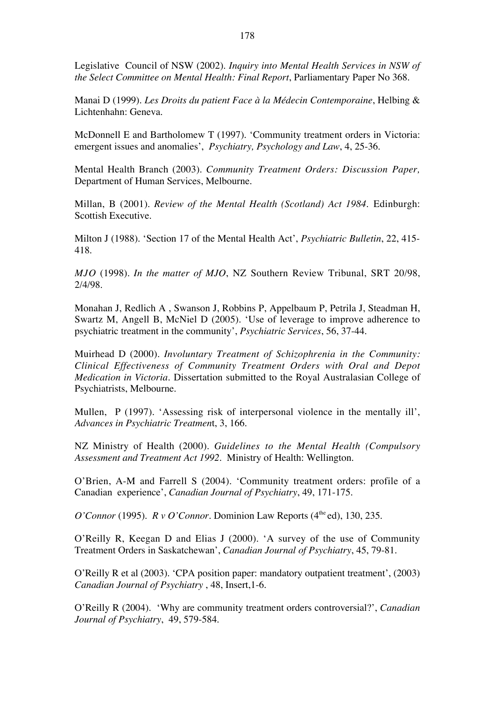Legislative Council of NSW (2002). *Inquiry into Mental Health Services in NSW of the Select Committee on Mental Health: Final Report*, Parliamentary Paper No 368.

Manai D (1999). *Les Droits du patient Face à la Médecin Contemporaine*, Helbing & Lichtenhahn: Geneva.

McDonnell E and Bartholomew T (1997). 'Community treatment orders in Victoria: emergent issues and anomalies', *Psychiatry, Psychology and Law*, 4, 25-36.

Mental Health Branch (2003). *Community Treatment Orders: Discussion Paper,* Department of Human Services, Melbourne.

Millan, B (2001). *Review of the Mental Health (Scotland) Act 1984*. Edinburgh: Scottish Executive.

Milton J (1988). 'Section 17 of the Mental Health Act', *Psychiatric Bulletin*, 22, 415- 418.

*MJO* (1998). *In the matter of MJO*, NZ Southern Review Tribunal, SRT 20/98, 2/4/98.

Monahan J, Redlich A , Swanson J, Robbins P, Appelbaum P, Petrila J, Steadman H, Swartz M, Angell B, McNiel D (2005). 'Use of leverage to improve adherence to psychiatric treatment in the community', *Psychiatric Services*, 56, 37-44.

Muirhead D (2000). *Involuntary Treatment of Schizophrenia in the Community: Clinical Effectiveness of Community Treatment Orders with Oral and Depot Medication in Victoria.* Dissertation submitted to the Royal Australasian College of Psychiatrists, Melbourne.

Mullen, P (1997). 'Assessing risk of interpersonal violence in the mentally ill', *Advances in Psychiatric Treatmen*t, 3, 166.

NZ Ministry of Health (2000). *Guidelines to the Mental Health (Compulsory Assessment and Treatment Act 1992.* Ministry of Health: Wellington.

O'Brien, A-M and Farrell S (2004). 'Community treatment orders: profile of a Canadian experience', *Canadian Journal of Psychiatry*, 49, 171-175.

*O'Connor* (1995). *R v O'Connor*. Dominion Law Reports (4<sup>the</sup> ed), 130, 235.

O'Reilly R, Keegan D and Elias J (2000). 'A survey of the use of Community Treatment Orders in Saskatchewan', *Canadian Journal of Psychiatry*, 45, 79-81.

O'Reilly R et al (2003). 'CPA position paper: mandatory outpatient treatment', (2003) *Canadian Journal of Psychiatry* , 48, Insert,1-6.

O'Reilly R (2004). 'Why are community treatment orders controversial?', *Canadian Journal of Psychiatry*, 49, 579-584.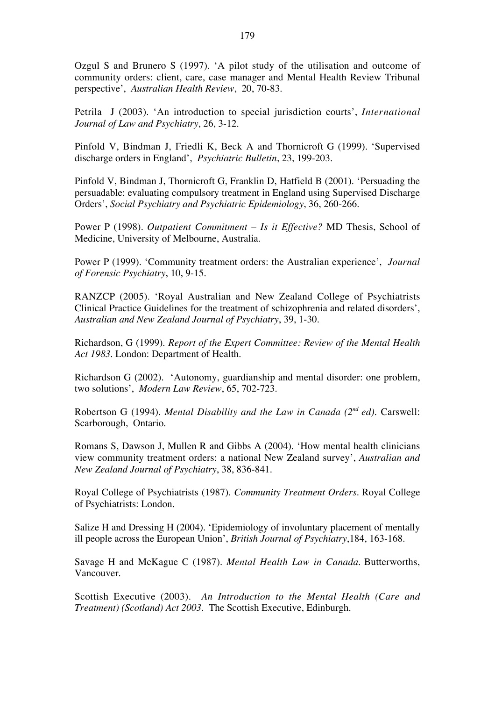Ozgul S and Brunero S (1997). 'A pilot study of the utilisation and outcome of community orders: client, care, case manager and Mental Health Review Tribunal perspective', *Australian Health Review*, 20, 70-83.

Petrila J (2003). 'An introduction to special jurisdiction courts', *International Journal of Law and Psychiatry*, 26, 3-12.

Pinfold V, Bindman J, Friedli K, Beck A and Thornicroft G (1999). 'Supervised discharge orders in England', *Psychiatric Bulletin*, 23, 199-203.

Pinfold V, Bindman J, Thornicroft G, Franklin D, Hatfield B (2001). 'Persuading the persuadable: evaluating compulsory treatment in England using Supervised Discharge Orders', *Social Psychiatry and Psychiatric Epidemiology*, 36, 260-266.

Power P (1998). *Outpatient Commitment – Is it Effective?* MD Thesis, School of Medicine, University of Melbourne, Australia.

Power P (1999). 'Community treatment orders: the Australian experience', *Journal of Forensic Psychiatry*, 10, 9-15.

RANZCP (2005). 'Royal Australian and New Zealand College of Psychiatrists Clinical Practice Guidelines for the treatment of schizophrenia and related disorders', *Australian and New Zealand Journal of Psychiatry*, 39, 1-30.

Richardson, G (1999). *Report of the Expert Committee: Review of the Mental Health Act 1983*. London: Department of Health.

Richardson G (2002). 'Autonomy, guardianship and mental disorder: one problem, two solutions', *Modern Law Review*, 65, 702-723.

Robertson G (1994). *Mental Disability and the Law in Canada (2nd ed)*. Carswell: Scarborough, Ontario.

Romans S, Dawson J, Mullen R and Gibbs A (2004). 'How mental health clinicians view community treatment orders: a national New Zealand survey', *Australian and New Zealand Journal of Psychiatry*, 38, 836-841.

Royal College of Psychiatrists (1987). *Community Treatment Orders*. Royal College of Psychiatrists: London.

Salize H and Dressing H (2004). 'Epidemiology of involuntary placement of mentally ill people across the European Union', *British Journal of Psychiatry*,184, 163-168.

Savage H and McKague C (1987). *Mental Health Law in Canada*. Butterworths, Vancouver.

Scottish Executive (2003). *An Introduction to the Mental Health (Care and Treatment) (Scotland) Act 2003*. The Scottish Executive, Edinburgh.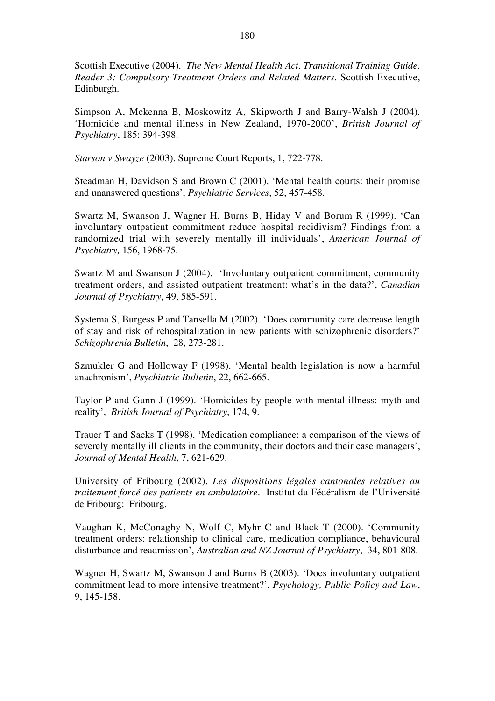Scottish Executive (2004). *The New Mental Health Act. Transitional Training Guide. Reader 3: Compulsory Treatment Orders and Related Matters*. Scottish Executive, Edinburgh.

Simpson A, Mckenna B, Moskowitz A, Skipworth J and Barry-Walsh J (2004). 'Homicide and mental illness in New Zealand, 1970-2000', *British Journal of Psychiatry*, 185: 394-398.

*Starson v Swayze* (2003). Supreme Court Reports, 1, 722-778.

Steadman H, Davidson S and Brown C (2001). 'Mental health courts: their promise and unanswered questions', *Psychiatric Services*, 52, 457-458.

Swartz M, Swanson J, Wagner H, Burns B, Hiday V and Borum R (1999). 'Can involuntary outpatient commitment reduce hospital recidivism? Findings from a randomized trial with severely mentally ill individuals', *American Journal of Psychiatry,* 156, 1968-75.

Swartz M and Swanson J (2004). 'Involuntary outpatient commitment, community treatment orders, and assisted outpatient treatment: what's in the data?', *Canadian Journal of Psychiatry*, 49, 585-591.

Systema S, Burgess P and Tansella M (2002). 'Does community care decrease length of stay and risk of rehospitalization in new patients with schizophrenic disorders?' *Schizophrenia Bulletin*, 28, 273-281.

Szmukler G and Holloway F (1998). 'Mental health legislation is now a harmful anachronism', *Psychiatric Bulletin*, 22, 662-665.

Taylor P and Gunn J (1999). 'Homicides by people with mental illness: myth and reality', *British Journal of Psychiatry*, 174, 9.

Trauer T and Sacks T (1998). 'Medication compliance: a comparison of the views of severely mentally ill clients in the community, their doctors and their case managers', *Journal of Mental Health*, 7, 621-629.

University of Fribourg (2002). *Les dispositions légales cantonales relatives au traitement forcé des patients en ambulatoire*. Institut du Fédéralism de l'Université de Fribourg: Fribourg.

Vaughan K, McConaghy N, Wolf C, Myhr C and Black T (2000). 'Community treatment orders: relationship to clinical care, medication compliance, behavioural disturbance and readmission', *Australian and NZ Journal of Psychiatry*, 34, 801-808.

Wagner H, Swartz M, Swanson J and Burns B (2003). 'Does involuntary outpatient commitment lead to more intensive treatment?', *Psychology, Public Policy and Law*, 9, 145-158.